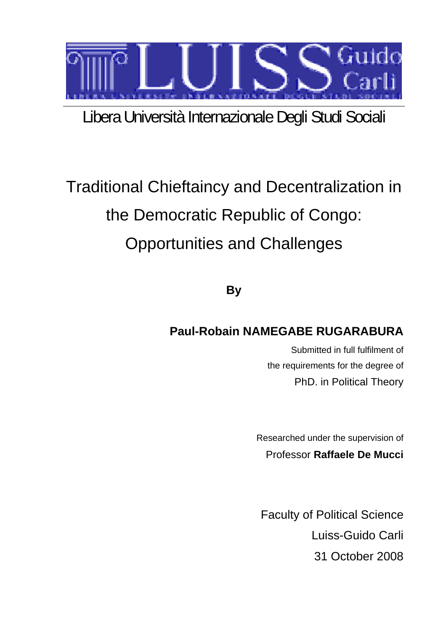

# Libera Università Internazionale Degli Studi Sociali

# Traditional Chieftaincy and Decentralization in the Democratic Republic of Congo: Opportunities and Challenges

**By** 

# **Paul-Robain NAMEGABE RUGARABURA**

Submitted in full fulfilment of the requirements for the degree of PhD. in Political Theory

Researched under the supervision of Professor **Raffaele De Mucci**

Faculty of Political Science Luiss-Guido Carli 31 October 2008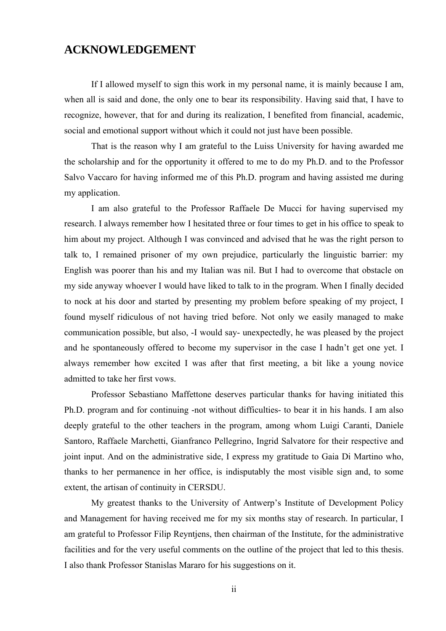### <span id="page-1-0"></span>**ACKNOWLEDGEMENT**

If I allowed myself to sign this work in my personal name, it is mainly because I am, when all is said and done, the only one to bear its responsibility. Having said that, I have to recognize, however, that for and during its realization, I benefited from financial, academic, social and emotional support without which it could not just have been possible.

That is the reason why I am grateful to the Luiss University for having awarded me the scholarship and for the opportunity it offered to me to do my Ph.D. and to the Professor Salvo Vaccaro for having informed me of this Ph.D. program and having assisted me during my application.

I am also grateful to the Professor Raffaele De Mucci for having supervised my research. I always remember how I hesitated three or four times to get in his office to speak to him about my project. Although I was convinced and advised that he was the right person to talk to, I remained prisoner of my own prejudice, particularly the linguistic barrier: my English was poorer than his and my Italian was nil. But I had to overcome that obstacle on my side anyway whoever I would have liked to talk to in the program. When I finally decided to nock at his door and started by presenting my problem before speaking of my project, I found myself ridiculous of not having tried before. Not only we easily managed to make communication possible, but also, -I would say- unexpectedly, he was pleased by the project and he spontaneously offered to become my supervisor in the case I hadn't get one yet. I always remember how excited I was after that first meeting, a bit like a young novice admitted to take her first vows.

Professor Sebastiano Maffettone deserves particular thanks for having initiated this Ph.D. program and for continuing -not without difficulties- to bear it in his hands. I am also deeply grateful to the other teachers in the program, among whom Luigi Caranti, Daniele Santoro, Raffaele Marchetti, Gianfranco Pellegrino, Ingrid Salvatore for their respective and joint input. And on the administrative side, I express my gratitude to Gaia Di Martino who, thanks to her permanence in her office, is indisputably the most visible sign and, to some extent, the artisan of continuity in CERSDU.

My greatest thanks to the University of Antwerp's Institute of Development Policy and Management for having received me for my six months stay of research. In particular, I am grateful to Professor Filip Reyntjens, then chairman of the Institute, for the administrative facilities and for the very useful comments on the outline of the project that led to this thesis. I also thank Professor Stanislas Mararo for his suggestions on it.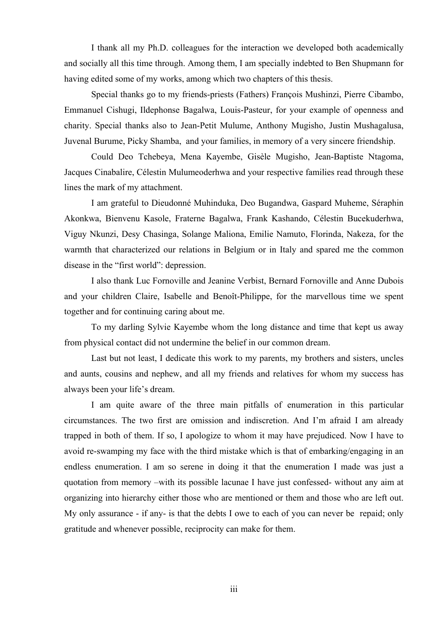I thank all my Ph.D. colleagues for the interaction we developed both academically and socially all this time through. Among them, I am specially indebted to Ben Shupmann for having edited some of my works, among which two chapters of this thesis.

Special thanks go to my friends-priests (Fathers) François Mushinzi, Pierre Cibambo, Emmanuel Cishugi, Ildephonse Bagalwa, Louis-Pasteur, for your example of openness and charity. Special thanks also to Jean-Petit Mulume, Anthony Mugisho, Justin Mushagalusa, Juvenal Burume, Picky Shamba, and your families, in memory of a very sincere friendship.

Could Deo Tchebeya, Mena Kayembe, Gisèle Mugisho, Jean-Baptiste Ntagoma, Jacques Cinabalire, Célestin Mulumeoderhwa and your respective families read through these lines the mark of my attachment.

I am grateful to Dieudonné Muhinduka, Deo Bugandwa, Gaspard Muheme, Séraphin Akonkwa, Bienvenu Kasole, Fraterne Bagalwa, Frank Kashando, Célestin Bucekuderhwa, Viguy Nkunzi, Desy Chasinga, Solange Maliona, Emilie Namuto, Florinda, Nakeza, for the warmth that characterized our relations in Belgium or in Italy and spared me the common disease in the "first world": depression.

I also thank Luc Fornoville and Jeanine Verbist, Bernard Fornoville and Anne Dubois and your children Claire, Isabelle and Benoît-Philippe, for the marvellous time we spent together and for continuing caring about me.

To my darling Sylvie Kayembe whom the long distance and time that kept us away from physical contact did not undermine the belief in our common dream.

Last but not least, I dedicate this work to my parents, my brothers and sisters, uncles and aunts, cousins and nephew, and all my friends and relatives for whom my success has always been your life's dream.

I am quite aware of the three main pitfalls of enumeration in this particular circumstances. The two first are omission and indiscretion. And I'm afraid I am already trapped in both of them. If so, I apologize to whom it may have prejudiced. Now I have to avoid re-swamping my face with the third mistake which is that of embarking/engaging in an endless enumeration. I am so serene in doing it that the enumeration I made was just a quotation from memory –with its possible lacunae I have just confessed- without any aim at organizing into hierarchy either those who are mentioned or them and those who are left out. My only assurance - if any- is that the debts I owe to each of you can never be repaid; only gratitude and whenever possible, reciprocity can make for them.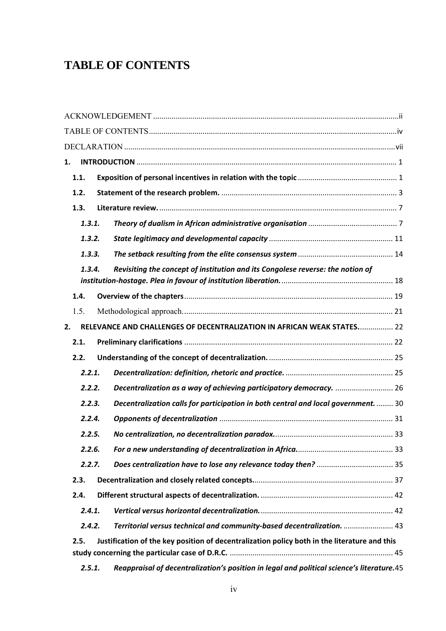## <span id="page-3-0"></span>**TABLE OF CONTENTS**

| 1. |        |                                                                                              |  |
|----|--------|----------------------------------------------------------------------------------------------|--|
|    | 1.1.   |                                                                                              |  |
|    | 1.2.   |                                                                                              |  |
|    | 1.3.   |                                                                                              |  |
|    | 1.3.1. |                                                                                              |  |
|    | 1.3.2. |                                                                                              |  |
|    | 1.3.3. |                                                                                              |  |
|    | 1.3.4. | Revisiting the concept of institution and its Congolese reverse: the notion of               |  |
|    | 1.4.   |                                                                                              |  |
|    | 1.5.   |                                                                                              |  |
| 2. |        | RELEVANCE AND CHALLENGES OF DECENTRALIZATION IN AFRICAN WEAK STATES 22                       |  |
|    | 2.1.   |                                                                                              |  |
|    | 2.2.   |                                                                                              |  |
|    | 2.2.1. |                                                                                              |  |
|    | 2.2.2. | Decentralization as a way of achieving participatory democracy.  26                          |  |
|    | 2.2.3. | Decentralization calls for participation in both central and local government.  30           |  |
|    | 2.2.4. |                                                                                              |  |
|    | 2.2.5. |                                                                                              |  |
|    | 2.2.6. |                                                                                              |  |
|    | 2.2.7. |                                                                                              |  |
|    | 2.3.   |                                                                                              |  |
|    | 2.4.   |                                                                                              |  |
|    | 2.4.1. |                                                                                              |  |
|    | 2.4.2. | Territorial versus technical and community-based decentralization.  43                       |  |
|    | 2.5.   | Justification of the key position of decentralization policy both in the literature and this |  |
|    | 2.5.1. | Reappraisal of decentralization's position in legal and political science's literature.45    |  |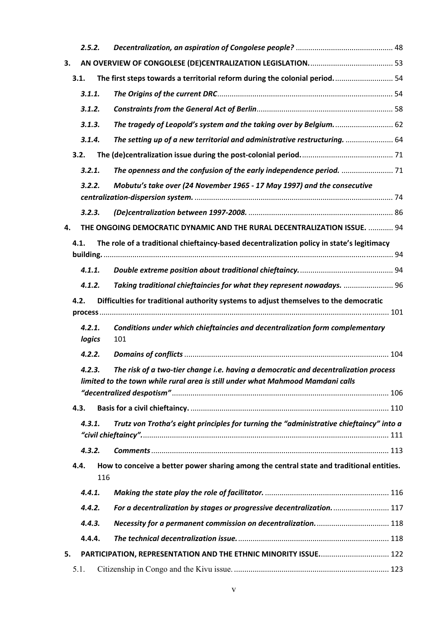|    | 2.5.2.                                                                                        |                                                                                                                                                                       |  |
|----|-----------------------------------------------------------------------------------------------|-----------------------------------------------------------------------------------------------------------------------------------------------------------------------|--|
| 3. |                                                                                               |                                                                                                                                                                       |  |
|    | 3.1.                                                                                          | The first steps towards a territorial reform during the colonial period 54                                                                                            |  |
|    | 3.1.1.                                                                                        |                                                                                                                                                                       |  |
|    | 3.1.2.                                                                                        |                                                                                                                                                                       |  |
|    | 3.1.3.                                                                                        | The tragedy of Leopold's system and the taking over by Belgium.  62                                                                                                   |  |
|    | 3.1.4.                                                                                        | The setting up of a new territorial and administrative restructuring.  64                                                                                             |  |
|    | 3.2.                                                                                          |                                                                                                                                                                       |  |
|    | 3.2.1.                                                                                        |                                                                                                                                                                       |  |
|    | 3.2.2.                                                                                        | Mobutu's take over (24 November 1965 - 17 May 1997) and the consecutive                                                                                               |  |
|    | 3.2.3.                                                                                        |                                                                                                                                                                       |  |
| 4. |                                                                                               | THE ONGOING DEMOCRATIC DYNAMIC AND THE RURAL DECENTRALIZATION ISSUE.  94                                                                                              |  |
|    | 4.1.                                                                                          | The role of a traditional chieftaincy-based decentralization policy in state's legitimacy                                                                             |  |
|    |                                                                                               |                                                                                                                                                                       |  |
|    | 4.1.1.                                                                                        |                                                                                                                                                                       |  |
|    | 4.1.2.                                                                                        | Taking traditional chieftaincies for what they represent nowadays.  96                                                                                                |  |
|    | Difficulties for traditional authority systems to adjust themselves to the democratic<br>4.2. |                                                                                                                                                                       |  |
|    | 4.2.1.<br>logics                                                                              | Conditions under which chieftaincies and decentralization form complementary<br>101                                                                                   |  |
|    | 4.2.2.                                                                                        |                                                                                                                                                                       |  |
|    | 4.2.3.                                                                                        | The risk of a two-tier change i.e. having a democratic and decentralization process<br>limited to the town while rural area is still under what Mahmood Mamdani calls |  |
|    |                                                                                               |                                                                                                                                                                       |  |
|    | 4.3.<br>4.3.1.                                                                                |                                                                                                                                                                       |  |
|    |                                                                                               | Trutz von Trotha's eight principles for turning the "administrative chieftaincy" into a                                                                               |  |
|    | 4.3.2.                                                                                        |                                                                                                                                                                       |  |
|    | 4.4.<br>116                                                                                   | How to conceive a better power sharing among the central state and traditional entities.                                                                              |  |
|    | 4.4.1.                                                                                        |                                                                                                                                                                       |  |
|    | 4.4.2.                                                                                        | For a decentralization by stages or progressive decentralization.  117                                                                                                |  |
|    | 4.4.3.                                                                                        |                                                                                                                                                                       |  |
|    | 4.4.4.                                                                                        |                                                                                                                                                                       |  |
| 5. |                                                                                               | PARTICIPATION, REPRESENTATION AND THE ETHNIC MINORITY ISSUE 122                                                                                                       |  |
|    | 5.1.                                                                                          |                                                                                                                                                                       |  |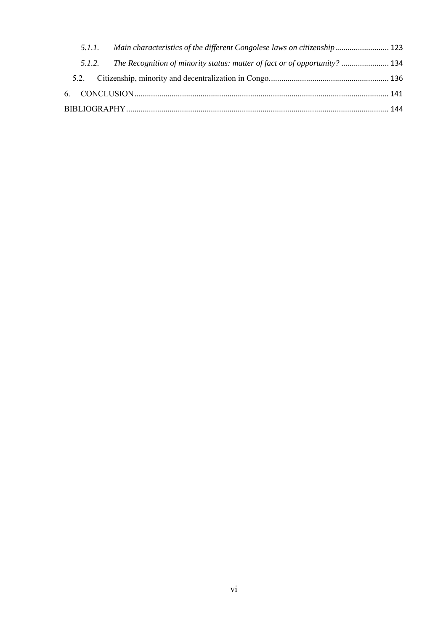|  | 5.1.1. Main characteristics of the different Congolese laws on citizenship 123    |  |  |  |
|--|-----------------------------------------------------------------------------------|--|--|--|
|  | 5.1.2. The Recognition of minority status: matter of fact or of opportunity?  134 |  |  |  |
|  |                                                                                   |  |  |  |
|  |                                                                                   |  |  |  |
|  |                                                                                   |  |  |  |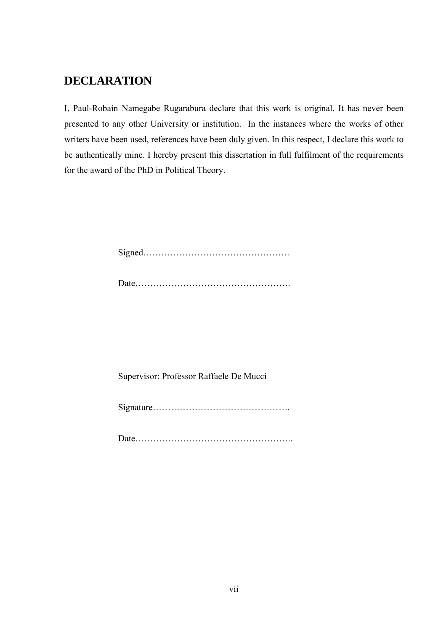### <span id="page-6-0"></span>**DECLARATION**

I, Paul-Robain Namegabe Rugarabura declare that this work is original. It has never been presented to any other University or institution. In the instances where the works of other writers have been used, references have been duly given. In this respect, I declare this work to be authentically mine. I hereby present this dissertation in full fulfilment of the requirements for the award of the PhD in Political Theory.

Signed………………………………………….

|  | 12000 |
|--|-------|
|--|-------|

Supervisor: Professor Raffaele De Mucci

Signature……………………………………….

Date……………………………………………..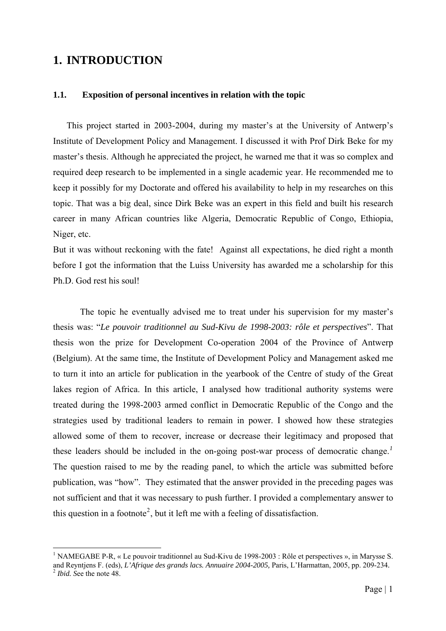### <span id="page-7-0"></span>**1. INTRODUCTION**

1

#### **1.1. Exposition of personal incentives in relation with the topic**

This project started in 2003-2004, during my master's at the University of Antwerp's Institute of Development Policy and Management. I discussed it with Prof Dirk Beke for my master's thesis. Although he appreciated the project, he warned me that it was so complex and required deep research to be implemented in a single academic year. He recommended me to keep it possibly for my Doctorate and offered his availability to help in my researches on this topic. That was a big deal, since Dirk Beke was an expert in this field and built his research career in many African countries like Algeria, Democratic Republic of Congo, Ethiopia, Niger, etc.

But it was without reckoning with the fate! Against all expectations, he died right a month before I got the information that the Luiss University has awarded me a scholarship for this Ph.D. God rest his soul!

The topic he eventually advised me to treat under his supervision for my master's thesis was: "*Le pouvoir traditionnel au Sud-Kivu de 1998-2003: rôle et perspectives*". That thesis won the prize for Development Co-operation 2004 of the Province of Antwerp (Belgium). At the same time, the Institute of Development Policy and Management asked me to turn it into an article for publication in the yearbook of the Centre of study of the Great lakes region of Africa. In this article, I analysed how traditional authority systems were treated during the 1998-2003 armed conflict in Democratic Republic of the Congo and the strategies used by traditional leaders to remain in power. I showed how these strategies allowed some of them to recover, increase or decrease their legitimacy and proposed that these leaders should be included in the on-going post-war process of democratic change.*[1](#page-7-1)* The question raised to me by the reading panel, to which the article was submitted before publication, was "how". They estimated that the answer provided in the preceding pages was not sufficient and that it was necessary to push further. I provided a complementary answer to this question in a footnote<sup>[2](#page-7-2)</sup>, but it left me with a feeling of dissatisfaction.

<span id="page-7-2"></span><span id="page-7-1"></span><sup>&</sup>lt;sup>1</sup> NAMEGABE P-R, « Le pouvoir traditionnel au Sud-Kivu de 1998-2003 : Rôle et perspectives », in Marysse S. and Reyntjens F. (eds), *L'Afrique des grands lacs. Annuaire 2004-2005,* Paris, L'Harmattan, 2005, pp. 209-234*.* <sup>2</sup> *Ibid. S*ee the note 48.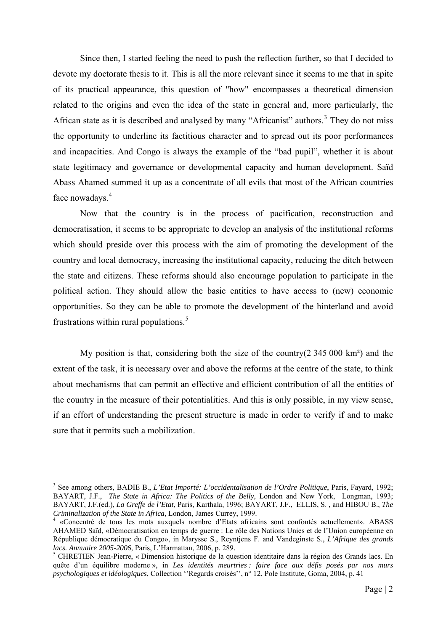Since then, I started feeling the need to push the reflection further, so that I decided to devote my doctorate thesis to it. This is all the more relevant since it seems to me that in spite of its practical appearance, this question of "how" encompasses a theoretical dimension related to the origins and even the idea of the state in general and, more particularly, the African state as it is described and analysed by many "Africanist" authors.<sup>[3](#page-8-0)</sup> They do not miss the opportunity to underline its factitious character and to spread out its poor performances and incapacities. And Congo is always the example of the "bad pupil", whether it is about state legitimacy and governance or developmental capacity and human development. Saïd Abass Ahamed summed it up as a concentrate of all evils that most of the African countries face nowadays.<sup>[4](#page-8-1)</sup>

Now that the country is in the process of pacification, reconstruction and democratisation, it seems to be appropriate to develop an analysis of the institutional reforms which should preside over this process with the aim of promoting the development of the country and local democracy, increasing the institutional capacity, reducing the ditch between the state and citizens. These reforms should also encourage population to participate in the political action. They should allow the basic entities to have access to (new) economic opportunities. So they can be able to promote the development of the hinterland and avoid frustrations within rural populations. $5$ 

My position is that, considering both the size of the country( $2\,345\,000\ \text{km}^2$ ) and the extent of the task, it is necessary over and above the reforms at the centre of the state, to think about mechanisms that can permit an effective and efficient contribution of all the entities of the country in the measure of their potentialities. And this is only possible, in my view sense, if an effort of understanding the present structure is made in order to verify if and to make sure that it permits such a mobilization.

<span id="page-8-0"></span><sup>3</sup> See among others, BADIE B., *L'Etat Importé: L'occidentalisation de l'Ordre Politique*, Paris, Fayard, 1992; BAYART, J.F., *The State in Africa: The Politics of the Belly*, London and New York, Longman, 1993; BAYART, J.F.(ed.), *La Greffe de l'Etat*, Paris, Karthala, 1996; BAYART, J.F., ELLIS, S. , and HIBOU B., *The Criminalization of the State in Africa*, London, James Currey, 1999. 4

<span id="page-8-1"></span> <sup>«</sup>Concentré de tous les mots auxquels nombre d'Etats africains sont confontés actuellement». ABASS AHAMED Saïd, «Démocratisation en temps de guerre : Le rôle des Nations Unies et de l'Union européenne en République démocratique du Congo», in Marysse S., Reyntjens F. and Vandeginste S., *L'Afrique des grands lacs. Annuaire 2005-2006*, Paris, L'Harmattan, 2006, p. 289.

<span id="page-8-2"></span>CHRETIEN Jean-Pierre, « Dimension historique de la question identitaire dans la région des Grands lacs. En quête d'un équilibre moderne », in *Les identités meurtries : faire face aux défis posés par nos murs psychologiques et idéologiques*, Collection ''Regards croisés'', n° 12, Pole Institute, Goma, 2004, p. 41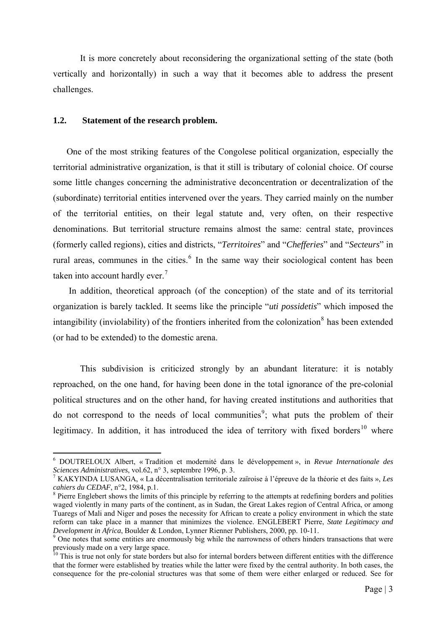<span id="page-9-0"></span>It is more concretely about reconsidering the organizational setting of the state (both vertically and horizontally) in such a way that it becomes able to address the present challenges.

#### **1.2. Statement of the research problem.**

1

One of the most striking features of the Congolese political organization, especially the territorial administrative organization, is that it still is tributary of colonial choice. Of course some little changes concerning the administrative deconcentration or decentralization of the (subordinate) territorial entities intervened over the years. They carried mainly on the number of the territorial entities, on their legal statute and, very often, on their respective denominations. But territorial structure remains almost the same: central state, provinces (formerly called regions), cities and districts, "*Territoires*" and "*Chefferies*" and "*Secteurs*" in rural areas, communes in the cities. $<sup>6</sup>$  $<sup>6</sup>$  $<sup>6</sup>$  In the same way their sociological content has been</sup> taken into account hardly ever.<sup>7</sup>

 In addition, theoretical approach (of the conception) of the state and of its territorial organization is barely tackled. It seems like the principle "*uti possidetis*" which imposed the intangibility (inviolability) of the frontiers inherited from the colonization $\delta$  has been extended (or had to be extended) to the domestic arena.

This subdivision is criticized strongly by an abundant literature: it is notably reproached, on the one hand, for having been done in the total ignorance of the pre-colonial political structures and on the other hand, for having created institutions and authorities that do not correspond to the needs of local communities<sup>[9](#page-9-3)</sup>; what puts the problem of their legitimacy. In addition, it has introduced the idea of territory with fixed borders<sup>[10](#page-9-4)</sup> where

<span id="page-9-1"></span><sup>6</sup> DOUTRELOUX Albert, « Tradition et modernité dans le développement », in *Revue Internationale des Sciences Administratives*, vol.62, n° 3, septembre 1996, p. 3.

KAKYINDA LUSANGA, « La décentralisation territoriale zaïroise à l'épreuve de la théorie et des faits », *Les cahiers du CEDAF*, n°2, 1984, p.1.

<span id="page-9-2"></span><sup>&</sup>lt;sup>8</sup> Pierre Englebert shows the limits of this principle by referring to the attempts at redefining borders and polities waged violently in many parts of the continent, as in Sudan, the Great Lakes region of Central Africa, or among Tuaregs of Mali and Niger and poses the necessity for African to create a policy environment in which the state reform can take place in a manner that minimizes the violence. ENGLEBERT Pierre, *State Legitimacy and Development in Africa*, Boulder & London, Lynner Rienner Publishers, 2000, pp. 10-11.

<span id="page-9-3"></span><sup>&</sup>lt;sup>9</sup> One notes that some entities are enormously big while the narrowness of others hinders transactions that were previously made on a very large space.

<span id="page-9-4"></span> $10$  This is true not only for state borders but also for internal borders between different entities with the difference that the former were established by treaties while the latter were fixed by the central authority. In both cases, the consequence for the pre-colonial structures was that some of them were either enlarged or reduced. See for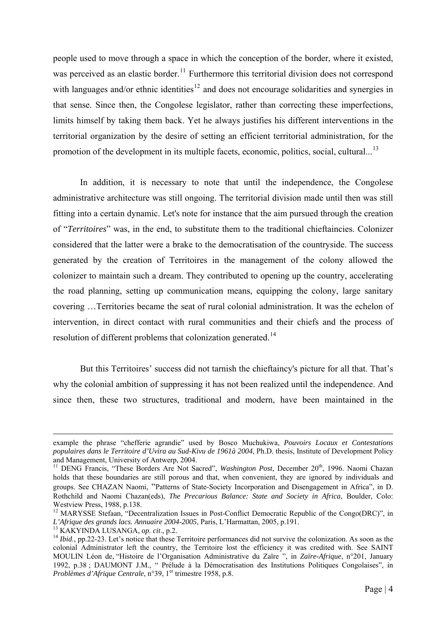people used to move through a space in which the conception of the border, where it existed, was perceived as an elastic border.<sup>[11](#page-10-0)</sup> Furthermore this territorial division does not correspond with languages and/or ethnic identities<sup>[12](#page-10-1)</sup> and does not encourage solidarities and synergies in that sense. Since then, the Congolese legislator, rather than correcting these imperfections, limits himself by taking them back. Yet he always justifies his different interventions in the territorial organization by the desire of setting an efficient territorial administration, for the promotion of the development in its multiple facets, economic, politics, social, cultural...<sup>[13](#page-10-2)</sup>

In addition, it is necessary to note that until the independence, the Congolese administrative architecture was still ongoing. The territorial division made until then was still fitting into a certain dynamic. Let's note for instance that the aim pursued through the creation of "*Territoires*" was, in the end, to substitute them to the traditional chieftaincies. Colonizer considered that the latter were a brake to the democratisation of the countryside. The success generated by the creation of Territoires in the management of the colony allowed the colonizer to maintain such a dream. They contributed to opening up the country, accelerating the road planning, setting up communication means, equipping the colony, large sanitary covering …Territories became the seat of rural colonial administration. It was the echelon of intervention, in direct contact with rural communities and their chiefs and the process of resolution of different problems that colonization generated.<sup>[14](#page-10-3)</sup>

But this Territoires' success did not tarnish the chieftaincy's picture for all that. That's why the colonial ambition of suppressing it has not been realized until the independence. And since then, these two structures, traditional and modern, have been maintained in the

example the phrase "chefferie agrandie" used by Bosco Muchukiwa, *Pouvoirs Locaux et Contestations populaires dans le Territoire d'Uvira au Sud-Kivu de 1961à 2004*, Ph.D. thesis, Institute of Development Policy and Management, University of Antwerp, 2004.

<span id="page-10-0"></span><sup>&</sup>lt;sup>11</sup> DENG Francis, "These Borders Are Not Sacred", *Washington Post*, December 20<sup>th</sup>, 1996. Naomi Chazan holds that these boundaries are still porous and that, when convenient, they are ignored by individuals and groups. See CHAZAN Naomi, "Patterns of State-Society Incorporation and Disengagement in Africa", in D. Rothchild and Naomi Chazan(eds), *The Precarious Balance: State and Society in Africa*, Boulder, Colo: Westview Press, 1988, p.138.

<span id="page-10-1"></span><sup>&</sup>lt;sup>12</sup> MARYSSE Stefaan, "Decentralization Issues in Post-Conflict Democratic Republic of the Congo(DRC)", in *L'Afrique des grands lacs. Annuaire 2004-2005*, Paris, *L'Harmattan, 2005*, p.191.

<span id="page-10-3"></span><span id="page-10-2"></span><sup>&</sup>lt;sup>13</sup> KAKYINDA LUSANGA, *op. cit.*, p.2.<br><sup>14</sup> *Ibid.*, pp.22-23. Let's notice that these Territoire performances did not survive the colonization. As soon as the colonial Administrator left the country, the Territoire lost the efficiency it was credited with. See SAINT MOULIN Léon de, "Histoire de l'Organisation Administrative du Zaïre ", in *Zaïre-Afrique*, n°201, January 1992, p.38 ; DAUMONT J.M., " Prélude à la Démocratisation des Institutions Politiques Congolaises", in *Problèmes d'Afrique Centrale*, n°39, 1<sup>er</sup> trimestre 1958, p.8.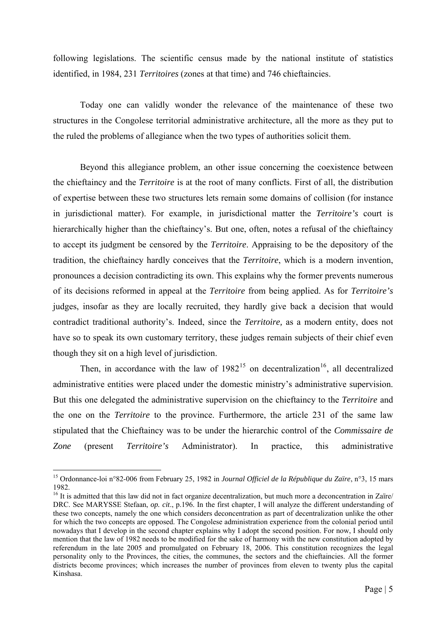following legislations. The scientific census made by the national institute of statistics identified, in 1984, 231 *Territoires* (zones at that time) and 746 chieftaincies.

Today one can validly wonder the relevance of the maintenance of these two structures in the Congolese territorial administrative architecture, all the more as they put to the ruled the problems of allegiance when the two types of authorities solicit them.

Beyond this allegiance problem, an other issue concerning the coexistence between the chieftaincy and the *Territoire* is at the root of many conflicts. First of all, the distribution of expertise between these two structures lets remain some domains of collision (for instance in jurisdictional matter). For example, in jurisdictional matter the *Territoire's* court is hierarchically higher than the chieftaincy's. But one, often, notes a refusal of the chieftaincy to accept its judgment be censored by the *Territoire*. Appraising to be the depository of the tradition, the chieftaincy hardly conceives that the *Territoire*, which is a modern invention, pronounces a decision contradicting its own. This explains why the former prevents numerous of its decisions reformed in appeal at the *Territoire* from being applied. As for *Territoire's* judges, insofar as they are locally recruited, they hardly give back a decision that would contradict traditional authority's. Indeed, since the *Territoire,* as a modern entity, does not have so to speak its own customary territory, these judges remain subjects of their chief even though they sit on a high level of jurisdiction.

Then, in accordance with the law of  $1982^{15}$  $1982^{15}$  $1982^{15}$  on decentralization<sup>[16](#page-11-1)</sup>, all decentralized administrative entities were placed under the domestic ministry's administrative supervision. But this one delegated the administrative supervision on the chieftaincy to the *Territoire* and the one on the *Territoire* to the province. Furthermore, the article 231 of the same law stipulated that the Chieftaincy was to be under the hierarchic control of the *Commissaire de Zone* (present *Territoire's* Administrator). In practice, this administrative

<span id="page-11-0"></span><sup>15</sup> Ordonnance-loi n°82-006 from February 25, 1982 in *Journal Officiel de la République du Zaïre*, n°3, 15 mars 1982.

<span id="page-11-1"></span><sup>&</sup>lt;sup>16</sup> It is admitted that this law did not in fact organize decentralization, but much more a deconcentration in Zaïre/ DRC. See MARYSSE Stefaan, *op. cit*., p.196. In the first chapter, I will analyze the different understanding of these two concepts, namely the one which considers deconcentration as part of decentralization unlike the other for which the two concepts are opposed. The Congolese administration experience from the colonial period until nowadays that I develop in the second chapter explains why I adopt the second position. For now, I should only mention that the law of 1982 needs to be modified for the sake of harmony with the new constitution adopted by referendum in the late 2005 and promulgated on February 18, 2006. This constitution recognizes the legal personality only to the Provinces, the cities, the communes, the sectors and the chieftaincies. All the former districts become provinces; which increases the number of provinces from eleven to twenty plus the capital Kinshasa.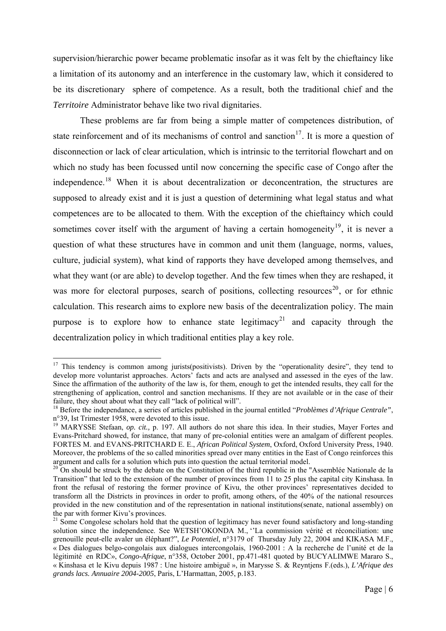supervision/hierarchic power became problematic insofar as it was felt by the chieftaincy like a limitation of its autonomy and an interference in the customary law, which it considered to be its discretionary sphere of competence. As a result, both the traditional chief and the *Territoire* Administrator behave like two rival dignitaries.

These problems are far from being a simple matter of competences distribution, of state reinforcement and of its mechanisms of control and sanction<sup>[17](#page-12-0)</sup>. It is more a question of disconnection or lack of clear articulation, which is intrinsic to the territorial flowchart and on which no study has been focussed until now concerning the specific case of Congo after the independence.<sup>[18](#page-12-1)</sup> When it is about decentralization or deconcentration, the structures are supposed to already exist and it is just a question of determining what legal status and what competences are to be allocated to them. With the exception of the chieftaincy which could sometimes cover itself with the argument of having a certain homogeneity<sup>[19](#page-12-2)</sup>, it is never a question of what these structures have in common and unit them (language, norms, values, culture, judicial system), what kind of rapports they have developed among themselves, and what they want (or are able) to develop together. And the few times when they are reshaped, it was more for electoral purposes, search of positions, collecting resources<sup>[20](#page-12-3)</sup>, or for ethnic calculation. This research aims to explore new basis of the decentralization policy. The main purpose is to explore how to enhance state legitimacy<sup>[21](#page-12-4)</sup> and capacity through the decentralization policy in which traditional entities play a key role.

<span id="page-12-0"></span><sup>&</sup>lt;sup>17</sup> This tendency is common among jurists(positivists). Driven by the "operationality desire", they tend to develop more voluntarist approaches. Actors' facts and acts are analysed and assessed in the eyes of the law. Since the affirmation of the authority of the law is, for them, enough to get the intended results, they call for the strengthening of application, control and sanction mechanisms. If they are not available or in the case of their failure, they shout about what they call "lack of political will".

<span id="page-12-1"></span><sup>18</sup> Before the independance, a series of articles published in the journal entitled "*Problèmes d'Afrique Centrale"*, n°39, Ist Trimester 1958, were devoted to this issue.

<span id="page-12-2"></span><sup>&</sup>lt;sup>19</sup> MARYSSE Stefaan, *op. cit.*, p. 197. All authors do not share this idea. In their studies, Mayer Fortes and Evans-Pritchard showed, for instance, that many of pre-colonial entities were an amalgam of different peoples. FORTES M. and EVANS-PRITCHARD E. E., *African Political System*, Oxford, Oxford University Press, 1940. Moreover, the problems of the so called minorities spread over many entities in the East of Congo reinforces this argument and calls for a solution which puts into question the actual territorial model.

<span id="page-12-3"></span> $20$  On should be struck by the debate on the Constitution of the third republic in the "Assemblée Nationale de la Transition" that led to the extension of the number of provinces from 11 to 25 plus the capital city Kinshasa. In front the refusal of restoring the former province of Kivu, the other provinces' representatives decided to transform all the Districts in provinces in order to profit, among others, of the 40% of the national resources provided in the new constitution and of the representation in national institutions(senate, national assembly) on the par with former Kivu's provinces.

<span id="page-12-4"></span><sup>&</sup>lt;sup>21</sup> Some Congolese scholars hold that the question of legitimacy has never found satisfactory and long-standing solution since the independence. See WETSH'OKONDA M., "La commission vérité et réconciliation: une grenouille peut-elle avaler un éléphant?", *Le Potentiel*, n°3179 of Thursday July 22, 2004 and KIKASA M.F., « Des dialogues belgo-congolais aux dialogues intercongolais, 1960-2001 : A la recherche de l'unité et de la légitimité en RDC», *Congo-Afrique*, n°358, October 2001, pp.471-481 quoted by BUCYALIMWE Mararo S., « Kinshasa et le Kivu depuis 1987 : Une histoire ambiguë », in Marysse S. & Reyntjens F.(eds.), *L'Afrique des grands lacs. Annuaire 2004-2005*, Paris, L'Harmattan, 2005, p.183.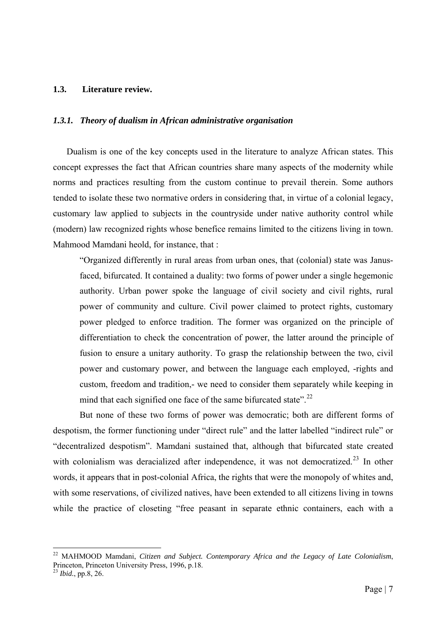#### <span id="page-13-0"></span>**1.3. Literature review.**

#### *1.3.1. Theory of dualism in African administrative organisation*

Dualism is one of the key concepts used in the literature to analyze African states. This concept expresses the fact that African countries share many aspects of the modernity while norms and practices resulting from the custom continue to prevail therein. Some authors tended to isolate these two normative orders in considering that, in virtue of a colonial legacy, customary law applied to subjects in the countryside under native authority control while (modern) law recognized rights whose benefice remains limited to the citizens living in town. Mahmood Mamdani heold, for instance, that :

"Organized differently in rural areas from urban ones, that (colonial) state was Janusfaced, bifurcated. It contained a duality: two forms of power under a single hegemonic authority. Urban power spoke the language of civil society and civil rights, rural power of community and culture. Civil power claimed to protect rights, customary power pledged to enforce tradition. The former was organized on the principle of differentiation to check the concentration of power, the latter around the principle of fusion to ensure a unitary authority. To grasp the relationship between the two, civil power and customary power, and between the language each employed, -rights and custom, freedom and tradition,- we need to consider them separately while keeping in mind that each signified one face of the same bifurcated state".<sup>[22](#page-13-1)</sup>

But none of these two forms of power was democratic; both are different forms of despotism, the former functioning under "direct rule" and the latter labelled "indirect rule" or "decentralized despotism". Mamdani sustained that, although that bifurcated state created with colonialism was deracialized after independence, it was not democratized.<sup>[23](#page-13-2)</sup> In other words, it appears that in post-colonial Africa, the rights that were the monopoly of whites and, with some reservations, of civilized natives, have been extended to all citizens living in towns while the practice of closeting "free peasant in separate ethnic containers, each with a

<span id="page-13-1"></span><sup>22</sup> MAHMOOD Mamdani, *Citizen and Subject. Contemporary Africa and the Legacy of Late Colonialism*, Princeton, Princeton University Press, 1996, p.18.

<span id="page-13-2"></span><sup>23</sup> *Ibid.*, pp.8, 26.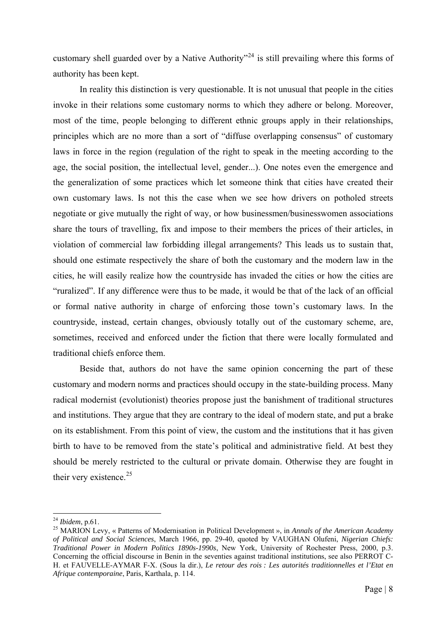customary shell guarded over by a Native Authority<sup> $24$ </sup> is still prevailing where this forms of authority has been kept.

In reality this distinction is very questionable. It is not unusual that people in the cities invoke in their relations some customary norms to which they adhere or belong. Moreover, most of the time, people belonging to different ethnic groups apply in their relationships, principles which are no more than a sort of "diffuse overlapping consensus" of customary laws in force in the region (regulation of the right to speak in the meeting according to the age, the social position, the intellectual level, gender...). One notes even the emergence and the generalization of some practices which let someone think that cities have created their own customary laws. Is not this the case when we see how drivers on potholed streets negotiate or give mutually the right of way, or how businessmen/businesswomen associations share the tours of travelling, fix and impose to their members the prices of their articles, in violation of commercial law forbidding illegal arrangements? This leads us to sustain that, should one estimate respectively the share of both the customary and the modern law in the cities, he will easily realize how the countryside has invaded the cities or how the cities are "ruralized". If any difference were thus to be made, it would be that of the lack of an official or formal native authority in charge of enforcing those town's customary laws. In the countryside, instead, certain changes, obviously totally out of the customary scheme, are, sometimes, received and enforced under the fiction that there were locally formulated and traditional chiefs enforce them.

Beside that, authors do not have the same opinion concerning the part of these customary and modern norms and practices should occupy in the state-building process. Many radical modernist (evolutionist) theories propose just the banishment of traditional structures and institutions. They argue that they are contrary to the ideal of modern state, and put a brake on its establishment. From this point of view, the custom and the institutions that it has given birth to have to be removed from the state's political and administrative field. At best they should be merely restricted to the cultural or private domain. Otherwise they are fought in their very existence.<sup>[25](#page-14-1)</sup>

<span id="page-14-1"></span><span id="page-14-0"></span><sup>&</sup>lt;sup>24</sup> *Ibidem*, p.61.<br><sup>25</sup> MARION Levy, « Patterns of Modernisation in Political Development », in *Annals of the American Academy of Political and Social Sciences*, March 1966, pp. 29-40, quoted by VAUGHAN Olufeni, *Nigerian Chiefs: Traditional Power in Modern Politics 1890s-1990s*, New York, University of Rochester Press, 2000, p.3. Concerning the official discourse in Benin in the seventies against traditional institutions, see also PERROT C-H. et FAUVELLE-AYMAR F-X. (Sous la dir.), *Le retour des rois : Les autorités traditionnelles et l'Etat en Afrique contemporaine*, Paris, Karthala, p. 114.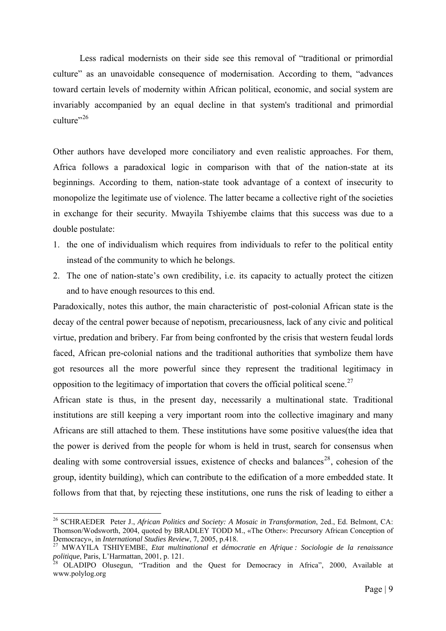Less radical modernists on their side see this removal of "traditional or primordial culture" as an unavoidable consequence of modernisation. According to them, "advances toward certain levels of modernity within African political, economic, and social system are invariably accompanied by an equal decline in that system's traditional and primordial culture"<sup>[26](#page-15-0)</sup>

Other authors have developed more conciliatory and even realistic approaches. For them, Africa follows a paradoxical logic in comparison with that of the nation-state at its beginnings. According to them, nation-state took advantage of a context of insecurity to monopolize the legitimate use of violence. The latter became a collective right of the societies in exchange for their security. Mwayila Tshiyembe claims that this success was due to a double postulate:

- 1. the one of individualism which requires from individuals to refer to the political entity instead of the community to which he belongs.
- 2. The one of nation-state's own credibility, i.e. its capacity to actually protect the citizen and to have enough resources to this end.

Paradoxically, notes this author, the main characteristic of post-colonial African state is the decay of the central power because of nepotism, precariousness, lack of any civic and political virtue, predation and bribery. Far from being confronted by the crisis that western feudal lords faced, African pre-colonial nations and the traditional authorities that symbolize them have got resources all the more powerful since they represent the traditional legitimacy in opposition to the legitimacy of importation that covers the official political scene.<sup>[27](#page-15-1)</sup>

African state is thus, in the present day, necessarily a multinational state. Traditional institutions are still keeping a very important room into the collective imaginary and many Africans are still attached to them. These institutions have some positive values(the idea that the power is derived from the people for whom is held in trust, search for consensus when dealing with some controversial issues, existence of checks and balances<sup>[28](#page-15-2)</sup>, cohesion of the group, identity building), which can contribute to the edification of a more embedded state. It follows from that that, by rejecting these institutions, one runs the risk of leading to either a

<span id="page-15-0"></span><sup>26</sup> SCHRAEDER Peter J., *African Politics and Society: A Mosaic in Transformation*, 2ed., Ed. Belmont, CA: Thomson/Wodsworth, 2004, quoted by BRADLEY TODD M., «The Other»: Precursory African Conception of Democracy», in *International Studies Review*, 7, 2005, p.418.

<span id="page-15-1"></span><sup>&</sup>lt;sup>27</sup> MWAYILA TSHIYEMBE, *Etat multinational et démocratie en Afrique : Sociologie de la renaissance politique, Paris, L'Harmattan, 2001, p. 121.* 

<span id="page-15-2"></span>*p* OLADIPO Olusegun, "Tradition and the Quest for Democracy in Africa", 2000, Available at www.polylog.org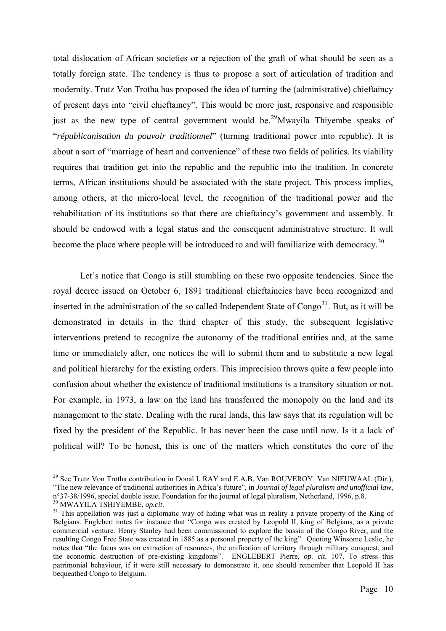total dislocation of African societies or a rejection of the graft of what should be seen as a totally foreign state. The tendency is thus to propose a sort of articulation of tradition and modernity. Trutz Von Trotha has proposed the idea of turning the (administrative) chieftaincy of present days into "civil chieftaincy". This would be more just, responsive and responsible just as the new type of central government would be.<sup>[29](#page-16-0)</sup>Mwayila Thiyembe speaks of "*républicanisation du pouvoir traditionnel*" (turning traditional power into republic). It is about a sort of "marriage of heart and convenience" of these two fields of politics. Its viability requires that tradition get into the republic and the republic into the tradition. In concrete terms, African institutions should be associated with the state project. This process implies, among others, at the micro-local level, the recognition of the traditional power and the rehabilitation of its institutions so that there are chieftaincy's government and assembly. It should be endowed with a legal status and the consequent administrative structure. It will become the place where people will be introduced to and will familiarize with democracy.<sup>[30](#page-16-1)</sup>

Let's notice that Congo is still stumbling on these two opposite tendencies. Since the royal decree issued on October 6, 1891 traditional chieftaincies have been recognized and inserted in the administration of the so called Independent State of  $Congo<sup>31</sup>$  $Congo<sup>31</sup>$  $Congo<sup>31</sup>$ . But, as it will be demonstrated in details in the third chapter of this study, the subsequent legislative interventions pretend to recognize the autonomy of the traditional entities and, at the same time or immediately after, one notices the will to submit them and to substitute a new legal and political hierarchy for the existing orders. This imprecision throws quite a few people into confusion about whether the existence of traditional institutions is a transitory situation or not. For example, in 1973, a law on the land has transferred the monopoly on the land and its management to the state. Dealing with the rural lands, this law says that its regulation will be fixed by the president of the Republic. It has never been the case until now. Is it a lack of political will? To be honest, this is one of the matters which constitutes the core of the

<span id="page-16-0"></span><sup>&</sup>lt;sup>29</sup> See Trutz Von Trotha contribution in Donal I. RAY and E.A.B. Van ROUVEROY Van NIEUWAAL (Dir.), "The new relevance of traditional authorities in Africa's future", in *Journal of legal pluralism and unofficial law*, n°37-38/1996, special double issue, Foundation for the journal of legal pluralism, Netherland, 1996, p.8.<br><sup>30</sup> MWAYILA TSHIYEMBE, *op.cit.* 

<span id="page-16-2"></span><span id="page-16-1"></span><sup>&</sup>lt;sup>31</sup> This appellation was just a diplomatic way of hiding what was in reality a private property of the King of Belgians. Englebert notes for instance that "Congo was created by Leopold II, king of Belgians, as a private commercial venture. Henry Stanley had been commissioned to explore the bassin of the Congo River, and the resulting Congo Free State was created in 1885 as a personal property of the king". Quoting Winsome Leslie, he notes that "the focus was on extraction of resources, the unification of territory through military conquest, and the economic destruction of pre-existing kingdoms". ENGLEBERT Pierre, *op. cit*. 107. To stress this patrimonial behaviour, if it were still necessary to demonstrate it, one should remember that Leopold II has bequeathed Congo to Belgium.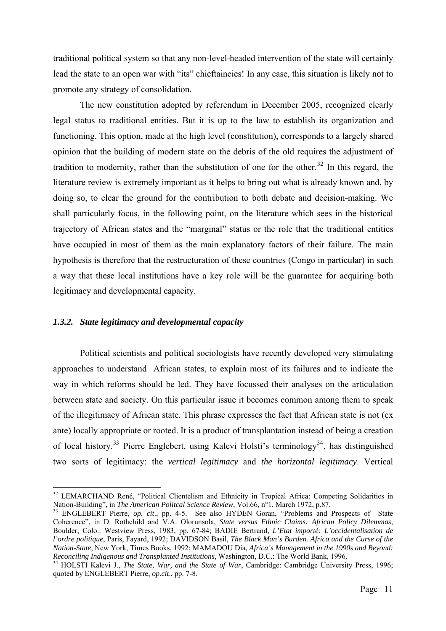<span id="page-17-0"></span>traditional political system so that any non-level-headed intervention of the state will certainly lead the state to an open war with "its" chieftaincies! In any case, this situation is likely not to promote any strategy of consolidation.

The new constitution adopted by referendum in December 2005, recognized clearly legal status to traditional entities. But it is up to the law to establish its organization and functioning. This option, made at the high level (constitution), corresponds to a largely shared opinion that the building of modern state on the debris of the old requires the adjustment of tradition to modernity, rather than the substitution of one for the other.<sup>[32](#page-17-1)</sup> In this regard, the literature review is extremely important as it helps to bring out what is already known and, by doing so, to clear the ground for the contribution to both debate and decision-making. We shall particularly focus, in the following point, on the literature which sees in the historical trajectory of African states and the "marginal" status or the role that the traditional entities have occupied in most of them as the main explanatory factors of their failure. The main hypothesis is therefore that the restructuration of these countries (Congo in particular) in such a way that these local institutions have a key role will be the guarantee for acquiring both legitimacy and developmental capacity.

#### *1.3.2. State legitimacy and developmental capacity*

1

Political scientists and political sociologists have recently developed very stimulating approaches to understand African states, to explain most of its failures and to indicate the way in which reforms should be led. They have focussed their analyses on the articulation between state and society. On this particular issue it becomes common among them to speak of the illegitimacy of African state. This phrase expresses the fact that African state is not (ex ante) locally appropriate or rooted. It is a product of transplantation instead of being a creation of local history.<sup>[33](#page-17-2)</sup> Pierre Englebert, using Kalevi Holsti's terminology<sup>[34](#page-17-3)</sup>, has distinguished two sorts of legitimacy: the *vertical legitimacy* and *the horizontal legitimacy*. Vertical

<span id="page-17-2"></span><sup>33</sup> ENGLEBERT Pierre, *op. cit.*, pp. 4-5. See also HYDEN Goran, "Problems and Prospects of State Coherence", in D. Rothchild and V.A. Olorunsola, *State versus Ethnic Claims: African Policy Dilemmas*, Boulder, Colo.: Westview Press, 1983, pp. 67-84; BADIE Bertrand, *L'Etat importé: L'occidentalisation de l'ordre politique*, Paris, Fayard, 1992; DAVIDSON Basil, *The Black Man's Burden. Africa and the Curse of the Nation-State*, New York, Times Books, 1992; MAMADOU Dia, *Africa's Management in the 1990s and Beyond: Reconciling Indigenous and Transplanted Institutions*, Washington, D.C.: The World Bank, 1996.<br><sup>34</sup> HOLSTI Kalevi J., *The State, War, and the State of War*, Cambridge: Cambridge University Press, 1996;

<span id="page-17-1"></span><sup>&</sup>lt;sup>32</sup> LEMARCHAND René, "Political Clientelism and Ethnicity in Tropical Africa: Competing Solidarities in Nation-Building", in *The American Politcal Science Review*, Vol.66, n°1, March 1972, p.87.

<span id="page-17-3"></span>quoted by ENGLEBERT Pierre, *op.cit*., pp. 7-8.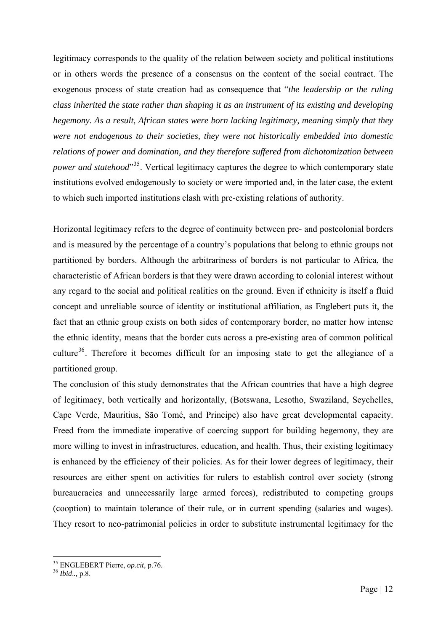legitimacy corresponds to the quality of the relation between society and political institutions or in others words the presence of a consensus on the content of the social contract. The exogenous process of state creation had as consequence that "*the leadership or the ruling class inherited the state rather than shaping it as an instrument of its existing and developing hegemony. As a result, African states were born lacking legitimacy, meaning simply that they were not endogenous to their societies, they were not historically embedded into domestic relations of power and domination, and they therefore suffered from dichotomization between power and statehood*<sup>[35](#page-18-0)</sup>. Vertical legitimacy captures the degree to which contemporary state institutions evolved endogenously to society or were imported and, in the later case, the extent to which such imported institutions clash with pre-existing relations of authority.

Horizontal legitimacy refers to the degree of continuity between pre- and postcolonial borders and is measured by the percentage of a country's populations that belong to ethnic groups not partitioned by borders. Although the arbitrariness of borders is not particular to Africa, the characteristic of African borders is that they were drawn according to colonial interest without any regard to the social and political realities on the ground. Even if ethnicity is itself a fluid concept and unreliable source of identity or institutional affiliation, as Englebert puts it, the fact that an ethnic group exists on both sides of contemporary border, no matter how intense the ethnic identity, means that the border cuts across a pre-existing area of common political culture<sup>[36](#page-18-1)</sup>. Therefore it becomes difficult for an imposing state to get the allegiance of a partitioned group.

The conclusion of this study demonstrates that the African countries that have a high degree of legitimacy, both vertically and horizontally, (Botswana, Lesotho, Swaziland, Seychelles, Cape Verde, Mauritius, São Tomé, and Principe) also have great developmental capacity. Freed from the immediate imperative of coercing support for building hegemony, they are more willing to invest in infrastructures, education, and health. Thus, their existing legitimacy is enhanced by the efficiency of their policies. As for their lower degrees of legitimacy, their resources are either spent on activities for rulers to establish control over society (strong bureaucracies and unnecessarily large armed forces), redistributed to competing groups (cooption) to maintain tolerance of their rule, or in current spending (salaries and wages). They resort to neo-patrimonial policies in order to substitute instrumental legitimacy for the

<span id="page-18-0"></span><sup>35</sup> ENGLEBERT Pierre, *op.cit,* p.76. 36 *Ibid*.*.,* p.8.

<span id="page-18-1"></span>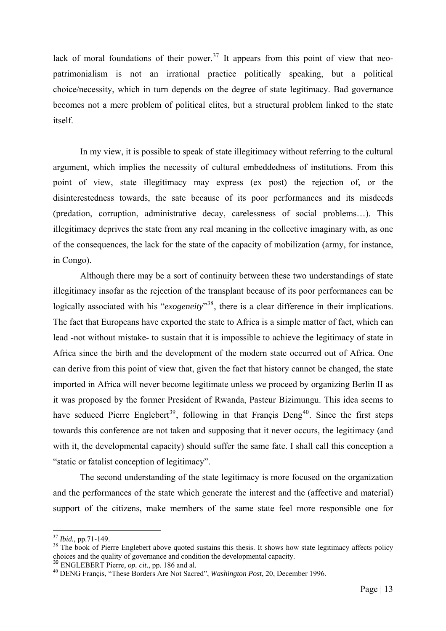lack of moral foundations of their power.<sup>[37](#page-19-0)</sup> It appears from this point of view that neopatrimonialism is not an irrational practice politically speaking, but a political choice/necessity, which in turn depends on the degree of state legitimacy. Bad governance becomes not a mere problem of political elites, but a structural problem linked to the state itself.

In my view, it is possible to speak of state illegitimacy without referring to the cultural argument, which implies the necessity of cultural embeddedness of institutions. From this point of view, state illegitimacy may express (ex post) the rejection of, or the disinterestedness towards, the sate because of its poor performances and its misdeeds (predation, corruption, administrative decay, carelessness of social problems…). This illegitimacy deprives the state from any real meaning in the collective imaginary with, as one of the consequences, the lack for the state of the capacity of mobilization (army, for instance, in Congo).

Although there may be a sort of continuity between these two understandings of state illegitimacy insofar as the rejection of the transplant because of its poor performances can be logically associated with his "*exogeneity*"<sup>[38](#page-19-1)</sup>, there is a clear difference in their implications. The fact that Europeans have exported the state to Africa is a simple matter of fact, which can lead -not without mistake- to sustain that it is impossible to achieve the legitimacy of state in Africa since the birth and the development of the modern state occurred out of Africa. One can derive from this point of view that, given the fact that history cannot be changed, the state imported in Africa will never become legitimate unless we proceed by organizing Berlin II as it was proposed by the former President of Rwanda, Pasteur Bizimungu. This idea seems to have seduced Pierre Englebert<sup>[39](#page-19-2)</sup>, following in that Francis Deng<sup>[40](#page-19-3)</sup>. Since the first steps towards this conference are not taken and supposing that it never occurs, the legitimacy (and with it, the developmental capacity) should suffer the same fate. I shall call this conception a "static or fatalist conception of legitimacy".

The second understanding of the state legitimacy is more focused on the organization and the performances of the state which generate the interest and the (affective and material) support of the citizens, make members of the same state feel more responsible one for

<span id="page-19-1"></span><span id="page-19-0"></span><sup>&</sup>lt;sup>37</sup> *Ibid.*, pp.71-149.<br><sup>38</sup> The book of Pierre Englebert above quoted sustains this thesis. It shows how state legitimacy affects policy choices and the quality of governance and condition the developmental capacity.<br><sup>39</sup> ENGLEBERT Pierre, *op. cit.*, pp. 186 and al.

<span id="page-19-2"></span>

<span id="page-19-3"></span><sup>&</sup>lt;sup>40</sup> DENG Francis, "These Borders Are Not Sacred", *Washington Post*, 20, December 1996.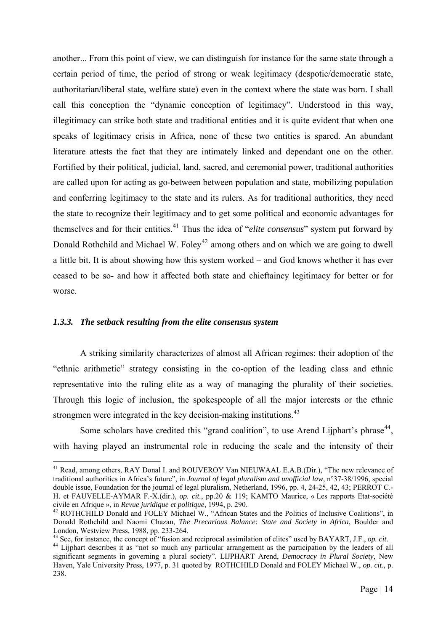<span id="page-20-0"></span>another... From this point of view, we can distinguish for instance for the same state through a certain period of time, the period of strong or weak legitimacy (despotic/democratic state, authoritarian/liberal state, welfare state) even in the context where the state was born. I shall call this conception the "dynamic conception of legitimacy". Understood in this way, illegitimacy can strike both state and traditional entities and it is quite evident that when one speaks of legitimacy crisis in Africa, none of these two entities is spared. An abundant literature attests the fact that they are intimately linked and dependant one on the other. Fortified by their political, judicial, land, sacred, and ceremonial power, traditional authorities are called upon for acting as go-between between population and state, mobilizing population and conferring legitimacy to the state and its rulers. As for traditional authorities, they need the state to recognize their legitimacy and to get some political and economic advantages for themselves and for their entities.[41](#page-20-1) Thus the idea of "*elite consensus*" system put forward by Donald Rothchild and Michael W. Foley<sup>[42](#page-20-2)</sup> among others and on which we are going to dwell a little bit. It is about showing how this system worked – and God knows whether it has ever ceased to be so- and how it affected both state and chieftaincy legitimacy for better or for worse.

#### *1.3.3. The setback resulting from the elite consensus system*

1

A striking similarity characterizes of almost all African regimes: their adoption of the "ethnic arithmetic" strategy consisting in the co-option of the leading class and ethnic representative into the ruling elite as a way of managing the plurality of their societies. Through this logic of inclusion, the spokespeople of all the major interests or the ethnic strongmen were integrated in the key decision-making institutions.<sup>[43](#page-20-3)</sup>

Some scholars have credited this "grand coalition", to use Arend Lijphart's phrase<sup>[44](#page-20-4)</sup>, with having played an instrumental role in reducing the scale and the intensity of their

<span id="page-20-1"></span><sup>&</sup>lt;sup>41</sup> Read, among others, RAY Donal I. and ROUVEROY Van NIEUWAAL E.A.B.(Dir.), "The new relevance of traditional authorities in Africa's future", in *Journal of legal pluralism and unofficial law*, n°37-38/1996, special double issue, Foundation for the journal of legal pluralism, Netherland, 1996, pp. 4, 24-25, 42, 43; PERROT C.- H. et FAUVELLE-AYMAR F.-X.(dir.), *op. cit.*, pp.20 & 119; KAMTO Maurice, « Les rapports Etat-société civile en Afrique », in *Revue juridique et politique*, 1994, p. 290. 42 ROTHCHILD Donald and FOLEY Michael W., "African States and the Politics of Inclusive Coalitions", in

<span id="page-20-2"></span>Donald Rothchild and Naomi Chazan, *The Precarious Balance: State and Society in Africa*, Boulder and London, Westview Press, 1988, pp. 233-264.<br><sup>43</sup> See, for instance, the concept of "fusion and reciprocal assimilation of elites" used by BAYART, J.F., *op. cit.* 

<span id="page-20-4"></span><span id="page-20-3"></span><sup>&</sup>lt;sup>44</sup> Lijphart describes it as "not so much any particular arrangement as the participation by the leaders of all significant segments in governing a plural society". LIJPHART Arend, *Democracy in Plural Society*, New Haven, Yale University Press, 1977, p. 31 quoted by ROTHCHILD Donald and FOLEY Michael W., *op. cit*., p. 238.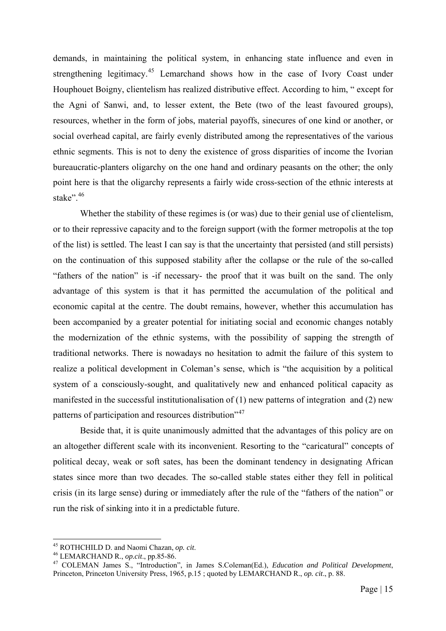demands, in maintaining the political system, in enhancing state influence and even in strengthening legitimacy.<sup>[45](#page-21-0)</sup> Lemarchand shows how in the case of Ivory Coast under Houphouet Boigny, clientelism has realized distributive effect. According to him, " except for the Agni of Sanwi, and, to lesser extent, the Bete (two of the least favoured groups), resources, whether in the form of jobs, material payoffs, sinecures of one kind or another, or social overhead capital, are fairly evenly distributed among the representatives of the various ethnic segments. This is not to deny the existence of gross disparities of income the Ivorian bureaucratic-planters oligarchy on the one hand and ordinary peasants on the other; the only point here is that the oligarchy represents a fairly wide cross-section of the ethnic interests at stake"<sup>, [46](#page-21-1)</sup>

Whether the stability of these regimes is (or was) due to their genial use of clientelism, or to their repressive capacity and to the foreign support (with the former metropolis at the top of the list) is settled. The least I can say is that the uncertainty that persisted (and still persists) on the continuation of this supposed stability after the collapse or the rule of the so-called "fathers of the nation" is -if necessary- the proof that it was built on the sand. The only advantage of this system is that it has permitted the accumulation of the political and economic capital at the centre. The doubt remains, however, whether this accumulation has been accompanied by a greater potential for initiating social and economic changes notably the modernization of the ethnic systems, with the possibility of sapping the strength of traditional networks. There is nowadays no hesitation to admit the failure of this system to realize a political development in Coleman's sense, which is "the acquisition by a political system of a consciously-sought, and qualitatively new and enhanced political capacity as manifested in the successful institutionalisation of (1) new patterns of integration and (2) new patterns of participation and resources distribution<sup>7[47](#page-21-2)</sup>

Beside that, it is quite unanimously admitted that the advantages of this policy are on an altogether different scale with its inconvenient. Resorting to the "caricatural" concepts of political decay, weak or soft sates, has been the dominant tendency in designating African states since more than two decades. The so-called stable states either they fell in political crisis (in its large sense) during or immediately after the rule of the "fathers of the nation" or run the risk of sinking into it in a predictable future.

<span id="page-21-0"></span><sup>&</sup>lt;sup>45</sup> ROTHCHILD D. and Naomi Chazan, op. cit.

<span id="page-21-2"></span><span id="page-21-1"></span><sup>&</sup>lt;sup>46</sup> LEMARCHAND R., *op. cit.*, pp.85-86. <br><sup>47</sup> COLEMAN James S., "Introduction", in James S.Coleman(Ed.), *Education and Political Development*, Princeton, Princeton University Press, 1965, p.15 ; quoted by LEMARCHAND R., *op. cit*., p. 88.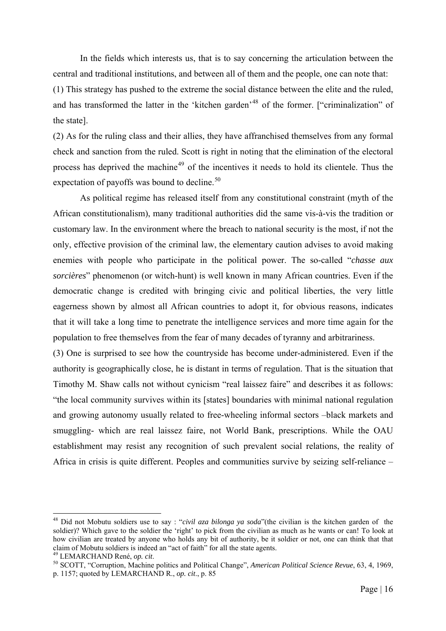In the fields which interests us, that is to say concerning the articulation between the central and traditional institutions, and between all of them and the people, one can note that: (1) This strategy has pushed to the extreme the social distance between the elite and the ruled, and has transformed the latter in the 'kitchen garden'<sup>[48](#page-22-0)</sup> of the former. ["criminalization" of the state].

(2) As for the ruling class and their allies, they have affranchised themselves from any formal check and sanction from the ruled. Scott is right in noting that the elimination of the electoral process has deprived the machine<sup>[49](#page-22-1)</sup> of the incentives it needs to hold its clientele. Thus the expectation of payoffs was bound to decline. $50$ 

As political regime has released itself from any constitutional constraint (myth of the African constitutionalism), many traditional authorities did the same vis-à-vis the tradition or customary law. In the environment where the breach to national security is the most, if not the only, effective provision of the criminal law, the elementary caution advises to avoid making enemies with people who participate in the political power. The so-called "*chasse aux sorcières*" phenomenon (or witch-hunt) is well known in many African countries. Even if the democratic change is credited with bringing civic and political liberties, the very little eagerness shown by almost all African countries to adopt it, for obvious reasons, indicates that it will take a long time to penetrate the intelligence services and more time again for the population to free themselves from the fear of many decades of tyranny and arbitrariness.

(3) One is surprised to see how the countryside has become under-administered. Even if the authority is geographically close, he is distant in terms of regulation. That is the situation that Timothy M. Shaw calls not without cynicism "real laissez faire" and describes it as follows: "the local community survives within its [states] boundaries with minimal national regulation and growing autonomy usually related to free-wheeling informal sectors –black markets and smuggling- which are real laissez faire, not World Bank, prescriptions. While the OAU establishment may resist any recognition of such prevalent social relations, the reality of Africa in crisis is quite different. Peoples and communities survive by seizing self-reliance –

<span id="page-22-0"></span><sup>48</sup> Did not Mobutu soldiers use to say : "*civil aza bilonga ya soda*"(the civilian is the kitchen garden of the soldier)? Which gave to the soldier the 'right' to pick from the civilian as much as he wants or can! To look at how civilian are treated by anyone who holds any bit of authority, be it soldier or not, one can think that that claim of Mobutu soldiers is indeed an "act of faith" for all the state agents.

<span id="page-22-2"></span><span id="page-22-1"></span><sup>&</sup>lt;sup>49</sup> LEMARCHAND René, *op. cit.*<br><sup>50</sup> SCOTT, "Corruption, Machine politics and Political Change", *American Political Science Revue*, 63, 4, 1969, p. 1157; quoted by LEMARCHAND R., *op. cit*., p. 85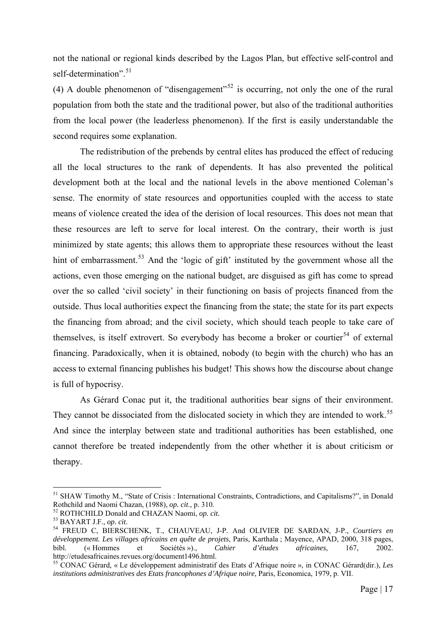not the national or regional kinds described by the Lagos Plan, but effective self-control and self-determination".<sup>[51](#page-23-0)</sup>

(4) A double phenomenon of "disengagement"<sup>[52](#page-23-1)</sup> is occurring, not only the one of the rural population from both the state and the traditional power, but also of the traditional authorities from the local power (the leaderless phenomenon). If the first is easily understandable the second requires some explanation.

The redistribution of the prebends by central elites has produced the effect of reducing all the local structures to the rank of dependents. It has also prevented the political development both at the local and the national levels in the above mentioned Coleman's sense. The enormity of state resources and opportunities coupled with the access to state means of violence created the idea of the derision of local resources. This does not mean that these resources are left to serve for local interest. On the contrary, their worth is just minimized by state agents; this allows them to appropriate these resources without the least hint of embarrassment.<sup>[53](#page-23-2)</sup> And the 'logic of gift' instituted by the government whose all the actions, even those emerging on the national budget, are disguised as gift has come to spread over the so called 'civil society' in their functioning on basis of projects financed from the outside. Thus local authorities expect the financing from the state; the state for its part expects the financing from abroad; and the civil society, which should teach people to take care of themselves, is itself extrovert. So everybody has become a broker or courtier<sup>[54](#page-23-3)</sup> of external financing. Paradoxically, when it is obtained, nobody (to begin with the church) who has an access to external financing publishes his budget! This shows how the discourse about change is full of hypocrisy.

As Gérard Conac put it, the traditional authorities bear signs of their environment. They cannot be dissociated from the dislocated society in which they are intended to work.<sup>[55](#page-23-4)</sup> And since the interplay between state and traditional authorities has been established, one cannot therefore be treated independently from the other whether it is about criticism or therapy.

<span id="page-23-0"></span><sup>51</sup> SHAW Timothy M., "State of Crisis : International Constraints, Contradictions, and Capitalisms?", in Donald Rothchild and Naomi Chazan, (1988), op. cit., p. 310.<br><sup>52</sup> ROTHCHILD Donald and CHAZAN Naomi, op. cit.<br><sup>53</sup> BAYART J.F., op. cit.<br><sup>54</sup> FREUD C, BIERSCHENK, T., CHAUVEAU, J-P. And OLIVIER DE SARDAN, J-P., *Courtiers en* 

<span id="page-23-2"></span><span id="page-23-1"></span>

<span id="page-23-3"></span>*développement. Les villages africains en quête de projets*, Paris, Karthala ; Mayence, APAD, 2000, 318 pages, bibl. (« Hommes et Sociétés »)., *Cahier d'études africaines*, 167, 2002. http://etudesafricaines.revues.org/document1496.html.

<span id="page-23-4"></span><sup>55</sup> CONAC Gérard, « Le développement administratif des Etats d'Afrique noire », in CONAC Gérard(dir.), *Les institutions administratives des Etats francophones d'Afrique noire*, Paris, Economica, 1979, p. VII.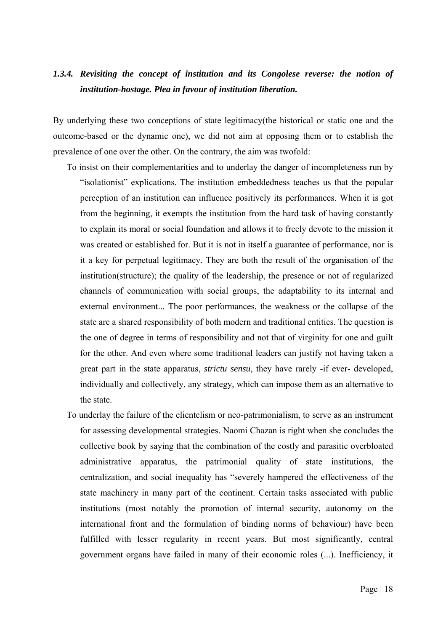### <span id="page-24-0"></span>*1.3.4. Revisiting the concept of institution and its Congolese reverse: the notion of institution-hostage. Plea in favour of institution liberation.*

By underlying these two conceptions of state legitimacy(the historical or static one and the outcome-based or the dynamic one), we did not aim at opposing them or to establish the prevalence of one over the other. On the contrary, the aim was twofold:

- To insist on their complementarities and to underlay the danger of incompleteness run by "isolationist" explications. The institution embeddedness teaches us that the popular perception of an institution can influence positively its performances. When it is got from the beginning, it exempts the institution from the hard task of having constantly to explain its moral or social foundation and allows it to freely devote to the mission it was created or established for. But it is not in itself a guarantee of performance, nor is it a key for perpetual legitimacy. They are both the result of the organisation of the institution(structure); the quality of the leadership, the presence or not of regularized channels of communication with social groups, the adaptability to its internal and external environment... The poor performances, the weakness or the collapse of the state are a shared responsibility of both modern and traditional entities. The question is the one of degree in terms of responsibility and not that of virginity for one and guilt for the other. And even where some traditional leaders can justify not having taken a great part in the state apparatus, *strictu sensu*, they have rarely -if ever- developed, individually and collectively, any strategy, which can impose them as an alternative to the state.
- To underlay the failure of the clientelism or neo-patrimonialism, to serve as an instrument for assessing developmental strategies. Naomi Chazan is right when she concludes the collective book by saying that the combination of the costly and parasitic overbloated administrative apparatus, the patrimonial quality of state institutions, the centralization, and social inequality has "severely hampered the effectiveness of the state machinery in many part of the continent. Certain tasks associated with public institutions (most notably the promotion of internal security, autonomy on the international front and the formulation of binding norms of behaviour) have been fulfilled with lesser regularity in recent years. But most significantly, central government organs have failed in many of their economic roles (...). Inefficiency, it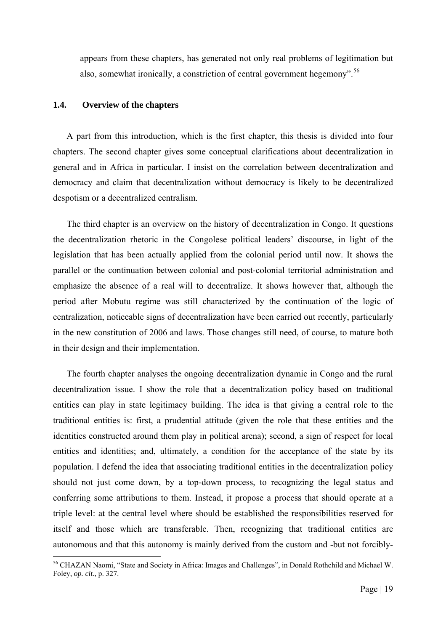<span id="page-25-0"></span>appears from these chapters, has generated not only real problems of legitimation but also, somewhat ironically, a constriction of central government hegemony".<sup>[56](#page-25-1)</sup>

#### **1.4. Overview of the chapters**

1

A part from this introduction, which is the first chapter, this thesis is divided into four chapters. The second chapter gives some conceptual clarifications about decentralization in general and in Africa in particular. I insist on the correlation between decentralization and democracy and claim that decentralization without democracy is likely to be decentralized despotism or a decentralized centralism.

The third chapter is an overview on the history of decentralization in Congo. It questions the decentralization rhetoric in the Congolese political leaders' discourse, in light of the legislation that has been actually applied from the colonial period until now. It shows the parallel or the continuation between colonial and post-colonial territorial administration and emphasize the absence of a real will to decentralize. It shows however that, although the period after Mobutu regime was still characterized by the continuation of the logic of centralization, noticeable signs of decentralization have been carried out recently, particularly in the new constitution of 2006 and laws. Those changes still need, of course, to mature both in their design and their implementation.

The fourth chapter analyses the ongoing decentralization dynamic in Congo and the rural decentralization issue. I show the role that a decentralization policy based on traditional entities can play in state legitimacy building. The idea is that giving a central role to the traditional entities is: first, a prudential attitude (given the role that these entities and the identities constructed around them play in political arena); second, a sign of respect for local entities and identities; and, ultimately, a condition for the acceptance of the state by its population. I defend the idea that associating traditional entities in the decentralization policy should not just come down, by a top-down process, to recognizing the legal status and conferring some attributions to them. Instead, it propose a process that should operate at a triple level: at the central level where should be established the responsibilities reserved for itself and those which are transferable. Then, recognizing that traditional entities are autonomous and that this autonomy is mainly derived from the custom and -but not forcibly-

<span id="page-25-1"></span><sup>56</sup> CHAZAN Naomi, "State and Society in Africa: Images and Challenges", in Donald Rothchild and Michael W. Foley, *op. cit*., p. 327.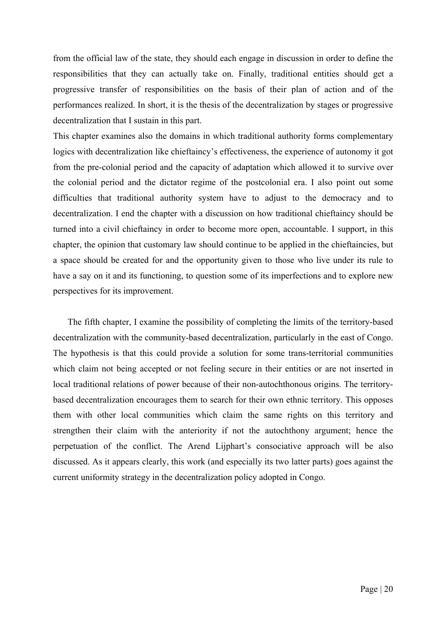from the official law of the state, they should each engage in discussion in order to define the responsibilities that they can actually take on. Finally, traditional entities should get a progressive transfer of responsibilities on the basis of their plan of action and of the performances realized. In short, it is the thesis of the decentralization by stages or progressive decentralization that I sustain in this part.

This chapter examines also the domains in which traditional authority forms complementary logics with decentralization like chieftaincy's effectiveness, the experience of autonomy it got from the pre-colonial period and the capacity of adaptation which allowed it to survive over the colonial period and the dictator regime of the postcolonial era. I also point out some difficulties that traditional authority system have to adjust to the democracy and to decentralization. I end the chapter with a discussion on how traditional chieftaincy should be turned into a civil chieftaincy in order to become more open, accountable. I support, in this chapter, the opinion that customary law should continue to be applied in the chieftaincies, but a space should be created for and the opportunity given to those who live under its rule to have a say on it and its functioning, to question some of its imperfections and to explore new perspectives for its improvement.

The fifth chapter, I examine the possibility of completing the limits of the territory-based decentralization with the community-based decentralization, particularly in the east of Congo. The hypothesis is that this could provide a solution for some trans-territorial communities which claim not being accepted or not feeling secure in their entities or are not inserted in local traditional relations of power because of their non-autochthonous origins. The territorybased decentralization encourages them to search for their own ethnic territory. This opposes them with other local communities which claim the same rights on this territory and strengthen their claim with the anteriority if not the autochthony argument; hence the perpetuation of the conflict. The Arend Lijphart's consociative approach will be also discussed. As it appears clearly, this work (and especially its two latter parts) goes against the current uniformity strategy in the decentralization policy adopted in Congo.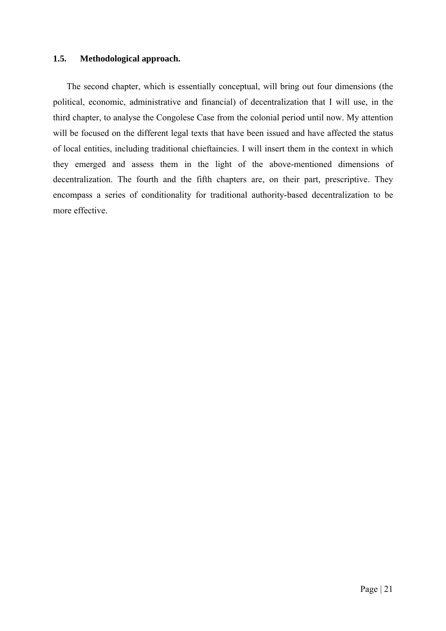#### <span id="page-27-0"></span>**1.5. Methodological approach.**

The second chapter, which is essentially conceptual, will bring out four dimensions (the political, economic, administrative and financial) of decentralization that I will use, in the third chapter, to analyse the Congolese Case from the colonial period until now. My attention will be focused on the different legal texts that have been issued and have affected the status of local entities, including traditional chieftaincies. I will insert them in the context in which they emerged and assess them in the light of the above-mentioned dimensions of decentralization. The fourth and the fifth chapters are, on their part, prescriptive. They encompass a series of conditionality for traditional authority-based decentralization to be more effective.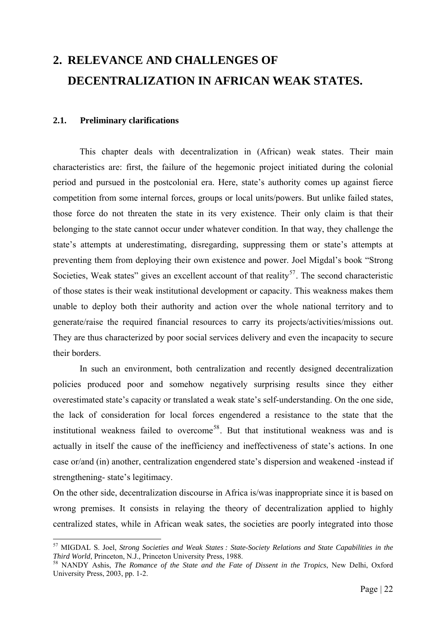# <span id="page-28-0"></span>**2. RELEVANCE AND CHALLENGES OF DECENTRALIZATION IN AFRICAN WEAK STATES.**

#### **2.1. Preliminary clarifications**

1

This chapter deals with decentralization in (African) weak states. Their main characteristics are: first, the failure of the hegemonic project initiated during the colonial period and pursued in the postcolonial era. Here, state's authority comes up against fierce competition from some internal forces, groups or local units/powers. But unlike failed states, those force do not threaten the state in its very existence. Their only claim is that their belonging to the state cannot occur under whatever condition. In that way, they challenge the state's attempts at underestimating, disregarding, suppressing them or state's attempts at preventing them from deploying their own existence and power. Joel Migdal's book "Strong Societies, Weak states" gives an excellent account of that reality<sup>[57](#page-28-1)</sup>. The second characteristic of those states is their weak institutional development or capacity. This weakness makes them unable to deploy both their authority and action over the whole national territory and to generate/raise the required financial resources to carry its projects/activities/missions out. They are thus characterized by poor social services delivery and even the incapacity to secure their borders.

In such an environment, both centralization and recently designed decentralization policies produced poor and somehow negatively surprising results since they either overestimated state's capacity or translated a weak state's self-understanding. On the one side, the lack of consideration for local forces engendered a resistance to the state that the institutional weakness failed to overcome<sup>[58](#page-28-2)</sup>. But that institutional weakness was and is actually in itself the cause of the inefficiency and ineffectiveness of state's actions. In one case or/and (in) another, centralization engendered state's dispersion and weakened -instead if strengthening- state's legitimacy.

On the other side, decentralization discourse in Africa is/was inappropriate since it is based on wrong premises. It consists in relaying the theory of decentralization applied to highly centralized states, while in African weak sates, the societies are poorly integrated into those

<span id="page-28-1"></span><sup>57</sup> MIGDAL S. Joel, *Strong Societies and Weak States : State-Society Relations and State Capabilities in the Third World*, Princeton, N.J., Princeton University Press, 1988.<br><sup>58</sup> NANDY Ashis, *The Romance of the State and the Fate of Dissent in the Tropics*, New Delhi, Oxford

<span id="page-28-2"></span>University Press, 2003, pp. 1-2.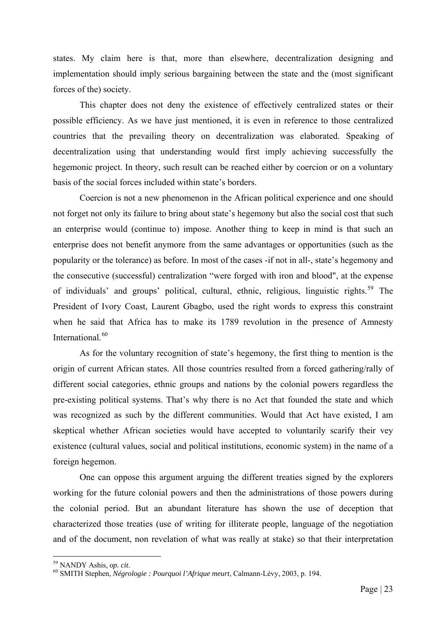states. My claim here is that, more than elsewhere, decentralization designing and implementation should imply serious bargaining between the state and the (most significant forces of the) society.

This chapter does not deny the existence of effectively centralized states or their possible efficiency. As we have just mentioned, it is even in reference to those centralized countries that the prevailing theory on decentralization was elaborated. Speaking of decentralization using that understanding would first imply achieving successfully the hegemonic project. In theory, such result can be reached either by coercion or on a voluntary basis of the social forces included within state's borders.

Coercion is not a new phenomenon in the African political experience and one should not forget not only its failure to bring about state's hegemony but also the social cost that such an enterprise would (continue to) impose. Another thing to keep in mind is that such an enterprise does not benefit anymore from the same advantages or opportunities (such as the popularity or the tolerance) as before. In most of the cases -if not in all-, state's hegemony and the consecutive (successful) centralization "were forged with iron and blood", at the expense of individuals' and groups' political, cultural, ethnic, religious, linguistic rights.<sup>[59](#page-29-0)</sup> The President of Ivory Coast, Laurent Gbagbo, used the right words to express this constraint when he said that Africa has to make its 1789 revolution in the presence of Amnesty International.<sup>[60](#page-29-1)</sup>

As for the voluntary recognition of state's hegemony, the first thing to mention is the origin of current African states. All those countries resulted from a forced gathering/rally of different social categories, ethnic groups and nations by the colonial powers regardless the pre-existing political systems. That's why there is no Act that founded the state and which was recognized as such by the different communities. Would that Act have existed, I am skeptical whether African societies would have accepted to voluntarily scarify their vey existence (cultural values, social and political institutions, economic system) in the name of a foreign hegemon.

One can oppose this argument arguing the different treaties signed by the explorers working for the future colonial powers and then the administrations of those powers during the colonial period. But an abundant literature has shown the use of deception that characterized those treaties (use of writing for illiterate people, language of the negotiation and of the document, non revelation of what was really at stake) so that their interpretation

<span id="page-29-0"></span><sup>&</sup>lt;sup>59</sup> NANDY Ashis, op. cit.

<span id="page-29-1"></span><sup>59</sup> NANDY Ashis, *op. cit*. 60 SMITH Stephen, *Négrologie : Pourquoi l'Afrique meurt*, Calmann-Lévy, 2003, p. 194.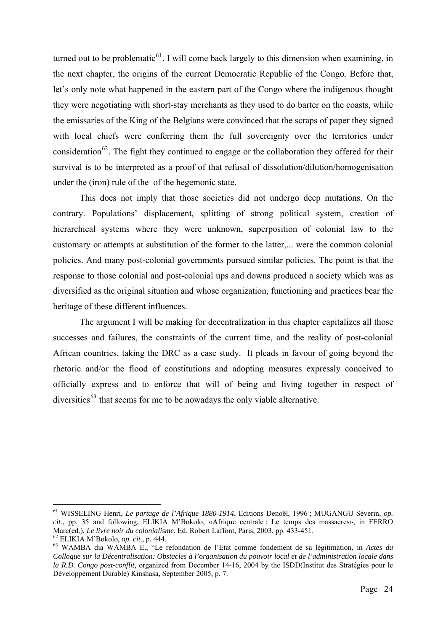turned out to be problematic<sup>[61](#page-30-0)</sup>. I will come back largely to this dimension when examining, in the next chapter, the origins of the current Democratic Republic of the Congo. Before that, let's only note what happened in the eastern part of the Congo where the indigenous thought they were negotiating with short-stay merchants as they used to do barter on the coasts, while the emissaries of the King of the Belgians were convinced that the scraps of paper they signed with local chiefs were conferring them the full sovereignty over the territories under consideration<sup>[62](#page-30-1)</sup>. The fight they continued to engage or the collaboration they offered for their survival is to be interpreted as a proof of that refusal of dissolution/dilution/homogenisation under the (iron) rule of the of the hegemonic state.

This does not imply that those societies did not undergo deep mutations. On the contrary. Populations' displacement, splitting of strong political system, creation of hierarchical systems where they were unknown, superposition of colonial law to the customary or attempts at substitution of the former to the latter,... were the common colonial policies. And many post-colonial governments pursued similar policies. The point is that the response to those colonial and post-colonial ups and downs produced a society which was as diversified as the original situation and whose organization, functioning and practices bear the heritage of these different influences.

The argument I will be making for decentralization in this chapter capitalizes all those successes and failures, the constraints of the current time, and the reality of post-colonial African countries, taking the DRC as a case study. It pleads in favour of going beyond the rhetoric and/or the flood of constitutions and adopting measures expressly conceived to officially express and to enforce that will of being and living together in respect of diversities<sup> $63$ </sup> that seems for me to be nowadays the only viable alternative.

<span id="page-30-0"></span><sup>61</sup> WISSELING Henri, *Le partage de l'Afrique 1880-1914*, Editions Denoël, 1996 ; MUGANGU Séverin, *op. cit*., pp. 35 and following, ELIKIA M'Bokolo, «Afrique centrale : Le temps des massacres», in FERRO Marc(ed.), *Le livre noir du colonialisme*, Ed. Robert Laffont, Paris, 2003, pp. 433-451.<br><sup>62</sup> ELIKIA M'Bokolo, *op. cit.*, p. 444.<br><sup>63</sup> WAMBA dia WAMBA E., "Le refondation de l'Etat comme fondement de sa légitimation, in

<span id="page-30-2"></span><span id="page-30-1"></span>*Colloque sur la Décentralisation: Obstacles à l'organisation du pouvoir local et de l'administration locale dans la R.D. Congo post-conflit*, organized from December 14-16, 2004 by the ISDD(Institut des Stratégies pour le Développement Durable) Kinshasa, September 2005, p. 7.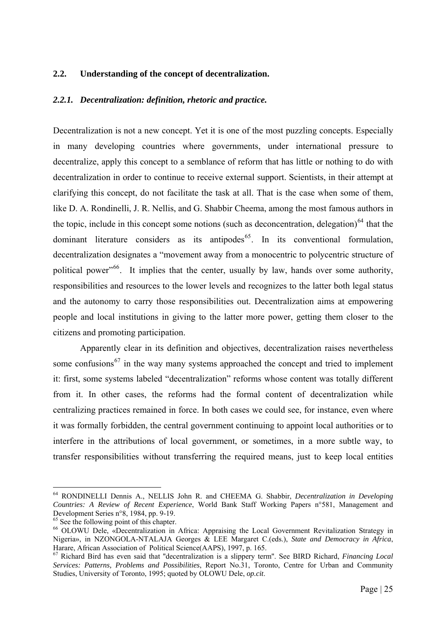#### <span id="page-31-0"></span>**2.2. Understanding of the concept of decentralization.**

#### *2.2.1. Decentralization: definition, rhetoric and practice.*

Decentralization is not a new concept. Yet it is one of the most puzzling concepts. Especially in many developing countries where governments, under international pressure to decentralize, apply this concept to a semblance of reform that has little or nothing to do with decentralization in order to continue to receive external support. Scientists, in their attempt at clarifying this concept, do not facilitate the task at all. That is the case when some of them, like D. A. Rondinelli, J. R. Nellis, and G. Shabbir Cheema, among the most famous authors in the topic, include in this concept some notions (such as deconcentration, delegation) $^{64}$  $^{64}$  $^{64}$  that the dominant literature considers as its antipodes<sup>[65](#page-31-2)</sup>. In its conventional formulation, decentralization designates a "movement away from a monocentric to polycentric structure of political power<sup>"[66](#page-31-3)</sup>. It implies that the center, usually by law, hands over some authority, responsibilities and resources to the lower levels and recognizes to the latter both legal status and the autonomy to carry those responsibilities out. Decentralization aims at empowering people and local institutions in giving to the latter more power, getting them closer to the citizens and promoting participation.

 Apparently clear in its definition and objectives, decentralization raises nevertheless some confusions<sup>[67](#page-31-4)</sup> in the way many systems approached the concept and tried to implement it: first, some systems labeled "decentralization" reforms whose content was totally different from it. In other cases, the reforms had the formal content of decentralization while centralizing practices remained in force. In both cases we could see, for instance, even where it was formally forbidden, the central government continuing to appoint local authorities or to interfere in the attributions of local government, or sometimes, in a more subtle way, to transfer responsibilities without transferring the required means, just to keep local entities

<span id="page-31-1"></span><sup>64</sup> RONDINELLI Dennis A., NELLIS John R. and CHEEMA G. Shabbir, *Decentralization in Developing Countries: A Review of Recent Experience*, World Bank Staff Working Papers n°581, Management and Development Series n°8, 1984, pp. 9-19.

<span id="page-31-2"></span><sup>&</sup>lt;sup>65</sup> See the following point of this chapter.

<span id="page-31-3"></span><sup>&</sup>lt;sup>66</sup> OLOWU Dele, «Decentralization in Africa: Appraising the Local Government Revitalization Strategy in Nigeria», in NZONGOLA-NTALAJA Georges & LEE Margaret C.(eds.), *State and Democracy in Africa*,

<span id="page-31-4"></span><sup>&</sup>lt;sup>67</sup> Richard Bird has even said that "decentralization is a slippery term". See BIRD Richard, *Financing Local Services: Patterns, Problems and Possibilities*, Report No.31, Toronto, Centre for Urban and Community Studies, University of Toronto, 1995; quoted by OLOWU Dele, *op.cit*.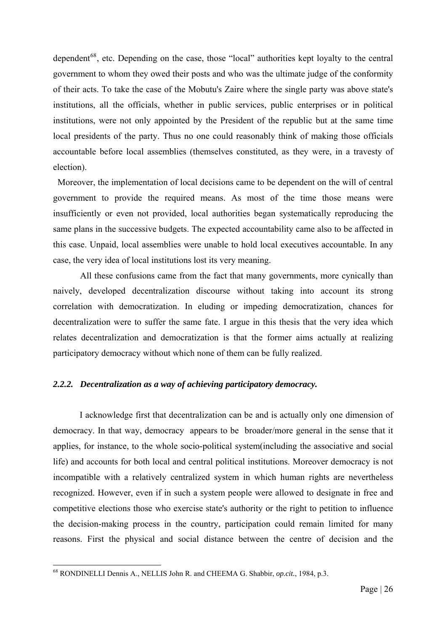<span id="page-32-0"></span>dependent<sup>[68](#page-32-1)</sup>, etc. Depending on the case, those "local" authorities kept loyalty to the central government to whom they owed their posts and who was the ultimate judge of the conformity of their acts. To take the case of the Mobutu's Zaire where the single party was above state's institutions, all the officials, whether in public services, public enterprises or in political institutions, were not only appointed by the President of the republic but at the same time local presidents of the party. Thus no one could reasonably think of making those officials accountable before local assemblies (themselves constituted, as they were, in a travesty of election).

 Moreover, the implementation of local decisions came to be dependent on the will of central government to provide the required means. As most of the time those means were insufficiently or even not provided, local authorities began systematically reproducing the same plans in the successive budgets. The expected accountability came also to be affected in this case. Unpaid, local assemblies were unable to hold local executives accountable. In any case, the very idea of local institutions lost its very meaning.

 All these confusions came from the fact that many governments, more cynically than naively, developed decentralization discourse without taking into account its strong correlation with democratization. In eluding or impeding democratization, chances for decentralization were to suffer the same fate. I argue in this thesis that the very idea which relates decentralization and democratization is that the former aims actually at realizing participatory democracy without which none of them can be fully realized.

#### *2.2.2. Decentralization as a way of achieving participatory democracy.*

I acknowledge first that decentralization can be and is actually only one dimension of democracy. In that way, democracy appears to be broader/more general in the sense that it applies, for instance, to the whole socio-political system(including the associative and social life) and accounts for both local and central political institutions. Moreover democracy is not incompatible with a relatively centralized system in which human rights are nevertheless recognized. However, even if in such a system people were allowed to designate in free and competitive elections those who exercise state's authority or the right to petition to influence the decision-making process in the country, participation could remain limited for many reasons. First the physical and social distance between the centre of decision and the

<span id="page-32-1"></span><sup>68</sup> RONDINELLI Dennis A., NELLIS John R. and CHEEMA G. Shabbir, *op.cit.*, 1984, p.3.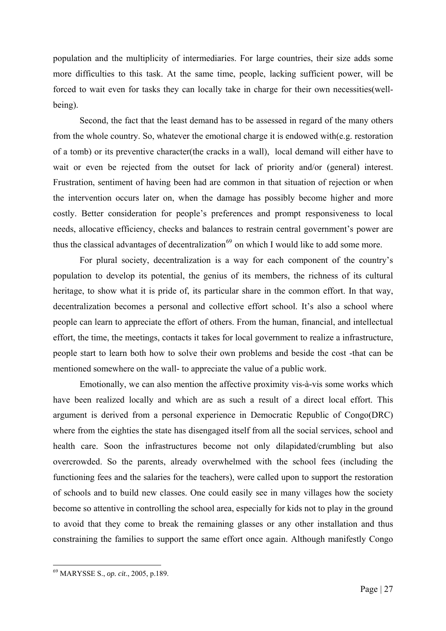population and the multiplicity of intermediaries. For large countries, their size adds some more difficulties to this task. At the same time, people, lacking sufficient power, will be forced to wait even for tasks they can locally take in charge for their own necessities(wellbeing).

Second, the fact that the least demand has to be assessed in regard of the many others from the whole country. So, whatever the emotional charge it is endowed with(e.g. restoration of a tomb) or its preventive character(the cracks in a wall), local demand will either have to wait or even be rejected from the outset for lack of priority and/or (general) interest. Frustration, sentiment of having been had are common in that situation of rejection or when the intervention occurs later on, when the damage has possibly become higher and more costly. Better consideration for people's preferences and prompt responsiveness to local needs, allocative efficiency, checks and balances to restrain central government's power are thus the classical advantages of decentralization<sup>[69](#page-33-0)</sup> on which I would like to add some more.

For plural society, decentralization is a way for each component of the country's population to develop its potential, the genius of its members, the richness of its cultural heritage, to show what it is pride of, its particular share in the common effort. In that way, decentralization becomes a personal and collective effort school. It's also a school where people can learn to appreciate the effort of others. From the human, financial, and intellectual effort, the time, the meetings, contacts it takes for local government to realize a infrastructure, people start to learn both how to solve their own problems and beside the cost -that can be mentioned somewhere on the wall- to appreciate the value of a public work.

Emotionally, we can also mention the affective proximity vis-à-vis some works which have been realized locally and which are as such a result of a direct local effort. This argument is derived from a personal experience in Democratic Republic of Congo(DRC) where from the eighties the state has disengaged itself from all the social services, school and health care. Soon the infrastructures become not only dilapidated/crumbling but also overcrowded. So the parents, already overwhelmed with the school fees (including the functioning fees and the salaries for the teachers), were called upon to support the restoration of schools and to build new classes. One could easily see in many villages how the society become so attentive in controlling the school area, especially for kids not to play in the ground to avoid that they come to break the remaining glasses or any other installation and thus constraining the families to support the same effort once again. Although manifestly Congo

<span id="page-33-0"></span><sup>69</sup> MARYSSE S., *op. cit*., 2005, p.189.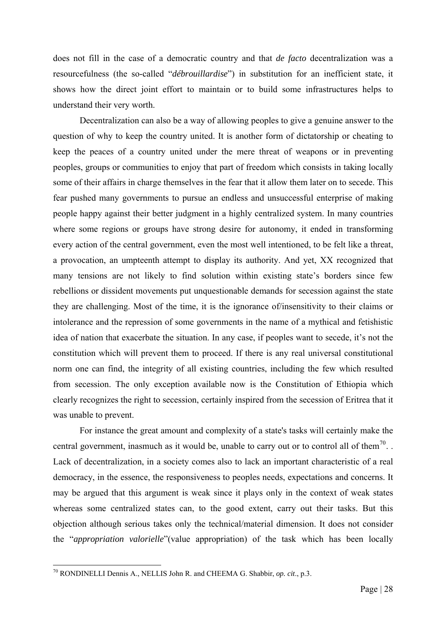does not fill in the case of a democratic country and that *de facto* decentralization was a resourcefulness (the so-called "*débrouillardise*") in substitution for an inefficient state, it shows how the direct joint effort to maintain or to build some infrastructures helps to understand their very worth.

Decentralization can also be a way of allowing peoples to give a genuine answer to the question of why to keep the country united. It is another form of dictatorship or cheating to keep the peaces of a country united under the mere threat of weapons or in preventing peoples, groups or communities to enjoy that part of freedom which consists in taking locally some of their affairs in charge themselves in the fear that it allow them later on to secede. This fear pushed many governments to pursue an endless and unsuccessful enterprise of making people happy against their better judgment in a highly centralized system. In many countries where some regions or groups have strong desire for autonomy, it ended in transforming every action of the central government, even the most well intentioned, to be felt like a threat, a provocation, an umpteenth attempt to display its authority. And yet, XX recognized that many tensions are not likely to find solution within existing state's borders since few rebellions or dissident movements put unquestionable demands for secession against the state they are challenging. Most of the time, it is the ignorance of/insensitivity to their claims or intolerance and the repression of some governments in the name of a mythical and fetishistic idea of nation that exacerbate the situation. In any case, if peoples want to secede, it's not the constitution which will prevent them to proceed. If there is any real universal constitutional norm one can find, the integrity of all existing countries, including the few which resulted from secession. The only exception available now is the Constitution of Ethiopia which clearly recognizes the right to secession, certainly inspired from the secession of Eritrea that it was unable to prevent.

For instance the great amount and complexity of a state's tasks will certainly make the central government, inasmuch as it would be, unable to carry out or to control all of them<sup>[70](#page-34-0)</sup>... Lack of decentralization, in a society comes also to lack an important characteristic of a real democracy, in the essence, the responsiveness to peoples needs, expectations and concerns. It may be argued that this argument is weak since it plays only in the context of weak states whereas some centralized states can, to the good extent, carry out their tasks. But this objection although serious takes only the technical/material dimension. It does not consider the "*appropriation valorielle*"(value appropriation) of the task which has been locally

<span id="page-34-0"></span><sup>70</sup> RONDINELLI Dennis A., NELLIS John R. and CHEEMA G. Shabbir, *op. cit*., p.3.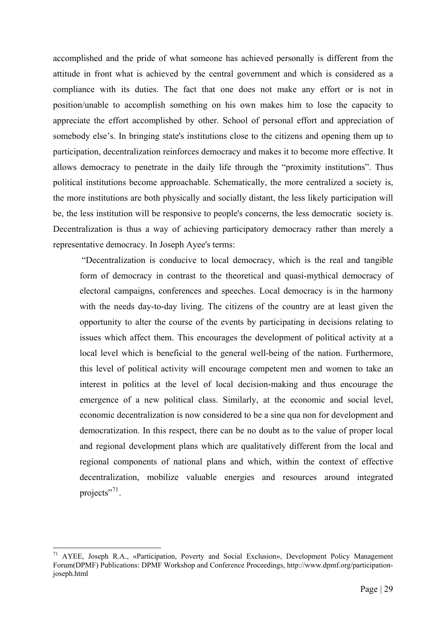accomplished and the pride of what someone has achieved personally is different from the attitude in front what is achieved by the central government and which is considered as a compliance with its duties. The fact that one does not make any effort or is not in position/unable to accomplish something on his own makes him to lose the capacity to appreciate the effort accomplished by other. School of personal effort and appreciation of somebody else's. In bringing state's institutions close to the citizens and opening them up to participation, decentralization reinforces democracy and makes it to become more effective. It allows democracy to penetrate in the daily life through the "proximity institutions". Thus political institutions become approachable. Schematically, the more centralized a society is, the more institutions are both physically and socially distant, the less likely participation will be, the less institution will be responsive to people's concerns, the less democratic society is. Decentralization is thus a way of achieving participatory democracy rather than merely a representative democracy. In Joseph Ayee's terms:

 "Decentralization is conducive to local democracy, which is the real and tangible form of democracy in contrast to the theoretical and quasi-mythical democracy of electoral campaigns, conferences and speeches. Local democracy is in the harmony with the needs day-to-day living. The citizens of the country are at least given the opportunity to alter the course of the events by participating in decisions relating to issues which affect them. This encourages the development of political activity at a local level which is beneficial to the general well-being of the nation. Furthermore, this level of political activity will encourage competent men and women to take an interest in politics at the level of local decision-making and thus encourage the emergence of a new political class. Similarly, at the economic and social level, economic decentralization is now considered to be a sine qua non for development and democratization. In this respect, there can be no doubt as to the value of proper local and regional development plans which are qualitatively different from the local and regional components of national plans and which, within the context of effective decentralization, mobilize valuable energies and resources around integrated projects"<sup>[71](#page-35-0)</sup>.

<span id="page-35-0"></span><sup>71</sup> AYEE, Joseph R.A., «Participation, Poverty and Social Exclusion», Development Policy Management Forum(DPMF) Publications: DPMF Workshop and Conference Proceedings, http://www.dpmf.org/participationjoseph.html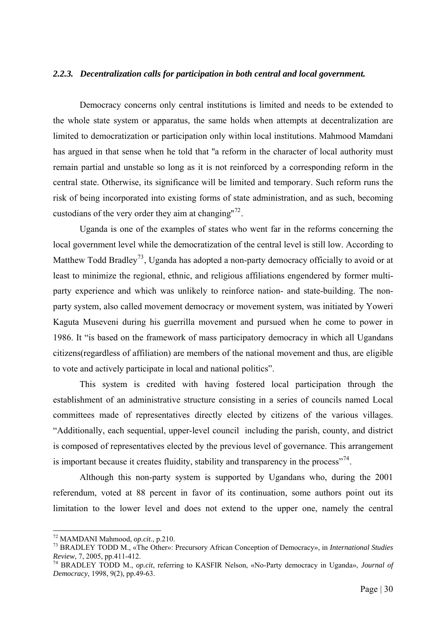#### *2.2.3. Decentralization calls for participation in both central and local government.*

Democracy concerns only central institutions is limited and needs to be extended to the whole state system or apparatus, the same holds when attempts at decentralization are limited to democratization or participation only within local institutions. Mahmood Mamdani has argued in that sense when he told that ''a reform in the character of local authority must remain partial and unstable so long as it is not reinforced by a corresponding reform in the central state. Otherwise, its significance will be limited and temporary. Such reform runs the risk of being incorporated into existing forms of state administration, and as such, becoming custodians of the very order they aim at changing"<sup>[72](#page-36-0)</sup>.

Uganda is one of the examples of states who went far in the reforms concerning the local government level while the democratization of the central level is still low. According to Matthew Todd Bradley<sup>[73](#page-36-1)</sup>, Uganda has adopted a non-party democracy officially to avoid or at least to minimize the regional, ethnic, and religious affiliations engendered by former multiparty experience and which was unlikely to reinforce nation- and state-building. The nonparty system, also called movement democracy or movement system, was initiated by Yoweri Kaguta Museveni during his guerrilla movement and pursued when he come to power in 1986. It "is based on the framework of mass participatory democracy in which all Ugandans citizens(regardless of affiliation) are members of the national movement and thus, are eligible to vote and actively participate in local and national politics".

This system is credited with having fostered local participation through the establishment of an administrative structure consisting in a series of councils named Local committees made of representatives directly elected by citizens of the various villages. "Additionally, each sequential, upper-level council including the parish, county, and district is composed of representatives elected by the previous level of governance. This arrangement is important because it creates fluidity, stability and transparency in the process"<sup>[74](#page-36-2)</sup>.

Although this non-party system is supported by Ugandans who, during the 2001 referendum, voted at 88 percent in favor of its continuation, some authors point out its limitation to the lower level and does not extend to the upper one, namely the central

<span id="page-36-0"></span><sup>&</sup>lt;sup>72</sup> MAMDANI Mahmood, op.cit., p.210.

<span id="page-36-1"></span><sup>&</sup>lt;sup>73</sup> BRADLEY TODD M., «The Other»: Precursory African Conception of Democracy», in *International Studies Review*, 7, 2005, pp.411-412.

<span id="page-36-2"></span><sup>&</sup>lt;sup>74</sup> BRADLEY TODD M., *op.cit*, referring to KASFIR Nelson, «No-Party democracy in Uganda», *Journal of Democracy*, 1998, 9(2), pp.49-63.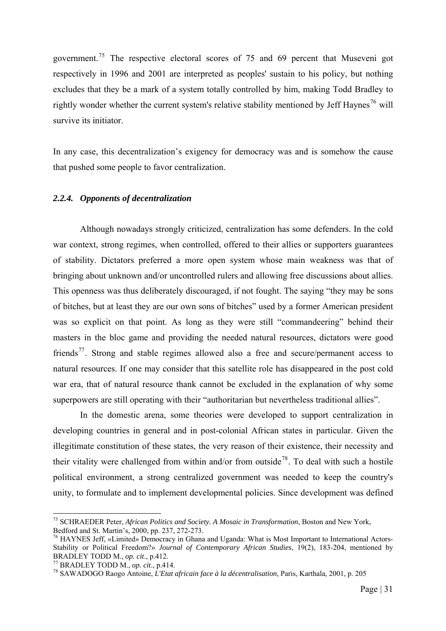government.[75](#page-37-0) The respective electoral scores of 75 and 69 percent that Museveni got respectively in 1996 and 2001 are interpreted as peoples' sustain to his policy, but nothing excludes that they be a mark of a system totally controlled by him, making Todd Bradley to rightly wonder whether the current system's relative stability mentioned by Jeff Havnes<sup>[76](#page-37-1)</sup> will survive its initiator.

In any case, this decentralization's exigency for democracy was and is somehow the cause that pushed some people to favor centralization.

## *2.2.4. Opponents of decentralization*

 Although nowadays strongly criticized, centralization has some defenders. In the cold war context, strong regimes, when controlled, offered to their allies or supporters guarantees of stability. Dictators preferred a more open system whose main weakness was that of bringing about unknown and/or uncontrolled rulers and allowing free discussions about allies. This openness was thus deliberately discouraged, if not fought. The saying "they may be sons of bitches, but at least they are our own sons of bitches" used by a former American president was so explicit on that point. As long as they were still "commandeering" behind their masters in the bloc game and providing the needed natural resources, dictators were good friends<sup>[77](#page-37-2)</sup>. Strong and stable regimes allowed also a free and secure/permanent access to natural resources. If one may consider that this satellite role has disappeared in the post cold war era, that of natural resource thank cannot be excluded in the explanation of why some superpowers are still operating with their "authoritarian but nevertheless traditional allies".

 In the domestic arena, some theories were developed to support centralization in developing countries in general and in post-colonial African states in particular. Given the illegitimate constitution of these states, the very reason of their existence, their necessity and their vitality were challenged from within and/or from outside<sup>[78](#page-37-3)</sup>. To deal with such a hostile political environment, a strong centralized government was needed to keep the country's unity, to formulate and to implement developmental policies. Since development was defined

<span id="page-37-0"></span><sup>75</sup> SCHRAEDER Peter, *African Politics and Society. A Mosaic in Transformation*, Boston and New York, Bedford and St. Martin's, 2000, pp. 237, 272-273.

<span id="page-37-1"></span> $^{76}$  HAYNES Jeff, «Limited» Democracy in Ghana and Uganda: What is Most Important to International Actors-Stability or Political Freedom?» *Journal of Contemporary African Studies*, 19(2), 183-204, mentioned by BRADLEY TODD M., *op. cit.*, p.412.<br><sup>77</sup> BRADLEY TODD M., *op. cit.*, p.414.<br><sup>78</sup> SAWADOGO Raogo Antoine, *L'Etat africain face à la décentralisation*, Paris, Karthala, 2001, p. 205

<span id="page-37-2"></span>

<span id="page-37-3"></span>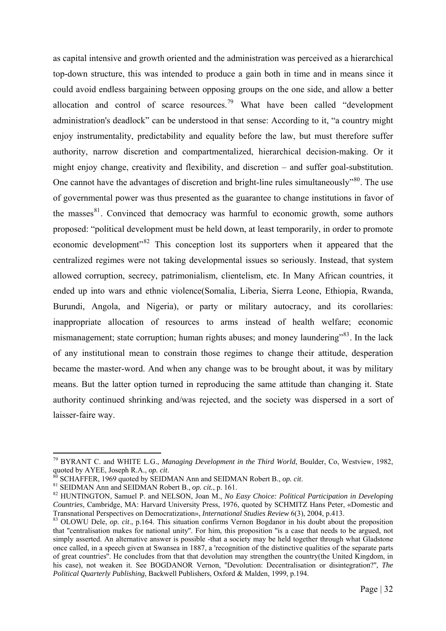as capital intensive and growth oriented and the administration was perceived as a hierarchical top-down structure, this was intended to produce a gain both in time and in means since it could avoid endless bargaining between opposing groups on the one side, and allow a better allocation and control of scarce resources.<sup>[79](#page-38-0)</sup> What have been called "development" administration's deadlock" can be understood in that sense: According to it, "a country might enjoy instrumentality, predictability and equality before the law, but must therefore suffer authority, narrow discretion and compartmentalized, hierarchical decision-making. Or it might enjoy change, creativity and flexibility, and discretion – and suffer goal-substitution. One cannot have the advantages of discretion and bright-line rules simultaneously<sup> $^{80}$  $^{80}$  $^{80}$ </sup>. The use of governmental power was thus presented as the guarantee to change institutions in favor of the masses $81$ . Convinced that democracy was harmful to economic growth, some authors proposed: "political development must be held down, at least temporarily, in order to promote economic development<sup>38</sup> This conception lost its supporters when it appeared that the centralized regimes were not taking developmental issues so seriously. Instead, that system allowed corruption, secrecy, patrimonialism, clientelism, etc. In Many African countries, it ended up into wars and ethnic violence(Somalia, Liberia, Sierra Leone, Ethiopia, Rwanda, Burundi, Angola, and Nigeria), or party or military autocracy, and its corollaries: inappropriate allocation of resources to arms instead of health welfare; economic mismanagement; state corruption; human rights abuses; and money laundering"<sup>[83](#page-38-4)</sup>. In the lack of any institutional mean to constrain those regimes to change their attitude, desperation became the master-word. And when any change was to be brought about, it was by military means. But the latter option turned in reproducing the same attitude than changing it. State authority continued shrinking and/was rejected, and the society was dispersed in a sort of laisser-faire way.

<span id="page-38-0"></span><sup>79</sup> BYRANT C. and WHITE L.G., *Managing Development in the Third World*, Boulder, Co, Westview, 1982, quoted by AYEE, Joseph R.A., *op. cit.*<br><sup>80</sup> SCHAFFER, 1969 quoted by SEIDMAN Ann and SEIDMAN Robert B., *op. cit.*<br><sup>81</sup> SEIDMAN Ann and SEIDMAN Robert B., *op. cit.*, p. 161.<br><sup>82</sup> HUNTINGTON, Samuel P. and NELSON, Joan M.

<span id="page-38-1"></span>

<span id="page-38-2"></span>

<span id="page-38-3"></span>*Countries*, Cambridge, MA: Harvard University Press, 1976, quoted by SCHMITZ Hans Peter, «Domestic and Transnational Perspectives on Democratization». *International Studies Review* 6(3), 2004, p.413.

<span id="page-38-4"></span><sup>&</sup>lt;sup>83</sup> OLOWU Dele, *op. cit.*, p.164. This situation confirms Vernon Bogdanor in his doubt about the proposition that ''centralisation makes for national unity''. For him, this proposition ''is a case that needs to be argued, not simply asserted. An alternative answer is possible -that a society may be held together through what Gladstone once called, in a speech given at Swansea in 1887, a 'recognition of the distinctive qualities of the separate parts of great countries''. He concludes from that that devolution may strengthen the country(the United Kingdom, in his case), not weaken it. See BOGDANOR Vernon, "Devolution: Decentralisation or disintegration?", *The Political Quarterly Publishing*, Backwell Publishers, Oxford & Malden, 1999, p.194.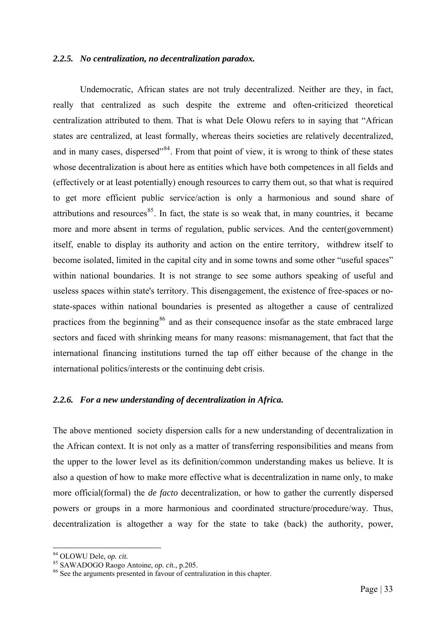#### *2.2.5. No centralization, no decentralization paradox.*

Undemocratic, African states are not truly decentralized. Neither are they, in fact, really that centralized as such despite the extreme and often-criticized theoretical centralization attributed to them. That is what Dele Olowu refers to in saying that "African states are centralized, at least formally, whereas theirs societies are relatively decentralized, and in many cases, dispersed<sup> $34$ </sup>. From that point of view, it is wrong to think of these states whose decentralization is about here as entities which have both competences in all fields and (effectively or at least potentially) enough resources to carry them out, so that what is required to get more efficient public service/action is only a harmonious and sound share of attributions and resources $85$ . In fact, the state is so weak that, in many countries, it became more and more absent in terms of regulation, public services. And the center(government) itself, enable to display its authority and action on the entire territory, withdrew itself to become isolated, limited in the capital city and in some towns and some other "useful spaces" within national boundaries. It is not strange to see some authors speaking of useful and useless spaces within state's territory. This disengagement, the existence of free-spaces or nostate-spaces within national boundaries is presented as altogether a cause of centralized practices from the beginning<sup>[86](#page-39-2)</sup> and as their consequence insofar as the state embraced large sectors and faced with shrinking means for many reasons: mismanagement, that fact that the international financing institutions turned the tap off either because of the change in the international politics/interests or the continuing debt crisis.

## *2.2.6. For a new understanding of decentralization in Africa.*

The above mentioned society dispersion calls for a new understanding of decentralization in the African context. It is not only as a matter of transferring responsibilities and means from the upper to the lower level as its definition/common understanding makes us believe. It is also a question of how to make more effective what is decentralization in name only, to make more official(formal) the *de facto* decentralization, or how to gather the currently dispersed powers or groups in a more harmonious and coordinated structure/procedure/way. Thus, decentralization is altogether a way for the state to take (back) the authority, power,

<span id="page-39-2"></span><span id="page-39-1"></span>

<span id="page-39-0"></span><sup>&</sup>lt;sup>84</sup> OLOWU Dele, *op. cit.*<br><sup>85</sup> SAWADOGO Raogo Antoine, *op. cit.*, p.205.<br><sup>86</sup> See the arguments presented in favour of centralization in this chapter.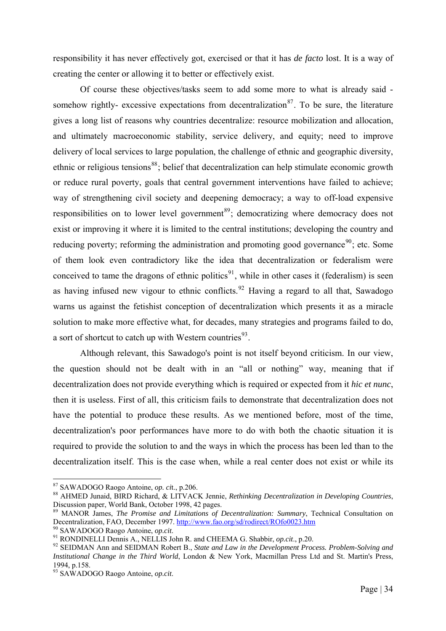responsibility it has never effectively got, exercised or that it has *de facto* lost. It is a way of creating the center or allowing it to better or effectively exist.

 Of course these objectives/tasks seem to add some more to what is already said - somehow rightly- excessive expectations from decentralization<sup>[87](#page-40-0)</sup>. To be sure, the literature gives a long list of reasons why countries decentralize: resource mobilization and allocation, and ultimately macroeconomic stability, service delivery, and equity; need to improve delivery of local services to large population, the challenge of ethnic and geographic diversity, ethnic or religious tensions<sup>[88](#page-40-1)</sup>; belief that decentralization can help stimulate economic growth or reduce rural poverty, goals that central government interventions have failed to achieve; way of strengthening civil society and deepening democracy; a way to off-load expensive responsibilities on to lower level government<sup>[89](#page-40-2)</sup>; democratizing where democracy does not exist or improving it where it is limited to the central institutions; developing the country and reducing poverty; reforming the administration and promoting good governance<sup>[90](#page-40-3)</sup>; etc. Some of them look even contradictory like the idea that decentralization or federalism were conceived to tame the dragons of ethnic politics<sup>[91](#page-40-4)</sup>, while in other cases it (federalism) is seen as having infused new vigour to ethnic conflicts. <sup>[92](#page-40-5)</sup> Having a regard to all that, Sawadogo warns us against the fetishist conception of decentralization which presents it as a miracle solution to make more effective what, for decades, many strategies and programs failed to do, a sort of shortcut to catch up with Western countries $^{93}$  $^{93}$  $^{93}$ .

 Although relevant, this Sawadogo's point is not itself beyond criticism. In our view, the question should not be dealt with in an "all or nothing" way, meaning that if decentralization does not provide everything which is required or expected from it *hic et nunc*, then it is useless. First of all, this criticism fails to demonstrate that decentralization does not have the potential to produce these results. As we mentioned before, most of the time, decentralization's poor performances have more to do with both the chaotic situation it is required to provide the solution to and the ways in which the process has been led than to the decentralization itself. This is the case when, while a real center does not exist or while its

<span id="page-40-1"></span><span id="page-40-0"></span><sup>&</sup>lt;sup>87</sup> SAWADOGO Raogo Antoine, *op. cit.*, p.206.<br><sup>88</sup> AHMED Junaid, BIRD Richard, & LITVACK Jennie, *Rethinking Decentralization in Developing Countries*, Discussion paper, World Bank, October 1998, 42 pages.

<span id="page-40-2"></span><sup>&</sup>lt;sup>89</sup> MANOR James, *The Promise and Limitations of Decentralization: Summary*, Technical Consultation on Decentralization, FAO, December 1997. http://www.fao.org/sd/rodirect/ROfo0023.htm

<span id="page-40-5"></span><span id="page-40-4"></span>

<span id="page-40-3"></span><sup>&</sup>lt;sup>90</sup> SAWADOGO Raogo Antoine, *op.cit.*<br><sup>91</sup> RONDINELLI Dennis A., NELLIS John R. and CHEEMA G. Shabbir, *op.cit.*, p.20.<br><sup>92</sup> SEIDMAN Ann and SEIDMAN Robert B., *State and Law in the Development Process. Problem-Solving a Institutional Change in the Third World*, London & New York, Macmillan Press Ltd and St. Martin's Press, 1994, p.158.

<span id="page-40-6"></span><sup>93</sup> SAWADOGO Raogo Antoine, *op.cit*.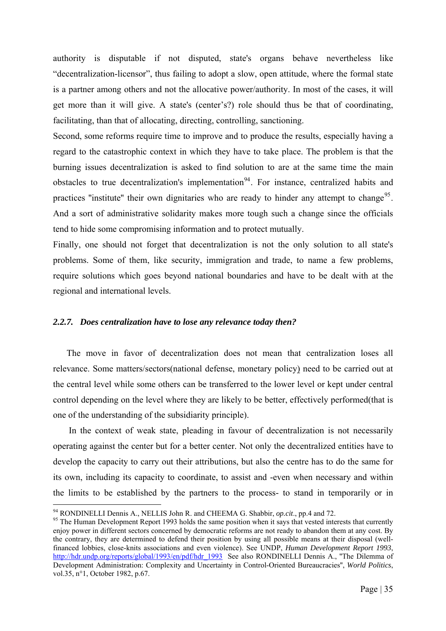authority is disputable if not disputed, state's organs behave nevertheless like "decentralization-licensor", thus failing to adopt a slow, open attitude, where the formal state is a partner among others and not the allocative power/authority. In most of the cases, it will get more than it will give. A state's (center's?) role should thus be that of coordinating, facilitating, than that of allocating, directing, controlling, sanctioning.

Second, some reforms require time to improve and to produce the results, especially having a regard to the catastrophic context in which they have to take place. The problem is that the burning issues decentralization is asked to find solution to are at the same time the main obstacles to true decentralization's implementation<sup>[94](#page-41-0)</sup>. For instance, centralized habits and practices "institute" their own dignitaries who are ready to hinder any attempt to change<sup>[95](#page-41-1)</sup>. And a sort of administrative solidarity makes more tough such a change since the officials tend to hide some compromising information and to protect mutually.

Finally, one should not forget that decentralization is not the only solution to all state's problems. Some of them, like security, immigration and trade, to name a few problems, require solutions which goes beyond national boundaries and have to be dealt with at the regional and international levels.

# *2.2.7. Does centralization have to lose any relevance today then?*

The move in favor of decentralization does not mean that centralization loses all relevance. Some matters/sectors(national defense, monetary policy) need to be carried out at the central level while some others can be transferred to the lower level or kept under central control depending on the level where they are likely to be better, effectively performed(that is one of the understanding of the subsidiarity principle).

 In the context of weak state, pleading in favour of decentralization is not necessarily operating against the center but for a better center. Not only the decentralized entities have to develop the capacity to carry out their attributions, but also the centre has to do the same for its own, including its capacity to coordinate, to assist and -even when necessary and within the limits to be established by the partners to the process- to stand in temporarily or in

<span id="page-41-1"></span><span id="page-41-0"></span><sup>&</sup>lt;sup>94</sup> RONDINELLI Dennis A., NELLIS John R. and CHEEMA G. Shabbir, *op.cit.*, pp.4 and 72.<br><sup>95</sup> The Human Development Report 1993 holds the same position when it says that vested interests that currently enjoy power in different sectors concerned by democratic reforms are not ready to abandon them at any cost. By the contrary, they are determined to defend their position by using all possible means at their disposal (wellfinanced lobbies, close-knits associations and even violence). See UNDP, *Human Development Report 1993*, [http://hdr.undp.org/reports/global/1993/en/pdf/hdr\\_1993](http://hdr.undp.org/reports/global/1993/en/pdf/hdr_1993) See also RONDINELLI Dennis A., "The Dilemma of Development Administration: Complexity and Uncertainty in Control-Oriented Bureaucracies'', *World Politics*, vol.35, n°1, October 1982, p.67.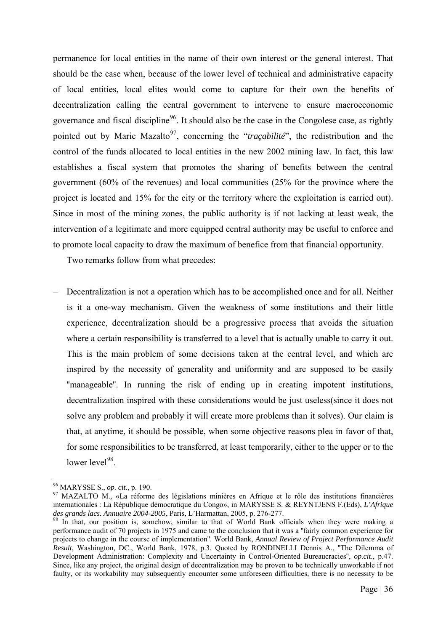permanence for local entities in the name of their own interest or the general interest. That should be the case when, because of the lower level of technical and administrative capacity of local entities, local elites would come to capture for their own the benefits of decentralization calling the central government to intervene to ensure macroeconomic governance and fiscal discipline<sup>[96](#page-42-0)</sup>. It should also be the case in the Congolese case, as rightly pointed out by Marie Mazalto<sup>[97](#page-42-1)</sup>, concerning the "*traçabilité*", the redistribution and the control of the funds allocated to local entities in the new 2002 mining law. In fact, this law establishes a fiscal system that promotes the sharing of benefits between the central government (60% of the revenues) and local communities (25% for the province where the project is located and 15% for the city or the territory where the exploitation is carried out). Since in most of the mining zones, the public authority is if not lacking at least weak, the intervention of a legitimate and more equipped central authority may be useful to enforce and to promote local capacity to draw the maximum of benefice from that financial opportunity.

Two remarks follow from what precedes:

Decentralization is not a operation which has to be accomplished once and for all. Neither is it a one-way mechanism. Given the weakness of some institutions and their little experience, decentralization should be a progressive process that avoids the situation where a certain responsibility is transferred to a level that is actually unable to carry it out. This is the main problem of some decisions taken at the central level, and which are inspired by the necessity of generality and uniformity and are supposed to be easily "manageable". In running the risk of ending up in creating impotent institutions, decentralization inspired with these considerations would be just useless(since it does not solve any problem and probably it will create more problems than it solves). Our claim is that, at anytime, it should be possible, when some objective reasons plea in favor of that, for some responsibilities to be transferred, at least temporarily, either to the upper or to the lower level $98$ .

<sup>1</sup> 

<span id="page-42-1"></span><span id="page-42-0"></span><sup>&</sup>lt;sup>96</sup> MARYSSE S., *op. cit.*, p. 190.<br><sup>97</sup> MAZALTO M., «La réforme des législations minières en Afrique et le rôle des institutions financières internationales : La République démocratique du Congo», in MARYSSE S. & REYNTJENS F.(Eds), *L'Afrique* 

<span id="page-42-2"></span><sup>&</sup>lt;sup>98</sup> In that, our position is, somehow, similar to that of World Bank officials when they were making a performance audit of 70 projects in 1975 and came to the conclusion that it was a ''fairly common experience for projects to change in the course of implementation''. World Bank, *Annual Review of Project Performance Audit Result*, Washington, DC., World Bank, 1978, p.3. Quoted by RONDINELLI Dennis A., ''The Dilemma of Development Administration: Complexity and Uncertainty in Control-Oriented Bureaucracies'', *op.cit*., p.47. Since, like any project, the original design of decentralization may be proven to be technically unworkable if not faulty, or its workability may subsequently encounter some unforeseen difficulties, there is no necessity to be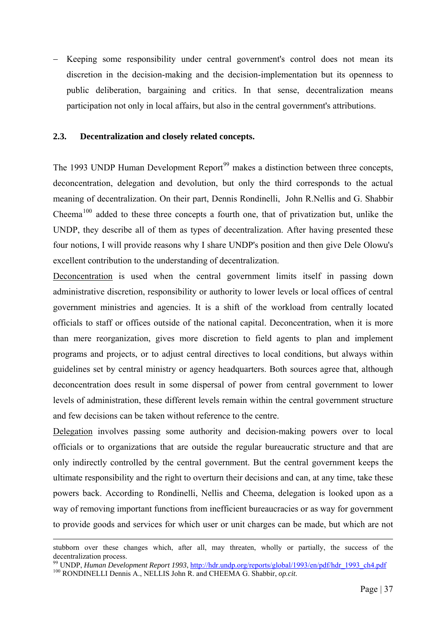Keeping some responsibility under central government's control does not mean its discretion in the decision-making and the decision-implementation but its openness to public deliberation, bargaining and critics. In that sense, decentralization means participation not only in local affairs, but also in the central government's attributions.

# **2.3. Decentralization and closely related concepts.**

The 1[99](#page-43-0)3 UNDP Human Development Report<sup>99</sup> makes a distinction between three concepts, deconcentration, delegation and devolution, but only the third corresponds to the actual meaning of decentralization. On their part, Dennis Rondinelli, John R.Nellis and G. Shabbir Cheema<sup>[100](#page-43-1)</sup> added to these three concepts a fourth one, that of privatization but, unlike the UNDP, they describe all of them as types of decentralization. After having presented these four notions, I will provide reasons why I share UNDP's position and then give Dele Olowu's excellent contribution to the understanding of decentralization.

Deconcentration is used when the central government limits itself in passing down administrative discretion, responsibility or authority to lower levels or local offices of central government ministries and agencies. It is a shift of the workload from centrally located officials to staff or offices outside of the national capital. Deconcentration, when it is more than mere reorganization, gives more discretion to field agents to plan and implement programs and projects, or to adjust central directives to local conditions, but always within guidelines set by central ministry or agency headquarters. Both sources agree that, although deconcentration does result in some dispersal of power from central government to lower levels of administration, these different levels remain within the central government structure and few decisions can be taken without reference to the centre.

Delegation involves passing some authority and decision-making powers over to local officials or to organizations that are outside the regular bureaucratic structure and that are only indirectly controlled by the central government. But the central government keeps the ultimate responsibility and the right to overturn their decisions and can, at any time, take these powers back. According to Rondinelli, Nellis and Cheema, delegation is looked upon as a way of removing important functions from inefficient bureaucracies or as way for government to provide goods and services for which user or unit charges can be made, but which are not

stubborn over these changes which, after all, may threaten, wholly or partially, the success of the decentralization process.

<span id="page-43-1"></span><span id="page-43-0"></span><sup>&</sup>lt;sup>99</sup> UNDP, *Human Development Report 1993*, *http://hdr.undp.org/reports/global/1993/en/pdf/hdr\_1993\_ch4.pdf* 100 RONDINELLI Dennis A., NELLIS John R. and CHEEMA G. Shabbir, *op.cit.*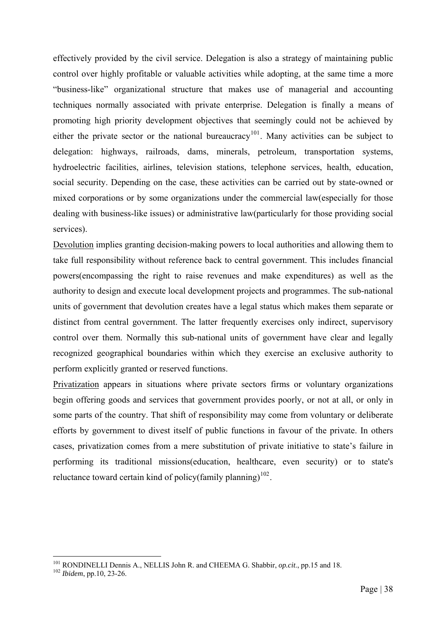effectively provided by the civil service. Delegation is also a strategy of maintaining public control over highly profitable or valuable activities while adopting, at the same time a more "business-like" organizational structure that makes use of managerial and accounting techniques normally associated with private enterprise. Delegation is finally a means of promoting high priority development objectives that seemingly could not be achieved by either the private sector or the national bureaucracy<sup>[101](#page-44-0)</sup>. Many activities can be subject to delegation: highways, railroads, dams, minerals, petroleum, transportation systems, hydroelectric facilities, airlines, television stations, telephone services, health, education, social security. Depending on the case, these activities can be carried out by state-owned or mixed corporations or by some organizations under the commercial law(especially for those dealing with business-like issues) or administrative law(particularly for those providing social services).

Devolution implies granting decision-making powers to local authorities and allowing them to take full responsibility without reference back to central government. This includes financial powers(encompassing the right to raise revenues and make expenditures) as well as the authority to design and execute local development projects and programmes. The sub-national units of government that devolution creates have a legal status which makes them separate or distinct from central government. The latter frequently exercises only indirect, supervisory control over them. Normally this sub-national units of government have clear and legally recognized geographical boundaries within which they exercise an exclusive authority to perform explicitly granted or reserved functions.

Privatization appears in situations where private sectors firms or voluntary organizations begin offering goods and services that government provides poorly, or not at all, or only in some parts of the country. That shift of responsibility may come from voluntary or deliberate efforts by government to divest itself of public functions in favour of the private. In others cases, privatization comes from a mere substitution of private initiative to state's failure in performing its traditional missions(education, healthcare, even security) or to state's reluctance toward certain kind of policy(family planning)<sup>[102](#page-44-1)</sup>.

<span id="page-44-0"></span><sup>101</sup> RONDINELLI Dennis A., NELLIS John R. and CHEEMA G. Shabbir, *op.cit*., pp.15 and 18. 102 *Ibidem*, pp.10, 23-26.

<span id="page-44-1"></span>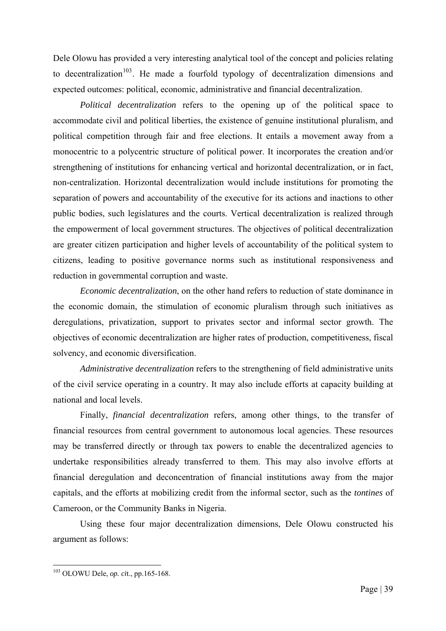Dele Olowu has provided a very interesting analytical tool of the concept and policies relating to decentralization<sup>[103](#page-45-0)</sup>. He made a fourfold typology of decentralization dimensions and expected outcomes: political, economic, administrative and financial decentralization.

 *Political decentralization* refers to the opening up of the political space to accommodate civil and political liberties, the existence of genuine institutional pluralism, and political competition through fair and free elections. It entails a movement away from a monocentric to a polycentric structure of political power. It incorporates the creation and/or strengthening of institutions for enhancing vertical and horizontal decentralization, or in fact, non-centralization. Horizontal decentralization would include institutions for promoting the separation of powers and accountability of the executive for its actions and inactions to other public bodies, such legislatures and the courts. Vertical decentralization is realized through the empowerment of local government structures. The objectives of political decentralization are greater citizen participation and higher levels of accountability of the political system to citizens, leading to positive governance norms such as institutional responsiveness and reduction in governmental corruption and waste.

 *Economic decentralization*, on the other hand refers to reduction of state dominance in the economic domain, the stimulation of economic pluralism through such initiatives as deregulations, privatization, support to privates sector and informal sector growth. The objectives of economic decentralization are higher rates of production, competitiveness, fiscal solvency, and economic diversification.

*Administrative decentralization* refers to the strengthening of field administrative units of the civil service operating in a country. It may also include efforts at capacity building at national and local levels.

 Finally, *financial decentralization* refers, among other things, to the transfer of financial resources from central government to autonomous local agencies. These resources may be transferred directly or through tax powers to enable the decentralized agencies to undertake responsibilities already transferred to them. This may also involve efforts at financial deregulation and deconcentration of financial institutions away from the major capitals, and the efforts at mobilizing credit from the informal sector, such as the *tontines* of Cameroon, or the Community Banks in Nigeria.

 Using these four major decentralization dimensions, Dele Olowu constructed his argument as follows:

<span id="page-45-0"></span><sup>103</sup> OLOWU Dele, *op. ci*t., pp.165-168.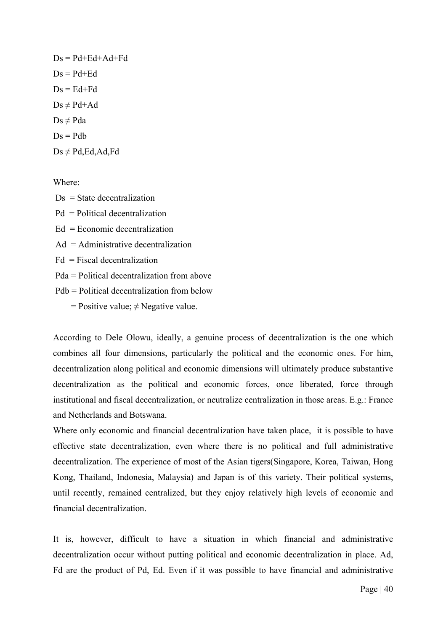$Ds = Pd + Ed + Ad + Fd$  $Ds = Pd + Ed$  $Ds = Ed + Fd$  $Ds \neq Pd + Ad$  $Ds \neq Pda$  $Ds = Pdh$  $Ds \neq Pd$ , Ed, Ad, Fd

Where:

 $Ds = State decentralization$  Pd = Political decentralization  $Ed = Economic decentralization$  $Ad =$  Administrative decentralization  $Fd = F<sub>i</sub>scal decentralization$  Pda = Political decentralization from above Pdb = Political decentralization from below = Positive value;  $\neq$  Negative value.

According to Dele Olowu, ideally, a genuine process of decentralization is the one which combines all four dimensions, particularly the political and the economic ones. For him, decentralization along political and economic dimensions will ultimately produce substantive decentralization as the political and economic forces, once liberated, force through institutional and fiscal decentralization, or neutralize centralization in those areas. E.g.: France and Netherlands and Botswana.

Where only economic and financial decentralization have taken place, it is possible to have effective state decentralization, even where there is no political and full administrative decentralization. The experience of most of the Asian tigers(Singapore, Korea, Taiwan, Hong Kong, Thailand, Indonesia, Malaysia) and Japan is of this variety. Their political systems, until recently, remained centralized, but they enjoy relatively high levels of economic and financial decentralization.

It is, however, difficult to have a situation in which financial and administrative decentralization occur without putting political and economic decentralization in place. Ad, Fd are the product of Pd, Ed. Even if it was possible to have financial and administrative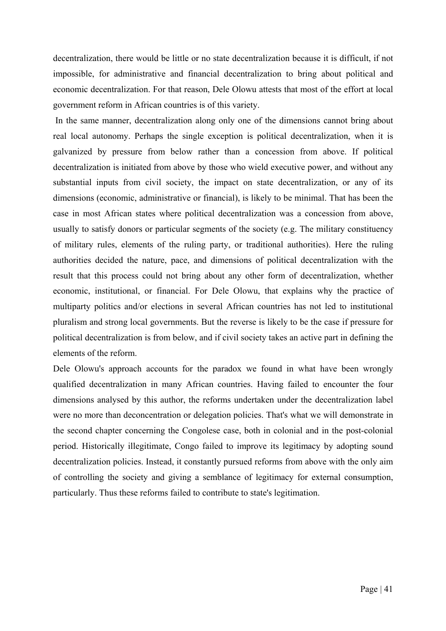decentralization, there would be little or no state decentralization because it is difficult, if not impossible, for administrative and financial decentralization to bring about political and economic decentralization. For that reason, Dele Olowu attests that most of the effort at local government reform in African countries is of this variety.

 In the same manner, decentralization along only one of the dimensions cannot bring about real local autonomy. Perhaps the single exception is political decentralization, when it is galvanized by pressure from below rather than a concession from above. If political decentralization is initiated from above by those who wield executive power, and without any substantial inputs from civil society, the impact on state decentralization, or any of its dimensions (economic, administrative or financial), is likely to be minimal. That has been the case in most African states where political decentralization was a concession from above, usually to satisfy donors or particular segments of the society (e.g. The military constituency of military rules, elements of the ruling party, or traditional authorities). Here the ruling authorities decided the nature, pace, and dimensions of political decentralization with the result that this process could not bring about any other form of decentralization, whether economic, institutional, or financial. For Dele Olowu, that explains why the practice of multiparty politics and/or elections in several African countries has not led to institutional pluralism and strong local governments. But the reverse is likely to be the case if pressure for political decentralization is from below, and if civil society takes an active part in defining the elements of the reform.

Dele Olowu's approach accounts for the paradox we found in what have been wrongly qualified decentralization in many African countries. Having failed to encounter the four dimensions analysed by this author, the reforms undertaken under the decentralization label were no more than deconcentration or delegation policies. That's what we will demonstrate in the second chapter concerning the Congolese case, both in colonial and in the post-colonial period. Historically illegitimate, Congo failed to improve its legitimacy by adopting sound decentralization policies. Instead, it constantly pursued reforms from above with the only aim of controlling the society and giving a semblance of legitimacy for external consumption, particularly. Thus these reforms failed to contribute to state's legitimation.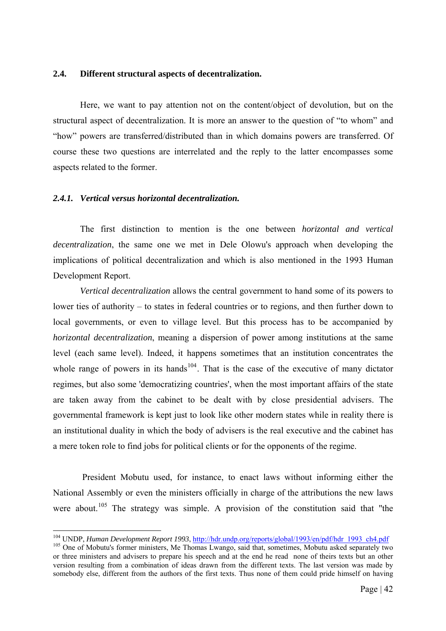#### **2.4. Different structural aspects of decentralization.**

Here, we want to pay attention not on the content/object of devolution, but on the structural aspect of decentralization. It is more an answer to the question of "to whom" and "how" powers are transferred/distributed than in which domains powers are transferred. Of course these two questions are interrelated and the reply to the latter encompasses some aspects related to the former.

#### *2.4.1. Vertical versus horizontal decentralization.*

The first distinction to mention is the one between *horizontal and vertical decentralization*, the same one we met in Dele Olowu's approach when developing the implications of political decentralization and which is also mentioned in the 1993 Human Development Report.

*Vertical decentralization* allows the central government to hand some of its powers to lower ties of authority – to states in federal countries or to regions, and then further down to local governments, or even to village level. But this process has to be accompanied by *horizontal decentralization*, meaning a dispersion of power among institutions at the same level (each same level). Indeed, it happens sometimes that an institution concentrates the whole range of powers in its hands<sup>[104](#page-48-0)</sup>. That is the case of the executive of many dictator regimes, but also some 'democratizing countries', when the most important affairs of the state are taken away from the cabinet to be dealt with by close presidential advisers. The governmental framework is kept just to look like other modern states while in reality there is an institutional duality in which the body of advisers is the real executive and the cabinet has a mere token role to find jobs for political clients or for the opponents of the regime.

 President Mobutu used, for instance, to enact laws without informing either the National Assembly or even the ministers officially in charge of the attributions the new laws were about.<sup>[105](#page-48-1)</sup> The strategy was simple. A provision of the constitution said that "the

<span id="page-48-0"></span><sup>&</sup>lt;sup>104</sup> UNDP, Human Development Report 1993, http://hdr.undp.org/reports/global/1993/en/pdf/hdr\_1993\_ch4.pdf

<span id="page-48-1"></span><sup>&</sup>lt;sup>105</sup> One of Mobutu's former ministers, Me Thomas Lwango, said that, sometimes, Mobutu asked separately two or three ministers and advisers to prepare his speech and at the end he read none of theirs texts but an other version resulting from a combination of ideas drawn from the different texts. The last version was made by somebody else, different from the authors of the first texts. Thus none of them could pride himself on having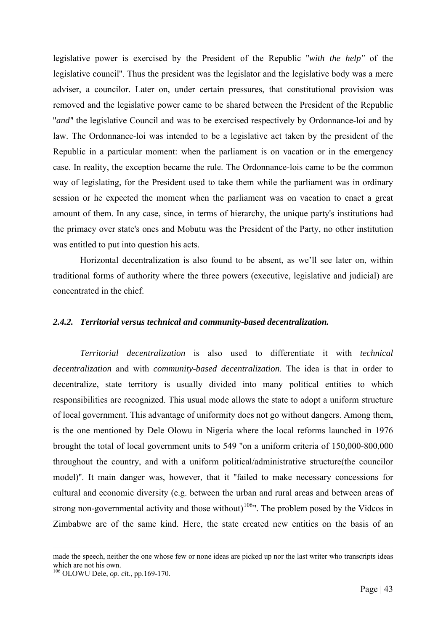legislative power is exercised by the President of the Republic ''*with the help''* of the legislative council''. Thus the president was the legislator and the legislative body was a mere adviser, a councilor. Later on, under certain pressures, that constitutional provision was removed and the legislative power came to be shared between the President of the Republic "*and*" the legislative Council and was to be exercised respectively by Ordonnance-loi and by law. The Ordonnance-loi was intended to be a legislative act taken by the president of the Republic in a particular moment: when the parliament is on vacation or in the emergency case. In reality, the exception became the rule. The Ordonnance-lois came to be the common way of legislating, for the President used to take them while the parliament was in ordinary session or he expected the moment when the parliament was on vacation to enact a great amount of them. In any case, since, in terms of hierarchy, the unique party's institutions had the primacy over state's ones and Mobutu was the President of the Party, no other institution was entitled to put into question his acts.

Horizontal decentralization is also found to be absent, as we'll see later on, within traditional forms of authority where the three powers (executive, legislative and judicial) are concentrated in the chief.

#### *2.4.2. Territorial versus technical and community-based decentralization.*

*Territorial decentralization* is also used to differentiate it with *technical decentralization* and with *community-based decentralization*. The idea is that in order to decentralize, state territory is usually divided into many political entities to which responsibilities are recognized. This usual mode allows the state to adopt a uniform structure of local government. This advantage of uniformity does not go without dangers. Among them, is the one mentioned by Dele Olowu in Nigeria where the local reforms launched in 1976 brought the total of local government units to 549 ''on a uniform criteria of 150,000-800,000 throughout the country, and with a uniform political/administrative structure(the councilor model)''. It main danger was, however, that it ''failed to make necessary concessions for cultural and economic diversity (e.g. between the urban and rural areas and between areas of strong non-governmental activity and those without)<sup>[106](#page-49-0)</sup>". The problem posed by the Vidcos in Zimbabwe are of the same kind. Here, the state created new entities on the basis of an

made the speech, neither the one whose few or none ideas are picked up nor the last writer who transcripts ideas which are not his own.

<span id="page-49-0"></span><sup>106</sup> OLOWU Dele, *op. ci*t., pp.169-170.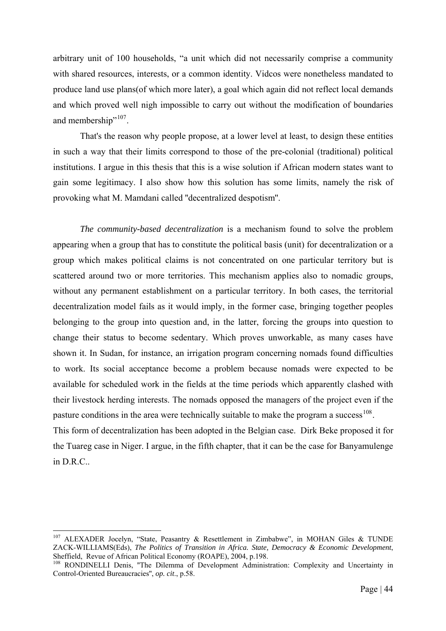arbitrary unit of 100 households, "a unit which did not necessarily comprise a community with shared resources, interests, or a common identity. Vidcos were nonetheless mandated to produce land use plans(of which more later), a goal which again did not reflect local demands and which proved well nigh impossible to carry out without the modification of boundaries and membership"<sup>[107](#page-50-0)</sup>.

 That's the reason why people propose, at a lower level at least, to design these entities in such a way that their limits correspond to those of the pre-colonial (traditional) political institutions. I argue in this thesis that this is a wise solution if African modern states want to gain some legitimacy. I also show how this solution has some limits, namely the risk of provoking what M. Mamdani called ''decentralized despotism''.

*The community-based decentralization* is a mechanism found to solve the problem appearing when a group that has to constitute the political basis (unit) for decentralization or a group which makes political claims is not concentrated on one particular territory but is scattered around two or more territories. This mechanism applies also to nomadic groups, without any permanent establishment on a particular territory. In both cases, the territorial decentralization model fails as it would imply, in the former case, bringing together peoples belonging to the group into question and, in the latter, forcing the groups into question to change their status to become sedentary. Which proves unworkable, as many cases have shown it. In Sudan, for instance, an irrigation program concerning nomads found difficulties to work. Its social acceptance become a problem because nomads were expected to be available for scheduled work in the fields at the time periods which apparently clashed with their livestock herding interests. The nomads opposed the managers of the project even if the pasture conditions in the area were technically suitable to make the program a success<sup>[108](#page-50-1)</sup>.

This form of decentralization has been adopted in the Belgian case. Dirk Beke proposed it for the Tuareg case in Niger. I argue, in the fifth chapter, that it can be the case for Banyamulenge in D.R.C..

<span id="page-50-0"></span> $107$  ALEXADER Jocelyn, "State, Peasantry & Resettlement in Zimbabwe", in MOHAN Giles & TUNDE ZACK-WILLIAMS(Eds), *The Politics of Transition in Africa. State, Democracy & Economic Development*,

<span id="page-50-1"></span><sup>&</sup>lt;sup>108</sup> RONDINELLI Denis, "The Dilemma of Development Administration: Complexity and Uncertainty in Control-Oriented Bureaucracies'', *op. cit*., p.58.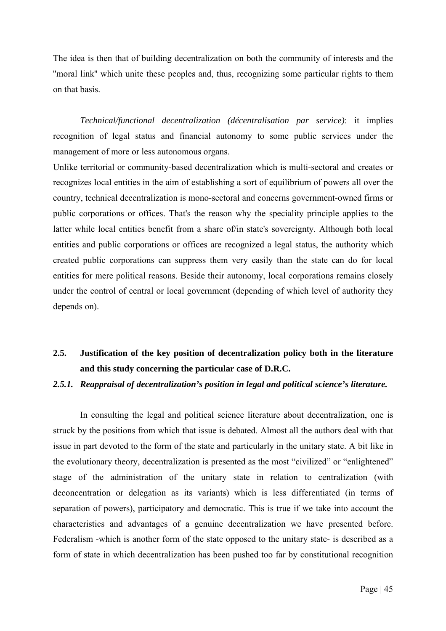The idea is then that of building decentralization on both the community of interests and the ''moral link'' which unite these peoples and, thus, recognizing some particular rights to them on that basis.

*Technical/functional decentralization (décentralisation par service)*: it implies recognition of legal status and financial autonomy to some public services under the management of more or less autonomous organs.

Unlike territorial or community-based decentralization which is multi-sectoral and creates or recognizes local entities in the aim of establishing a sort of equilibrium of powers all over the country, technical decentralization is mono-sectoral and concerns government-owned firms or public corporations or offices. That's the reason why the speciality principle applies to the latter while local entities benefit from a share of/in state's sovereignty. Although both local entities and public corporations or offices are recognized a legal status, the authority which created public corporations can suppress them very easily than the state can do for local entities for mere political reasons. Beside their autonomy, local corporations remains closely under the control of central or local government (depending of which level of authority they depends on).

# **2.5. Justification of the key position of decentralization policy both in the literature and this study concerning the particular case of D.R.C.**

#### *2.5.1. Reappraisal of decentralization's position in legal and political science's literature.*

In consulting the legal and political science literature about decentralization, one is struck by the positions from which that issue is debated. Almost all the authors deal with that issue in part devoted to the form of the state and particularly in the unitary state. A bit like in the evolutionary theory, decentralization is presented as the most "civilized" or "enlightened" stage of the administration of the unitary state in relation to centralization (with deconcentration or delegation as its variants) which is less differentiated (in terms of separation of powers), participatory and democratic. This is true if we take into account the characteristics and advantages of a genuine decentralization we have presented before. Federalism -which is another form of the state opposed to the unitary state- is described as a form of state in which decentralization has been pushed too far by constitutional recognition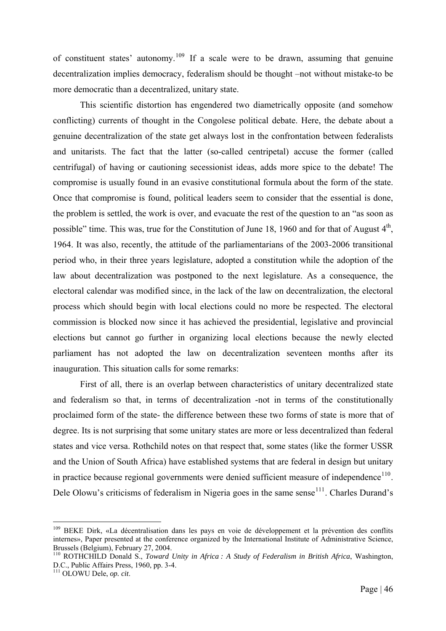of constituent states' autonomy.[109](#page-52-0) If a scale were to be drawn, assuming that genuine decentralization implies democracy, federalism should be thought –not without mistake-to be more democratic than a decentralized, unitary state.

This scientific distortion has engendered two diametrically opposite (and somehow conflicting) currents of thought in the Congolese political debate. Here, the debate about a genuine decentralization of the state get always lost in the confrontation between federalists and unitarists. The fact that the latter (so-called centripetal) accuse the former (called centrifugal) of having or cautioning secessionist ideas, adds more spice to the debate! The compromise is usually found in an evasive constitutional formula about the form of the state. Once that compromise is found, political leaders seem to consider that the essential is done, the problem is settled, the work is over, and evacuate the rest of the question to an "as soon as possible" time. This was, true for the Constitution of June 18, 1960 and for that of August  $4<sup>th</sup>$ , 1964. It was also, recently, the attitude of the parliamentarians of the 2003-2006 transitional period who, in their three years legislature, adopted a constitution while the adoption of the law about decentralization was postponed to the next legislature. As a consequence, the electoral calendar was modified since, in the lack of the law on decentralization, the electoral process which should begin with local elections could no more be respected. The electoral commission is blocked now since it has achieved the presidential, legislative and provincial elections but cannot go further in organizing local elections because the newly elected parliament has not adopted the law on decentralization seventeen months after its inauguration. This situation calls for some remarks:

First of all, there is an overlap between characteristics of unitary decentralized state and federalism so that, in terms of decentralization -not in terms of the constitutionally proclaimed form of the state- the difference between these two forms of state is more that of degree. Its is not surprising that some unitary states are more or less decentralized than federal states and vice versa. Rothchild notes on that respect that, some states (like the former USSR and the Union of South Africa) have established systems that are federal in design but unitary in practice because regional governments were denied sufficient measure of independence $110$ . Dele Olowu's criticisms of federalism in Nigeria goes in the same sense<sup>[111](#page-52-2)</sup>. Charles Durand's

<span id="page-52-0"></span><sup>&</sup>lt;sup>109</sup> BEKE Dirk, «La décentralisation dans les pays en voie de développement et la prévention des conflits internes», Paper presented at the conference organized by the International Institute of Administrative Science, Brussels (Belgium), February 27, 2004.

<span id="page-52-1"></span><sup>110</sup> ROTHCHILD Donald S., *Toward Unity in Africa : A Study of Federalism in British Africa*, Washington, D.C., Public Affairs Press, 1960, pp. 3-4.

<span id="page-52-2"></span><sup>111</sup> OLOWU Dele, *op. cit*.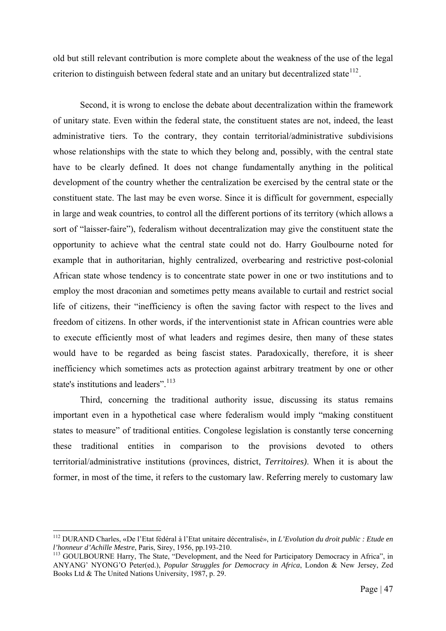old but still relevant contribution is more complete about the weakness of the use of the legal criterion to distinguish between federal state and an unitary but decentralized state<sup>[112](#page-53-0)</sup>.

Second, it is wrong to enclose the debate about decentralization within the framework of unitary state. Even within the federal state, the constituent states are not, indeed, the least administrative tiers. To the contrary, they contain territorial/administrative subdivisions whose relationships with the state to which they belong and, possibly, with the central state have to be clearly defined. It does not change fundamentally anything in the political development of the country whether the centralization be exercised by the central state or the constituent state. The last may be even worse. Since it is difficult for government, especially in large and weak countries, to control all the different portions of its territory (which allows a sort of "laisser-faire"), federalism without decentralization may give the constituent state the opportunity to achieve what the central state could not do. Harry Goulbourne noted for example that in authoritarian, highly centralized, overbearing and restrictive post-colonial African state whose tendency is to concentrate state power in one or two institutions and to employ the most draconian and sometimes petty means available to curtail and restrict social life of citizens, their "inefficiency is often the saving factor with respect to the lives and freedom of citizens. In other words, if the interventionist state in African countries were able to execute efficiently most of what leaders and regimes desire, then many of these states would have to be regarded as being fascist states. Paradoxically, therefore, it is sheer inefficiency which sometimes acts as protection against arbitrary treatment by one or other state's institutions and leaders".<sup>[113](#page-53-1)</sup>

Third, concerning the traditional authority issue, discussing its status remains important even in a hypothetical case where federalism would imply "making constituent states to measure" of traditional entities. Congolese legislation is constantly terse concerning these traditional entities in comparison to the provisions devoted to others territorial/administrative institutions (provinces, district, *Territoires)*. When it is about the former, in most of the time, it refers to the customary law. Referring merely to customary law

<span id="page-53-0"></span><sup>112</sup> DURAND Charles, «De l'Etat fédéral à l'Etat unitaire décentralisé», in *L'Evolution du droit public : Etude en l'honneur d'Achille Mestre*, Paris, Sirey, 1956, pp.193-210.<br><sup>113</sup> GOULBOURNE Harry, The State, "Development, and the Need for Participatory Democracy in Africa", in

<span id="page-53-1"></span>ANYANG' NYONG'O Peter(ed.), *Popular Struggles for Democracy in Africa*, London & New Jersey, Zed Books Ltd & The United Nations University, 1987, p. 29.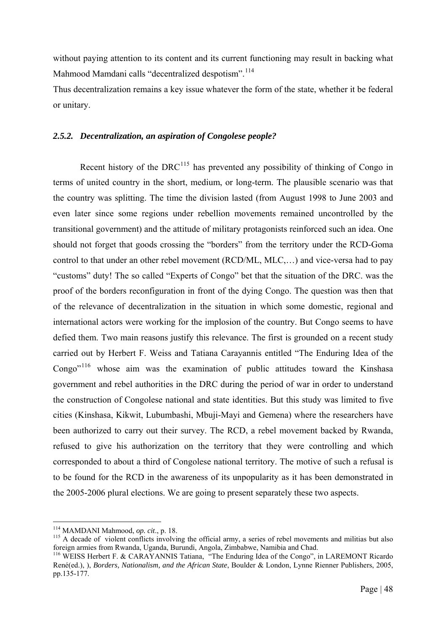without paying attention to its content and its current functioning may result in backing what Mahmood Mamdani calls "decentralized despotism".<sup>[114](#page-54-0)</sup>

Thus decentralization remains a key issue whatever the form of the state, whether it be federal or unitary.

# *2.5.2. Decentralization, an aspiration of Congolese people?*

Recent history of the DRC<sup>[115](#page-54-1)</sup> has prevented any possibility of thinking of Congo in terms of united country in the short, medium, or long-term. The plausible scenario was that the country was splitting. The time the division lasted (from August 1998 to June 2003 and even later since some regions under rebellion movements remained uncontrolled by the transitional government) and the attitude of military protagonists reinforced such an idea. One should not forget that goods crossing the "borders" from the territory under the RCD-Goma control to that under an other rebel movement (RCD/ML, MLC,…) and vice-versa had to pay "customs" duty! The so called "Experts of Congo" bet that the situation of the DRC. was the proof of the borders reconfiguration in front of the dying Congo. The question was then that of the relevance of decentralization in the situation in which some domestic, regional and international actors were working for the implosion of the country. But Congo seems to have defied them. Two main reasons justify this relevance. The first is grounded on a recent study carried out by Herbert F. Weiss and Tatiana Carayannis entitled "The Enduring Idea of the Congo"<sup>[116](#page-54-2)</sup> whose aim was the examination of public attitudes toward the Kinshasa government and rebel authorities in the DRC during the period of war in order to understand the construction of Congolese national and state identities. But this study was limited to five cities (Kinshasa, Kikwit, Lubumbashi, Mbuji-Mayi and Gemena) where the researchers have been authorized to carry out their survey. The RCD, a rebel movement backed by Rwanda, refused to give his authorization on the territory that they were controlling and which corresponded to about a third of Congolese national territory. The motive of such a refusal is to be found for the RCD in the awareness of its unpopularity as it has been demonstrated in the 2005-2006 plural elections. We are going to present separately these two aspects.

<sup>&</sup>lt;sup>114</sup> MAMDANI Mahmood, op. cit., p. 18.

<span id="page-54-1"></span><span id="page-54-0"></span><sup>&</sup>lt;sup>115</sup> A decade of violent conflicts involving the official army, a series of rebel movements and militias but also foreign armies from Rwanda, Uganda, Burundi, Angola, Zimbabwe, Namibia and Chad.

<span id="page-54-2"></span><sup>116</sup> WEISS Herbert F. & CARAYANNIS Tatiana, "The Enduring Idea of the Congo", in LAREMONT Ricardo René(ed.), ), *Borders, Nationalism, and the African State*, Boulder & London, Lynne Rienner Publishers, 2005, pp.135-177.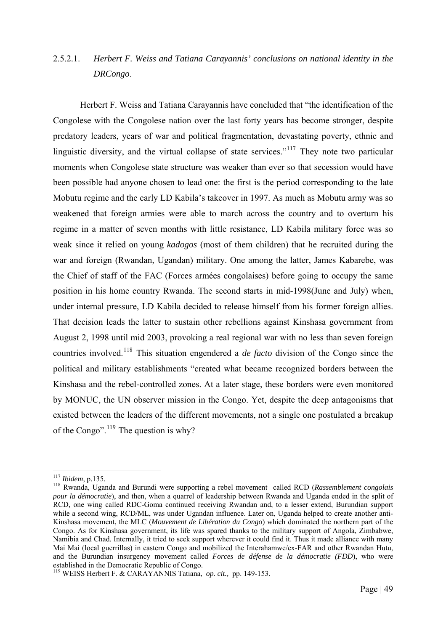# 2.5.2.1. *Herbert F. Weiss and Tatiana Carayannis' conclusions on national identity in the DRCongo*.

Herbert F. Weiss and Tatiana Carayannis have concluded that "the identification of the Congolese with the Congolese nation over the last forty years has become stronger, despite predatory leaders, years of war and political fragmentation, devastating poverty, ethnic and linguistic diversity, and the virtual collapse of state services."<sup>[117](#page-55-0)</sup> They note two particular moments when Congolese state structure was weaker than ever so that secession would have been possible had anyone chosen to lead one: the first is the period corresponding to the late Mobutu regime and the early LD Kabila's takeover in 1997. As much as Mobutu army was so weakened that foreign armies were able to march across the country and to overturn his regime in a matter of seven months with little resistance, LD Kabila military force was so weak since it relied on young *kadogos* (most of them children) that he recruited during the war and foreign (Rwandan, Ugandan) military. One among the latter, James Kabarebe, was the Chief of staff of the FAC (Forces armées congolaises) before going to occupy the same position in his home country Rwanda. The second starts in mid-1998(June and July) when, under internal pressure, LD Kabila decided to release himself from his former foreign allies. That decision leads the latter to sustain other rebellions against Kinshasa government from August 2, 1998 until mid 2003, provoking a real regional war with no less than seven foreign countries involved.[118](#page-55-1) This situation engendered a *de facto* division of the Congo since the political and military establishments "created what became recognized borders between the Kinshasa and the rebel-controlled zones. At a later stage, these borders were even monitored by MONUC, the UN observer mission in the Congo. Yet, despite the deep antagonisms that existed between the leaders of the different movements, not a single one postulated a breakup of the Congo".<sup>[119](#page-55-2)</sup> The question is why?

 $117$  Ibidem, p.135.

<span id="page-55-1"></span><span id="page-55-0"></span><sup>&</sup>lt;sup>118</sup> Rwanda, Uganda and Burundi were supporting a rebel movement called RCD (*Rassemblement congolais pour la démocratie*), and then, when a quarrel of leadership between Rwanda and Uganda ended in the split of RCD, one wing called RDC-Goma continued receiving Rwandan and, to a lesser extend, Burundian support while a second wing, RCD/ML, was under Ugandan influence. Later on, Uganda helped to create another anti-Kinshasa movement, the MLC (*Mouvement de Libération du Congo*) which dominated the northern part of the Congo. As for Kinshasa government, its life was spared thanks to the military support of Angola, Zimbabwe, Namibia and Chad. Internally, it tried to seek support wherever it could find it. Thus it made alliance with many Mai Mai (local guerrillas) in eastern Congo and mobilized the Interahamwe/ex-FAR and other Rwandan Hutu, and the Burundian insurgency movement called *Forces de défense de la démocratie (FDD*), who were established in the Democratic Republic of Congo.

<span id="page-55-2"></span><sup>119</sup> WEISS Herbert F. & CARAYANNIS Tatiana, *op. cit.,* pp. 149-153.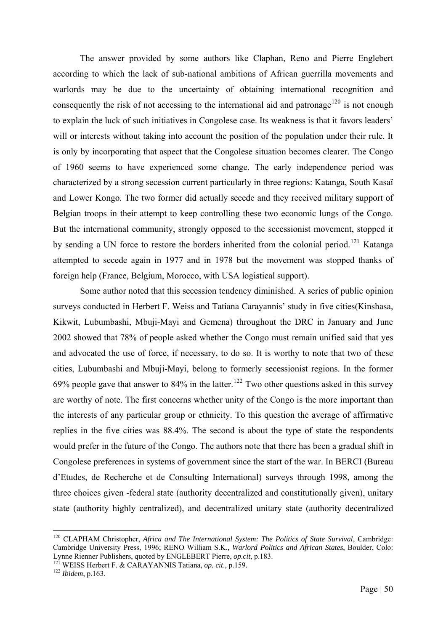The answer provided by some authors like Claphan, Reno and Pierre Englebert according to which the lack of sub-national ambitions of African guerrilla movements and warlords may be due to the uncertainty of obtaining international recognition and consequently the risk of not accessing to the international aid and patronage<sup>[120](#page-56-0)</sup> is not enough to explain the luck of such initiatives in Congolese case. Its weakness is that it favors leaders' will or interests without taking into account the position of the population under their rule. It is only by incorporating that aspect that the Congolese situation becomes clearer. The Congo of 1960 seems to have experienced some change. The early independence period was characterized by a strong secession current particularly in three regions: Katanga, South Kasaï and Lower Kongo. The two former did actually secede and they received military support of Belgian troops in their attempt to keep controlling these two economic lungs of the Congo. But the international community, strongly opposed to the secessionist movement, stopped it by sending a UN force to restore the borders inherited from the colonial period.<sup>[121](#page-56-1)</sup> Katanga attempted to secede again in 1977 and in 1978 but the movement was stopped thanks of foreign help (France, Belgium, Morocco, with USA logistical support).

Some author noted that this secession tendency diminished. A series of public opinion surveys conducted in Herbert F. Weiss and Tatiana Carayannis' study in five cities(Kinshasa, Kikwit, Lubumbashi, Mbuji-Mayi and Gemena) throughout the DRC in January and June 2002 showed that 78% of people asked whether the Congo must remain unified said that yes and advocated the use of force, if necessary, to do so. It is worthy to note that two of these cities, Lubumbashi and Mbuji-Mayi, belong to formerly secessionist regions. In the former 69% people gave that answer to 84% in the latter.<sup>[122](#page-56-2)</sup> Two other questions asked in this survey are worthy of note. The first concerns whether unity of the Congo is the more important than the interests of any particular group or ethnicity. To this question the average of affirmative replies in the five cities was 88.4%. The second is about the type of state the respondents would prefer in the future of the Congo. The authors note that there has been a gradual shift in Congolese preferences in systems of government since the start of the war. In BERCI (Bureau d'Etudes, de Recherche et de Consulting International) surveys through 1998, among the three choices given -federal state (authority decentralized and constitutionally given), unitary state (authority highly centralized), and decentralized unitary state (authority decentralized

<span id="page-56-0"></span><sup>120</sup> CLAPHAM Christopher, *Africa and The International System: The Politics of State Survival*, Cambridge: Cambridge University Press, 1996; RENO William S.K., *Warlord Politics and African States*, Boulder, Colo: Lynne Rienner Publishers, quoted by ENGLEBERT Pierre, *op.cit*, p.183.<br><sup>121</sup> WEISS Herbert F. & CARAYANNIS Tatiana, *op. cit.*, p.159.<br><sup>122</sup> *Ibidem.* p.163.

<span id="page-56-1"></span>

<span id="page-56-2"></span>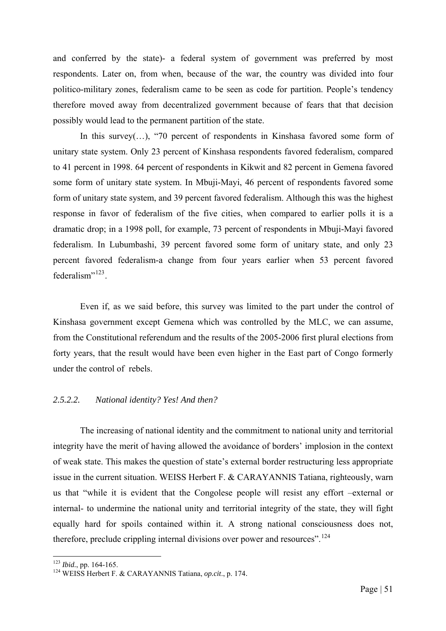and conferred by the state)- a federal system of government was preferred by most respondents. Later on, from when, because of the war, the country was divided into four politico-military zones, federalism came to be seen as code for partition. People's tendency therefore moved away from decentralized government because of fears that that decision possibly would lead to the permanent partition of the state.

In this survey(...), "70 percent of respondents in Kinshasa favored some form of unitary state system. Only 23 percent of Kinshasa respondents favored federalism, compared to 41 percent in 1998. 64 percent of respondents in Kikwit and 82 percent in Gemena favored some form of unitary state system. In Mbuji-Mayi, 46 percent of respondents favored some form of unitary state system, and 39 percent favored federalism. Although this was the highest response in favor of federalism of the five cities, when compared to earlier polls it is a dramatic drop; in a 1998 poll, for example, 73 percent of respondents in Mbuji-Mayi favored federalism. In Lubumbashi, 39 percent favored some form of unitary state, and only 23 percent favored federalism-a change from four years earlier when 53 percent favored federalism"<sup>[123](#page-57-0)</sup>.

Even if, as we said before, this survey was limited to the part under the control of Kinshasa government except Gemena which was controlled by the MLC, we can assume, from the Constitutional referendum and the results of the 2005-2006 first plural elections from forty years, that the result would have been even higher in the East part of Congo formerly under the control of rebels.

# *2.5.2.2. National identity? Yes! And then?*

The increasing of national identity and the commitment to national unity and territorial integrity have the merit of having allowed the avoidance of borders' implosion in the context of weak state. This makes the question of state's external border restructuring less appropriate issue in the current situation. WEISS Herbert F. & CARAYANNIS Tatiana, righteously, warn us that "while it is evident that the Congolese people will resist any effort –external or internal- to undermine the national unity and territorial integrity of the state, they will fight equally hard for spoils contained within it. A strong national consciousness does not, therefore, preclude crippling internal divisions over power and resources".<sup>[124](#page-57-1)</sup>

<span id="page-57-0"></span><sup>&</sup>lt;sup>123</sup> Ibid., pp. 164-165.

<span id="page-57-1"></span><sup>&</sup>lt;sup>124</sup> WEISS Herbert F. & CARAYANNIS Tatiana, *op.cit.*, p. 174.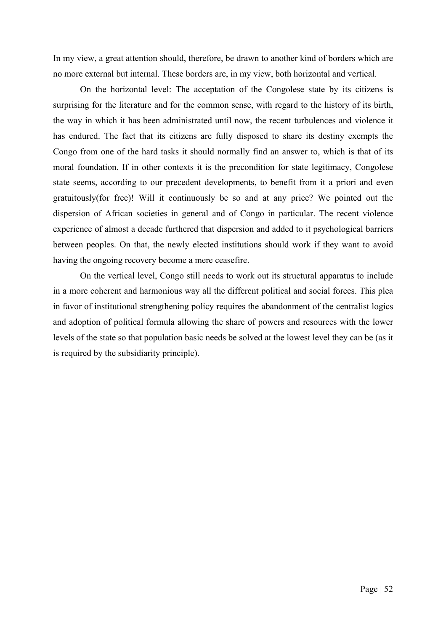In my view, a great attention should, therefore, be drawn to another kind of borders which are no more external but internal. These borders are, in my view, both horizontal and vertical.

On the horizontal level: The acceptation of the Congolese state by its citizens is surprising for the literature and for the common sense, with regard to the history of its birth, the way in which it has been administrated until now, the recent turbulences and violence it has endured. The fact that its citizens are fully disposed to share its destiny exempts the Congo from one of the hard tasks it should normally find an answer to, which is that of its moral foundation. If in other contexts it is the precondition for state legitimacy, Congolese state seems, according to our precedent developments, to benefit from it a priori and even gratuitously(for free)! Will it continuously be so and at any price? We pointed out the dispersion of African societies in general and of Congo in particular. The recent violence experience of almost a decade furthered that dispersion and added to it psychological barriers between peoples. On that, the newly elected institutions should work if they want to avoid having the ongoing recovery become a mere ceasefire.

On the vertical level, Congo still needs to work out its structural apparatus to include in a more coherent and harmonious way all the different political and social forces. This plea in favor of institutional strengthening policy requires the abandonment of the centralist logics and adoption of political formula allowing the share of powers and resources with the lower levels of the state so that population basic needs be solved at the lowest level they can be (as it is required by the subsidiarity principle).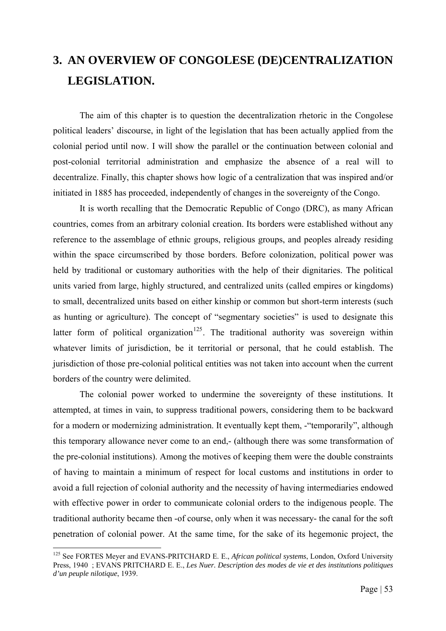# **3. AN OVERVIEW OF CONGOLESE (DE)CENTRALIZATION LEGISLATION.**

The aim of this chapter is to question the decentralization rhetoric in the Congolese political leaders' discourse, in light of the legislation that has been actually applied from the colonial period until now. I will show the parallel or the continuation between colonial and post-colonial territorial administration and emphasize the absence of a real will to decentralize. Finally, this chapter shows how logic of a centralization that was inspired and/or initiated in 1885 has proceeded, independently of changes in the sovereignty of the Congo.

It is worth recalling that the Democratic Republic of Congo (DRC), as many African countries, comes from an arbitrary colonial creation. Its borders were established without any reference to the assemblage of ethnic groups, religious groups, and peoples already residing within the space circumscribed by those borders. Before colonization, political power was held by traditional or customary authorities with the help of their dignitaries. The political units varied from large, highly structured, and centralized units (called empires or kingdoms) to small, decentralized units based on either kinship or common but short-term interests (such as hunting or agriculture). The concept of "segmentary societies" is used to designate this latter form of political organization<sup>[125](#page-59-0)</sup>. The traditional authority was sovereign within whatever limits of jurisdiction, be it territorial or personal, that he could establish. The jurisdiction of those pre-colonial political entities was not taken into account when the current borders of the country were delimited.

The colonial power worked to undermine the sovereignty of these institutions. It attempted, at times in vain, to suppress traditional powers, considering them to be backward for a modern or modernizing administration. It eventually kept them, -"temporarily", although this temporary allowance never come to an end,- (although there was some transformation of the pre-colonial institutions). Among the motives of keeping them were the double constraints of having to maintain a minimum of respect for local customs and institutions in order to avoid a full rejection of colonial authority and the necessity of having intermediaries endowed with effective power in order to communicate colonial orders to the indigenous people. The traditional authority became then -of course, only when it was necessary- the canal for the soft penetration of colonial power. At the same time, for the sake of its hegemonic project, the

<span id="page-59-0"></span><sup>125</sup> See FORTES Meyer and EVANS-PRITCHARD E. E., *African political systems*, London, Oxford University Press, 1940 ; EVANS PRITCHARD E. E., *Les Nuer. Description des modes de vie et des institutions politiques d'un peuple nilotique*, 1939.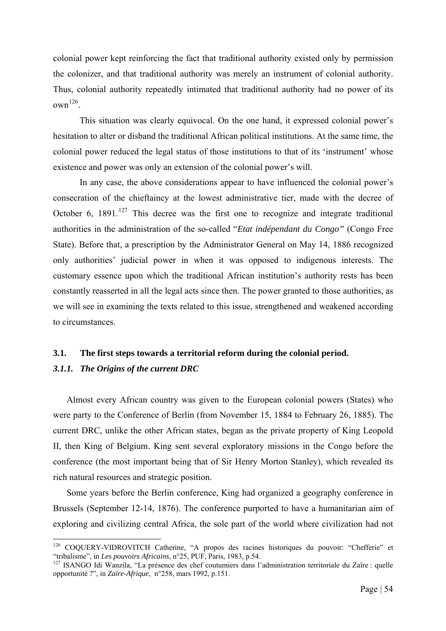colonial power kept reinforcing the fact that traditional authority existed only by permission the colonizer, and that traditional authority was merely an instrument of colonial authority. Thus, colonial authority repeatedly intimated that traditional authority had no power of its  $own<sup>126</sup>$  $own<sup>126</sup>$  $own<sup>126</sup>$ 

This situation was clearly equivocal. On the one hand, it expressed colonial power's hesitation to alter or disband the traditional African political institutions. At the same time, the colonial power reduced the legal status of those institutions to that of its 'instrument' whose existence and power was only an extension of the colonial power's will.

In any case, the above considerations appear to have influenced the colonial power's consecration of the chieftaincy at the lowest administrative tier, made with the decree of October 6,  $1891$ <sup>[127](#page-60-1)</sup> This decree was the first one to recognize and integrate traditional authorities in the administration of the so-called "*Etat indépendant du Congo"* (Congo Free State). Before that, a prescription by the Administrator General on May 14, 1886 recognized only authorities' judicial power in when it was opposed to indigenous interests. The customary essence upon which the traditional African institution's authority rests has been constantly reasserted in all the legal acts since then. The power granted to those authorities, as we will see in examining the texts related to this issue, strengthened and weakened according to circumstances.

# **3.1. The first steps towards a territorial reform during the colonial period.**

# *3.1.1. The Origins of the current DRC*

1

Almost every African country was given to the European colonial powers (States) who were party to the Conference of Berlin (from November 15, 1884 to February 26, 1885). The current DRC, unlike the other African states, began as the private property of King Leopold II, then King of Belgium. King sent several exploratory missions in the Congo before the conference (the most important being that of Sir Henry Morton Stanley), which revealed its rich natural resources and strategic position.

Some years before the Berlin conference, King had organized a geography conference in Brussels (September 12-14, 1876). The conference purported to have a humanitarian aim of exploring and civilizing central Africa, the sole part of the world where civilization had not

<span id="page-60-0"></span><sup>&</sup>lt;sup>126</sup> COQUERY-VIDROVITCH Catherine, "A propos des racines historiques du pouvoir: "Chefferie" et "tribalisme", in *Les pouvoirs Africains*, n°25, PUF, Paris, 1983, p.54.<br><sup>127</sup> ISANGO Idi Wanzila, "La présence des chef coutumiers dans l'administration territoriale du Zaïre : quelle

<span id="page-60-1"></span>opportunité ?", in *Zaïre-Afrique*, n°258, mars 1992, p.151.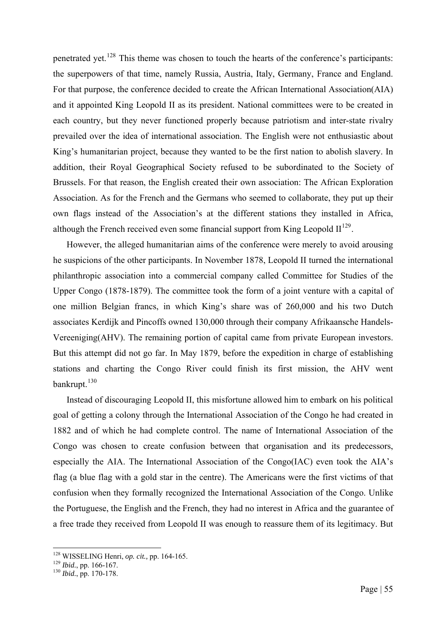penetrated yet.<sup>[128](#page-61-0)</sup> This theme was chosen to touch the hearts of the conference's participants: the superpowers of that time, namely Russia, Austria, Italy, Germany, France and England. For that purpose, the conference decided to create the African International Association(AIA) and it appointed King Leopold II as its president. National committees were to be created in each country, but they never functioned properly because patriotism and inter-state rivalry prevailed over the idea of international association. The English were not enthusiastic about King's humanitarian project, because they wanted to be the first nation to abolish slavery. In addition, their Royal Geographical Society refused to be subordinated to the Society of Brussels. For that reason, the English created their own association: The African Exploration Association. As for the French and the Germans who seemed to collaborate, they put up their own flags instead of the Association's at the different stations they installed in Africa, although the French received even some financial support from King Leopold  $II^{129}$  $II^{129}$  $II^{129}$ .

However, the alleged humanitarian aims of the conference were merely to avoid arousing he suspicions of the other participants. In November 1878, Leopold II turned the international philanthropic association into a commercial company called Committee for Studies of the Upper Congo (1878-1879). The committee took the form of a joint venture with a capital of one million Belgian francs, in which King's share was of 260,000 and his two Dutch associates Kerdijk and Pincoffs owned 130,000 through their company Afrikaansche Handels-Vereeniging(AHV). The remaining portion of capital came from private European investors. But this attempt did not go far. In May 1879, before the expedition in charge of establishing stations and charting the Congo River could finish its first mission, the AHV went bankrupt.<sup>[130](#page-61-2)</sup>

Instead of discouraging Leopold II, this misfortune allowed him to embark on his political goal of getting a colony through the International Association of the Congo he had created in 1882 and of which he had complete control. The name of International Association of the Congo was chosen to create confusion between that organisation and its predecessors, especially the AIA. The International Association of the Congo(IAC) even took the AIA's flag (a blue flag with a gold star in the centre). The Americans were the first victims of that confusion when they formally recognized the International Association of the Congo. Unlike the Portuguese, the English and the French, they had no interest in Africa and the guarantee of a free trade they received from Leopold II was enough to reassure them of its legitimacy. But

<sup>&</sup>lt;sup>128</sup> WISSELING Henri, op. cit., pp. 164-165.

<span id="page-61-2"></span><span id="page-61-1"></span><span id="page-61-0"></span><sup>129</sup> *Ibid.*, pp. 166-167.<br><sup>130</sup> *Ibid.*, pp. 170-178.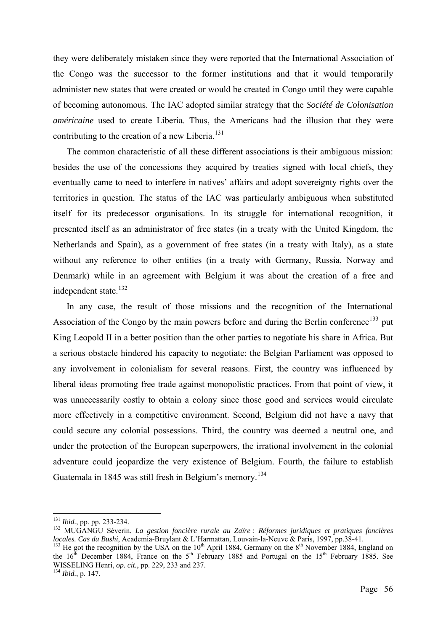they were deliberately mistaken since they were reported that the International Association of the Congo was the successor to the former institutions and that it would temporarily administer new states that were created or would be created in Congo until they were capable of becoming autonomous. The IAC adopted similar strategy that the *Société de Colonisation américaine* used to create Liberia. Thus, the Americans had the illusion that they were contributing to the creation of a new Liberia.<sup>[131](#page-62-0)</sup>

The common characteristic of all these different associations is their ambiguous mission: besides the use of the concessions they acquired by treaties signed with local chiefs, they eventually came to need to interfere in natives' affairs and adopt sovereignty rights over the territories in question. The status of the IAC was particularly ambiguous when substituted itself for its predecessor organisations. In its struggle for international recognition, it presented itself as an administrator of free states (in a treaty with the United Kingdom, the Netherlands and Spain), as a government of free states (in a treaty with Italy), as a state without any reference to other entities (in a treaty with Germany, Russia, Norway and Denmark) while in an agreement with Belgium it was about the creation of a free and independent state.<sup>[132](#page-62-1)</sup>

In any case, the result of those missions and the recognition of the International Association of the Congo by the main powers before and during the Berlin conference<sup>[133](#page-62-2)</sup> put King Leopold II in a better position than the other parties to negotiate his share in Africa. But a serious obstacle hindered his capacity to negotiate: the Belgian Parliament was opposed to any involvement in colonialism for several reasons. First, the country was influenced by liberal ideas promoting free trade against monopolistic practices. From that point of view, it was unnecessarily costly to obtain a colony since those good and services would circulate more effectively in a competitive environment. Second, Belgium did not have a navy that could secure any colonial possessions. Third, the country was deemed a neutral one, and under the protection of the European superpowers, the irrational involvement in the colonial adventure could jeopardize the very existence of Belgium. Fourth, the failure to establish Guatemala in 1845 was still fresh in Belgium's memory.<sup>[134](#page-62-3)</sup>

<sup>&</sup>lt;sup>131</sup> *Ibid.*, pp. pp. 233-234.

<span id="page-62-1"></span><span id="page-62-0"></span><sup>&</sup>lt;sup>132</sup> MUGANGU Séverin, *La gestion foncière rurale au Zaïre : Réformes juridiques et pratiques foncières locales. Cas du Bushi*, Academia-Bruylant & L'Harmattan, Louvain-la-Neuve & Paris, 1997, pp.38-41. <sup>133</sup> He got the recognition by the USA on the 10<sup>th</sup> April 1884, Germany on the 8<sup>th</sup> November 1884, England on

<span id="page-62-3"></span><span id="page-62-2"></span>the  $16<sup>th</sup>$  December 1884, France on the  $5<sup>th</sup>$  February 1885 and Portugal on the  $15<sup>th</sup>$  February 1885. See WISSELING Henri, *op. cit.*, pp. 229, 233 and 237. 134 *Ibid.*, p. 147.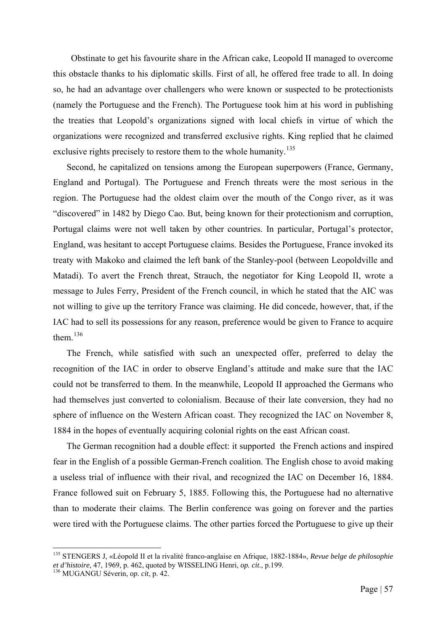Obstinate to get his favourite share in the African cake, Leopold II managed to overcome this obstacle thanks to his diplomatic skills. First of all, he offered free trade to all. In doing so, he had an advantage over challengers who were known or suspected to be protectionists (namely the Portuguese and the French). The Portuguese took him at his word in publishing the treaties that Leopold's organizations signed with local chiefs in virtue of which the organizations were recognized and transferred exclusive rights. King replied that he claimed exclusive rights precisely to restore them to the whole humanity.<sup>[135](#page-63-0)</sup>

Second, he capitalized on tensions among the European superpowers (France, Germany, England and Portugal). The Portuguese and French threats were the most serious in the region. The Portuguese had the oldest claim over the mouth of the Congo river, as it was "discovered" in 1482 by Diego Cao. But, being known for their protectionism and corruption, Portugal claims were not well taken by other countries. In particular, Portugal's protector, England, was hesitant to accept Portuguese claims. Besides the Portuguese, France invoked its treaty with Makoko and claimed the left bank of the Stanley-pool (between Leopoldville and Matadi). To avert the French threat, Strauch, the negotiator for King Leopold II, wrote a message to Jules Ferry, President of the French council, in which he stated that the AIC was not willing to give up the territory France was claiming. He did concede, however, that, if the IAC had to sell its possessions for any reason, preference would be given to France to acquire them. $136$ 

The French, while satisfied with such an unexpected offer, preferred to delay the recognition of the IAC in order to observe England's attitude and make sure that the IAC could not be transferred to them. In the meanwhile, Leopold II approached the Germans who had themselves just converted to colonialism. Because of their late conversion, they had no sphere of influence on the Western African coast. They recognized the IAC on November 8, 1884 in the hopes of eventually acquiring colonial rights on the east African coast.

The German recognition had a double effect: it supported the French actions and inspired fear in the English of a possible German-French coalition. The English chose to avoid making a useless trial of influence with their rival, and recognized the IAC on December 16, 1884. France followed suit on February 5, 1885. Following this, the Portuguese had no alternative than to moderate their claims. The Berlin conference was going on forever and the parties were tired with the Portuguese claims. The other parties forced the Portuguese to give up their

<span id="page-63-0"></span><sup>135</sup> STENGERS J, «Léopold II et la rivalité franco-anglaise en Afrique, 1882-1884», *Revue belge de philosophie et d'histoire*, 47, 1969, p. 462, quoted by WISSELING Henri, *op. cit*., p.199. 136 MUGANGU Séverin, *op. cit*, p. 42.

<span id="page-63-1"></span>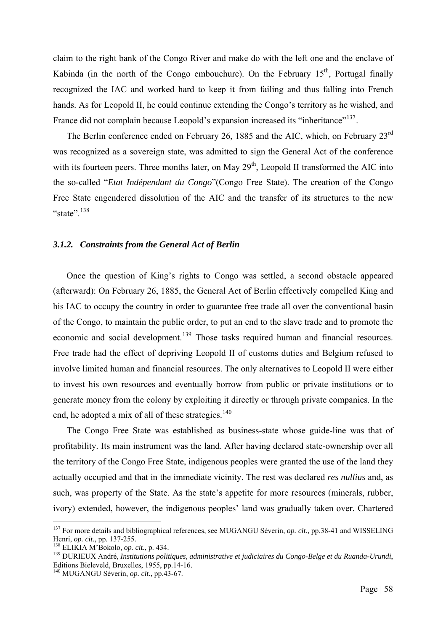claim to the right bank of the Congo River and make do with the left one and the enclave of Kabinda (in the north of the Congo embouchure). On the February  $15<sup>th</sup>$ , Portugal finally recognized the IAC and worked hard to keep it from failing and thus falling into French hands. As for Leopold II, he could continue extending the Congo's territory as he wished, and France did not complain because Leopold's expansion increased its "inheritance"<sup>[137](#page-64-0)</sup>.

The Berlin conference ended on February 26, 1885 and the AIC, which, on February 23<sup>rd</sup> was recognized as a sovereign state, was admitted to sign the General Act of the conference with its fourteen peers. Three months later, on May  $29<sup>th</sup>$ , Leopold II transformed the AIC into the so-called "*Etat Indépendant du Congo*"(Congo Free State). The creation of the Congo Free State engendered dissolution of the AIC and the transfer of its structures to the new "state"<sup>[138](#page-64-1)</sup>

# *3.1.2. Constraints from the General Act of Berlin*

Once the question of King's rights to Congo was settled, a second obstacle appeared (afterward): On February 26, 1885, the General Act of Berlin effectively compelled King and his IAC to occupy the country in order to guarantee free trade all over the conventional basin of the Congo, to maintain the public order, to put an end to the slave trade and to promote the economic and social development.<sup>[139](#page-64-2)</sup> Those tasks required human and financial resources. Free trade had the effect of depriving Leopold II of customs duties and Belgium refused to involve limited human and financial resources. The only alternatives to Leopold II were either to invest his own resources and eventually borrow from public or private institutions or to generate money from the colony by exploiting it directly or through private companies. In the end, he adopted a mix of all of these strategies.<sup>[140](#page-64-3)</sup>

The Congo Free State was established as business-state whose guide-line was that of profitability. Its main instrument was the land. After having declared state-ownership over all the territory of the Congo Free State, indigenous peoples were granted the use of the land they actually occupied and that in the immediate vicinity. The rest was declared *res nullius* and, as such, was property of the State. As the state's appetite for more resources (minerals, rubber, ivory) extended, however, the indigenous peoples' land was gradually taken over. Chartered

<span id="page-64-0"></span><sup>&</sup>lt;sup>137</sup> For more details and bibliographical references, see MUGANGU Séverin, *op. cit.*, pp.38-41 and WISSELING Henri, *op. cit.*, pp. 137-255.<br><sup>138</sup> ELIKIA M'Bokolo, *op. cit.*, p. 434. 139 *André, institutions politiques, administrative et judiciaires du Congo-Belge et du Ruanda-Urundi*,

<span id="page-64-1"></span>

<span id="page-64-2"></span>Editions Bieleveld, Bruxelles, 1955, pp.14-16.

<span id="page-64-3"></span><sup>140</sup> MUGANGU Séverin, *op. cit*., pp.43-67.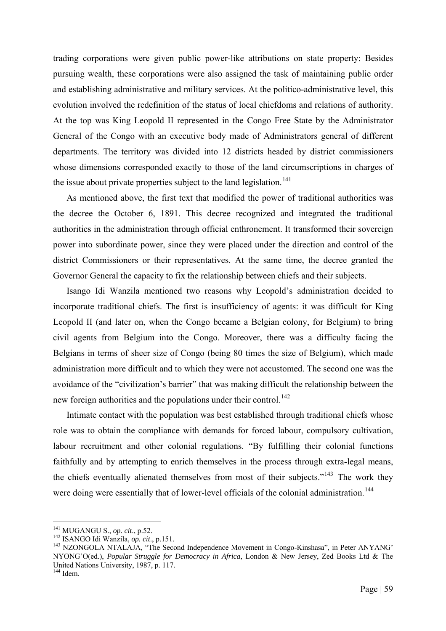trading corporations were given public power-like attributions on state property: Besides pursuing wealth, these corporations were also assigned the task of maintaining public order and establishing administrative and military services. At the politico-administrative level, this evolution involved the redefinition of the status of local chiefdoms and relations of authority. At the top was King Leopold II represented in the Congo Free State by the Administrator General of the Congo with an executive body made of Administrators general of different departments. The territory was divided into 12 districts headed by district commissioners whose dimensions corresponded exactly to those of the land circumscriptions in charges of the issue about private properties subject to the land legislation.<sup>[141](#page-65-0)</sup>

As mentioned above, the first text that modified the power of traditional authorities was the decree the October 6, 1891. This decree recognized and integrated the traditional authorities in the administration through official enthronement. It transformed their sovereign power into subordinate power, since they were placed under the direction and control of the district Commissioners or their representatives. At the same time, the decree granted the Governor General the capacity to fix the relationship between chiefs and their subjects.

Isango Idi Wanzila mentioned two reasons why Leopold's administration decided to incorporate traditional chiefs. The first is insufficiency of agents: it was difficult for King Leopold II (and later on, when the Congo became a Belgian colony, for Belgium) to bring civil agents from Belgium into the Congo. Moreover, there was a difficulty facing the Belgians in terms of sheer size of Congo (being 80 times the size of Belgium), which made administration more difficult and to which they were not accustomed. The second one was the avoidance of the "civilization's barrier" that was making difficult the relationship between the new foreign authorities and the populations under their control.<sup>[142](#page-65-1)</sup>

Intimate contact with the population was best established through traditional chiefs whose role was to obtain the compliance with demands for forced labour, compulsory cultivation, labour recruitment and other colonial regulations. "By fulfilling their colonial functions faithfully and by attempting to enrich themselves in the process through extra-legal means, the chiefs eventually alienated themselves from most of their subjects."<sup>[143](#page-65-2)</sup> The work they were doing were essentially that of lower-level officials of the colonial administration.<sup>[144](#page-65-3)</sup>

<span id="page-65-0"></span><sup>&</sup>lt;sup>141</sup> MUGANGU S., op. cit., p.52.

<span id="page-65-3"></span><span id="page-65-2"></span>

<span id="page-65-1"></span><sup>142</sup> ISANGO Idi Wanzila, *op. cit.*, p.151.<br><sup>142</sup> ISANGO Idi Wanzila, *op. cit.*, p.151.<br><sup>143</sup> NZONGOLA NTALAJA, "The Second Independence Movement in Congo-Kinshasa", in Peter ANYANG' NYONG'O(ed.), *Popular Struggle for Democracy in Africa*, London & New Jersey, Zed Books Ltd & The United Nations University, 1987, p. 117.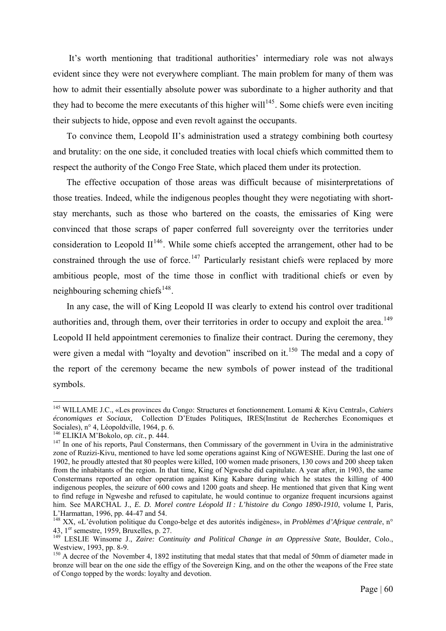It's worth mentioning that traditional authorities' intermediary role was not always evident since they were not everywhere compliant. The main problem for many of them was how to admit their essentially absolute power was subordinate to a higher authority and that they had to become the mere executants of this higher will<sup>[145](#page-66-0)</sup>. Some chiefs were even inciting their subjects to hide, oppose and even revolt against the occupants.

To convince them, Leopold II's administration used a strategy combining both courtesy and brutality: on the one side, it concluded treaties with local chiefs which committed them to respect the authority of the Congo Free State, which placed them under its protection.

The effective occupation of those areas was difficult because of misinterpretations of those treaties. Indeed, while the indigenous peoples thought they were negotiating with shortstay merchants, such as those who bartered on the coasts, the emissaries of King were convinced that those scraps of paper conferred full sovereignty over the territories under consideration to Leopold  $II^{146}$  $II^{146}$  $II^{146}$ . While some chiefs accepted the arrangement, other had to be constrained through the use of force.<sup>[147](#page-66-2)</sup> Particularly resistant chiefs were replaced by more ambitious people, most of the time those in conflict with traditional chiefs or even by neighbouring scheming chiefs<sup>[148](#page-66-3)</sup>.

In any case, the will of King Leopold II was clearly to extend his control over traditional authorities and, through them, over their territories in order to occupy and exploit the area.<sup>[149](#page-66-4)</sup> Leopold II held appointment ceremonies to finalize their contract. During the ceremony, they were given a medal with "loyalty and devotion" inscribed on it.<sup>[150](#page-66-5)</sup> The medal and a copy of the report of the ceremony became the new symbols of power instead of the traditional symbols.

<span id="page-66-0"></span><sup>145</sup> WILLAME J.C., «Les provinces du Congo: Structures et fonctionnement. Lomami & Kivu Central», *Cahiers économiques et Sociaux,* Collection D'Etudes Politiques, IRES(Institut de Recherches Economiques et Sociales), n° 4, Léopoldville, 1964, p. 6.<br><sup>146</sup> ELIKIA M'Bokolo, *op. cit.*, p. 444.

<span id="page-66-2"></span><span id="page-66-1"></span><sup>&</sup>lt;sup>147</sup> In one of his reports, Paul Constermans, then Commissary of the government in Uvira in the administrative zone of Ruzizi-Kivu, mentioned to have led some operations against King of NGWESHE. During the last one of 1902, he proudly attested that 80 peoples were killed, 100 women made prisoners, 130 cows and 200 sheep taken from the inhabitants of the region. In that time, King of Ngweshe did capitulate. A year after, in 1903, the same Constermans reported an other operation against King Kabare during which he states the killing of 400 indigenous peoples, the seizure of 600 cows and 1200 goats and sheep. He mentioned that given that King went to find refuge in Ngweshe and refused to capitulate, he would continue to organize frequent incursions against him. See MARCHAL J., *E. D. Morel contre Léopold II : L'histoire du Congo 1890-1910*, volume I, Paris, L'Harmattan, 1996, pp. 44-47 and 54.

<span id="page-66-3"></span><sup>&</sup>lt;sup>148</sup> XX, «L'évolution politique du Congo-belge et des autorités indigènes», in *Problèmes d'Afrique centrale*, n°<br>43, 1<sup>er</sup> semestre, 1959, Bruxelles, p. 27.

<span id="page-66-4"></span>LESLIE Winsome J., *Zaire: Continuity and Political Change in an Oppressive State*, Boulder, Colo., Westview, 1993, pp. 8-9.

<span id="page-66-5"></span><sup>&</sup>lt;sup>150</sup> A decree of the November 4, 1892 instituting that medal states that that medal of 50mm of diameter made in bronze will bear on the one side the effigy of the Sovereign King, and on the other the weapons of the Free state of Congo topped by the words: loyalty and devotion.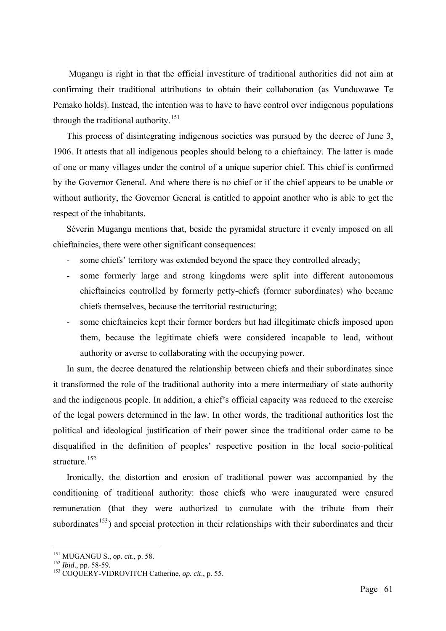Mugangu is right in that the official investiture of traditional authorities did not aim at confirming their traditional attributions to obtain their collaboration (as Vunduwawe Te Pemako holds). Instead, the intention was to have to have control over indigenous populations through the traditional authority.<sup>[151](#page-67-0)</sup>

This process of disintegrating indigenous societies was pursued by the decree of June 3, 1906. It attests that all indigenous peoples should belong to a chieftaincy. The latter is made of one or many villages under the control of a unique superior chief. This chief is confirmed by the Governor General. And where there is no chief or if the chief appears to be unable or without authority, the Governor General is entitled to appoint another who is able to get the respect of the inhabitants.

Séverin Mugangu mentions that, beside the pyramidal structure it evenly imposed on all chieftaincies, there were other significant consequences:

- some chiefs' territory was extended beyond the space they controlled already;
- some formerly large and strong kingdoms were split into different autonomous chieftaincies controlled by formerly petty-chiefs (former subordinates) who became chiefs themselves, because the territorial restructuring;
- some chieftaincies kept their former borders but had illegitimate chiefs imposed upon them, because the legitimate chiefs were considered incapable to lead, without authority or averse to collaborating with the occupying power.

In sum, the decree denatured the relationship between chiefs and their subordinates since it transformed the role of the traditional authority into a mere intermediary of state authority and the indigenous people. In addition, a chief's official capacity was reduced to the exercise of the legal powers determined in the law. In other words, the traditional authorities lost the political and ideological justification of their power since the traditional order came to be disqualified in the definition of peoples' respective position in the local socio-political structure.<sup>[152](#page-67-1)</sup>

Ironically, the distortion and erosion of traditional power was accompanied by the conditioning of traditional authority: those chiefs who were inaugurated were ensured remuneration (that they were authorized to cumulate with the tribute from their subordinates<sup>[153](#page-67-2)</sup>) and special protection in their relationships with their subordinates and their

<span id="page-67-0"></span>

<span id="page-67-2"></span><span id="page-67-1"></span>

<sup>&</sup>lt;sup>151</sup> MUGANGU S., *op. cit.*, p. 58.<br><sup>152</sup> *Ibid.*, pp. 58-59.<br><sup>153</sup> COQUERY-VIDROVITCH Catherine, *op. cit.*, p. 55.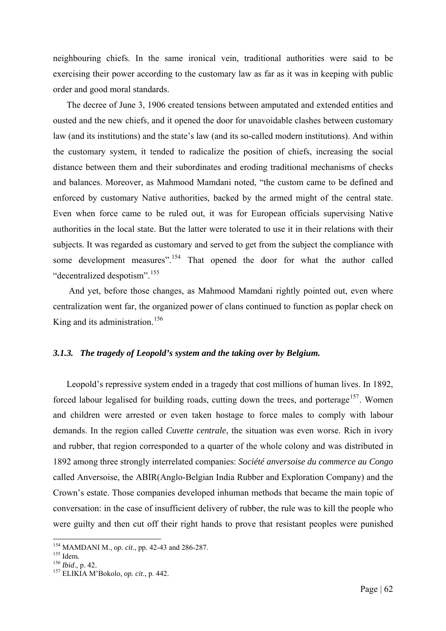neighbouring chiefs. In the same ironical vein, traditional authorities were said to be exercising their power according to the customary law as far as it was in keeping with public order and good moral standards.

The decree of June 3, 1906 created tensions between amputated and extended entities and ousted and the new chiefs, and it opened the door for unavoidable clashes between customary law (and its institutions) and the state's law (and its so-called modern institutions). And within the customary system, it tended to radicalize the position of chiefs, increasing the social distance between them and their subordinates and eroding traditional mechanisms of checks and balances. Moreover, as Mahmood Mamdani noted, "the custom came to be defined and enforced by customary Native authorities, backed by the armed might of the central state. Even when force came to be ruled out, it was for European officials supervising Native authorities in the local state. But the latter were tolerated to use it in their relations with their subjects. It was regarded as customary and served to get from the subject the compliance with some development measures".<sup>[154](#page-68-0)</sup> That opened the door for what the author called "decentralized despotism".[155](#page-68-1)

 And yet, before those changes, as Mahmood Mamdani rightly pointed out, even where centralization went far, the organized power of clans continued to function as poplar check on King and its administration.<sup>[156](#page-68-2)</sup>

# *3.1.3. The tragedy of Leopold's system and the taking over by Belgium.*

Leopold's repressive system ended in a tragedy that cost millions of human lives. In 1892, forced labour legalised for building roads, cutting down the trees, and porterage<sup>[157](#page-68-3)</sup>. Women and children were arrested or even taken hostage to force males to comply with labour demands. In the region called *Cuvette centrale*, the situation was even worse. Rich in ivory and rubber, that region corresponded to a quarter of the whole colony and was distributed in 1892 among three strongly interrelated companies: *Société anversoise du commerce au Congo* called Anversoise, the ABIR(Anglo-Belgian India Rubber and Exploration Company) and the Crown's estate. Those companies developed inhuman methods that became the main topic of conversation: in the case of insufficient delivery of rubber, the rule was to kill the people who were guilty and then cut off their right hands to prove that resistant peoples were punished

<span id="page-68-0"></span><sup>&</sup>lt;sup>154</sup> MAMDANI M., *op. cit.*, pp. 42-43 and 286-287.<br><sup>155</sup> Idem.<br><sup>156</sup> *Ibid.*, p. 42.<br><sup>157</sup> ELIKIA M'Bokolo, *op. cit.*, p. 442.

<span id="page-68-2"></span><span id="page-68-1"></span>

<span id="page-68-3"></span>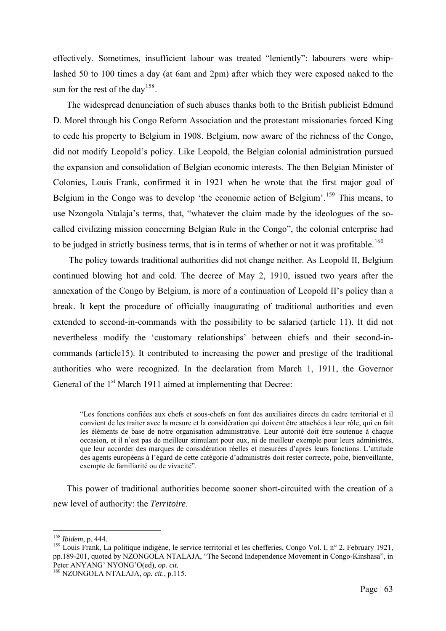effectively. Sometimes, insufficient labour was treated "leniently": labourers were whiplashed 50 to 100 times a day (at 6am and 2pm) after which they were exposed naked to the sun for the rest of the day<sup>[158](#page-69-0)</sup>.

The widespread denunciation of such abuses thanks both to the British publicist Edmund D. Morel through his Congo Reform Association and the protestant missionaries forced King to cede his property to Belgium in 1908. Belgium, now aware of the richness of the Congo, did not modify Leopold's policy. Like Leopold, the Belgian colonial administration pursued the expansion and consolidation of Belgian economic interests. The then Belgian Minister of Colonies, Louis Frank, confirmed it in 1921 when he wrote that the first major goal of Belgium in the Congo was to develop 'the economic action of Belgium'.<sup>[159](#page-69-1)</sup> This means, to use Nzongola Ntalaja's terms, that, "whatever the claim made by the ideologues of the socalled civilizing mission concerning Belgian Rule in the Congo", the colonial enterprise had to be judged in strictly business terms, that is in terms of whether or not it was profitable.<sup>160</sup>

 The policy towards traditional authorities did not change neither. As Leopold II, Belgium continued blowing hot and cold. The decree of May 2, 1910, issued two years after the annexation of the Congo by Belgium, is more of a continuation of Leopold II's policy than a break. It kept the procedure of officially inaugurating of traditional authorities and even extended to second-in-commands with the possibility to be salaried (article 11). It did not nevertheless modify the 'customary relationships' between chiefs and their second-incommands (article15). It contributed to increasing the power and prestige of the traditional authorities who were recognized. In the declaration from March 1, 1911, the Governor General of the 1<sup>st</sup> March 1911 aimed at implementing that Decree:

"Les fonctions confiées aux chefs et sous-chefs en font des auxiliaires directs du cadre territorial et il convient de les traiter avec la mesure et la considération qui doivent être attachées à leur rôle, qui en fait les éléments de base de notre organisation administrative. Leur autorité doit être soutenue à chaque occasion, et il n'est pas de meilleur stimulant pour eux, ni de meilleur exemple pour leurs administrés, que leur accorder des marques de considération réelles et mesurées d'après leurs fonctions. L'attitude des agents européens à l'égard de cette catégorie d'administrés doit rester correcte, polie, bienveillante, exempte de familiarité ou de vivacité".

This power of traditional authorities become sooner short-circuited with the creation of a new level of authority: the *Territoire*.

<span id="page-69-0"></span> $158$  Ibidem, p. 444.

<span id="page-69-1"></span><sup>&</sup>lt;sup>159</sup> Louis Frank, La politique indigène, le service territorial et les chefferies, Congo Vol. I, n° 2, February 1921, pp.189-201, quoted by NZONGOLA NTALAJA, "The Second Independence Movement in Congo-Kinshasa", in<br>Peter ANYANG' NYONG'O(ed), op. cit.

 $P_{160}$  NZONGOLA NTALAJA, *op. cit.*, p.115.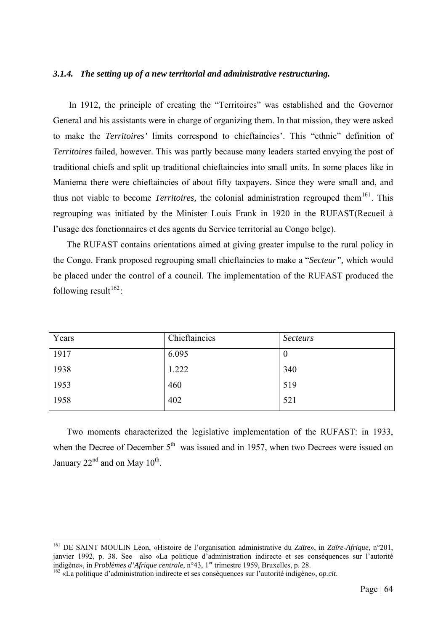## *3.1.4. The setting up of a new territorial and administrative restructuring.*

 In 1912, the principle of creating the "Territoires" was established and the Governor General and his assistants were in charge of organizing them. In that mission, they were asked to make the *Territoires'* limits correspond to chieftaincies'. This "ethnic" definition of *Territoires* failed, however. This was partly because many leaders started envying the post of traditional chiefs and split up traditional chieftaincies into small units. In some places like in Maniema there were chieftaincies of about fifty taxpayers. Since they were small and, and thus not viable to become *Territoires*, the colonial administration regrouped them<sup>[161](#page-70-0)</sup>. This regrouping was initiated by the Minister Louis Frank in 1920 in the RUFAST(Recueil à l'usage des fonctionnaires et des agents du Service territorial au Congo belge).

The RUFAST contains orientations aimed at giving greater impulse to the rural policy in the Congo. Frank proposed regrouping small chieftaincies to make a "*Secteur",* which would be placed under the control of a council. The implementation of the RUFAST produced the following result<sup>[162](#page-70-1)</sup>:

| Years | Chieftaincies | <b>Secteurs</b> |
|-------|---------------|-----------------|
| 1917  | 6.095         | $\theta$        |
| 1938  | 1.222         | 340             |
| 1953  | 460           | 519             |
| 1958  | 402           | 521             |

Two moments characterized the legislative implementation of the RUFAST: in 1933, when the Decree of December  $5<sup>th</sup>$  was issued and in 1957, when two Decrees were issued on January  $22<sup>nd</sup>$  and on May  $10<sup>th</sup>$ .

<span id="page-70-0"></span><sup>161</sup> DE SAINT MOULIN Léon, «Histoire de l'organisation administrative du Zaïre», in *Zaïre-Afrique*, n°201, janvier 1992, p. 38. See also «La politique d'administration indirecte et ses conséquences sur l'autorité indigène», in Problèmes d'Afrique centrale, n°43, l<sup>er</sup> trimestre 1959, Bruxelles, p. 28.

<span id="page-70-1"></span><sup>&</sup>lt;sup>162</sup> «La politique d'administration indirecte et ses conséquences sur l'autorité indigène», *op.cit*.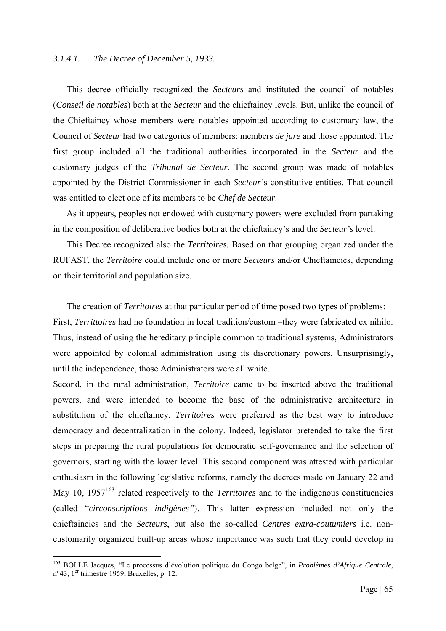# *3.1.4.1. The Decree of December 5, 1933.*

This decree officially recognized the *Secteurs* and instituted the council of notables (*Conseil de notables*) both at the *Secteur* and the chieftaincy levels. But, unlike the council of the Chieftaincy whose members were notables appointed according to customary law, the Council of *Secteur* had two categories of members: members *de jure* and those appointed. The first group included all the traditional authorities incorporated in the *Secteur* and the customary judges of the *Tribunal de Secteur*. The second group was made of notables appointed by the District Commissioner in each *Secteur'*s constitutive entities. That council was entitled to elect one of its members to be *Chef de Secteur*.

As it appears, peoples not endowed with customary powers were excluded from partaking in the composition of deliberative bodies both at the chieftaincy's and the *Secteur's* level.

This Decree recognized also the *Territoires.* Based on that grouping organized under the RUFAST, the *Territoire* could include one or more *Secteurs* and/or Chieftaincies, depending on their territorial and population size.

The creation of *Territoires* at that particular period of time posed two types of problems: First, *Territtoires* had no foundation in local tradition/custom –they were fabricated ex nihilo. Thus, instead of using the hereditary principle common to traditional systems, Administrators were appointed by colonial administration using its discretionary powers. Unsurprisingly, until the independence, those Administrators were all white.

Second, in the rural administration, *Territoire* came to be inserted above the traditional powers, and were intended to become the base of the administrative architecture in substitution of the chieftaincy. *Territoires* were preferred as the best way to introduce democracy and decentralization in the colony. Indeed, legislator pretended to take the first steps in preparing the rural populations for democratic self-governance and the selection of governors, starting with the lower level. This second component was attested with particular enthusiasm in the following legislative reforms, namely the decrees made on January 22 and May 10, 1957<sup>[163](#page-71-0)</sup> related respectively to the *Territoires* and to the indigenous constituencies (called "*circonscriptions indigènes"*). This latter expression included not only the chieftaincies and the *Secteurs*, but also the so-called *Centres extra-coutumiers* i.e. noncustomarily organized built-up areas whose importance was such that they could develop in

<span id="page-71-0"></span><sup>163</sup> BOLLE Jacques, "Le processus d'évolution politique du Congo belge", in *Problèmes d'Afrique Centrale*, n°43, 1<sup>er</sup> trimestre 1959, Bruxelles, p. 12.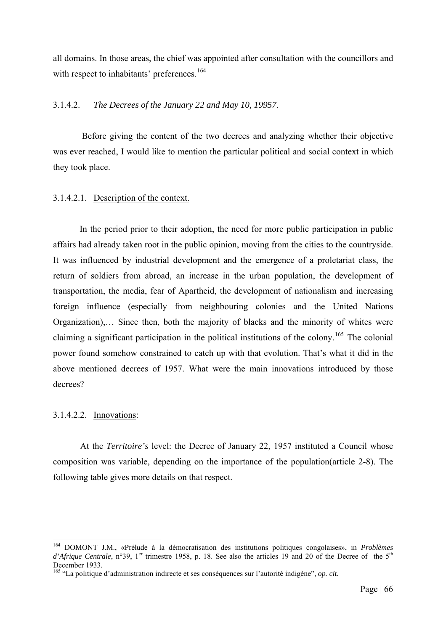all domains. In those areas, the chief was appointed after consultation with the councillors and with respect to inhabitants' preferences.<sup>[164](#page-72-0)</sup>

# 3.1.4.2. *The Decrees of the January 22 and May 10, 19957*.

 Before giving the content of the two decrees and analyzing whether their objective was ever reached, I would like to mention the particular political and social context in which they took place.

# 3.1.4.2.1. Description of the context.

In the period prior to their adoption, the need for more public participation in public affairs had already taken root in the public opinion, moving from the cities to the countryside. It was influenced by industrial development and the emergence of a proletariat class, the return of soldiers from abroad, an increase in the urban population, the development of transportation, the media, fear of Apartheid, the development of nationalism and increasing foreign influence (especially from neighbouring colonies and the United Nations Organization),… Since then, both the majority of blacks and the minority of whites were claiming a significant participation in the political institutions of the colony.<sup>[165](#page-72-1)</sup> The colonial power found somehow constrained to catch up with that evolution. That's what it did in the above mentioned decrees of 1957. What were the main innovations introduced by those decrees?

### 3.1.4.2.2. Innovations:

1

At the *Territoire's* level: the Decree of January 22, 1957 instituted a Council whose composition was variable, depending on the importance of the population(article 2-8). The following table gives more details on that respect.

<span id="page-72-0"></span><sup>164</sup> DOMONT J.M., «Prélude à la démocratisation des institutions politiques congolaises», in *Problèmes d'Afrique Centrale*, n°39, 1<sup>er</sup> trimestre 1958, p. 18. See also the articles 19 and 20 of the Decree of the 5<sup>th</sup> December 1933.

<span id="page-72-1"></span><sup>165 &</sup>quot;La politique d'administration indirecte et ses conséquences sur l'autorité indigène", *op. cit*.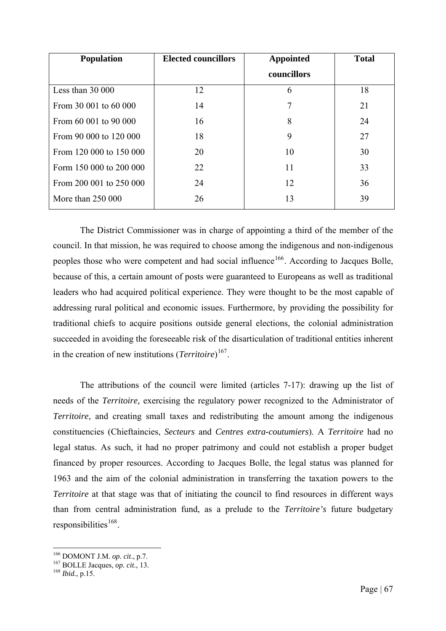| <b>Population</b>       | <b>Elected councillors</b> | <b>Appointed</b> | <b>Total</b> |
|-------------------------|----------------------------|------------------|--------------|
|                         |                            | councillors      |              |
| Less than 30 000        | 12                         | 6                | 18           |
| From 30 001 to 60 000   | 14                         |                  | 21           |
| From 60 001 to 90 000   | 16                         | 8                | 24           |
| From 90 000 to 120 000  | 18                         | 9                | 27           |
| From 120 000 to 150 000 | 20                         | 10               | 30           |
| Form 150 000 to 200 000 | 22                         | 11               | 33           |
| From 200 001 to 250 000 | 24                         | 12               | 36           |
| More than 250 000       | 26                         | 13               | 39           |

The District Commissioner was in charge of appointing a third of the member of the council. In that mission, he was required to choose among the indigenous and non-indigenous peoples those who were competent and had social influence<sup>[166](#page-73-0)</sup>. According to Jacques Bolle, because of this, a certain amount of posts were guaranteed to Europeans as well as traditional leaders who had acquired political experience. They were thought to be the most capable of addressing rural political and economic issues. Furthermore, by providing the possibility for traditional chiefs to acquire positions outside general elections, the colonial administration succeeded in avoiding the foreseeable risk of the disarticulation of traditional entities inherent in the creation of new institutions (*Territoire*) [167](#page-73-1).

The attributions of the council were limited (articles 7-17): drawing up the list of needs of the *Territoire,* exercising the regulatory power recognized to the Administrator of *Territoire*, and creating small taxes and redistributing the amount among the indigenous constituencies (Chieftaincies, *Secteurs* and *Centres extra-coutumiers*). A *Territoire* had no legal status. As such, it had no proper patrimony and could not establish a proper budget financed by proper resources. According to Jacques Bolle, the legal status was planned for 1963 and the aim of the colonial administration in transferring the taxation powers to the *Territoire* at that stage was that of initiating the council to find resources in different ways than from central administration fund, as a prelude to the *Territoire's* future budgetary responsibilities $168$ .

<span id="page-73-1"></span><span id="page-73-0"></span>

<sup>166</sup> DOMONT J.M. *op. cit*., p.7. 167 BOLLE Jacques, *op. cit*., 13. 168 *Ibid.*, p.15.

<span id="page-73-2"></span>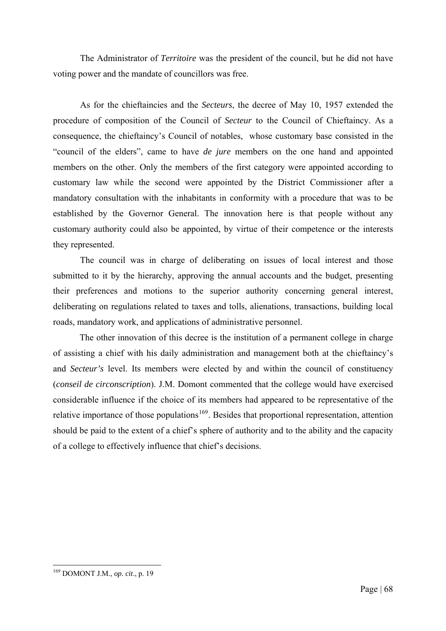The Administrator of *Territoire* was the president of the council, but he did not have voting power and the mandate of councillors was free.

As for the chieftaincies and the *Secteurs*, the decree of May 10, 1957 extended the procedure of composition of the Council of *Secteur* to the Council of Chieftaincy. As a consequence, the chieftaincy's Council of notables, whose customary base consisted in the "council of the elders", came to have *de jure* members on the one hand and appointed members on the other. Only the members of the first category were appointed according to customary law while the second were appointed by the District Commissioner after a mandatory consultation with the inhabitants in conformity with a procedure that was to be established by the Governor General. The innovation here is that people without any customary authority could also be appointed, by virtue of their competence or the interests they represented.

The council was in charge of deliberating on issues of local interest and those submitted to it by the hierarchy, approving the annual accounts and the budget, presenting their preferences and motions to the superior authority concerning general interest, deliberating on regulations related to taxes and tolls, alienations, transactions, building local roads, mandatory work, and applications of administrative personnel.

The other innovation of this decree is the institution of a permanent college in charge of assisting a chief with his daily administration and management both at the chieftaincy's and *Secteur's* level. Its members were elected by and within the council of constituency (*conseil de circonscription*). J.M. Domont commented that the college would have exercised considerable influence if the choice of its members had appeared to be representative of the relative importance of those populations<sup>[169](#page-74-0)</sup>. Besides that proportional representation, attention should be paid to the extent of a chief's sphere of authority and to the ability and the capacity of a college to effectively influence that chief's decisions.

<span id="page-74-0"></span><sup>1</sup> 169 DOMONT J.M., *op. cit*., p. 19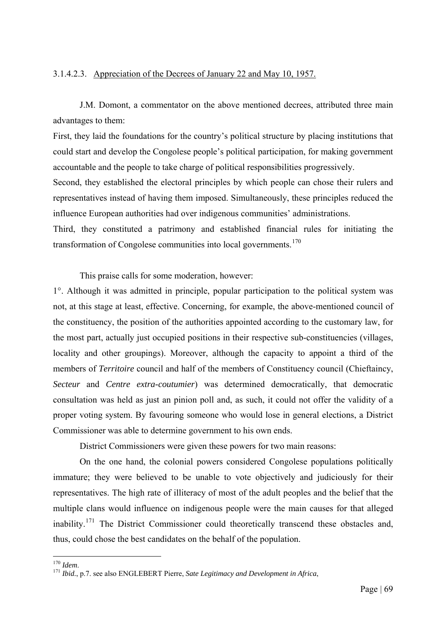# 3.1.4.2.3. Appreciation of the Decrees of January 22 and May 10, 1957.

J.M. Domont, a commentator on the above mentioned decrees, attributed three main advantages to them:

First, they laid the foundations for the country's political structure by placing institutions that could start and develop the Congolese people's political participation, for making government accountable and the people to take charge of political responsibilities progressively.

Second, they established the electoral principles by which people can chose their rulers and representatives instead of having them imposed. Simultaneously, these principles reduced the influence European authorities had over indigenous communities' administrations.

Third, they constituted a patrimony and established financial rules for initiating the transformation of Congolese communities into local governments.<sup>[170](#page-75-0)</sup>

This praise calls for some moderation, however:

1°. Although it was admitted in principle, popular participation to the political system was not, at this stage at least, effective. Concerning, for example, the above-mentioned council of the constituency, the position of the authorities appointed according to the customary law, for the most part, actually just occupied positions in their respective sub-constituencies (villages, locality and other groupings). Moreover, although the capacity to appoint a third of the members of *Territoire* council and half of the members of Constituency council (Chieftaincy, *Secteur* and *Centre extra-coutumier*) was determined democratically, that democratic consultation was held as just an pinion poll and, as such, it could not offer the validity of a proper voting system. By favouring someone who would lose in general elections, a District Commissioner was able to determine government to his own ends.

District Commissioners were given these powers for two main reasons:

On the one hand, the colonial powers considered Congolese populations politically immature; they were believed to be unable to vote objectively and judiciously for their representatives. The high rate of illiteracy of most of the adult peoples and the belief that the multiple clans would influence on indigenous people were the main causes for that alleged inability.<sup>[171](#page-75-1)</sup> The District Commissioner could theoretically transcend these obstacles and, thus, could chose the best candidates on the behalf of the population.

<span id="page-75-0"></span> $170$  *Idem.* 

<span id="page-75-1"></span><sup>&</sup>lt;sup>171</sup> *Ibid.*, p.7. see also ENGLEBERT Pierre, *Sate Legitimacy and Development in Africa*,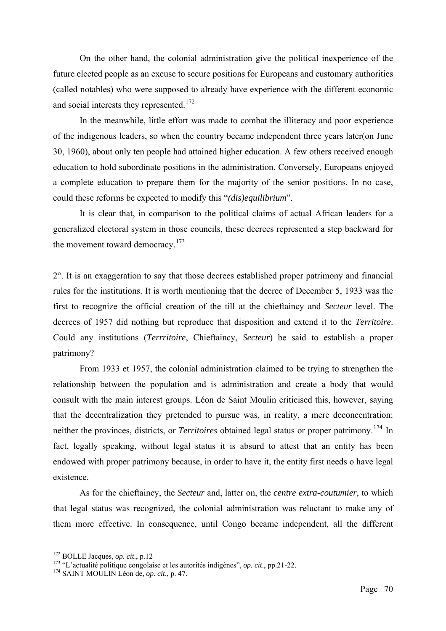On the other hand, the colonial administration give the political inexperience of the future elected people as an excuse to secure positions for Europeans and customary authorities (called notables) who were supposed to already have experience with the different economic and social interests they represented.<sup>[172](#page-76-0)</sup>

In the meanwhile, little effort was made to combat the illiteracy and poor experience of the indigenous leaders, so when the country became independent three years later(on June 30, 1960), about only ten people had attained higher education. A few others received enough education to hold subordinate positions in the administration. Conversely, Europeans enjoyed a complete education to prepare them for the majority of the senior positions. In no case, could these reforms be expected to modify this "*(dis)equilibrium*".

It is clear that, in comparison to the political claims of actual African leaders for a generalized electoral system in those councils, these decrees represented a step backward for the movement toward democracy.<sup>[173](#page-76-1)</sup>

2°. It is an exaggeration to say that those decrees established proper patrimony and financial rules for the institutions. It is worth mentioning that the decree of December 5, 1933 was the first to recognize the official creation of the till at the chieftaincy and *Secteur* level. The decrees of 1957 did nothing but reproduce that disposition and extend it to the *Territoire*. Could any institutions (*Terrritoire*, Chieftaincy, *Secteur*) be said to establish a proper patrimony?

From 1933 et 1957, the colonial administration claimed to be trying to strengthen the relationship between the population and is administration and create a body that would consult with the main interest groups. Léon de Saint Moulin criticised this, however, saying that the decentralization they pretended to pursue was, in reality, a mere deconcentration: neither the provinces, districts, or *Territoires* obtained legal status or proper patrimony.<sup>[174](#page-76-2)</sup> In fact, legally speaking, without legal status it is absurd to attest that an entity has been endowed with proper patrimony because, in order to have it, the entity first needs o have legal existence.

As for the chieftaincy, the *Secteur* and, latter on, the *centre extra-coutumier*, to which that legal status was recognized, the colonial administration was reluctant to make any of them more effective. In consequence, until Congo became independent, all the different

<span id="page-76-0"></span><sup>&</sup>lt;sup>172</sup> BOLLE Jacques, op. cit., p.12

<span id="page-76-1"></span><sup>173 &</sup>quot;L'actualité politique congolaise et les autorités indigènes", *op. cit.*, pp.21-22.<br><sup>174</sup> SAINT MOULIN Léon de, *op. cit.*, p. 47.

<span id="page-76-2"></span>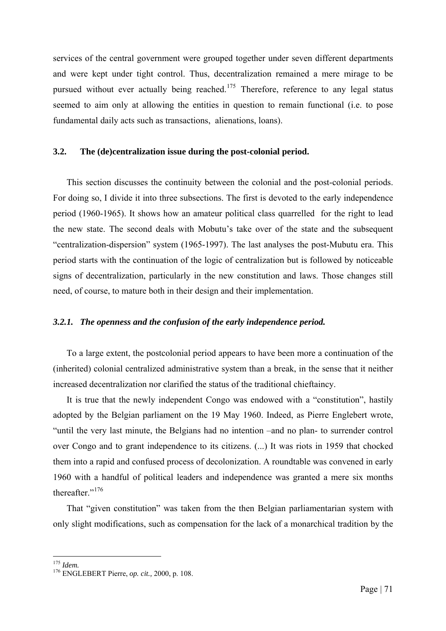services of the central government were grouped together under seven different departments and were kept under tight control. Thus, decentralization remained a mere mirage to be pursued without ever actually being reached.<sup>[175](#page-77-0)</sup> Therefore, reference to any legal status seemed to aim only at allowing the entities in question to remain functional (i.e. to pose fundamental daily acts such as transactions, alienations, loans).

## **3.2. The (de)centralization issue during the post-colonial period.**

This section discusses the continuity between the colonial and the post-colonial periods. For doing so, I divide it into three subsections. The first is devoted to the early independence period (1960-1965). It shows how an amateur political class quarrelled for the right to lead the new state. The second deals with Mobutu's take over of the state and the subsequent "centralization-dispersion" system (1965-1997). The last analyses the post-Mubutu era. This period starts with the continuation of the logic of centralization but is followed by noticeable signs of decentralization, particularly in the new constitution and laws. Those changes still need, of course, to mature both in their design and their implementation.

#### *3.2.1. The openness and the confusion of the early independence period.*

To a large extent, the postcolonial period appears to have been more a continuation of the (inherited) colonial centralized administrative system than a break, in the sense that it neither increased decentralization nor clarified the status of the traditional chieftaincy.

It is true that the newly independent Congo was endowed with a "constitution", hastily adopted by the Belgian parliament on the 19 May 1960. Indeed, as Pierre Englebert wrote, "until the very last minute, the Belgians had no intention –and no plan- to surrender control over Congo and to grant independence to its citizens. (...) It was riots in 1959 that chocked them into a rapid and confused process of decolonization. A roundtable was convened in early 1960 with a handful of political leaders and independence was granted a mere six months thereafter."[176](#page-77-1)

That "given constitution" was taken from the then Belgian parliamentarian system with only slight modifications, such as compensation for the lack of a monarchical tradition by the

<span id="page-77-0"></span> $175$  *Idem.* 

<span id="page-77-1"></span><sup>175</sup> *Idem.* 176 ENGLEBERT Pierre, *op. cit.,* 2000, p. 108.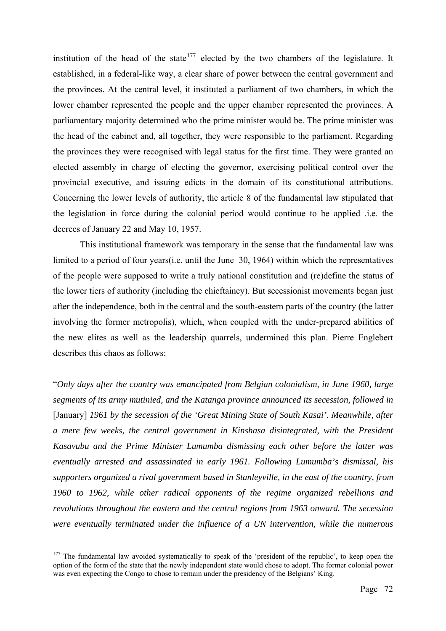institution of the head of the state<sup>[177](#page-78-0)</sup> elected by the two chambers of the legislature. It established, in a federal-like way, a clear share of power between the central government and the provinces. At the central level, it instituted a parliament of two chambers, in which the lower chamber represented the people and the upper chamber represented the provinces. A parliamentary majority determined who the prime minister would be. The prime minister was the head of the cabinet and, all together, they were responsible to the parliament. Regarding the provinces they were recognised with legal status for the first time. They were granted an elected assembly in charge of electing the governor, exercising political control over the provincial executive, and issuing edicts in the domain of its constitutional attributions. Concerning the lower levels of authority, the article 8 of the fundamental law stipulated that the legislation in force during the colonial period would continue to be applied .i.e. the decrees of January 22 and May 10, 1957.

 This institutional framework was temporary in the sense that the fundamental law was limited to a period of four years(i.e. until the June 30, 1964) within which the representatives of the people were supposed to write a truly national constitution and (re)define the status of the lower tiers of authority (including the chieftaincy). But secessionist movements began just after the independence, both in the central and the south-eastern parts of the country (the latter involving the former metropolis), which, when coupled with the under-prepared abilities of the new elites as well as the leadership quarrels, undermined this plan. Pierre Englebert describes this chaos as follows:

"*Only days after the country was emancipated from Belgian colonialism, in June 1960, large segments of its army mutinied, and the Katanga province announced its secession, followed in*  [January] *1961 by the secession of the 'Great Mining State of South Kasai'. Meanwhile, after a mere few weeks, the central government in Kinshasa disintegrated, with the President Kasavubu and the Prime Minister Lumumba dismissing each other before the latter was eventually arrested and assassinated in early 1961. Following Lumumba's dismissal, his supporters organized a rival government based in Stanleyville, in the east of the country, from 1960 to 1962, while other radical opponents of the regime organized rebellions and revolutions throughout the eastern and the central regions from 1963 onward. The secession were eventually terminated under the influence of a UN intervention, while the numerous* 

<span id="page-78-0"></span><sup>&</sup>lt;sup>177</sup> The fundamental law avoided systematically to speak of the 'president of the republic', to keep open the option of the form of the state that the newly independent state would chose to adopt. The former colonial power was even expecting the Congo to chose to remain under the presidency of the Belgians' King.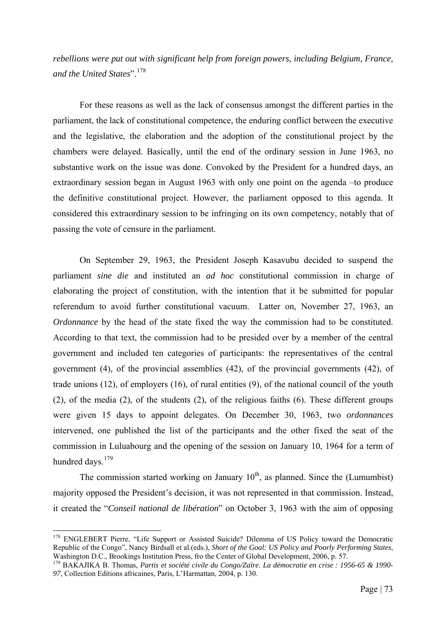*rebellions were put out with significant help from foreign powers, including Belgium, France, and the United States*".[178](#page-79-0)

For these reasons as well as the lack of consensus amongst the different parties in the parliament, the lack of constitutional competence, the enduring conflict between the executive and the legislative, the elaboration and the adoption of the constitutional project by the chambers were delayed. Basically, until the end of the ordinary session in June 1963, no substantive work on the issue was done. Convoked by the President for a hundred days, an extraordinary session began in August 1963 with only one point on the agenda –to produce the definitive constitutional project. However, the parliament opposed to this agenda. It considered this extraordinary session to be infringing on its own competency, notably that of passing the vote of censure in the parliament.

On September 29, 1963, the President Joseph Kasavubu decided to suspend the parliament *sine die* and instituted an *ad hoc* constitutional commission in charge of elaborating the project of constitution, with the intention that it be submitted for popular referendum to avoid further constitutional vacuum. Latter on, November 27, 1963, an *Ordonnance* by the head of the state fixed the way the commission had to be constituted. According to that text, the commission had to be presided over by a member of the central government and included ten categories of participants: the representatives of the central government (4), of the provincial assemblies (42), of the provincial governments (42), of trade unions (12), of employers (16), of rural entities (9), of the national council of the youth (2), of the media (2), of the students (2), of the religious faiths (6). These different groups were given 15 days to appoint delegates. On December 30, 1963, two *ordonnances* intervened, one published the list of the participants and the other fixed the seat of the commission in Luluabourg and the opening of the session on January 10, 1964 for a term of hundred days.<sup>[179](#page-79-1)</sup>

The commission started working on January  $10<sup>th</sup>$ , as planned. Since the (Lumumbist) majority opposed the President's decision, it was not represented in that commission. Instead, it created the "*Conseil national de libération*" on October 3, 1963 with the aim of opposing

<span id="page-79-0"></span><sup>&</sup>lt;sup>178</sup> ENGLEBERT Pierre, "Life Support or Assisted Suicide? Dilemma of US Policy toward the Democratic Republic of the Congo", Nancy Birdsall et al.(eds.), *Short of the Goal: US Policy and Poorly Performing States*, Washington D.C., Brookings Institution Press, fro the Center of Global Development, 2006, p. 57.

<span id="page-79-1"></span><sup>&</sup>lt;sup>179</sup> BAKAJIKA B. Thomas, *Partis et société civile du Congo/Zaïre. La démocratie en crise : 1956-65 & 1990-97*, Collection Editions africaines, Paris, L'Harmattan, 2004, p. 130.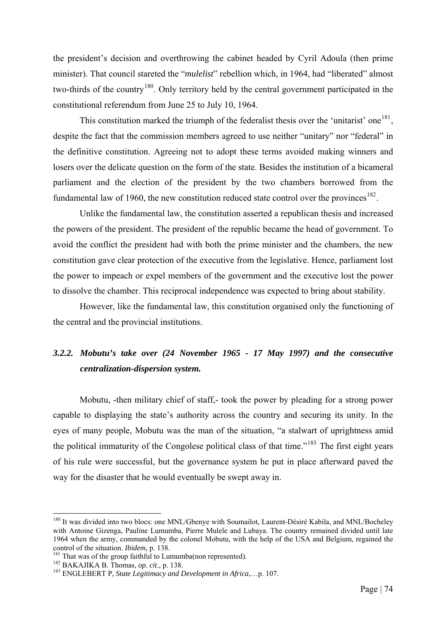the president's decision and overthrowing the cabinet headed by Cyril Adoula (then prime minister). That council stareted the "*mulelist*" rebellion which, in 1964, had "liberated" almost two-thirds of the country<sup>[180](#page-80-0)</sup>. Only territory held by the central government participated in the constitutional referendum from June 25 to July 10, 1964.

This constitution marked the triumph of the federalist thesis over the 'unitarist' one<sup>[181](#page-80-1)</sup>, despite the fact that the commission members agreed to use neither "unitary" nor "federal" in the definitive constitution. Agreeing not to adopt these terms avoided making winners and losers over the delicate question on the form of the state. Besides the institution of a bicameral parliament and the election of the president by the two chambers borrowed from the fundamental law of 1960, the new constitution reduced state control over the provinces<sup>[182](#page-80-2)</sup>.

Unlike the fundamental law, the constitution asserted a republican thesis and increased the powers of the president. The president of the republic became the head of government. To avoid the conflict the president had with both the prime minister and the chambers, the new constitution gave clear protection of the executive from the legislative. Hence, parliament lost the power to impeach or expel members of the government and the executive lost the power to dissolve the chamber. This reciprocal independence was expected to bring about stability.

However, like the fundamental law, this constitution organised only the functioning of the central and the provincial institutions.

# *3.2.2. Mobutu's take over (24 November 1965 - 17 May 1997) and the consecutive centralization-dispersion system.*

Mobutu, -then military chief of staff,- took the power by pleading for a strong power capable to displaying the state's authority across the country and securing its unity. In the eyes of many people, Mobutu was the man of the situation, "a stalwart of uprightness amid the political immaturity of the Congolese political class of that time."[183](#page-80-3) The first eight years of his rule were successful, but the governance system he put in place afterward paved the way for the disaster that he would eventually be swept away in.

<span id="page-80-0"></span><sup>&</sup>lt;sup>180</sup> It was divided into two blocs: one MNL/Gbenye with Soumailot, Laurent-Désiré Kabila, and MNL/Bocheley with Antoine Gizenga, Pauline Lumumba, Pierre Mulele and Lubaya. The country remained divided until late 1964 when the army, commanded by the colonel Mobutu, with the help of the USA and Belgium, regained the control of the situation. *Ibidem*, p. 138.

<span id="page-80-3"></span><span id="page-80-2"></span>

<span id="page-80-1"></span><sup>&</sup>lt;sup>181</sup> That was of the group faithful to Lumumba(non represented).<br><sup>182</sup> BAKAJIKA B. Thomas, *op. cit.*, p. 138.<br><sup>183</sup> ENGLEBERT P, *State Legitimacy and Development in Africa*,...p. 107.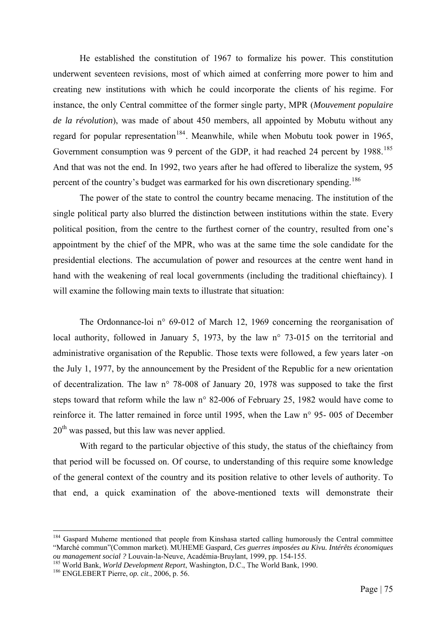He established the constitution of 1967 to formalize his power. This constitution underwent seventeen revisions, most of which aimed at conferring more power to him and creating new institutions with which he could incorporate the clients of his regime. For instance, the only Central committee of the former single party, MPR (*Mouvement populaire de la révolution*), was made of about 450 members, all appointed by Mobutu without any regard for popular representation<sup>[184](#page-81-0)</sup>. Meanwhile, while when Mobutu took power in 1965, Government consumption was 9 percent of the GDP, it had reached 24 percent by 1988.<sup>[185](#page-81-1)</sup> And that was not the end. In 1992, two years after he had offered to liberalize the system, 95 percent of the country's budget was earmarked for his own discretionary spending.<sup>[186](#page-81-2)</sup>

The power of the state to control the country became menacing. The institution of the single political party also blurred the distinction between institutions within the state. Every political position, from the centre to the furthest corner of the country, resulted from one's appointment by the chief of the MPR, who was at the same time the sole candidate for the presidential elections. The accumulation of power and resources at the centre went hand in hand with the weakening of real local governments (including the traditional chieftaincy). I will examine the following main texts to illustrate that situation:

The Ordonnance-loi n° 69-012 of March 12, 1969 concerning the reorganisation of local authority, followed in January 5, 1973, by the law n° 73-015 on the territorial and administrative organisation of the Republic. Those texts were followed, a few years later -on the July 1, 1977, by the announcement by the President of the Republic for a new orientation of decentralization. The law n° 78-008 of January 20, 1978 was supposed to take the first steps toward that reform while the law n° 82-006 of February 25, 1982 would have come to reinforce it. The latter remained in force until 1995, when the Law n° 95- 005 of December  $20<sup>th</sup>$  was passed, but this law was never applied.

With regard to the particular objective of this study, the status of the chieftaincy from that period will be focussed on. Of course, to understanding of this require some knowledge of the general context of the country and its position relative to other levels of authority. To that end, a quick examination of the above-mentioned texts will demonstrate their

<span id="page-81-0"></span><sup>&</sup>lt;sup>184</sup> Gaspard Muheme mentioned that people from Kinshasa started calling humorously the Central committee "Marché commun"(Common market). MUHEME Gaspard, *Ces guerres imposées au Kivu. Intérêts économiques* 

<span id="page-81-1"></span><sup>&</sup>lt;sup>185</sup> World Bank, *World Development Report*, Washington, D.C., The World Bank, 1990.<br><sup>186</sup> ENGLEBERT Pierre, *op. cit.*, 2006, p. 56.

<span id="page-81-2"></span>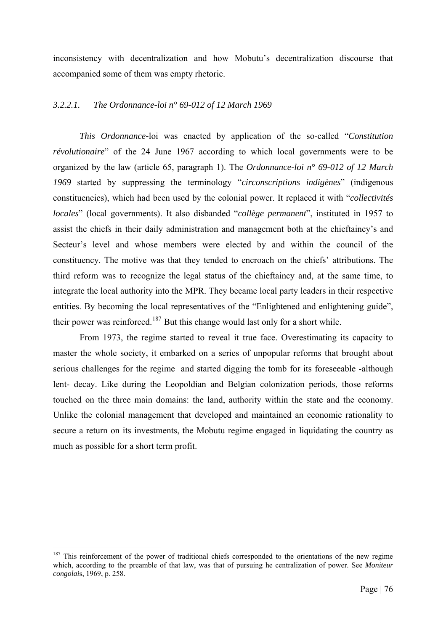inconsistency with decentralization and how Mobutu's decentralization discourse that accompanied some of them was empty rhetoric.

# *3.2.2.1. The Ordonnance-loi n° 69-012 of 12 March 1969*

*This Ordonnance-*loi was enacted by application of the so-called "*Constitution révolutionaire*" of the 24 June 1967 according to which local governments were to be organized by the law (article 65, paragraph 1). The *Ordonnance-loi n° 69-012 of 12 March 1969* started by suppressing the terminology "*circonscriptions indigènes*" (indigenous constituencies), which had been used by the colonial power. It replaced it with "*collectivités locales*" (local governments). It also disbanded "*collège permanent*", instituted in 1957 to assist the chiefs in their daily administration and management both at the chieftaincy's and Secteur's level and whose members were elected by and within the council of the constituency. The motive was that they tended to encroach on the chiefs' attributions. The third reform was to recognize the legal status of the chieftaincy and, at the same time, to integrate the local authority into the MPR. They became local party leaders in their respective entities. By becoming the local representatives of the "Enlightened and enlightening guide", their power was reinforced.<sup>[187](#page-82-0)</sup> But this change would last only for a short while.

From 1973, the regime started to reveal it true face. Overestimating its capacity to master the whole society, it embarked on a series of unpopular reforms that brought about serious challenges for the regime and started digging the tomb for its foreseeable -although lent- decay. Like during the Leopoldian and Belgian colonization periods, those reforms touched on the three main domains: the land, authority within the state and the economy. Unlike the colonial management that developed and maintained an economic rationality to secure a return on its investments, the Mobutu regime engaged in liquidating the country as much as possible for a short term profit.

<span id="page-82-0"></span><sup>&</sup>lt;sup>187</sup> This reinforcement of the power of traditional chiefs corresponded to the orientations of the new regime which, according to the preamble of that law, was that of pursuing he centralization of power. See *Moniteur congolai*s, 1969, p. 258.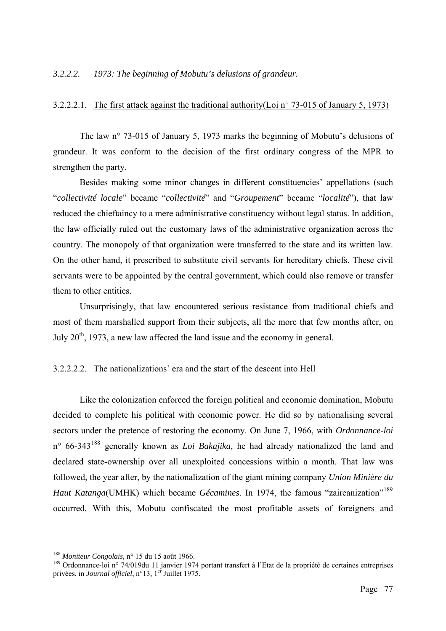#### *3.2.2.2. 1973: The beginning of Mobutu's delusions of grandeur.*

## 3.2.2.2.1. The first attack against the traditional authority(Loi n° 73-015 of January 5, 1973)

The law n° 73-015 of January 5, 1973 marks the beginning of Mobutu's delusions of grandeur. It was conform to the decision of the first ordinary congress of the MPR to strengthen the party.

Besides making some minor changes in different constituencies' appellations (such "*collectivité locale*" became "*collectivité*" and "*Groupement*" became "*localité*"), that law reduced the chieftaincy to a mere administrative constituency without legal status. In addition, the law officially ruled out the customary laws of the administrative organization across the country. The monopoly of that organization were transferred to the state and its written law. On the other hand, it prescribed to substitute civil servants for hereditary chiefs. These civil servants were to be appointed by the central government, which could also remove or transfer them to other entities.

Unsurprisingly, that law encountered serious resistance from traditional chiefs and most of them marshalled support from their subjects, all the more that few months after, on July  $20<sup>th</sup>$ , 1973, a new law affected the land issue and the economy in general.

## 3.2.2.2.2. The nationalizations' era and the start of the descent into Hell

Like the colonization enforced the foreign political and economic domination, Mobutu decided to complete his political with economic power. He did so by nationalising several sectors under the pretence of restoring the economy. On June 7, 1966, with *Ordonnance-loi* n° 66-343[188](#page-83-0) generally known as *Loi Bakajika,* he had already nationalized the land and declared state-ownership over all unexploited concessions within a month. That law was followed, the year after, by the nationalization of the giant mining company *Union Minière du Haut Katanga*(UMHK) which became *Gécamines*. In 1974, the famous "zaireanization"<sup>[189](#page-83-1)</sup> occurred. With this, Mobutu confiscated the most profitable assets of foreigners and

<span id="page-83-1"></span><span id="page-83-0"></span><sup>&</sup>lt;sup>188</sup> Moniteur Congolais, n° 15 du 15 août 1966.<br><sup>189</sup> Ordonnance-loi n° 74/019du 11 janvier 1974 portant transfert à l'Etat de la propriété de certaines entreprises privées, in *Journal officiel*, n°13, 1er Juillet 1975.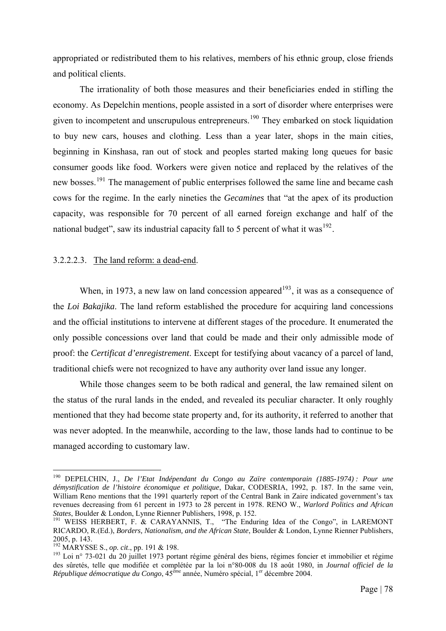appropriated or redistributed them to his relatives, members of his ethnic group, close friends and political clients.

The irrationality of both those measures and their beneficiaries ended in stifling the economy. As Depelchin mentions, people assisted in a sort of disorder where enterprises were given to incompetent and unscrupulous entrepreneurs.[190](#page-84-0) They embarked on stock liquidation to buy new cars, houses and clothing. Less than a year later, shops in the main cities, beginning in Kinshasa, ran out of stock and peoples started making long queues for basic consumer goods like food. Workers were given notice and replaced by the relatives of the new bosses.<sup>[191](#page-84-1)</sup> The management of public enterprises followed the same line and became cash cows for the regime. In the early nineties the *Gecamines* that "at the apex of its production capacity, was responsible for 70 percent of all earned foreign exchange and half of the national budget", saw its industrial capacity fall to 5 percent of what it was<sup>[192](#page-84-2)</sup>.

#### 3.2.2.2.3. The land reform: a dead-end.

When, in 1973, a new law on land concession appeared<sup>[193](#page-84-3)</sup>, it was as a consequence of the *Loi Bakajika*. The land reform established the procedure for acquiring land concessions and the official institutions to intervene at different stages of the procedure. It enumerated the only possible concessions over land that could be made and their only admissible mode of proof: the *Certificat d'enregistrement*. Except for testifying about vacancy of a parcel of land, traditional chiefs were not recognized to have any authority over land issue any longer.

While those changes seem to be both radical and general, the law remained silent on the status of the rural lands in the ended, and revealed its peculiar character. It only roughly mentioned that they had become state property and, for its authority, it referred to another that was never adopted. In the meanwhile, according to the law, those lands had to continue to be managed according to customary law.

<span id="page-84-0"></span><sup>190</sup> DEPELCHIN, J., *De l'Etat Indépendant du Congo au Zaïre contemporain (1885-1974) : Pour une démystification de l'histoire économique et politique*, Dakar, CODESRIA, 1992, p. 187. In the same vein, William Reno mentions that the 1991 quarterly report of the Central Bank in Zaire indicated government's tax revenues decreasing from 61 percent in 1973 to 28 percent in 1978. RENO W., *Warlord Politics and African* 

<span id="page-84-1"></span>*States*, Boulder & London, Lynne Rienner Publishers, 1998, p. 152. 191 WEISS HERBERT, F. & CARAYANNIS, T., "The Enduring Idea of the Congo", in LAREMONT RICARDO, R.(Ed.), *Borders, Nationalism, and the African State*, Boulder & London, Lynne Rienner Publishers, 2005, p. 143.<br><sup>192</sup> MARYSSE S., *op. cit.*, pp. 191 & 198.

<span id="page-84-3"></span><span id="page-84-2"></span><sup>&</sup>lt;sup>193</sup> Loi n° 73-021 du 20 juillet 1973 portant régime général des biens, régimes foncier et immobilier et régime des sûretés, telle que modifiée et complétée par la loi n°80-008 du 18 août 1980, in *Journal officiel de la République démocratique du Congo*, 45ème année, Numéro spécial, 1er décembre 2004.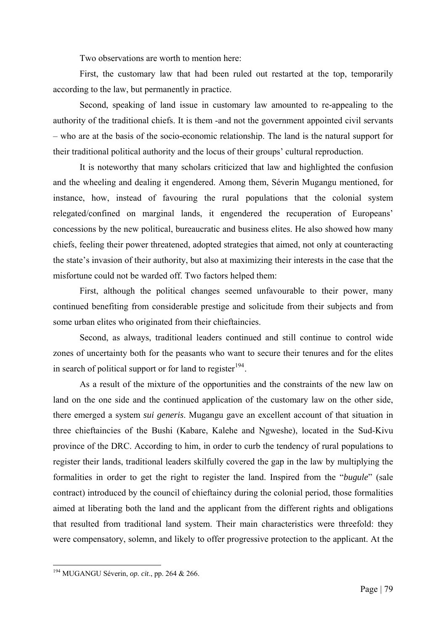Two observations are worth to mention here:

First, the customary law that had been ruled out restarted at the top, temporarily according to the law, but permanently in practice.

Second, speaking of land issue in customary law amounted to re-appealing to the authority of the traditional chiefs. It is them -and not the government appointed civil servants – who are at the basis of the socio-economic relationship. The land is the natural support for their traditional political authority and the locus of their groups' cultural reproduction.

It is noteworthy that many scholars criticized that law and highlighted the confusion and the wheeling and dealing it engendered. Among them, Séverin Mugangu mentioned, for instance, how, instead of favouring the rural populations that the colonial system relegated/confined on marginal lands, it engendered the recuperation of Europeans' concessions by the new political, bureaucratic and business elites. He also showed how many chiefs, feeling their power threatened, adopted strategies that aimed, not only at counteracting the state's invasion of their authority, but also at maximizing their interests in the case that the misfortune could not be warded off. Two factors helped them:

First, although the political changes seemed unfavourable to their power, many continued benefiting from considerable prestige and solicitude from their subjects and from some urban elites who originated from their chieftaincies.

Second, as always, traditional leaders continued and still continue to control wide zones of uncertainty both for the peasants who want to secure their tenures and for the elites in search of political support or for land to register $194$ .

As a result of the mixture of the opportunities and the constraints of the new law on land on the one side and the continued application of the customary law on the other side, there emerged a system *sui generis*. Mugangu gave an excellent account of that situation in three chieftaincies of the Bushi (Kabare, Kalehe and Ngweshe), located in the Sud-Kivu province of the DRC. According to him, in order to curb the tendency of rural populations to register their lands, traditional leaders skilfully covered the gap in the law by multiplying the formalities in order to get the right to register the land. Inspired from the "*bugule*" (sale contract) introduced by the council of chieftaincy during the colonial period, those formalities aimed at liberating both the land and the applicant from the different rights and obligations that resulted from traditional land system. Their main characteristics were threefold: they were compensatory, solemn, and likely to offer progressive protection to the applicant. At the

<span id="page-85-0"></span><sup>194</sup> MUGANGU Séverin, *op. cit*., pp. 264 & 266.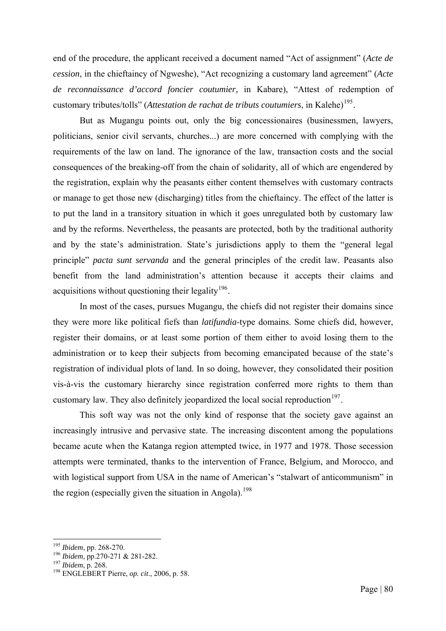end of the procedure, the applicant received a document named "Act of assignment" (*Acte de cession*, in the chieftaincy of Ngweshe), "Act recognizing a customary land agreement" (*Acte de reconnaissance d'accord foncier coutumier,* in Kabare), "Attest of redemption of customary tributes/tolls" (*Attestation de rachat de tributs coutumiers*, in Kalehe)<sup>[195](#page-86-0)</sup>.

But as Mugangu points out, only the big concessionaires (businessmen, lawyers, politicians, senior civil servants, churches...) are more concerned with complying with the requirements of the law on land. The ignorance of the law, transaction costs and the social consequences of the breaking-off from the chain of solidarity, all of which are engendered by the registration, explain why the peasants either content themselves with customary contracts or manage to get those new (discharging) titles from the chieftaincy. The effect of the latter is to put the land in a transitory situation in which it goes unregulated both by customary law and by the reforms. Nevertheless, the peasants are protected, both by the traditional authority and by the state's administration. State's jurisdictions apply to them the "general legal principle" *pacta sunt servanda* and the general principles of the credit law. Peasants also benefit from the land administration's attention because it accepts their claims and acquisitions without questioning their legality<sup>[196](#page-86-1)</sup>.

In most of the cases, pursues Mugangu, the chiefs did not register their domains since they were more like political fiefs than *latifundia*-type domains. Some chiefs did, however, register their domains, or at least some portion of them either to avoid losing them to the administration or to keep their subjects from becoming emancipated because of the state's registration of individual plots of land. In so doing, however, they consolidated their position vis-à-vis the customary hierarchy since registration conferred more rights to them than customary law. They also definitely jeopardized the local social reproduction<sup>[197](#page-86-2)</sup>.

This soft way was not the only kind of response that the society gave against an increasingly intrusive and pervasive state. The increasing discontent among the populations became acute when the Katanga region attempted twice, in 1977 and 1978. Those secession attempts were terminated, thanks to the intervention of France, Belgium, and Morocco, and with logistical support from USA in the name of American's "stalwart of anticommunism" in the region (especially given the situation in Angola).<sup>[198](#page-86-3)</sup>

<span id="page-86-0"></span><sup>&</sup>lt;sup>195</sup> Ibidem, pp. 268-270.

<span id="page-86-1"></span>

<span id="page-86-3"></span><span id="page-86-2"></span>

<sup>&</sup>lt;sup>196</sup> *Ibidem*, pp. 270-271 & 281-282.<br><sup>197</sup> *Ibidem*, p. 268.<br><sup>198</sup> ENGLEBERT Pierre, *op. cit.*, 2006, p. 58.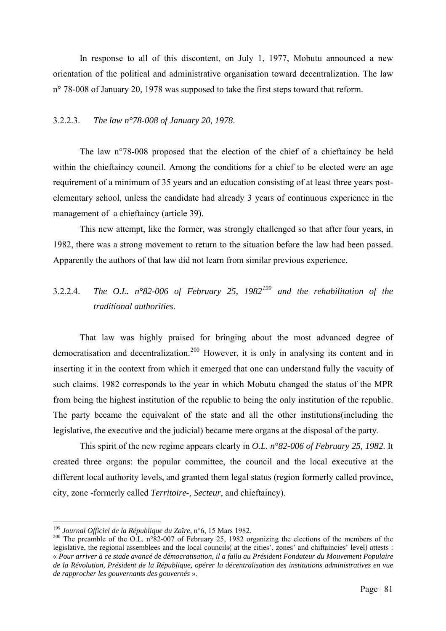In response to all of this discontent, on July 1, 1977, Mobutu announced a new orientation of the political and administrative organisation toward decentralization. The law n° 78-008 of January 20, 1978 was supposed to take the first steps toward that reform.

#### 3.2.2.3. *The law n°78-008 of January 20, 1978*.

The law n°78-008 proposed that the election of the chief of a chieftaincy be held within the chieftaincy council. Among the conditions for a chief to be elected were an age requirement of a minimum of 35 years and an education consisting of at least three years postelementary school, unless the candidate had already 3 years of continuous experience in the management of a chieftaincy (article 39).

This new attempt, like the former, was strongly challenged so that after four years, in 1982, there was a strong movement to return to the situation before the law had been passed. Apparently the authors of that law did not learn from similar previous experience.

# 3.2.2.4. *The O.L. n°82-006 of February 25, 1982[199](#page-87-0) and the rehabilitation of the traditional authorities*.

That law was highly praised for bringing about the most advanced degree of democratisation and decentralization.<sup>[200](#page-87-1)</sup> However, it is only in analysing its content and in inserting it in the context from which it emerged that one can understand fully the vacuity of such claims. 1982 corresponds to the year in which Mobutu changed the status of the MPR from being the highest institution of the republic to being the only institution of the republic. The party became the equivalent of the state and all the other institutions(including the legislative, the executive and the judicial) became mere organs at the disposal of the party.

This spirit of the new regime appears clearly in *O.L. n°82-006 of February 25, 1982.* It created three organs: the popular committee, the council and the local executive at the different local authority levels, and granted them legal status (region formerly called province, city, zone -formerly called *Territoire*-, *Secteur*, and chieftaincy).

<sup>&</sup>lt;sup>199</sup> Journal Officiel de la République du Zaïre, n°6, 15 Mars 1982.

<span id="page-87-1"></span><span id="page-87-0"></span><sup>&</sup>lt;sup>200</sup> The preamble of the O.L. n°82-007 of February 25, 1982 organizing the elections of the members of the legislative, the regional assemblees and the local councils( at the cities', zones' and chiftaincies' level) attests : « *Pour arriver à ce stade avancé de démocratisation, il a fallu au Président Fondateur du Mouvement Populaire de la Révolution, Président de la République, opérer la décentralisation des institutions administratives en vue de rapprocher les gouvernants des gouvernés* ».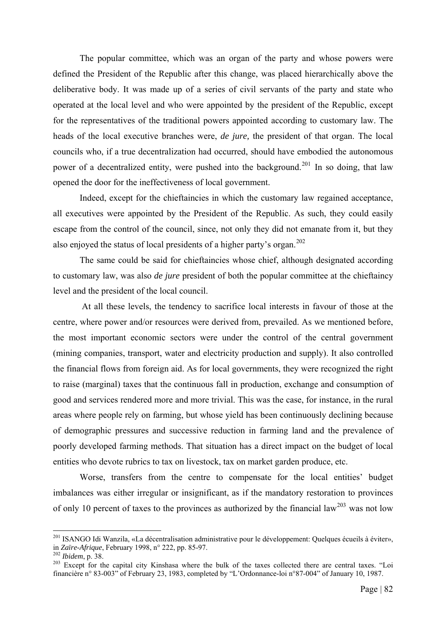The popular committee, which was an organ of the party and whose powers were defined the President of the Republic after this change, was placed hierarchically above the deliberative body. It was made up of a series of civil servants of the party and state who operated at the local level and who were appointed by the president of the Republic, except for the representatives of the traditional powers appointed according to customary law. The heads of the local executive branches were, *de jure,* the president of that organ. The local councils who, if a true decentralization had occurred, should have embodied the autonomous power of a decentralized entity, were pushed into the background.<sup>[201](#page-88-0)</sup> In so doing, that law opened the door for the ineffectiveness of local government.

Indeed, except for the chieftaincies in which the customary law regained acceptance, all executives were appointed by the President of the Republic. As such, they could easily escape from the control of the council, since, not only they did not emanate from it, but they also enjoyed the status of local presidents of a higher party's organ.<sup>[202](#page-88-1)</sup>

The same could be said for chieftaincies whose chief, although designated according to customary law, was also *de jure* president of both the popular committee at the chieftaincy level and the president of the local council.

 At all these levels, the tendency to sacrifice local interests in favour of those at the centre, where power and/or resources were derived from, prevailed. As we mentioned before, the most important economic sectors were under the control of the central government (mining companies, transport, water and electricity production and supply). It also controlled the financial flows from foreign aid. As for local governments, they were recognized the right to raise (marginal) taxes that the continuous fall in production, exchange and consumption of good and services rendered more and more trivial. This was the case, for instance, in the rural areas where people rely on farming, but whose yield has been continuously declining because of demographic pressures and successive reduction in farming land and the prevalence of poorly developed farming methods. That situation has a direct impact on the budget of local entities who devote rubrics to tax on livestock, tax on market garden produce, etc.

Worse, transfers from the centre to compensate for the local entities' budget imbalances was either irregular or insignificant, as if the mandatory restoration to provinces of only 10 percent of taxes to the provinces as authorized by the financial law<sup>[203](#page-88-2)</sup> was not low

<span id="page-88-0"></span><sup>&</sup>lt;sup>201</sup> ISANGO Idi Wanzila, «La décentralisation administrative pour le développement: Quelques écueils à éviter», in *Zaïre-Afrique*, February 1998, n° 222, pp. 85-97.<br><sup>202</sup> *Ibidem*, p. 38. Except for the capital city Kinshasa where the bulk of the taxes collected there are central taxes. "Loi

<span id="page-88-1"></span>

<span id="page-88-2"></span>financière n° 83-003" of February 23, 1983, completed by "L'Ordonnance-loi n°87-004" of January 10, 1987.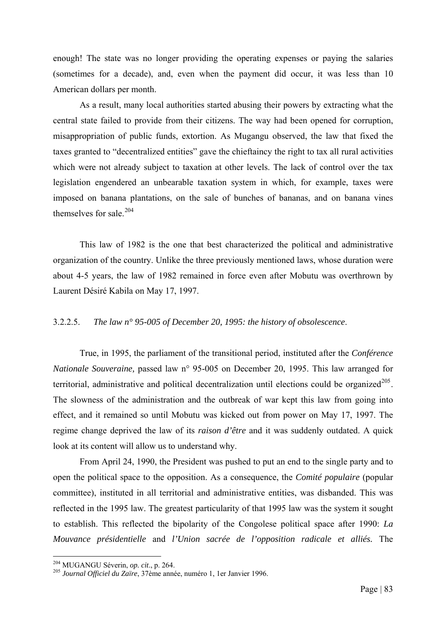enough! The state was no longer providing the operating expenses or paying the salaries (sometimes for a decade), and, even when the payment did occur, it was less than 10 American dollars per month.

As a result, many local authorities started abusing their powers by extracting what the central state failed to provide from their citizens. The way had been opened for corruption, misappropriation of public funds, extortion. As Mugangu observed, the law that fixed the taxes granted to "decentralized entities" gave the chieftaincy the right to tax all rural activities which were not already subject to taxation at other levels. The lack of control over the tax legislation engendered an unbearable taxation system in which, for example, taxes were imposed on banana plantations, on the sale of bunches of bananas, and on banana vines themselves for sale  $^{204}$  $^{204}$  $^{204}$ 

This law of 1982 is the one that best characterized the political and administrative organization of the country. Unlike the three previously mentioned laws, whose duration were about 4-5 years, the law of 1982 remained in force even after Mobutu was overthrown by Laurent Désiré Kabila on May 17, 1997.

#### 3.2.2.5. *The law n° 95-005 of December 20, 1995: the history of obsolescence*.

True, in 1995, the parliament of the transitional period, instituted after the *Conférence Nationale Souveraine,* passed law n° 95-005 on December 20, 1995. This law arranged for territorial, administrative and political decentralization until elections could be organized $^{205}$  $^{205}$  $^{205}$ . The slowness of the administration and the outbreak of war kept this law from going into effect, and it remained so until Mobutu was kicked out from power on May 17, 1997. The regime change deprived the law of its *raison d'être* and it was suddenly outdated. A quick look at its content will allow us to understand why.

From April 24, 1990, the President was pushed to put an end to the single party and to open the political space to the opposition. As a consequence, the *Comité populaire* (popular committee), instituted in all territorial and administrative entities, was disbanded. This was reflected in the 1995 law. The greatest particularity of that 1995 law was the system it sought to establish. This reflected the bipolarity of the Congolese political space after 1990: *La Mouvance présidentielle* and *l'Union sacrée de l'opposition radicale et alliés.* The

<span id="page-89-0"></span><sup>&</sup>lt;sup>204</sup> MUGANGU Séverin, op. cit., p. 264.

<span id="page-89-1"></span><sup>204</sup> MUGANGU Séverin, *op. cit*., p. 264. 205 *Journal Officiel du Zaïre*, 37ème année, numéro 1, 1er Janvier 1996.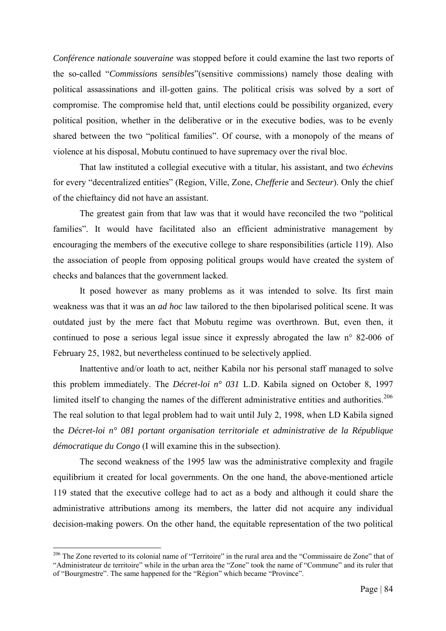*Conférence nationale souveraine* was stopped before it could examine the last two reports of the so-called "*Commissions sensibles*"(sensitive commissions) namely those dealing with political assassinations and ill-gotten gains. The political crisis was solved by a sort of compromise. The compromise held that, until elections could be possibility organized, every political position, whether in the deliberative or in the executive bodies, was to be evenly shared between the two "political families". Of course, with a monopoly of the means of violence at his disposal, Mobutu continued to have supremacy over the rival bloc.

That law instituted a collegial executive with a titular, his assistant, and two *échevins* for every "decentralized entities" (Region, Ville, Zone, *Chefferie* and *Secteur*). Only the chief of the chieftaincy did not have an assistant.

The greatest gain from that law was that it would have reconciled the two "political families". It would have facilitated also an efficient administrative management by encouraging the members of the executive college to share responsibilities (article 119). Also the association of people from opposing political groups would have created the system of checks and balances that the government lacked.

It posed however as many problems as it was intended to solve. Its first main weakness was that it was an *ad hoc* law tailored to the then bipolarised political scene. It was outdated just by the mere fact that Mobutu regime was overthrown. But, even then, it continued to pose a serious legal issue since it expressly abrogated the law n° 82-006 of February 25, 1982, but nevertheless continued to be selectively applied.

Inattentive and/or loath to act, neither Kabila nor his personal staff managed to solve this problem immediately. The *Décret-loi n° 031* L.D. Kabila signed on October 8, 1997 limited itself to changing the names of the different administrative entities and authorities.<sup>[206](#page-90-0)</sup> The real solution to that legal problem had to wait until July 2, 1998, when LD Kabila signed the *Décret-loi n° 081 portant organisation territoriale et administrative de la République démocratique du Congo* (I will examine this in the subsection).

The second weakness of the 1995 law was the administrative complexity and fragile equilibrium it created for local governments. On the one hand, the above-mentioned article 119 stated that the executive college had to act as a body and although it could share the administrative attributions among its members, the latter did not acquire any individual decision-making powers. On the other hand, the equitable representation of the two political

<span id="page-90-0"></span><sup>&</sup>lt;sup>206</sup> The Zone reverted to its colonial name of "Territoire" in the rural area and the "Commissaire de Zone" that of "Administrateur de territoire" while in the urban area the "Zone" took the name of "Commune" and its ruler that of "Bourgmestre". The same happened for the "Région" which became "Province".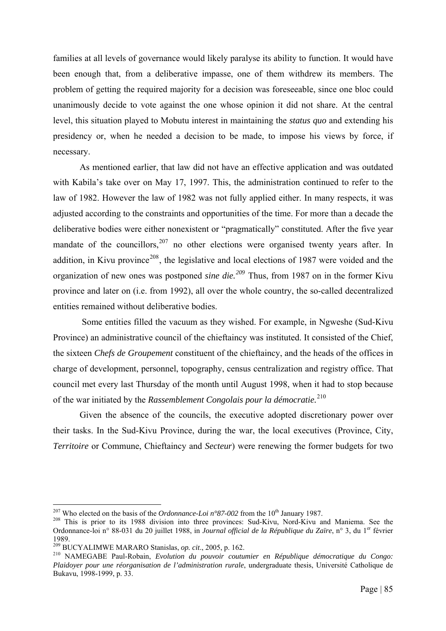families at all levels of governance would likely paralyse its ability to function. It would have been enough that, from a deliberative impasse, one of them withdrew its members. The problem of getting the required majority for a decision was foreseeable, since one bloc could unanimously decide to vote against the one whose opinion it did not share. At the central level, this situation played to Mobutu interest in maintaining the *status quo* and extending his presidency or, when he needed a decision to be made, to impose his views by force, if necessary.

As mentioned earlier, that law did not have an effective application and was outdated with Kabila's take over on May 17, 1997. This, the administration continued to refer to the law of 1982. However the law of 1982 was not fully applied either. In many respects, it was adjusted according to the constraints and opportunities of the time. For more than a decade the deliberative bodies were either nonexistent or "pragmatically" constituted. After the five year mandate of the councillors,  $207$  no other elections were organised twenty years after. In addition, in Kivu province<sup>[208](#page-91-1)</sup>, the legislative and local elections of 1987 were voided and the organization of new ones was postponed *sine die.[209](#page-91-2)* Thus, from 1987 on in the former Kivu province and later on (i.e. from 1992), all over the whole country, the so-called decentralized entities remained without deliberative bodies.

 Some entities filled the vacuum as they wished. For example, in Ngweshe (Sud-Kivu Province) an administrative council of the chieftaincy was instituted. It consisted of the Chief, the sixteen *Chefs de Groupement* constituent of the chieftaincy, and the heads of the offices in charge of development, personnel, topography, census centralization and registry office. That council met every last Thursday of the month until August 1998, when it had to stop because of the war initiated by the *Rassemblement Congolais pour la démocratie.*[210](#page-91-3)

Given the absence of the councils, the executive adopted discretionary power over their tasks. In the Sud-Kivu Province, during the war, the local executives (Province, City, *Territoire* or Commune, Chieftaincy and *Secteur*) were renewing the former budgets for two

<span id="page-91-0"></span><sup>&</sup>lt;sup>207</sup> Who elected on the basis of the *Ordonnance-Loi*  $n^{\circ}87-002$  from the 10<sup>th</sup> January 1987.

<span id="page-91-1"></span><sup>&</sup>lt;sup>208</sup> This is prior to its 1988 division into three provinces: Sud-Kivu, Nord-Kivu and Maniema. See the Ordonnance-loi n° 88-031 du 20 juillet 1988, in *Journal official de la République du Zaïre*, n° 3, du 1<sup>er</sup> février 1989.<br><sup>209</sup> BUCYALIMWE MARARO Stanislas, op. cit., 2005, p. 162.

<span id="page-91-3"></span><span id="page-91-2"></span><sup>&</sup>lt;sup>210</sup> NAMEGABE Paul-Robain, *Evolution du pouvoir coutumier en République démocratique du Congo: Plaidoyer pour une réorganisation de l'administration rurale*, undergraduate thesis, Université Catholique de Bukavu, 1998-1999, p. 33.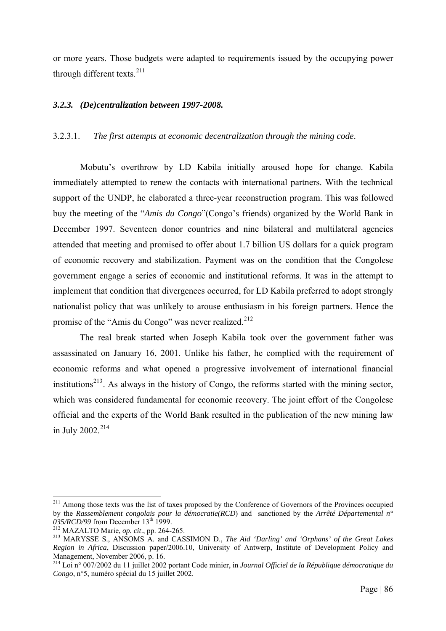or more years. Those budgets were adapted to requirements issued by the occupying power through different texts.<sup>[211](#page-92-0)</sup>

# *3.2.3. (De)centralization between 1997-2008.*

## 3.2.3.1. *The first attempts at economic decentralization through the mining code*.

 Mobutu's overthrow by LD Kabila initially aroused hope for change. Kabila immediately attempted to renew the contacts with international partners. With the technical support of the UNDP, he elaborated a three-year reconstruction program. This was followed buy the meeting of the "*Amis du Congo*"(Congo's friends) organized by the World Bank in December 1997. Seventeen donor countries and nine bilateral and multilateral agencies attended that meeting and promised to offer about 1.7 billion US dollars for a quick program of economic recovery and stabilization. Payment was on the condition that the Congolese government engage a series of economic and institutional reforms. It was in the attempt to implement that condition that divergences occurred, for LD Kabila preferred to adopt strongly nationalist policy that was unlikely to arouse enthusiasm in his foreign partners. Hence the promise of the "Amis du Congo" was never realized.<sup>[212](#page-92-1)</sup>

The real break started when Joseph Kabila took over the government father was assassinated on January 16, 2001. Unlike his father, he complied with the requirement of economic reforms and what opened a progressive involvement of international financial institutions<sup>[213](#page-92-2)</sup>. As always in the history of Congo, the reforms started with the mining sector, which was considered fundamental for economic recovery. The joint effort of the Congolese official and the experts of the World Bank resulted in the publication of the new mining law in July 2002.<sup>[214](#page-92-3)</sup>

<span id="page-92-0"></span><sup>&</sup>lt;sup>211</sup> Among those texts was the list of taxes proposed by the Conference of Governors of the Provinces occupied by the *Rassemblement congolais pour la démocratie(RCD*) and sanctioned by the *Arrêté Départemental n°* 

<span id="page-92-2"></span><span id="page-92-1"></span><sup>&</sup>lt;sup>212</sup> MAZALTO Marie, *op. cit.*, pp. 264-265.<br><sup>213</sup> MARYSSE S., ANSOMS A. and CASSIMON D., *The Aid 'Darling' and 'Orphans' of the Great Lakes Region in Africa*, Discussion paper/2006.10, University of Antwerp, Institute of Development Policy and Management, November 2006, p. 16.

<span id="page-92-3"></span><sup>214</sup> Loi n° 007/2002 du 11 juillet 2002 portant Code minier, in *Journal Officiel de la République démocratique du Congo*, n°5, numéro spécial du 15 juillet 2002.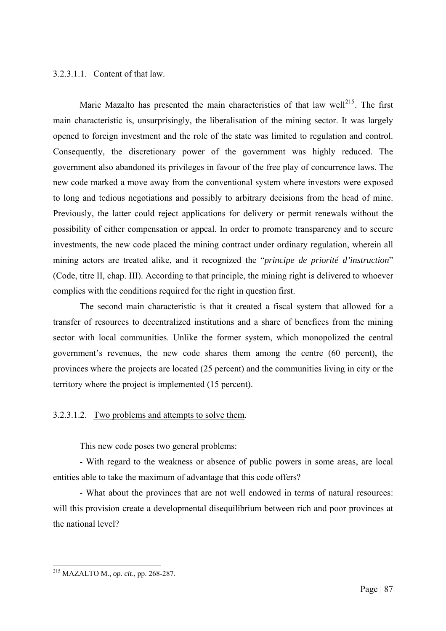# 3.2.3.1.1. Content of that law.

Marie Mazalto has presented the main characteristics of that law well<sup>[215](#page-93-0)</sup>. The first main characteristic is, unsurprisingly, the liberalisation of the mining sector. It was largely opened to foreign investment and the role of the state was limited to regulation and control. Consequently, the discretionary power of the government was highly reduced. The government also abandoned its privileges in favour of the free play of concurrence laws. The new code marked a move away from the conventional system where investors were exposed to long and tedious negotiations and possibly to arbitrary decisions from the head of mine. Previously, the latter could reject applications for delivery or permit renewals without the possibility of either compensation or appeal. In order to promote transparency and to secure investments, the new code placed the mining contract under ordinary regulation, wherein all mining actors are treated alike, and it recognized the "*principe de priorité d'instruction*" (Code, titre II, chap. III). According to that principle, the mining right is delivered to whoever complies with the conditions required for the right in question first.

The second main characteristic is that it created a fiscal system that allowed for a transfer of resources to decentralized institutions and a share of benefices from the mining sector with local communities. Unlike the former system, which monopolized the central government's revenues, the new code shares them among the centre (60 percent), the provinces where the projects are located (25 percent) and the communities living in city or the territory where the project is implemented (15 percent).

# 3.2.3.1.2. Two problems and attempts to solve them.

This new code poses two general problems:

- With regard to the weakness or absence of public powers in some areas, are local entities able to take the maximum of advantage that this code offers?

- What about the provinces that are not well endowed in terms of natural resources: will this provision create a developmental disequilibrium between rich and poor provinces at the national level?

<span id="page-93-0"></span><sup>1</sup> 215 MAZALTO M., *op. cit*., pp. 268-287.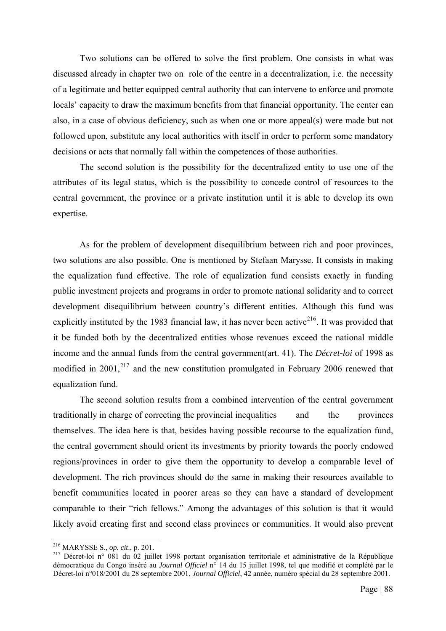Two solutions can be offered to solve the first problem. One consists in what was discussed already in chapter two on role of the centre in a decentralization, i.e. the necessity of a legitimate and better equipped central authority that can intervene to enforce and promote locals' capacity to draw the maximum benefits from that financial opportunity. The center can also, in a case of obvious deficiency, such as when one or more appeal(s) were made but not followed upon, substitute any local authorities with itself in order to perform some mandatory decisions or acts that normally fall within the competences of those authorities.

The second solution is the possibility for the decentralized entity to use one of the attributes of its legal status, which is the possibility to concede control of resources to the central government, the province or a private institution until it is able to develop its own expertise.

As for the problem of development disequilibrium between rich and poor provinces, two solutions are also possible. One is mentioned by Stefaan Marysse. It consists in making the equalization fund effective. The role of equalization fund consists exactly in funding public investment projects and programs in order to promote national solidarity and to correct development disequilibrium between country's different entities. Although this fund was explicitly instituted by the 1983 financial law, it has never been active<sup>[216](#page-94-0)</sup>. It was provided that it be funded both by the decentralized entities whose revenues exceed the national middle income and the annual funds from the central government(art. 41). The *Décret-loi* of 1998 as modified in  $2001$ ,  $217$  and the new constitution promulgated in February 2006 renewed that equalization fund.

The second solution results from a combined intervention of the central government traditionally in charge of correcting the provincial inequalities and the provinces themselves. The idea here is that, besides having possible recourse to the equalization fund, the central government should orient its investments by priority towards the poorly endowed regions/provinces in order to give them the opportunity to develop a comparable level of development. The rich provinces should do the same in making their resources available to benefit communities located in poorer areas so they can have a standard of development comparable to their "rich fellows." Among the advantages of this solution is that it would likely avoid creating first and second class provinces or communities. It would also prevent

<span id="page-94-0"></span> $^{216}$  MARYSSE S., op. cit., p. 201.

<span id="page-94-1"></span><sup>&</sup>lt;sup>217</sup> Décret-loi n° 081 du 02 juillet 1998 portant organisation territoriale et administrative de la République démocratique du Congo inséré au *Journal Officiel* n° 14 du 15 juillet 1998, tel que modifié et complété par le Décret-loi n°018/2001 du 28 septembre 2001, *Journal Officiel*, 42 année, numéro spécial du 28 septembre 2001.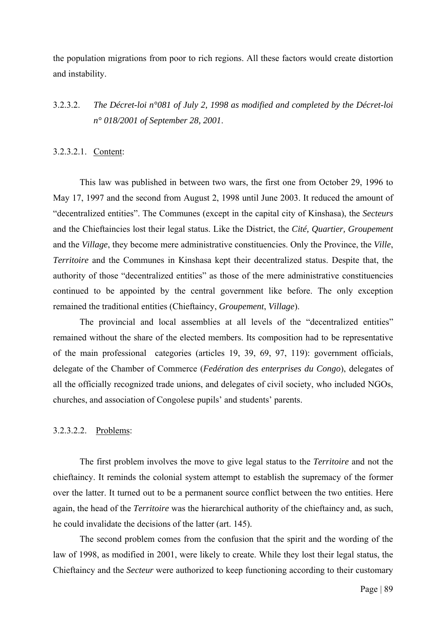the population migrations from poor to rich regions. All these factors would create distortion and instability.

# 3.2.3.2. *The Décret-loi n°081 of July 2, 1998 as modified and completed by the Décret-loi n° 018/2001 of September 28, 2001*.

#### 3.2.3.2.1. Content:

This law was published in between two wars, the first one from October 29, 1996 to May 17, 1997 and the second from August 2, 1998 until June 2003. It reduced the amount of "decentralized entities". The Communes (except in the capital city of Kinshasa), the *Secteurs* and the Chieftaincies lost their legal status. Like the District, the *Cité, Quartier, Groupement* and the *Village*, they become mere administrative constituencies. Only the Province, the *Ville*, *Territoire* and the Communes in Kinshasa kept their decentralized status. Despite that, the authority of those "decentralized entities" as those of the mere administrative constituencies continued to be appointed by the central government like before. The only exception remained the traditional entities (Chieftaincy, *Groupement*, *Village*).

The provincial and local assemblies at all levels of the "decentralized entities" remained without the share of the elected members. Its composition had to be representative of the main professional categories (articles 19, 39, 69, 97, 119): government officials, delegate of the Chamber of Commerce (*Fedération des enterprises du Congo*), delegates of all the officially recognized trade unions, and delegates of civil society, who included NGOs, churches, and association of Congolese pupils' and students' parents.

#### 3.2.3.2.2. Problems:

The first problem involves the move to give legal status to the *Territoire* and not the chieftaincy. It reminds the colonial system attempt to establish the supremacy of the former over the latter. It turned out to be a permanent source conflict between the two entities. Here again, the head of the *Territoire* was the hierarchical authority of the chieftaincy and, as such, he could invalidate the decisions of the latter (art. 145).

The second problem comes from the confusion that the spirit and the wording of the law of 1998, as modified in 2001, were likely to create. While they lost their legal status, the Chieftaincy and the *Secteur* were authorized to keep functioning according to their customary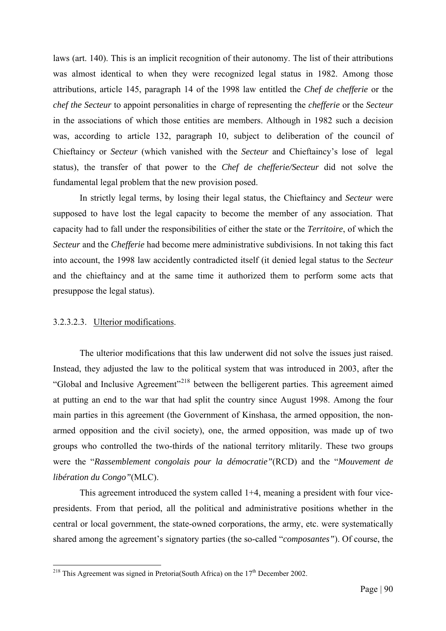laws (art. 140). This is an implicit recognition of their autonomy. The list of their attributions was almost identical to when they were recognized legal status in 1982. Among those attributions, article 145, paragraph 14 of the 1998 law entitled the *Chef de chefferie* or the *chef the Secteur* to appoint personalities in charge of representing the *chefferie* or the *Secteur* in the associations of which those entities are members. Although in 1982 such a decision was, according to article 132, paragraph 10, subject to deliberation of the council of Chieftaincy or *Secteur* (which vanished with the *Secteur* and Chieftaincy's lose of legal status), the transfer of that power to the *Chef de chefferie/Secteur* did not solve the fundamental legal problem that the new provision posed.

In strictly legal terms, by losing their legal status, the Chieftaincy and *Secteur* were supposed to have lost the legal capacity to become the member of any association. That capacity had to fall under the responsibilities of either the state or the *Territoire*, of which the *Secteur* and the *Chefferie* had become mere administrative subdivisions. In not taking this fact into account, the 1998 law accidently contradicted itself (it denied legal status to the *Secteur* and the chieftaincy and at the same time it authorized them to perform some acts that presuppose the legal status).

### 3.2.3.2.3. Ulterior modifications.

1

The ulterior modifications that this law underwent did not solve the issues just raised. Instead, they adjusted the law to the political system that was introduced in 2003, after the "Global and Inclusive Agreement"[218](#page-96-0) between the belligerent parties. This agreement aimed at putting an end to the war that had split the country since August 1998. Among the four main parties in this agreement (the Government of Kinshasa, the armed opposition, the nonarmed opposition and the civil society), one, the armed opposition, was made up of two groups who controlled the two-thirds of the national territory mlitarily. These two groups were the "*Rassemblement congolais pour la démocratie"*(RCD) and the "*Mouvement de libération du Congo"*(MLC).

This agreement introduced the system called 1+4, meaning a president with four vicepresidents. From that period, all the political and administrative positions whether in the central or local government, the state-owned corporations, the army, etc. were systematically shared among the agreement's signatory parties (the so-called "*composantes"*). Of course, the

<span id="page-96-0"></span><sup>&</sup>lt;sup>218</sup> This Agreement was signed in Pretoria(South Africa) on the  $17<sup>th</sup>$  December 2002.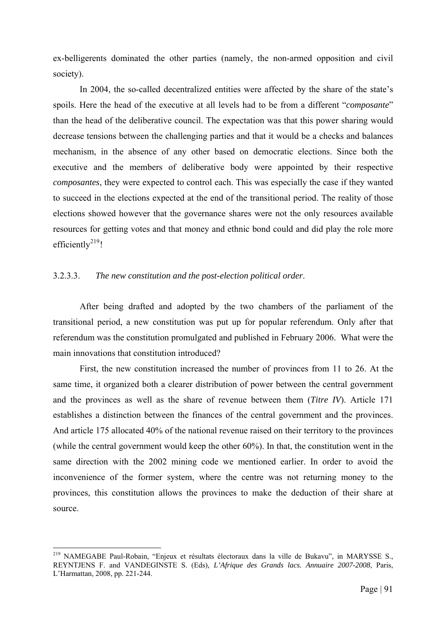ex-belligerents dominated the other parties (namely, the non-armed opposition and civil society).

In 2004, the so-called decentralized entities were affected by the share of the state's spoils. Here the head of the executive at all levels had to be from a different "*composante*" than the head of the deliberative council. The expectation was that this power sharing would decrease tensions between the challenging parties and that it would be a checks and balances mechanism, in the absence of any other based on democratic elections. Since both the executive and the members of deliberative body were appointed by their respective *composantes*, they were expected to control each. This was especially the case if they wanted to succeed in the elections expected at the end of the transitional period. The reality of those elections showed however that the governance shares were not the only resources available resources for getting votes and that money and ethnic bond could and did play the role more efficiently $2^{19}$ !

### 3.2.3.3. *The new constitution and the post-election political order*.

After being drafted and adopted by the two chambers of the parliament of the transitional period, a new constitution was put up for popular referendum. Only after that referendum was the constitution promulgated and published in February 2006. What were the main innovations that constitution introduced?

First, the new constitution increased the number of provinces from 11 to 26. At the same time, it organized both a clearer distribution of power between the central government and the provinces as well as the share of revenue between them (*Titre IV*). Article 171 establishes a distinction between the finances of the central government and the provinces. And article 175 allocated 40% of the national revenue raised on their territory to the provinces (while the central government would keep the other 60%). In that, the constitution went in the same direction with the 2002 mining code we mentioned earlier. In order to avoid the inconvenience of the former system, where the centre was not returning money to the provinces, this constitution allows the provinces to make the deduction of their share at source.

<span id="page-97-0"></span><sup>&</sup>lt;sup>219</sup> NAMEGABE Paul-Robain, "Enjeux et résultats électoraux dans la ville de Bukavu", in MARYSSE S., REYNTJENS F. and VANDEGINSTE S. (Eds), *L'Afrique des Grands lacs. Annuaire 2007-2008*, Paris, L'Harmattan, 2008, pp. 221-244.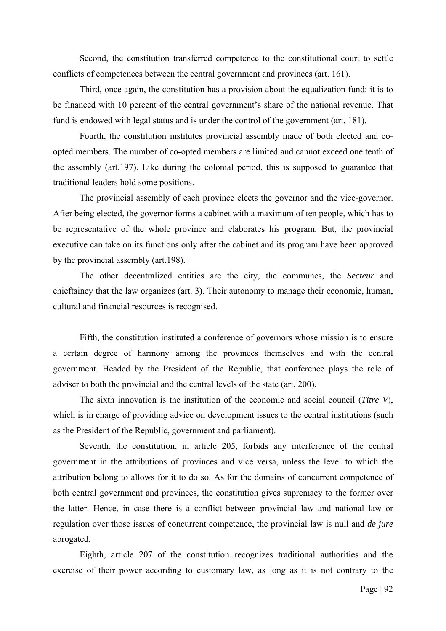Second, the constitution transferred competence to the constitutional court to settle conflicts of competences between the central government and provinces (art. 161).

Third, once again, the constitution has a provision about the equalization fund: it is to be financed with 10 percent of the central government's share of the national revenue. That fund is endowed with legal status and is under the control of the government (art. 181).

Fourth, the constitution institutes provincial assembly made of both elected and coopted members. The number of co-opted members are limited and cannot exceed one tenth of the assembly (art.197). Like during the colonial period, this is supposed to guarantee that traditional leaders hold some positions.

The provincial assembly of each province elects the governor and the vice-governor. After being elected, the governor forms a cabinet with a maximum of ten people, which has to be representative of the whole province and elaborates his program. But, the provincial executive can take on its functions only after the cabinet and its program have been approved by the provincial assembly (art.198).

The other decentralized entities are the city, the communes, the *Secteur* and chieftaincy that the law organizes (art. 3). Their autonomy to manage their economic, human, cultural and financial resources is recognised.

Fifth, the constitution instituted a conference of governors whose mission is to ensure a certain degree of harmony among the provinces themselves and with the central government. Headed by the President of the Republic, that conference plays the role of adviser to both the provincial and the central levels of the state (art. 200).

The sixth innovation is the institution of the economic and social council (*Titre V*), which is in charge of providing advice on development issues to the central institutions (such as the President of the Republic, government and parliament).

Seventh, the constitution, in article 205, forbids any interference of the central government in the attributions of provinces and vice versa, unless the level to which the attribution belong to allows for it to do so. As for the domains of concurrent competence of both central government and provinces, the constitution gives supremacy to the former over the latter. Hence, in case there is a conflict between provincial law and national law or regulation over those issues of concurrent competence, the provincial law is null and *de jure* abrogated.

Eighth, article 207 of the constitution recognizes traditional authorities and the exercise of their power according to customary law, as long as it is not contrary to the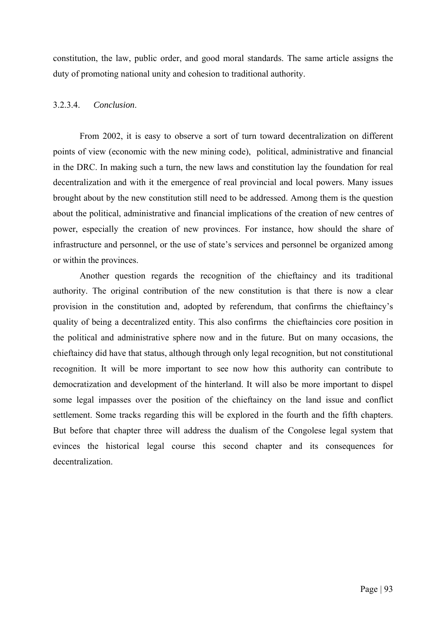constitution, the law, public order, and good moral standards. The same article assigns the duty of promoting national unity and cohesion to traditional authority.

# 3.2.3.4. *Conclusion*.

From 2002, it is easy to observe a sort of turn toward decentralization on different points of view (economic with the new mining code), political, administrative and financial in the DRC. In making such a turn, the new laws and constitution lay the foundation for real decentralization and with it the emergence of real provincial and local powers. Many issues brought about by the new constitution still need to be addressed. Among them is the question about the political, administrative and financial implications of the creation of new centres of power, especially the creation of new provinces. For instance, how should the share of infrastructure and personnel, or the use of state's services and personnel be organized among or within the provinces.

Another question regards the recognition of the chieftaincy and its traditional authority. The original contribution of the new constitution is that there is now a clear provision in the constitution and, adopted by referendum, that confirms the chieftaincy's quality of being a decentralized entity. This also confirms the chieftaincies core position in the political and administrative sphere now and in the future. But on many occasions, the chieftaincy did have that status, although through only legal recognition, but not constitutional recognition. It will be more important to see now how this authority can contribute to democratization and development of the hinterland. It will also be more important to dispel some legal impasses over the position of the chieftaincy on the land issue and conflict settlement. Some tracks regarding this will be explored in the fourth and the fifth chapters. But before that chapter three will address the dualism of the Congolese legal system that evinces the historical legal course this second chapter and its consequences for decentralization.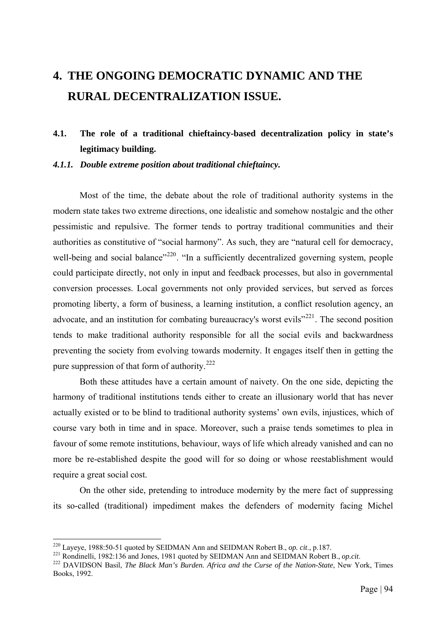# **4. THE ONGOING DEMOCRATIC DYNAMIC AND THE RURAL DECENTRALIZATION ISSUE.**

# **4.1. The role of a traditional chieftaincy-based decentralization policy in state's legitimacy building.**

*4.1.1. Double extreme position about traditional chieftaincy.* 

 Most of the time, the debate about the role of traditional authority systems in the modern state takes two extreme directions, one idealistic and somehow nostalgic and the other pessimistic and repulsive. The former tends to portray traditional communities and their authorities as constitutive of "social harmony". As such, they are "natural cell for democracy, well-being and social balance"<sup>[220](#page-100-0)</sup>. "In a sufficiently decentralized governing system, people could participate directly, not only in input and feedback processes, but also in governmental conversion processes. Local governments not only provided services, but served as forces promoting liberty, a form of business, a learning institution, a conflict resolution agency, an advocate, and an institution for combating bureaucracy's worst evils<sup>"[221](#page-100-1)</sup>. The second position tends to make traditional authority responsible for all the social evils and backwardness preventing the society from evolving towards modernity. It engages itself then in getting the pure suppression of that form of authority.<sup>[222](#page-100-2)</sup>

Both these attitudes have a certain amount of naivety. On the one side, depicting the harmony of traditional institutions tends either to create an illusionary world that has never actually existed or to be blind to traditional authority systems' own evils, injustices, which of course vary both in time and in space. Moreover, such a praise tends sometimes to plea in favour of some remote institutions, behaviour, ways of life which already vanished and can no more be re-established despite the good will for so doing or whose reestablishment would require a great social cost.

On the other side, pretending to introduce modernity by the mere fact of suppressing its so-called (traditional) impediment makes the defenders of modernity facing Michel

<span id="page-100-0"></span><sup>&</sup>lt;sup>220</sup> Laveve, 1988:50-51 quoted by SEIDMAN Ann and SEIDMAN Robert B., op. cit., p.187.

<span id="page-100-2"></span><span id="page-100-1"></span> $^{221}$  Rondinelli, 1982:136 and Jones, 1981 quoted by SEIDMAN Ann and SEIDMAN Robert B., op.cit.<br><sup>222</sup> DAVIDSON Basil, *The Black Man's Burden. Africa and the Curse of the Nation-State*, New York, Times Books, 1992.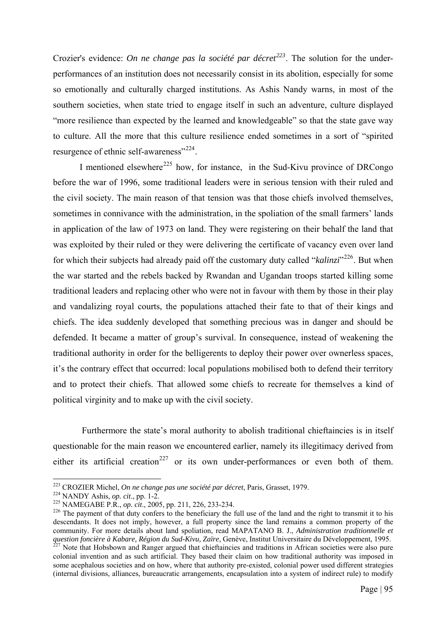Crozier's evidence: *On ne change pas la société par décret[223](#page-101-0)*. The solution for the underperformances of an institution does not necessarily consist in its abolition, especially for some so emotionally and culturally charged institutions. As Ashis Nandy warns, in most of the southern societies, when state tried to engage itself in such an adventure, culture displayed "more resilience than expected by the learned and knowledgeable" so that the state gave way to culture. All the more that this culture resilience ended sometimes in a sort of "spirited resurgence of ethnic self-awareness"<sup>[224](#page-101-1)</sup>.

I mentioned elsewhere<sup>[225](#page-101-2)</sup> how, for instance, in the Sud-Kivu province of DRCongo before the war of 1996, some traditional leaders were in serious tension with their ruled and the civil society. The main reason of that tension was that those chiefs involved themselves, sometimes in connivance with the administration, in the spoliation of the small farmers' lands in application of the law of 1973 on land. They were registering on their behalf the land that was exploited by their ruled or they were delivering the certificate of vacancy even over land for which their subjects had already paid off the customary duty called "*kalinzi*"<sup>[226](#page-101-3)</sup>. But when the war started and the rebels backed by Rwandan and Ugandan troops started killing some traditional leaders and replacing other who were not in favour with them by those in their play and vandalizing royal courts, the populations attached their fate to that of their kings and chiefs. The idea suddenly developed that something precious was in danger and should be defended. It became a matter of group's survival. In consequence, instead of weakening the traditional authority in order for the belligerents to deploy their power over ownerless spaces, it's the contrary effect that occurred: local populations mobilised both to defend their territory and to protect their chiefs. That allowed some chiefs to recreate for themselves a kind of political virginity and to make up with the civil society.

 Furthermore the state's moral authority to abolish traditional chieftaincies is in itself questionable for the main reason we encountered earlier, namely its illegitimacy derived from either its artificial creation<sup>[227](#page-101-4)</sup> or its own under-performances or even both of them.

<span id="page-101-3"></span><span id="page-101-2"></span>

<span id="page-101-1"></span><span id="page-101-0"></span><sup>&</sup>lt;sup>223</sup> CROZIER Michel, *On ne change pas une société par décret*, Paris, Grasset, 1979.<br><sup>224</sup> NANDY Ashis, *op. cit.*, pp. 1-2.<br><sup>225</sup> NAMEGABE P.R., *op. cit.*, 2005, pp. 211, 226, 233-234.<br><sup>226</sup> The payment of that duty c descendants. It does not imply, however, a full property since the land remains a common property of the community. For more details about land spoliation, read MAPATANO B. J., *Administration traditionnelle et*  question foncière à Kabare, Région du Sud-Kivu, Zaïre, Genève, Institut Universitaire du Développement, 1995.<br><sup>227</sup> Note that Hobsbown and Ranger argued that chieftaincies and traditions in African societies were also pure

<span id="page-101-4"></span>colonial invention and as such artificial. They based their claim on how traditional authority was imposed in some acephalous societies and on how, where that authority pre-existed, colonial power used different strategies (internal divisions, alliances, bureaucratic arrangements, encapsulation into a system of indirect rule) to modify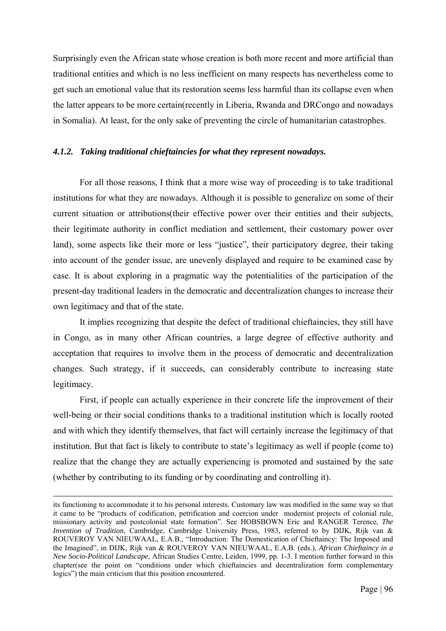Surprisingly even the African state whose creation is both more recent and more artificial than traditional entities and which is no less inefficient on many respects has nevertheless come to get such an emotional value that its restoration seems less harmful than its collapse even when the latter appears to be more certain(recently in Liberia, Rwanda and DRCongo and nowadays in Somalia). At least, for the only sake of preventing the circle of humanitarian catastrophes.

### *4.1.2. Taking traditional chieftaincies for what they represent nowadays.*

For all those reasons, I think that a more wise way of proceeding is to take traditional institutions for what they are nowadays. Although it is possible to generalize on some of their current situation or attributions(their effective power over their entities and their subjects, their legitimate authority in conflict mediation and settlement, their customary power over land), some aspects like their more or less "justice", their participatory degree, their taking into account of the gender issue, are unevenly displayed and require to be examined case by case. It is about exploring in a pragmatic way the potentialities of the participation of the present-day traditional leaders in the democratic and decentralization changes to increase their own legitimacy and that of the state.

It implies recognizing that despite the defect of traditional chieftaincies, they still have in Congo, as in many other African countries, a large degree of effective authority and acceptation that requires to involve them in the process of democratic and decentralization changes. Such strategy, if it succeeds, can considerably contribute to increasing state legitimacy.

First, if people can actually experience in their concrete life the improvement of their well-being or their social conditions thanks to a traditional institution which is locally rooted and with which they identify themselves, that fact will certainly increase the legitimacy of that institution. But that fact is likely to contribute to state's legitimacy as well if people (come to) realize that the change they are actually experiencing is promoted and sustained by the sate (whether by contributing to its funding or by coordinating and controlling it).

its functioning to accommodate it to his personal interests. Customary law was modified in the same way so that it came to be "products of codification, petrification and coercion under modernist projects of colonial rule, missionary activity and postcolonial state formation". See HOBSBOWN Eric and RANGER Terence, *The Invention of Tradition*, Cambridge, Cambridge University Press, 1983, referred to by DIJK, Rijk van & ROUVEROY VAN NIEUWAAL, E.A.B., "Introduction: The Domestication of Chieftaincy: The Imposed and the Imagined", in DIJK, Rijk van & ROUVEROY VAN NIEUWAAL, E.A.B. (eds.), *African Chieftaincy in a New Socio-Political Landscape*, African Studies Centre, Leiden, 1999, pp. 1-3. I mention further forward in this chapter(see the point on "conditions under which chieftaincies and decentralization form complementary logics") the main criticism that this position encountered.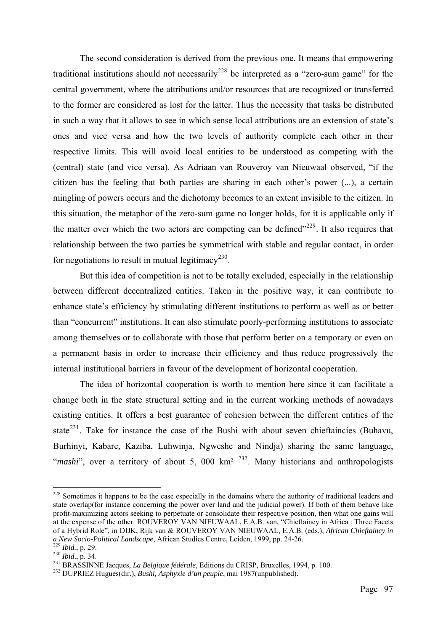The second consideration is derived from the previous one. It means that empowering traditional institutions should not necessarily<sup>[228](#page-103-0)</sup> be interpreted as a "zero-sum game" for the central government, where the attributions and/or resources that are recognized or transferred to the former are considered as lost for the latter. Thus the necessity that tasks be distributed in such a way that it allows to see in which sense local attributions are an extension of state's ones and vice versa and how the two levels of authority complete each other in their respective limits. This will avoid local entities to be understood as competing with the (central) state (and vice versa). As Adriaan van Rouveroy van Nieuwaal observed, "if the citizen has the feeling that both parties are sharing in each other's power (...), a certain mingling of powers occurs and the dichotomy becomes to an extent invisible to the citizen. In this situation, the metaphor of the zero-sum game no longer holds, for it is applicable only if the matter over which the two actors are competing can be defined $1229$  $1229$ . It also requires that relationship between the two parties be symmetrical with stable and regular contact, in order for negotiations to result in mutual legitimacy<sup>[230](#page-103-2)</sup>.

But this idea of competition is not to be totally excluded, especially in the relationship between different decentralized entities. Taken in the positive way, it can contribute to enhance state's efficiency by stimulating different institutions to perform as well as or better than "concurrent" institutions. It can also stimulate poorly-performing institutions to associate among themselves or to collaborate with those that perform better on a temporary or even on a permanent basis in order to increase their efficiency and thus reduce progressively the internal institutional barriers in favour of the development of horizontal cooperation.

The idea of horizontal cooperation is worth to mention here since it can facilitate a change both in the state structural setting and in the current working methods of nowadays existing entities. It offers a best guarantee of cohesion between the different entities of the state<sup>[231](#page-103-3)</sup>. Take for instance the case of the Bushi with about seven chieftaincies (Buhavu, Burhinyi, Kabare, Kaziba, Luhwinja, Ngweshe and Nindja) sharing the same language, "*mashi*", over a territory of about 5, 000 km<sup>2</sup><sup>[232](#page-103-4)</sup>. Many historians and anthropologists

<span id="page-103-0"></span><sup>&</sup>lt;sup>228</sup> Sometimes it happens to be the case especially in the domains where the authority of traditional leaders and state overlap(for instance concerning the power over land and the judicial power). If both of them behave like profit-maximizing actors seeking to perpetuate or consolidate their respective position, then what one gains will at the expense of the other. ROUVEROY VAN NIEUWAAL, E.A.B. van, "Chieftaincy in Africa : Three Facets" of a Hybrid Role", in DIJK, Rijk van & ROUVEROY VAN NIEUWAAL, E.A.B. (eds.), *African Chieftaincy in a New Socio-Political Landscape*, African Studies Centre, Leiden, 1999, pp. 24-26.<br>
<sup>229</sup> Ibid., p. 29.<br>
<sup>230</sup> Ibid., p. 34.<br>
<sup>231</sup> BRASSINNE Jacques, *La Belgique fédérale*, Editions du CRISP, Bruxelles, 1994, p. 100.<br>
<sup></sup>

<span id="page-103-1"></span>

<span id="page-103-2"></span>

<span id="page-103-3"></span>

<span id="page-103-4"></span>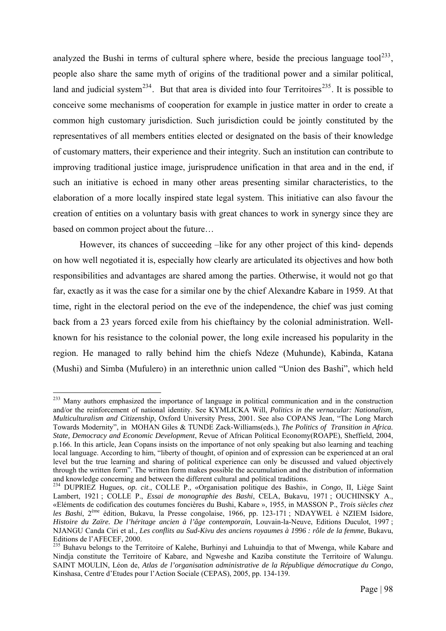analyzed the Bushi in terms of cultural sphere where, beside the precious language tool<sup>[233](#page-104-0)</sup>. people also share the same myth of origins of the traditional power and a similar political, land and judicial system<sup>[234](#page-104-1)</sup>. But that area is divided into four Territoires<sup>[235](#page-104-2)</sup>. It is possible to conceive some mechanisms of cooperation for example in justice matter in order to create a common high customary jurisdiction. Such jurisdiction could be jointly constituted by the representatives of all members entities elected or designated on the basis of their knowledge of customary matters, their experience and their integrity. Such an institution can contribute to improving traditional justice image, jurisprudence unification in that area and in the end, if such an initiative is echoed in many other areas presenting similar characteristics, to the elaboration of a more locally inspired state legal system. This initiative can also favour the creation of entities on a voluntary basis with great chances to work in synergy since they are based on common project about the future…

However, its chances of succeeding –like for any other project of this kind- depends on how well negotiated it is, especially how clearly are articulated its objectives and how both responsibilities and advantages are shared among the parties. Otherwise, it would not go that far, exactly as it was the case for a similar one by the chief Alexandre Kabare in 1959. At that time, right in the electoral period on the eve of the independence, the chief was just coming back from a 23 years forced exile from his chieftaincy by the colonial administration. Wellknown for his resistance to the colonial power, the long exile increased his popularity in the region. He managed to rally behind him the chiefs Ndeze (Muhunde), Kabinda, Katana (Mushi) and Simba (Mufulero) in an interethnic union called "Union des Bashi", which held

<span id="page-104-0"></span><sup>&</sup>lt;sup>233</sup> Many authors emphasized the importance of language in political communication and in the construction and/or the reinforcement of national identity. See KYMLICKA Will, *Politics in the vernacular: Nationalism, Multiculturalism and Citizenship*, Oxford University Press, 2001. See also COPANS Jean, "The Long March Towards Modernity", in MOHAN Giles & TUNDE Zack-Williams(eds.), *The Politics of Transition in Africa. State, Democracy and Economic Development*, Revue of African Political Economy(ROAPE), Sheffield, 2004, p.166. In this article, Jean Copans insists on the importance of not only speaking but also learning and teaching local language. According to him, "liberty of thought, of opinion and of expression can be experienced at an oral level but the true learning and sharing of political experience can only be discussed and valued objectively through the written form". The written form makes possible the accumulation and the distribution of information and knowledge concerning and between the different cultural and political traditions. 234 DUPRIEZ Hugues, *op. cit*., COLLE P., «Organisation politique des Bashi», in *Congo*, II, Liège Saint

<span id="page-104-1"></span>Lambert, 1921 ; COLLE P., *Essai de monographie des Bashi*, CELA, Bukavu, 1971 ; OUCHINSKY A., «Eléments de codification des coutumes foncières du Bushi, Kabare », 1955, in MASSON P., *Trois siècles chez les Bashi*, 2ème édition, Bukavu, la Presse congolaise, 1966, pp. 123-171 ; NDAYWEL è NZIEM Isidore, *Histoire du Zaïre. De l'héritage ancien à l'âge contemporain*, Louvain-la-Neuve, Editions Duculot, 1997 ; NJANGU Canda Ciri et al., *Les conflits au Sud-Kivu des anciens royaumes à 1996 : rôle de la femme*, Bukavu, Editions de l'AFECEF, 2000.

<span id="page-104-2"></span><sup>&</sup>lt;sup>235</sup> Buhavu belongs to the Territoire of Kalehe, Burhinyi and Luhuindja to that of Mwenga, while Kabare and Nindja constitute the Territoire of Kabare, and Ngweshe and Kaziba constitute the Territoire of Walungu. SAINT MOULIN, Léon de, *Atlas de l'organisation administrative de la République démocratique du Congo*, Kinshasa, Centre d'Etudes pour l'Action Sociale (CEPAS), 2005, pp. 134-139.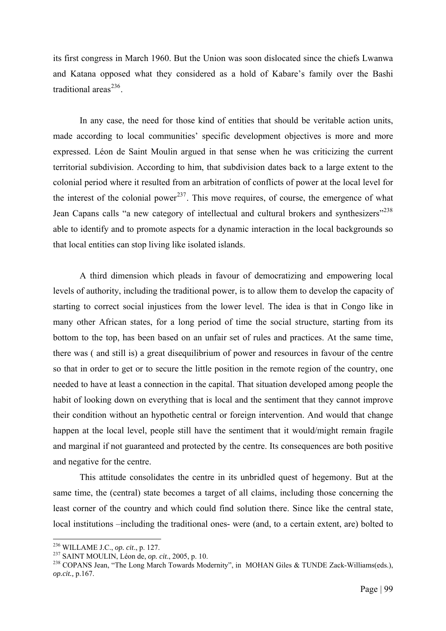its first congress in March 1960. But the Union was soon dislocated since the chiefs Lwanwa and Katana opposed what they considered as a hold of Kabare's family over the Bashi traditional areas $^{236}$  $^{236}$  $^{236}$ .

In any case, the need for those kind of entities that should be veritable action units, made according to local communities' specific development objectives is more and more expressed. Léon de Saint Moulin argued in that sense when he was criticizing the current territorial subdivision. According to him, that subdivision dates back to a large extent to the colonial period where it resulted from an arbitration of conflicts of power at the local level for the interest of the colonial power<sup>[237](#page-105-1)</sup>. This move requires, of course, the emergence of what Jean Capans calls "a new category of intellectual and cultural brokers and synthesizers"<sup>[238](#page-105-2)</sup> able to identify and to promote aspects for a dynamic interaction in the local backgrounds so that local entities can stop living like isolated islands.

A third dimension which pleads in favour of democratizing and empowering local levels of authority, including the traditional power, is to allow them to develop the capacity of starting to correct social injustices from the lower level. The idea is that in Congo like in many other African states, for a long period of time the social structure, starting from its bottom to the top, has been based on an unfair set of rules and practices. At the same time, there was ( and still is) a great disequilibrium of power and resources in favour of the centre so that in order to get or to secure the little position in the remote region of the country, one needed to have at least a connection in the capital. That situation developed among people the habit of looking down on everything that is local and the sentiment that they cannot improve their condition without an hypothetic central or foreign intervention. And would that change happen at the local level, people still have the sentiment that it would/might remain fragile and marginal if not guaranteed and protected by the centre. Its consequences are both positive and negative for the centre.

This attitude consolidates the centre in its unbridled quest of hegemony. But at the same time, the (central) state becomes a target of all claims, including those concerning the least corner of the country and which could find solution there. Since like the central state, local institutions –including the traditional ones- were (and, to a certain extent, are) bolted to

<span id="page-105-0"></span><sup>&</sup>lt;sup>236</sup> WILLAME J.C., op. cit., p. 127.

<span id="page-105-2"></span>

<span id="page-105-1"></span><sup>&</sup>lt;sup>237</sup> SAINT MOULIN, Léon de, *op. cit.*, 2005, p. 10.<br><sup>238</sup> COPANS Jean, "The Long March Towards Modernity", in MOHAN Giles & TUNDE Zack-Williams(eds.), *op.cit.,* p.167.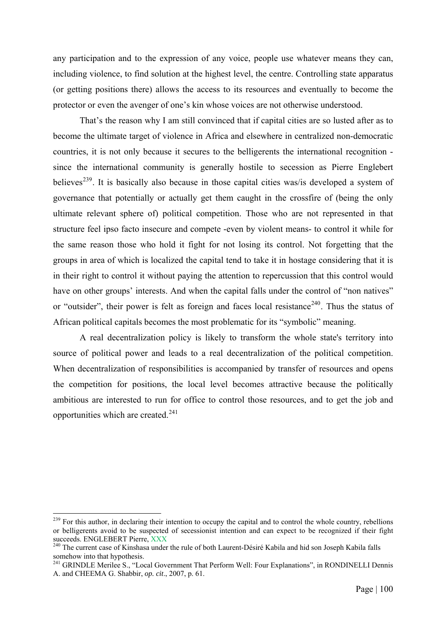any participation and to the expression of any voice, people use whatever means they can, including violence, to find solution at the highest level, the centre. Controlling state apparatus (or getting positions there) allows the access to its resources and eventually to become the protector or even the avenger of one's kin whose voices are not otherwise understood.

That's the reason why I am still convinced that if capital cities are so lusted after as to become the ultimate target of violence in Africa and elsewhere in centralized non-democratic countries, it is not only because it secures to the belligerents the international recognition since the international community is generally hostile to secession as Pierre Englebert believes<sup>[239](#page-106-0)</sup>. It is basically also because in those capital cities was/is developed a system of governance that potentially or actually get them caught in the crossfire of (being the only ultimate relevant sphere of) political competition. Those who are not represented in that structure feel ipso facto insecure and compete -even by violent means- to control it while for the same reason those who hold it fight for not losing its control. Not forgetting that the groups in area of which is localized the capital tend to take it in hostage considering that it is in their right to control it without paying the attention to repercussion that this control would have on other groups' interests. And when the capital falls under the control of "non natives" or "outsider", their power is felt as foreign and faces local resistance<sup>[240](#page-106-1)</sup>. Thus the status of African political capitals becomes the most problematic for its "symbolic" meaning.

A real decentralization policy is likely to transform the whole state's territory into source of political power and leads to a real decentralization of the political competition. When decentralization of responsibilities is accompanied by transfer of resources and opens the competition for positions, the local level becomes attractive because the politically ambitious are interested to run for office to control those resources, and to get the job and opportunities which are created.<sup>[241](#page-106-2)</sup>

<span id="page-106-0"></span> $^{239}$  For this author, in declaring their intention to occupy the capital and to control the whole country, rebellions or belligerents avoid to be suspected of secessionist intention and can expect to be recognized if their fight succeeds. ENGLEBERT Pierre, XXX 240 The current case of Kinshasa under the rule of both Laurent-Désiré Kabila and hid son Joseph Kabila falls

<span id="page-106-1"></span>somehow into that hypothesis.

<span id="page-106-2"></span><sup>&</sup>lt;sup>241</sup> GRINDLE Merilee S., "Local Government That Perform Well: Four Explanations", in RONDINELLI Dennis A. and CHEEMA G. Shabbir, *op. cit*., 2007, p. 61.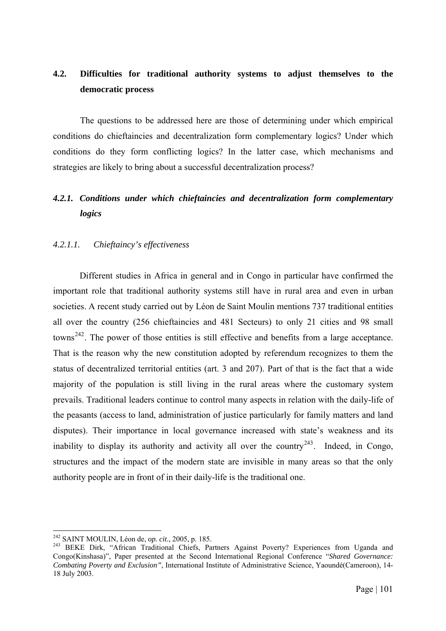# **4.2. Difficulties for traditional authority systems to adjust themselves to the democratic process**

The questions to be addressed here are those of determining under which empirical conditions do chieftaincies and decentralization form complementary logics? Under which conditions do they form conflicting logics? In the latter case, which mechanisms and strategies are likely to bring about a successful decentralization process?

# *4.2.1. Conditions under which chieftaincies and decentralization form complementary logics*

# *4.2.1.1. Chieftaincy's effectiveness*

Different studies in Africa in general and in Congo in particular have confirmed the important role that traditional authority systems still have in rural area and even in urban societies. A recent study carried out by Léon de Saint Moulin mentions 737 traditional entities all over the country (256 chieftaincies and 481 Secteurs) to only 21 cities and 98 small towns<sup>[242](#page-107-0)</sup>. The power of those entities is still effective and benefits from a large acceptance. That is the reason why the new constitution adopted by referendum recognizes to them the status of decentralized territorial entities (art. 3 and 207). Part of that is the fact that a wide majority of the population is still living in the rural areas where the customary system prevails. Traditional leaders continue to control many aspects in relation with the daily-life of the peasants (access to land, administration of justice particularly for family matters and land disputes). Their importance in local governance increased with state's weakness and its inability to display its authority and activity all over the country<sup>[243](#page-107-1)</sup>. Indeed, in Congo, structures and the impact of the modern state are invisible in many areas so that the only authority people are in front of in their daily-life is the traditional one.

<sup>&</sup>lt;sup>242</sup> SAINT MOULIN, Léon de, *op. cit.*, 2005, p. 185.

<span id="page-107-1"></span><span id="page-107-0"></span><sup>&</sup>lt;sup>243</sup> BEKE Dirk, "African Traditional Chiefs, Partners Against Poverty? Experiences from Uganda and Congo(Kinshasa)", Paper presented at the Second International Regional Conference "*Shared Governance: Combating Poverty and Exclusion"*, International Institute of Administrative Science, Yaoundé(Cameroon), 14- 18 July 2003.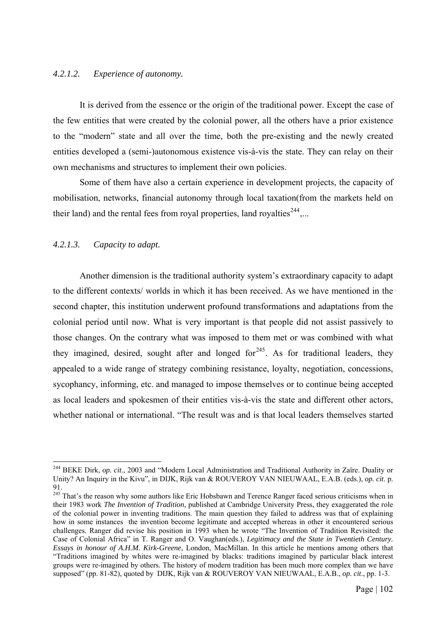## *4.2.1.2. Experience of autonomy.*

It is derived from the essence or the origin of the traditional power. Except the case of the few entities that were created by the colonial power, all the others have a prior existence to the "modern" state and all over the time, both the pre-existing and the newly created entities developed a (semi-)autonomous existence vis-à-vis the state. They can relay on their own mechanisms and structures to implement their own policies.

Some of them have also a certain experience in development projects, the capacity of mobilisation, networks, financial autonomy through local taxation(from the markets held on their land) and the rental fees from royal properties, land royalties<sup> $244$ </sup>....

# *4.2.1.3. Capacity to adapt.*

1

Another dimension is the traditional authority system's extraordinary capacity to adapt to the different contexts/ worlds in which it has been received. As we have mentioned in the second chapter, this institution underwent profound transformations and adaptations from the colonial period until now. What is very important is that people did not assist passively to those changes. On the contrary what was imposed to them met or was combined with what they imagined, desired, sought after and longed for $245$ . As for traditional leaders, they appealed to a wide range of strategy combining resistance, loyalty, negotiation, concessions, sycophancy, informing, etc. and managed to impose themselves or to continue being accepted as local leaders and spokesmen of their entities vis-à-vis the state and different other actors, whether national or international. "The result was and is that local leaders themselves started

<span id="page-108-0"></span><sup>244</sup> BEKE Dirk, *op. cit*., 2003 and "Modern Local Administration and Traditional Authority in Zaïre. Duality or Unity? An Inquiry in the Kivu", in DIJK, Rijk van & ROUVEROY VAN NIEUWAAL, E.A.B. (eds.), *op. cit*. p. 91.

<span id="page-108-1"></span><sup>&</sup>lt;sup>245</sup> That's the reason why some authors like Eric Hobsbawn and Terence Ranger faced serious criticisms when in their 1983 work *The Invention of Tradition*, published at Cambridge University Press, they exaggerated the role of the colonial power in inventing traditions. The main question they failed to address was that of explaining how in some instances the invention become legitimate and accepted whereas in other it encountered serious challenges. Ranger did revise his position in 1993 when he wrote "The Invention of Tradition Revisited: the Case of Colonial Africa" in T. Ranger and O. Vaughan(eds.), *Legitimacy and the State in Twentieth Century. Essays in honour of A.H.M. Kirk-Greene*, London, MacMillan. In this article he mentions among others that "Traditions imagined by whites were re-imagined by blacks: traditions imagined by particular black interest groups were re-imagined by others. The history of modern tradition has been much more complex than we have supposed" (pp. 81-82), quoted by DIJK, Rijk van & ROUVEROY VAN NIEUWAAL, E.A.B., *op. cit*., pp. 1-3.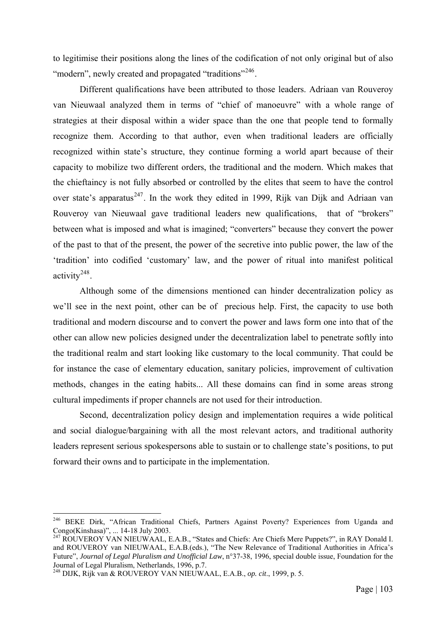to legitimise their positions along the lines of the codification of not only original but of also "modern", newly created and propagated "traditions"<sup>[246](#page-109-0)</sup>.

Different qualifications have been attributed to those leaders. Adriaan van Rouveroy van Nieuwaal analyzed them in terms of "chief of manoeuvre" with a whole range of strategies at their disposal within a wider space than the one that people tend to formally recognize them. According to that author, even when traditional leaders are officially recognized within state's structure, they continue forming a world apart because of their capacity to mobilize two different orders, the traditional and the modern. Which makes that the chieftaincy is not fully absorbed or controlled by the elites that seem to have the control over state's apparatus<sup>[247](#page-109-1)</sup>. In the work they edited in 1999, Rijk van Dijk and Adriaan van Rouveroy van Nieuwaal gave traditional leaders new qualifications, that of "brokers" between what is imposed and what is imagined; "converters" because they convert the power of the past to that of the present, the power of the secretive into public power, the law of the 'tradition' into codified 'customary' law, and the power of ritual into manifest political activity[248](#page-109-2).

Although some of the dimensions mentioned can hinder decentralization policy as we'll see in the next point, other can be of precious help. First, the capacity to use both traditional and modern discourse and to convert the power and laws form one into that of the other can allow new policies designed under the decentralization label to penetrate softly into the traditional realm and start looking like customary to the local community. That could be for instance the case of elementary education, sanitary policies, improvement of cultivation methods, changes in the eating habits... All these domains can find in some areas strong cultural impediments if proper channels are not used for their introduction.

Second, decentralization policy design and implementation requires a wide political and social dialogue/bargaining with all the most relevant actors, and traditional authority leaders represent serious spokespersons able to sustain or to challenge state's positions, to put forward their owns and to participate in the implementation.

<span id="page-109-0"></span><sup>&</sup>lt;sup>246</sup> BEKE Dirk, "African Traditional Chiefs, Partners Against Poverty? Experiences from Uganda and Congo(Kinshasa)", ... 14-18 July 2003.

<span id="page-109-1"></span><sup>247</sup> ROUVEROY VAN NIEUWAAL, E.A.B., "States and Chiefs: Are Chiefs Mere Puppets?", in RAY Donald I. and ROUVEROY van NIEUWAAL, E.A.B.(eds.), "The New Relevance of Traditional Authorities in Africa's Future", *Journal of Legal Pluralism and Unofficial Law*, n°37-38, 1996, special double issue, Foundation for the Journal of Legal Pluralism, Netherlands, 1996, p.7.

<span id="page-109-2"></span><sup>248</sup> DIJK, Rijk van & ROUVEROY VAN NIEUWAAL, E.A.B., *op. cit*., 1999, p. 5.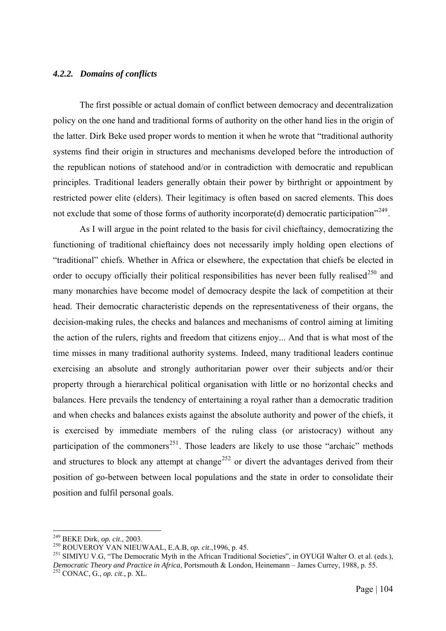#### *4.2.2. Domains of conflicts*

The first possible or actual domain of conflict between democracy and decentralization policy on the one hand and traditional forms of authority on the other hand lies in the origin of the latter. Dirk Beke used proper words to mention it when he wrote that "traditional authority systems find their origin in structures and mechanisms developed before the introduction of the republican notions of statehood and/or in contradiction with democratic and republican principles. Traditional leaders generally obtain their power by birthright or appointment by restricted power elite (elders). Their legitimacy is often based on sacred elements. This does not exclude that some of those forms of authority incorporate(d) democratic participation<sup> $249$ </sup>.

As I will argue in the point related to the basis for civil chieftaincy, democratizing the functioning of traditional chieftaincy does not necessarily imply holding open elections of "traditional" chiefs. Whether in Africa or elsewhere, the expectation that chiefs be elected in order to occupy officially their political responsibilities has never been fully realised<sup>[250](#page-110-1)</sup> and many monarchies have become model of democracy despite the lack of competition at their head. Their democratic characteristic depends on the representativeness of their organs, the decision-making rules, the checks and balances and mechanisms of control aiming at limiting the action of the rulers, rights and freedom that citizens enjoy... And that is what most of the time misses in many traditional authority systems. Indeed, many traditional leaders continue exercising an absolute and strongly authoritarian power over their subjects and/or their property through a hierarchical political organisation with little or no horizontal checks and balances. Here prevails the tendency of entertaining a royal rather than a democratic tradition and when checks and balances exists against the absolute authority and power of the chiefs, it is exercised by immediate members of the ruling class (or aristocracy) without any participation of the commoners<sup>[251](#page-110-2)</sup>. Those leaders are likely to use those "archaic" methods and structures to block any attempt at change<sup>[252](#page-110-3)</sup> or divert the advantages derived from their position of go-between between local populations and the state in order to consolidate their position and fulfil personal goals.

<sup>&</sup>lt;sup>249</sup> BEKE Dirk, op. cit., 2003.

<span id="page-110-3"></span>

<span id="page-110-2"></span><span id="page-110-1"></span><span id="page-110-0"></span><sup>250</sup> ROUVEROY VAN NIEUWAAL, E.A.B, *op. cit.*, 1996, p. 45.<br><sup>251</sup> SIMIYU V.G, "The Democratic Myth in the African Traditional Societies", in OYUGI Walter O. et al. (eds.), *Democratic Theory and Practice in Africa*, Portsmouth & London, Heinemann – James Currey, 1988, p. 55. 252 CONAC, G., *op. cit*., p. XL.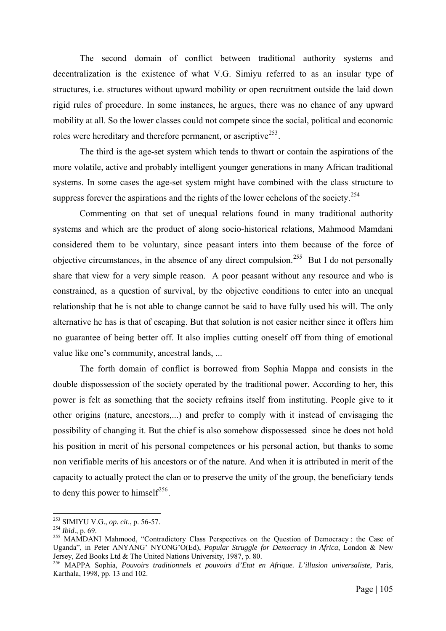The second domain of conflict between traditional authority systems and decentralization is the existence of what V.G. Simiyu referred to as an insular type of structures, i.e. structures without upward mobility or open recruitment outside the laid down rigid rules of procedure. In some instances, he argues, there was no chance of any upward mobility at all. So the lower classes could not compete since the social, political and economic roles were hereditary and therefore permanent, or ascriptive<sup>[253](#page-111-0)</sup>.

The third is the age-set system which tends to thwart or contain the aspirations of the more volatile, active and probably intelligent younger generations in many African traditional systems. In some cases the age-set system might have combined with the class structure to suppress forever the aspirations and the rights of the lower echelons of the society.<sup>[254](#page-111-1)</sup>

Commenting on that set of unequal relations found in many traditional authority systems and which are the product of along socio-historical relations, Mahmood Mamdani considered them to be voluntary, since peasant inters into them because of the force of objective circumstances, in the absence of any direct compulsion.<sup>[255](#page-111-2)</sup> But I do not personally share that view for a very simple reason. A poor peasant without any resource and who is constrained, as a question of survival, by the objective conditions to enter into an unequal relationship that he is not able to change cannot be said to have fully used his will. The only alternative he has is that of escaping. But that solution is not easier neither since it offers him no guarantee of being better off. It also implies cutting oneself off from thing of emotional value like one's community, ancestral lands, ...

The forth domain of conflict is borrowed from Sophia Mappa and consists in the double dispossession of the society operated by the traditional power. According to her, this power is felt as something that the society refrains itself from instituting. People give to it other origins (nature, ancestors,...) and prefer to comply with it instead of envisaging the possibility of changing it. But the chief is also somehow dispossessed since he does not hold his position in merit of his personal competences or his personal action, but thanks to some non verifiable merits of his ancestors or of the nature. And when it is attributed in merit of the capacity to actually protect the clan or to preserve the unity of the group, the beneficiary tends to deny this power to himself<sup>[256](#page-111-3)</sup>.

<sup>&</sup>lt;sup>253</sup> SIMIYU V.G., *op.* cit., p. 56-57.

<span id="page-111-2"></span><span id="page-111-1"></span><span id="page-111-0"></span><sup>254</sup> *Ibid.*, p. 69.<br><sup>255</sup> MAMDANI Mahmood, "Contradictory Class Perspectives on the Question of Democracy : the Case of Uganda", in Peter ANYANG' NYONG'O(Ed), *Popular Struggle for Democracy in Africa*, London & New Jersey, Zed Books Ltd & The United Nations University, 1987, p. 80.

<span id="page-111-3"></span><sup>256</sup> MAPPA Sophia, *Pouvoirs traditionnels et pouvoirs d'Etat en Afrique. L'illusion universaliste*, Paris, Karthala, 1998, pp. 13 and 102.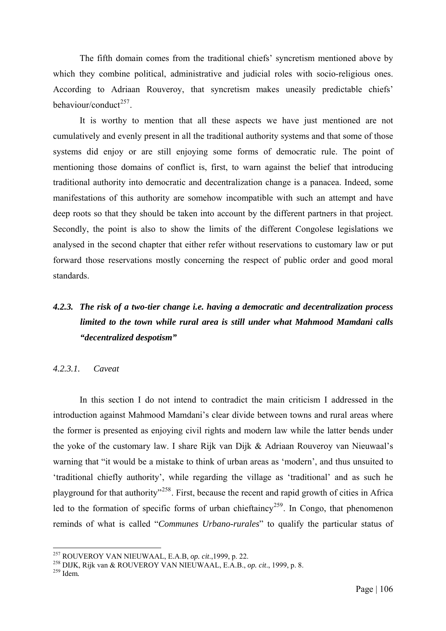The fifth domain comes from the traditional chiefs' syncretism mentioned above by which they combine political, administrative and judicial roles with socio-religious ones. According to Adriaan Rouveroy, that syncretism makes uneasily predictable chiefs' behaviour/conduct $^{257}$  $^{257}$  $^{257}$ .

It is worthy to mention that all these aspects we have just mentioned are not cumulatively and evenly present in all the traditional authority systems and that some of those systems did enjoy or are still enjoying some forms of democratic rule. The point of mentioning those domains of conflict is, first, to warn against the belief that introducing traditional authority into democratic and decentralization change is a panacea. Indeed, some manifestations of this authority are somehow incompatible with such an attempt and have deep roots so that they should be taken into account by the different partners in that project. Secondly, the point is also to show the limits of the different Congolese legislations we analysed in the second chapter that either refer without reservations to customary law or put forward those reservations mostly concerning the respect of public order and good moral standards.

# *4.2.3. The risk of a two-tier change i.e. having a democratic and decentralization process limited to the town while rural area is still under what Mahmood Mamdani calls "decentralized despotism"*

#### *4.2.3.1. Caveat*

In this section I do not intend to contradict the main criticism I addressed in the introduction against Mahmood Mamdani's clear divide between towns and rural areas where the former is presented as enjoying civil rights and modern law while the latter bends under the yoke of the customary law. I share Rijk van Dijk & Adriaan Rouveroy van Nieuwaal's warning that "it would be a mistake to think of urban areas as 'modern', and thus unsuited to 'traditional chiefly authority', while regarding the village as 'traditional' and as such he playground for that authority"[258](#page-112-1). First, because the recent and rapid growth of cities in Africa led to the formation of specific forms of urban chieftaincy<sup>[259](#page-112-2)</sup>. In Congo, that phenomenon reminds of what is called "*Communes Urbano-rurales*" to qualify the particular status of

<span id="page-112-1"></span><span id="page-112-0"></span>

<sup>&</sup>lt;sup>257</sup> ROUVEROY VAN NIEUWAAL, E.A.B, *op. cit.*,1999, p. 22.<br><sup>258</sup> DIJK, Rijk van & ROUVEROY VAN NIEUWAAL, E.A.B., *op. cit.*, 1999, p. 8. 259 Idem.

<span id="page-112-2"></span>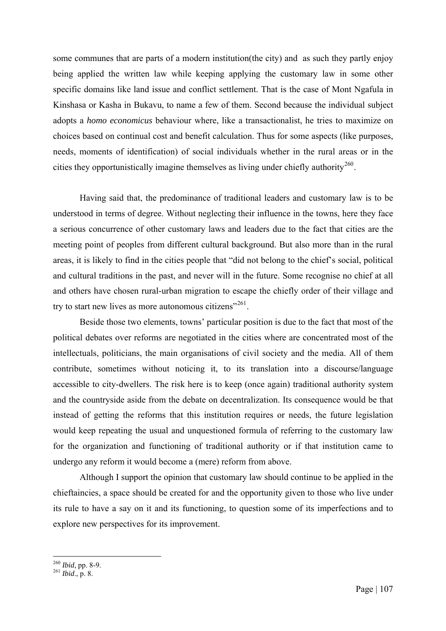some communes that are parts of a modern institution(the city) and as such they partly enjoy being applied the written law while keeping applying the customary law in some other specific domains like land issue and conflict settlement. That is the case of Mont Ngafula in Kinshasa or Kasha in Bukavu, to name a few of them. Second because the individual subject adopts a *homo economicus* behaviour where, like a transactionalist, he tries to maximize on choices based on continual cost and benefit calculation. Thus for some aspects (like purposes, needs, moments of identification) of social individuals whether in the rural areas or in the cities they opportunistically imagine themselves as living under chiefly authority<sup>[260](#page-113-0)</sup>.

Having said that, the predominance of traditional leaders and customary law is to be understood in terms of degree. Without neglecting their influence in the towns, here they face a serious concurrence of other customary laws and leaders due to the fact that cities are the meeting point of peoples from different cultural background. But also more than in the rural areas, it is likely to find in the cities people that "did not belong to the chief's social, political and cultural traditions in the past, and never will in the future. Some recognise no chief at all and others have chosen rural-urban migration to escape the chiefly order of their village and try to start new lives as more autonomous citizens"<sup>[261](#page-113-1)</sup>.

Beside those two elements, towns' particular position is due to the fact that most of the political debates over reforms are negotiated in the cities where are concentrated most of the intellectuals, politicians, the main organisations of civil society and the media. All of them contribute, sometimes without noticing it, to its translation into a discourse/language accessible to city-dwellers. The risk here is to keep (once again) traditional authority system and the countryside aside from the debate on decentralization. Its consequence would be that instead of getting the reforms that this institution requires or needs, the future legislation would keep repeating the usual and unquestioned formula of referring to the customary law for the organization and functioning of traditional authority or if that institution came to undergo any reform it would become a (mere) reform from above.

Although I support the opinion that customary law should continue to be applied in the chieftaincies, a space should be created for and the opportunity given to those who live under its rule to have a say on it and its functioning, to question some of its imperfections and to explore new perspectives for its improvement.

<span id="page-113-1"></span><span id="page-113-0"></span><sup>260</sup> *Ibid*, pp. 8-9. 261 *Ibid*., p. 8.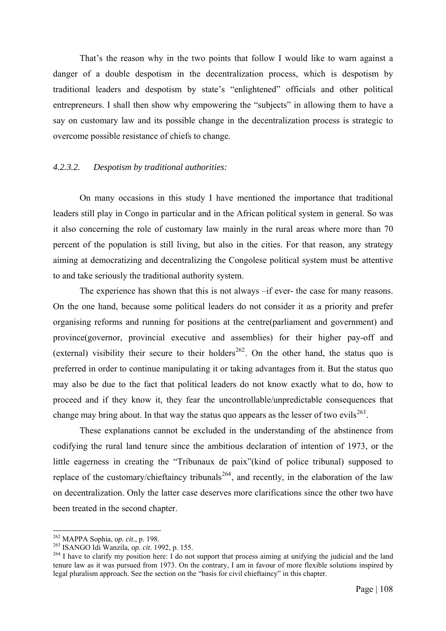That's the reason why in the two points that follow I would like to warn against a danger of a double despotism in the decentralization process, which is despotism by traditional leaders and despotism by state's "enlightened" officials and other political entrepreneurs. I shall then show why empowering the "subjects" in allowing them to have a say on customary law and its possible change in the decentralization process is strategic to overcome possible resistance of chiefs to change.

#### *4.2.3.2. Despotism by traditional authorities:*

On many occasions in this study I have mentioned the importance that traditional leaders still play in Congo in particular and in the African political system in general. So was it also concerning the role of customary law mainly in the rural areas where more than 70 percent of the population is still living, but also in the cities. For that reason, any strategy aiming at democratizing and decentralizing the Congolese political system must be attentive to and take seriously the traditional authority system.

The experience has shown that this is not always –if ever- the case for many reasons. On the one hand, because some political leaders do not consider it as a priority and prefer organising reforms and running for positions at the centre(parliament and government) and province(governor, provincial executive and assemblies) for their higher pay-off and (external) visibility their secure to their holders<sup>[262](#page-114-0)</sup>. On the other hand, the status quo is preferred in order to continue manipulating it or taking advantages from it. But the status quo may also be due to the fact that political leaders do not know exactly what to do, how to proceed and if they know it, they fear the uncontrollable/unpredictable consequences that change may bring about. In that way the status quo appears as the lesser of two evils<sup>[263](#page-114-1)</sup>.

These explanations cannot be excluded in the understanding of the abstinence from codifying the rural land tenure since the ambitious declaration of intention of 1973, or the little eagerness in creating the "Tribunaux de paix"(kind of police tribunal) supposed to replace of the customary/chieftaincy tribunals<sup>[264](#page-114-2)</sup>, and recently, in the elaboration of the law on decentralization. Only the latter case deserves more clarifications since the other two have been treated in the second chapter.

<span id="page-114-0"></span> $262$  MAPPA Sophia, op. cit., p. 198.

<span id="page-114-2"></span><span id="page-114-1"></span><sup>263</sup> ISANGO Idi Wanzila, *op. cit*. 1992, p. 155.<br><sup>263</sup> ISANGO Idi Wanzila, *op. cit*. 1992, p. 155.<br><sup>264</sup> I have to clarify my position here: I do not support that process aiming at unifying the judicial and the land tenure law as it was pursued from 1973. On the contrary, I am in favour of more flexible solutions inspired by legal pluralism approach. See the section on the "basis for civil chieftaincy" in this chapter.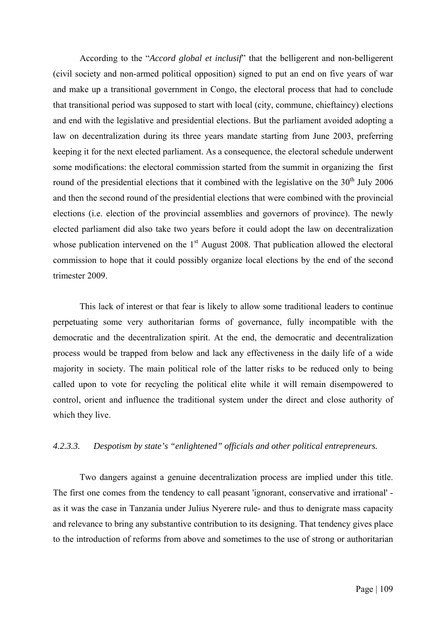According to the "*Accord global et inclusif*" that the belligerent and non-belligerent (civil society and non-armed political opposition) signed to put an end on five years of war and make up a transitional government in Congo, the electoral process that had to conclude that transitional period was supposed to start with local (city, commune, chieftaincy) elections and end with the legislative and presidential elections. But the parliament avoided adopting a law on decentralization during its three years mandate starting from June 2003, preferring keeping it for the next elected parliament. As a consequence, the electoral schedule underwent some modifications: the electoral commission started from the summit in organizing the first round of the presidential elections that it combined with the legislative on the  $30<sup>th</sup>$  July 2006 and then the second round of the presidential elections that were combined with the provincial elections (i.e. election of the provincial assemblies and governors of province). The newly elected parliament did also take two years before it could adopt the law on decentralization whose publication intervened on the  $1<sup>st</sup>$  August 2008. That publication allowed the electoral commission to hope that it could possibly organize local elections by the end of the second trimester 2009.

This lack of interest or that fear is likely to allow some traditional leaders to continue perpetuating some very authoritarian forms of governance, fully incompatible with the democratic and the decentralization spirit. At the end, the democratic and decentralization process would be trapped from below and lack any effectiveness in the daily life of a wide majority in society. The main political role of the latter risks to be reduced only to being called upon to vote for recycling the political elite while it will remain disempowered to control, orient and influence the traditional system under the direct and close authority of which they live.

#### *4.2.3.3. Despotism by state's "enlightened" officials and other political entrepreneurs.*

Two dangers against a genuine decentralization process are implied under this title. The first one comes from the tendency to call peasant 'ignorant, conservative and irrational' as it was the case in Tanzania under Julius Nyerere rule- and thus to denigrate mass capacity and relevance to bring any substantive contribution to its designing. That tendency gives place to the introduction of reforms from above and sometimes to the use of strong or authoritarian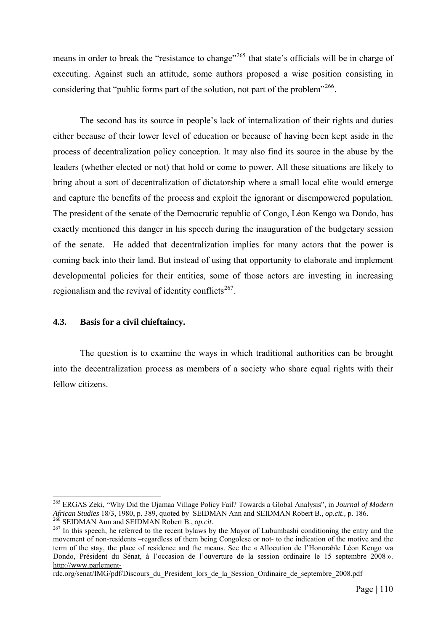means in order to break the "resistance to change"<sup>[265](#page-116-0)</sup> that state's officials will be in charge of executing. Against such an attitude, some authors proposed a wise position consisting in considering that "public forms part of the solution, not part of the problem"<sup>[266](#page-116-1)</sup>.

The second has its source in people's lack of internalization of their rights and duties either because of their lower level of education or because of having been kept aside in the process of decentralization policy conception. It may also find its source in the abuse by the leaders (whether elected or not) that hold or come to power. All these situations are likely to bring about a sort of decentralization of dictatorship where a small local elite would emerge and capture the benefits of the process and exploit the ignorant or disempowered population. The president of the senate of the Democratic republic of Congo, Léon Kengo wa Dondo, has exactly mentioned this danger in his speech during the inauguration of the budgetary session of the senate. He added that decentralization implies for many actors that the power is coming back into their land. But instead of using that opportunity to elaborate and implement developmental policies for their entities, some of those actors are investing in increasing regionalism and the revival of identity conflicts<sup>[267](#page-116-2)</sup>.

#### **4.3. Basis for a civil chieftaincy.**

1

The question is to examine the ways in which traditional authorities can be brought into the decentralization process as members of a society who share equal rights with their fellow citizens.

<span id="page-116-0"></span><sup>265</sup> ERGAS Zeki, "Why Did the Ujamaa Village Policy Fail? Towards a Global Analysis", in *Journal of Modern*  African Studies 18/3, 1980, p. 389, quoted by SEIDMAN Ann and SEIDMAN Robert B., *op.cit.*, p. 186.<br><sup>266</sup> SEIDMAN Ann and SEIDMAN Robert B., *op.cit.*<br><sup>267</sup> In this speech, he referred to the recent bylaws by the Mayor of

<span id="page-116-2"></span><span id="page-116-1"></span>movement of non-residents –regardless of them being Congolese or not- to the indication of the motive and the term of the stay, the place of residence and the means. See the « Allocution de l'Honorable Léon Kengo wa Dondo, Président du Sénat, à l'occasion de l'ouverture de la session ordinaire le 15 septembre 2008 ». [http://www.parlement-](http://www.parlement-rdc.org/senat/IMG/pdf/Discours_du_President_lors_de_la_Session_Ordinaire_de_septembre_2008.pdf)

[rdc.org/senat/IMG/pdf/Discours\\_du\\_President\\_lors\\_de\\_la\\_Session\\_Ordinaire\\_de\\_septembre\\_2008.pdf](http://www.parlement-rdc.org/senat/IMG/pdf/Discours_du_President_lors_de_la_Session_Ordinaire_de_septembre_2008.pdf)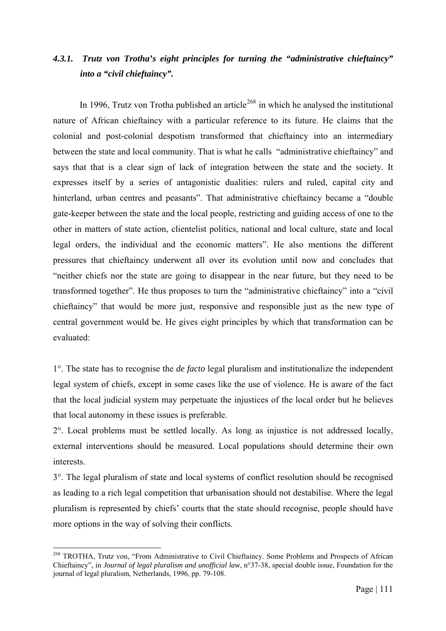# *4.3.1. Trutz von Trotha's eight principles for turning the "administrative chieftaincy" into a "civil chieftaincy".*

In 1996, Trutz von Trotha published an article<sup>[268](#page-117-0)</sup> in which he analysed the institutional nature of African chieftaincy with a particular reference to its future. He claims that the colonial and post-colonial despotism transformed that chieftaincy into an intermediary between the state and local community. That is what he calls "administrative chieftaincy" and says that that is a clear sign of lack of integration between the state and the society. It expresses itself by a series of antagonistic dualities: rulers and ruled, capital city and hinterland, urban centres and peasants". That administrative chieftaincy became a "double gate-keeper between the state and the local people, restricting and guiding access of one to the other in matters of state action, clientelist politics, national and local culture, state and local legal orders, the individual and the economic matters". He also mentions the different pressures that chieftaincy underwent all over its evolution until now and concludes that "neither chiefs nor the state are going to disappear in the near future, but they need to be transformed together". He thus proposes to turn the "administrative chieftaincy" into a "civil chieftaincy" that would be more just, responsive and responsible just as the new type of central government would be. He gives eight principles by which that transformation can be evaluated:

1°. The state has to recognise the *de facto* legal pluralism and institutionalize the independent legal system of chiefs, except in some cases like the use of violence. He is aware of the fact that the local judicial system may perpetuate the injustices of the local order but he believes that local autonomy in these issues is preferable.

2°. Local problems must be settled locally. As long as injustice is not addressed locally, external interventions should be measured. Local populations should determine their own interests.

3°. The legal pluralism of state and local systems of conflict resolution should be recognised as leading to a rich legal competition that urbanisation should not destabilise. Where the legal pluralism is represented by chiefs' courts that the state should recognise, people should have more options in the way of solving their conflicts.

<span id="page-117-0"></span><sup>&</sup>lt;sup>268</sup> TROTHA, Trutz von, "From Administrative to Civil Chieftaincy. Some Problems and Prospects of African Chieftaincy", in *Journal of legal pluralism and unofficial law*, n°37-38, special double issue, Foundation for the journal of legal pluralism, Netherlands, 1996, pp. 79-108.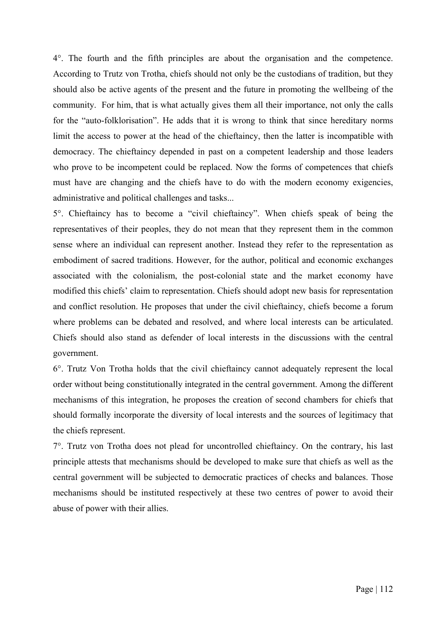4°. The fourth and the fifth principles are about the organisation and the competence. According to Trutz von Trotha, chiefs should not only be the custodians of tradition, but they should also be active agents of the present and the future in promoting the wellbeing of the community. For him, that is what actually gives them all their importance, not only the calls for the "auto-folklorisation". He adds that it is wrong to think that since hereditary norms limit the access to power at the head of the chieftaincy, then the latter is incompatible with democracy. The chieftaincy depended in past on a competent leadership and those leaders who prove to be incompetent could be replaced. Now the forms of competences that chiefs must have are changing and the chiefs have to do with the modern economy exigencies, administrative and political challenges and tasks...

5°. Chieftaincy has to become a "civil chieftaincy". When chiefs speak of being the representatives of their peoples, they do not mean that they represent them in the common sense where an individual can represent another. Instead they refer to the representation as embodiment of sacred traditions. However, for the author, political and economic exchanges associated with the colonialism, the post-colonial state and the market economy have modified this chiefs' claim to representation. Chiefs should adopt new basis for representation and conflict resolution. He proposes that under the civil chieftaincy, chiefs become a forum where problems can be debated and resolved, and where local interests can be articulated. Chiefs should also stand as defender of local interests in the discussions with the central government.

6°. Trutz Von Trotha holds that the civil chieftaincy cannot adequately represent the local order without being constitutionally integrated in the central government. Among the different mechanisms of this integration, he proposes the creation of second chambers for chiefs that should formally incorporate the diversity of local interests and the sources of legitimacy that the chiefs represent.

7°. Trutz von Trotha does not plead for uncontrolled chieftaincy. On the contrary, his last principle attests that mechanisms should be developed to make sure that chiefs as well as the central government will be subjected to democratic practices of checks and balances. Those mechanisms should be instituted respectively at these two centres of power to avoid their abuse of power with their allies.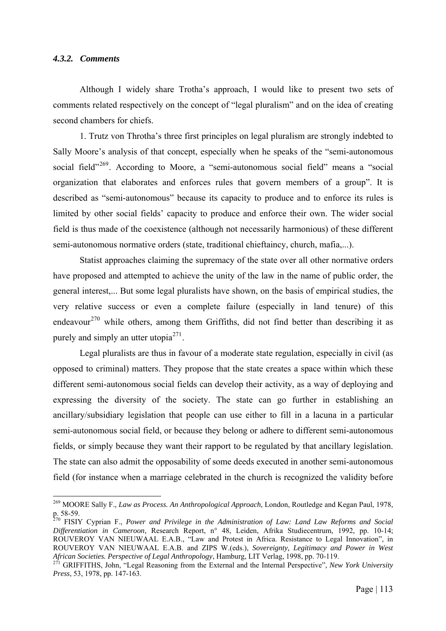#### *4.3.2. Comments*

1

Although I widely share Trotha's approach, I would like to present two sets of comments related respectively on the concept of "legal pluralism" and on the idea of creating second chambers for chiefs.

1. Trutz von Throtha's three first principles on legal pluralism are strongly indebted to Sally Moore's analysis of that concept, especially when he speaks of the "semi-autonomous social field"<sup>[269](#page-119-0)</sup>. According to Moore, a "semi-autonomous social field" means a "social organization that elaborates and enforces rules that govern members of a group". It is described as "semi-autonomous" because its capacity to produce and to enforce its rules is limited by other social fields' capacity to produce and enforce their own. The wider social field is thus made of the coexistence (although not necessarily harmonious) of these different semi-autonomous normative orders (state, traditional chieftaincy, church, mafia,...).

Statist approaches claiming the supremacy of the state over all other normative orders have proposed and attempted to achieve the unity of the law in the name of public order, the general interest,... But some legal pluralists have shown, on the basis of empirical studies, the very relative success or even a complete failure (especially in land tenure) of this endeavour<sup>[270](#page-119-1)</sup> while others, among them Griffiths, did not find better than describing it as purely and simply an utter utopia<sup>[271](#page-119-2)</sup>.

Legal pluralists are thus in favour of a moderate state regulation, especially in civil (as opposed to criminal) matters. They propose that the state creates a space within which these different semi-autonomous social fields can develop their activity, as a way of deploying and expressing the diversity of the society. The state can go further in establishing an ancillary/subsidiary legislation that people can use either to fill in a lacuna in a particular semi-autonomous social field, or because they belong or adhere to different semi-autonomous fields, or simply because they want their rapport to be regulated by that ancillary legislation. The state can also admit the opposability of some deeds executed in another semi-autonomous field (for instance when a marriage celebrated in the church is recognized the validity before

<span id="page-119-0"></span><sup>269</sup> MOORE Sally F., *Law as Process. An Anthropological Approach*, London, Routledge and Kegan Paul, 1978, p. 58-59.

<span id="page-119-1"></span><sup>270</sup> FISIY Cyprian F., *Power and Privilege in the Administration of Law: Land Law Reforms and Social Differentiation in Cameroon*, Research Report, n° 48, Leiden, Afrika Studiecentrum, 1992, pp. 10-14; ROUVEROY VAN NIEUWAAL E.A.B., "Law and Protest in Africa. Resistance to Legal Innovation", in ROUVEROY VAN NIEUWAAL E.A.B. and ZIPS W.(eds.), *Sovereignty, Legitimacy and Power in West African Societies. Perspective of Legal Anthropology*, Hamburg, LIT Verlag, 1998, pp. 70-119. 271 GRIFFITHS, John, "Legal Reasoning from the External and the Internal Perspective", *New York University* 

<span id="page-119-2"></span>*Press*, 53, 1978, pp. 147-163.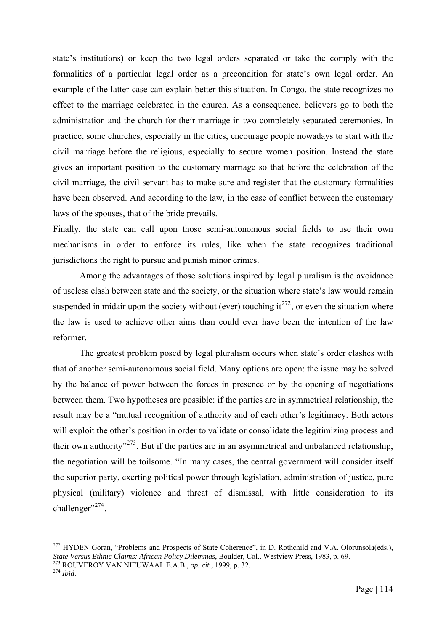state's institutions) or keep the two legal orders separated or take the comply with the formalities of a particular legal order as a precondition for state's own legal order. An example of the latter case can explain better this situation. In Congo, the state recognizes no effect to the marriage celebrated in the church. As a consequence, believers go to both the administration and the church for their marriage in two completely separated ceremonies. In practice, some churches, especially in the cities, encourage people nowadays to start with the civil marriage before the religious, especially to secure women position. Instead the state gives an important position to the customary marriage so that before the celebration of the civil marriage, the civil servant has to make sure and register that the customary formalities have been observed. And according to the law, in the case of conflict between the customary laws of the spouses, that of the bride prevails.

Finally, the state can call upon those semi-autonomous social fields to use their own mechanisms in order to enforce its rules, like when the state recognizes traditional jurisdictions the right to pursue and punish minor crimes.

Among the advantages of those solutions inspired by legal pluralism is the avoidance of useless clash between state and the society, or the situation where state's law would remain suspended in midair upon the society without (ever) touching it<sup>[272](#page-120-0)</sup>, or even the situation where the law is used to achieve other aims than could ever have been the intention of the law reformer.

The greatest problem posed by legal pluralism occurs when state's order clashes with that of another semi-autonomous social field. Many options are open: the issue may be solved by the balance of power between the forces in presence or by the opening of negotiations between them. Two hypotheses are possible: if the parties are in symmetrical relationship, the result may be a "mutual recognition of authority and of each other's legitimacy. Both actors will exploit the other's position in order to validate or consolidate the legitimizing process and their own authority<sup> $273$ </sup>. But if the parties are in an asymmetrical and unbalanced relationship, the negotiation will be toilsome. "In many cases, the central government will consider itself the superior party, exerting political power through legislation, administration of justice, pure physical (military) violence and threat of dismissal, with little consideration to its challenger". $274$ .

<span id="page-120-0"></span><sup>&</sup>lt;sup>272</sup> HYDEN Goran, "Problems and Prospects of State Coherence", in D. Rothchild and V.A. Olorunsola(eds.), *State Versus Ethnic Claims: African Policy Dilemmas*, Boulder, Col., Westview Press, 1983, p. 69. 273 ROUVEROY VAN NIEUWAAL E.A.B., *op. cit*., 1999, p. 32. 274 *Ibid*.

<span id="page-120-2"></span><span id="page-120-1"></span>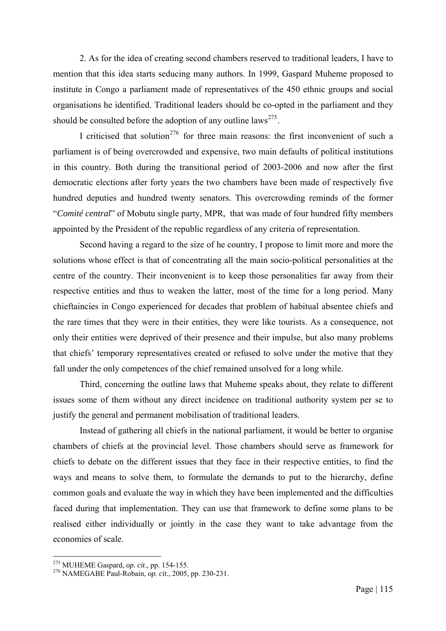2. As for the idea of creating second chambers reserved to traditional leaders, I have to mention that this idea starts seducing many authors. In 1999, Gaspard Muheme proposed to institute in Congo a parliament made of representatives of the 450 ethnic groups and social organisations he identified. Traditional leaders should be co-opted in the parliament and they should be consulted before the adoption of any outline laws<sup>[275](#page-121-0)</sup>.

I criticised that solution<sup>[276](#page-121-1)</sup> for three main reasons: the first inconvenient of such a parliament is of being overcrowded and expensive, two main defaults of political institutions in this country. Both during the transitional period of 2003-2006 and now after the first democratic elections after forty years the two chambers have been made of respectively five hundred deputies and hundred twenty senators. This overcrowding reminds of the former "*Comité central*" of Mobutu single party, MPR, that was made of four hundred fifty members appointed by the President of the republic regardless of any criteria of representation.

Second having a regard to the size of he country, I propose to limit more and more the solutions whose effect is that of concentrating all the main socio-political personalities at the centre of the country. Their inconvenient is to keep those personalities far away from their respective entities and thus to weaken the latter, most of the time for a long period. Many chieftaincies in Congo experienced for decades that problem of habitual absentee chiefs and the rare times that they were in their entities, they were like tourists. As a consequence, not only their entities were deprived of their presence and their impulse, but also many problems that chiefs' temporary representatives created or refused to solve under the motive that they fall under the only competences of the chief remained unsolved for a long while.

Third, concerning the outline laws that Muheme speaks about, they relate to different issues some of them without any direct incidence on traditional authority system per se to justify the general and permanent mobilisation of traditional leaders.

Instead of gathering all chiefs in the national parliament, it would be better to organise chambers of chiefs at the provincial level. Those chambers should serve as framework for chiefs to debate on the different issues that they face in their respective entities, to find the ways and means to solve them, to formulate the demands to put to the hierarchy, define common goals and evaluate the way in which they have been implemented and the difficulties faced during that implementation. They can use that framework to define some plans to be realised either individually or jointly in the case they want to take advantage from the economies of scale.

<span id="page-121-1"></span><span id="page-121-0"></span><sup>275</sup> MUHEME Gaspard, *op. cit*., pp. 154-155. 276 NAMEGABE Paul-Robain, *op. cit*., 2005, pp. 230-231.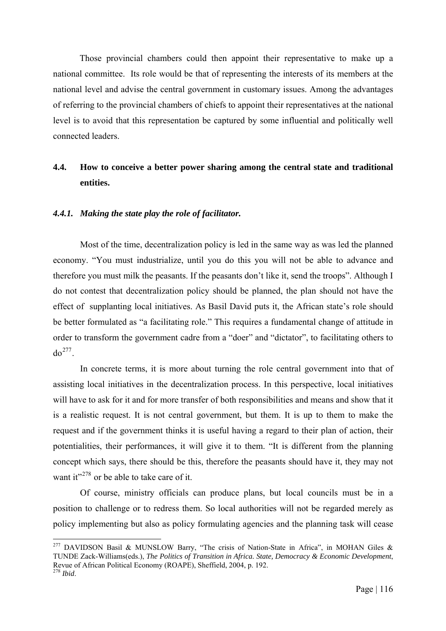Those provincial chambers could then appoint their representative to make up a national committee. Its role would be that of representing the interests of its members at the national level and advise the central government in customary issues. Among the advantages of referring to the provincial chambers of chiefs to appoint their representatives at the national level is to avoid that this representation be captured by some influential and politically well connected leaders.

# **4.4. How to conceive a better power sharing among the central state and traditional entities.**

## *4.4.1. Making the state play the role of facilitator.*

1

Most of the time, decentralization policy is led in the same way as was led the planned economy. "You must industrialize, until you do this you will not be able to advance and therefore you must milk the peasants. If the peasants don't like it, send the troops". Although I do not contest that decentralization policy should be planned, the plan should not have the effect of supplanting local initiatives. As Basil David puts it, the African state's role should be better formulated as "a facilitating role." This requires a fundamental change of attitude in order to transform the government cadre from a "doer" and "dictator", to facilitating others to  $do^{277}$  $do^{277}$  $do^{277}$ .

In concrete terms, it is more about turning the role central government into that of assisting local initiatives in the decentralization process. In this perspective, local initiatives will have to ask for it and for more transfer of both responsibilities and means and show that it is a realistic request. It is not central government, but them. It is up to them to make the request and if the government thinks it is useful having a regard to their plan of action, their potentialities, their performances, it will give it to them. "It is different from the planning concept which says, there should be this, therefore the peasants should have it, they may not want it" $278$  or be able to take care of it.

Of course, ministry officials can produce plans, but local councils must be in a position to challenge or to redress them. So local authorities will not be regarded merely as policy implementing but also as policy formulating agencies and the planning task will cease

<span id="page-122-1"></span><span id="page-122-0"></span><sup>&</sup>lt;sup>277</sup> DAVIDSON Basil & MUNSLOW Barry, "The crisis of Nation-State in Africa", in MOHAN Giles & TUNDE Zack-Williams(eds.), *The Politics of Transition in Africa. State, Democracy & Economic Development*, Revue of African Political Economy (ROAPE), Sheffield, 2004, p. 192. <sup>278</sup> *Ibid*.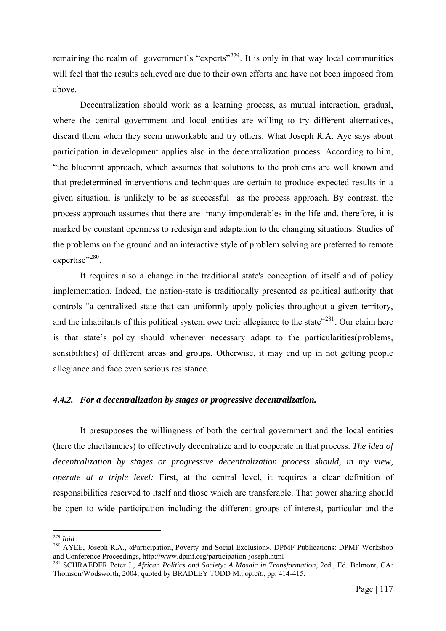remaining the realm of government's "experts"<sup>[279](#page-123-0)</sup>. It is only in that way local communities will feel that the results achieved are due to their own efforts and have not been imposed from above.

Decentralization should work as a learning process, as mutual interaction, gradual, where the central government and local entities are willing to try different alternatives, discard them when they seem unworkable and try others. What Joseph R.A. Aye says about participation in development applies also in the decentralization process. According to him, "the blueprint approach, which assumes that solutions to the problems are well known and that predetermined interventions and techniques are certain to produce expected results in a given situation, is unlikely to be as successful as the process approach. By contrast, the process approach assumes that there are many imponderables in the life and, therefore, it is marked by constant openness to redesign and adaptation to the changing situations. Studies of the problems on the ground and an interactive style of problem solving are preferred to remote expertise"<sup>[280](#page-123-1)</sup>.

It requires also a change in the traditional state's conception of itself and of policy implementation. Indeed, the nation-state is traditionally presented as political authority that controls "a centralized state that can uniformly apply policies throughout a given territory, and the inhabitants of this political system owe their allegiance to the state"<sup>[281](#page-123-2)</sup>. Our claim here is that state's policy should whenever necessary adapt to the particularities(problems, sensibilities) of different areas and groups. Otherwise, it may end up in not getting people allegiance and face even serious resistance.

# *4.4.2. For a decentralization by stages or progressive decentralization.*

It presupposes the willingness of both the central government and the local entities (here the chieftaincies) to effectively decentralize and to cooperate in that process. *The idea of decentralization by stages or progressive decentralization process should, in my view, operate at a triple level:* First, at the central level, it requires a clear definition of responsibilities reserved to itself and those which are transferable. That power sharing should be open to wide participation including the different groups of interest, particular and the

 $279$  Ibid.

<span id="page-123-1"></span><span id="page-123-0"></span><sup>&</sup>lt;sup>280</sup> AYEE, Joseph R.A., «Participation, Poverty and Social Exclusion», DPMF Publications: DPMF Workshop and Conference Proceedings, http://www.dpmf.org/participation-joseph.html 281 SCHRAEDER Peter J., *African Politics and Society: A Mosaic in Transformation*, 2ed., Ed. Belmont, CA:

<span id="page-123-2"></span>Thomson/Wodsworth, 2004, quoted by BRADLEY TODD M., *op.cit*., pp. 414-415.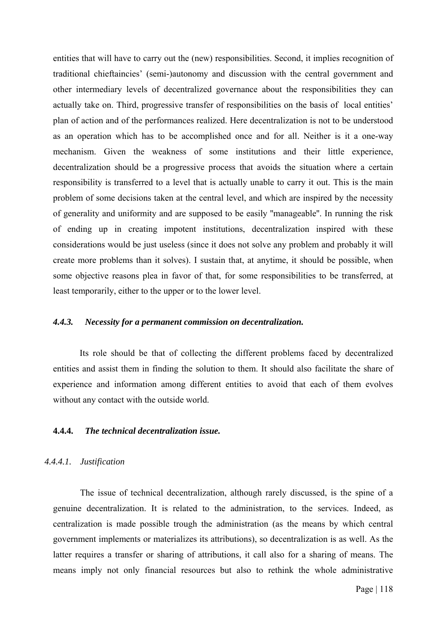entities that will have to carry out the (new) responsibilities. Second, it implies recognition of traditional chieftaincies' (semi-)autonomy and discussion with the central government and other intermediary levels of decentralized governance about the responsibilities they can actually take on. Third, progressive transfer of responsibilities on the basis of local entities' plan of action and of the performances realized. Here decentralization is not to be understood as an operation which has to be accomplished once and for all. Neither is it a one-way mechanism. Given the weakness of some institutions and their little experience, decentralization should be a progressive process that avoids the situation where a certain responsibility is transferred to a level that is actually unable to carry it out. This is the main problem of some decisions taken at the central level, and which are inspired by the necessity of generality and uniformity and are supposed to be easily ''manageable''. In running the risk of ending up in creating impotent institutions, decentralization inspired with these considerations would be just useless (since it does not solve any problem and probably it will create more problems than it solves). I sustain that, at anytime, it should be possible, when some objective reasons plea in favor of that, for some responsibilities to be transferred, at least temporarily, either to the upper or to the lower level.

#### *4.4.3. Necessity for a permanent commission on decentralization.*

Its role should be that of collecting the different problems faced by decentralized entities and assist them in finding the solution to them. It should also facilitate the share of experience and information among different entities to avoid that each of them evolves without any contact with the outside world.

# **4.4.4.** *The technical decentralization issue.*

#### *4.4.4.1. Justification*

The issue of technical decentralization, although rarely discussed, is the spine of a genuine decentralization. It is related to the administration, to the services. Indeed, as centralization is made possible trough the administration (as the means by which central government implements or materializes its attributions), so decentralization is as well. As the latter requires a transfer or sharing of attributions, it call also for a sharing of means. The means imply not only financial resources but also to rethink the whole administrative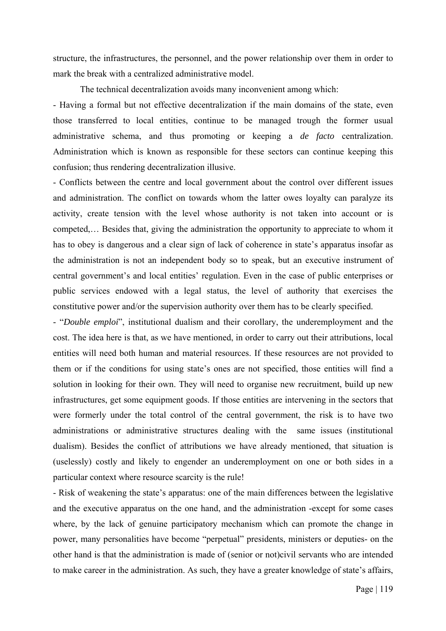structure, the infrastructures, the personnel, and the power relationship over them in order to mark the break with a centralized administrative model.

The technical decentralization avoids many inconvenient among which:

- Having a formal but not effective decentralization if the main domains of the state, even those transferred to local entities, continue to be managed trough the former usual administrative schema, and thus promoting or keeping a *de facto* centralization. Administration which is known as responsible for these sectors can continue keeping this confusion; thus rendering decentralization illusive.

- Conflicts between the centre and local government about the control over different issues and administration. The conflict on towards whom the latter owes loyalty can paralyze its activity, create tension with the level whose authority is not taken into account or is competed,… Besides that, giving the administration the opportunity to appreciate to whom it has to obey is dangerous and a clear sign of lack of coherence in state's apparatus insofar as the administration is not an independent body so to speak, but an executive instrument of central government's and local entities' regulation. Even in the case of public enterprises or public services endowed with a legal status, the level of authority that exercises the constitutive power and/or the supervision authority over them has to be clearly specified.

- "*Double emploi*", institutional dualism and their corollary, the underemployment and the cost. The idea here is that, as we have mentioned, in order to carry out their attributions, local entities will need both human and material resources. If these resources are not provided to them or if the conditions for using state's ones are not specified, those entities will find a solution in looking for their own. They will need to organise new recruitment, build up new infrastructures, get some equipment goods. If those entities are intervening in the sectors that were formerly under the total control of the central government, the risk is to have two administrations or administrative structures dealing with the same issues (institutional dualism). Besides the conflict of attributions we have already mentioned, that situation is (uselessly) costly and likely to engender an underemployment on one or both sides in a particular context where resource scarcity is the rule!

- Risk of weakening the state's apparatus: one of the main differences between the legislative and the executive apparatus on the one hand, and the administration -except for some cases where, by the lack of genuine participatory mechanism which can promote the change in power, many personalities have become "perpetual" presidents, ministers or deputies- on the other hand is that the administration is made of (senior or not)civil servants who are intended to make career in the administration. As such, they have a greater knowledge of state's affairs,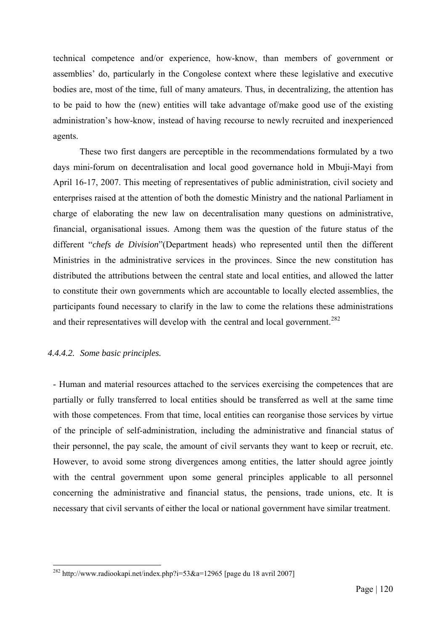technical competence and/or experience, how-know, than members of government or assemblies' do, particularly in the Congolese context where these legislative and executive bodies are, most of the time, full of many amateurs. Thus, in decentralizing, the attention has to be paid to how the (new) entities will take advantage of/make good use of the existing administration's how-know, instead of having recourse to newly recruited and inexperienced agents.

These two first dangers are perceptible in the recommendations formulated by a two days mini-forum on decentralisation and local good governance hold in Mbuji-Mayi from April 16-17, 2007. This meeting of representatives of public administration, civil society and enterprises raised at the attention of both the domestic Ministry and the national Parliament in charge of elaborating the new law on decentralisation many questions on administrative, financial, organisational issues. Among them was the question of the future status of the different "*chefs de Division*"(Department heads) who represented until then the different Ministries in the administrative services in the provinces. Since the new constitution has distributed the attributions between the central state and local entities, and allowed the latter to constitute their own governments which are accountable to locally elected assemblies, the participants found necessary to clarify in the law to come the relations these administrations and their representatives will develop with the central and local government.<sup>[282](#page-126-0)</sup>

# *4.4.4.2. Some basic principles.*

1

- Human and material resources attached to the services exercising the competences that are partially or fully transferred to local entities should be transferred as well at the same time with those competences. From that time, local entities can reorganise those services by virtue of the principle of self-administration, including the administrative and financial status of their personnel, the pay scale, the amount of civil servants they want to keep or recruit, etc. However, to avoid some strong divergences among entities, the latter should agree jointly with the central government upon some general principles applicable to all personnel concerning the administrative and financial status, the pensions, trade unions, etc. It is necessary that civil servants of either the local or national government have similar treatment.

<span id="page-126-0"></span><sup>&</sup>lt;sup>282</sup> http://www.radiookapi.net/index.php?i=53&a=12965 [page du 18 avril 2007]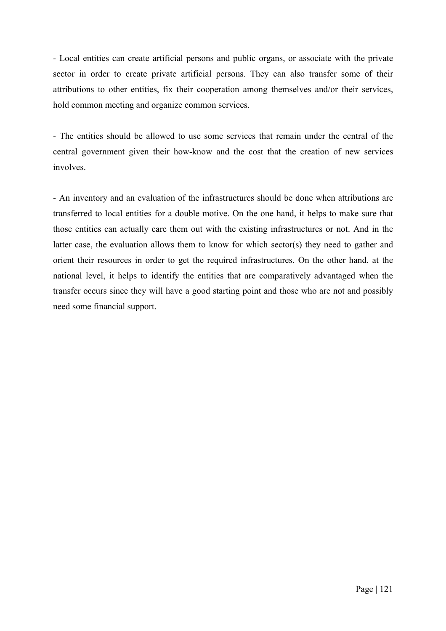- Local entities can create artificial persons and public organs, or associate with the private sector in order to create private artificial persons. They can also transfer some of their attributions to other entities, fix their cooperation among themselves and/or their services, hold common meeting and organize common services.

- The entities should be allowed to use some services that remain under the central of the central government given their how-know and the cost that the creation of new services involves.

- An inventory and an evaluation of the infrastructures should be done when attributions are transferred to local entities for a double motive. On the one hand, it helps to make sure that those entities can actually care them out with the existing infrastructures or not. And in the latter case, the evaluation allows them to know for which sector(s) they need to gather and orient their resources in order to get the required infrastructures. On the other hand, at the national level, it helps to identify the entities that are comparatively advantaged when the transfer occurs since they will have a good starting point and those who are not and possibly need some financial support.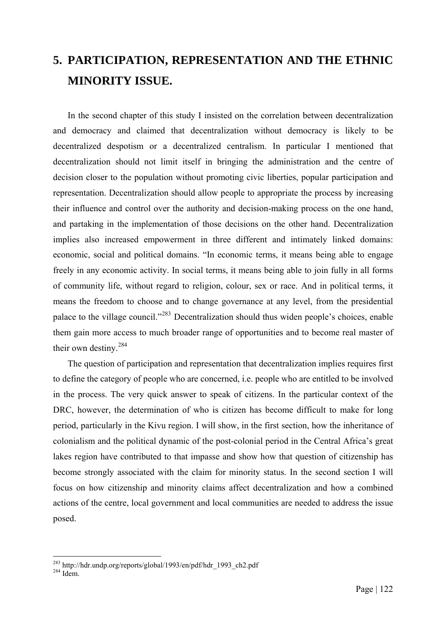# **5. PARTICIPATION, REPRESENTATION AND THE ETHNIC MINORITY ISSUE.**

In the second chapter of this study I insisted on the correlation between decentralization and democracy and claimed that decentralization without democracy is likely to be decentralized despotism or a decentralized centralism. In particular I mentioned that decentralization should not limit itself in bringing the administration and the centre of decision closer to the population without promoting civic liberties, popular participation and representation. Decentralization should allow people to appropriate the process by increasing their influence and control over the authority and decision-making process on the one hand, and partaking in the implementation of those decisions on the other hand. Decentralization implies also increased empowerment in three different and intimately linked domains: economic, social and political domains. "In economic terms, it means being able to engage freely in any economic activity. In social terms, it means being able to join fully in all forms of community life, without regard to religion, colour, sex or race. And in political terms, it means the freedom to choose and to change governance at any level, from the presidential palace to the village council."[283](#page-128-0) Decentralization should thus widen people's choices, enable them gain more access to much broader range of opportunities and to become real master of their own destiny.[284](#page-128-1)

The question of participation and representation that decentralization implies requires first to define the category of people who are concerned, i.e. people who are entitled to be involved in the process. The very quick answer to speak of citizens. In the particular context of the DRC, however, the determination of who is citizen has become difficult to make for long period, particularly in the Kivu region. I will show, in the first section, how the inheritance of colonialism and the political dynamic of the post-colonial period in the Central Africa's great lakes region have contributed to that impasse and show how that question of citizenship has become strongly associated with the claim for minority status. In the second section I will focus on how citizenship and minority claims affect decentralization and how a combined actions of the centre, local government and local communities are needed to address the issue posed.

<span id="page-128-0"></span><sup>&</sup>lt;sup>283</sup> http://hdr.undp.org/reports/global/1993/en/pdf/hdr\_1993\_ch2.pdf Idem.

<span id="page-128-1"></span>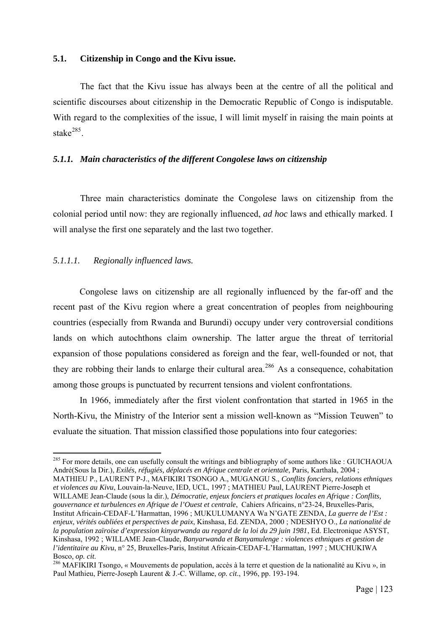## **5.1. Citizenship in Congo and the Kivu issue.**

The fact that the Kivu issue has always been at the centre of all the political and scientific discourses about citizenship in the Democratic Republic of Congo is indisputable. With regard to the complexities of the issue, I will limit myself in raising the main points at stake $^{285}$  $^{285}$  $^{285}$ 

#### *5.1.1. Main characteristics of the different Congolese laws on citizenship*

Three main characteristics dominate the Congolese laws on citizenship from the colonial period until now: they are regionally influenced, *ad hoc* laws and ethically marked. I will analyse the first one separately and the last two together.

# *5.1.1.1. Regionally influenced laws.*

1

Congolese laws on citizenship are all regionally influenced by the far-off and the recent past of the Kivu region where a great concentration of peoples from neighbouring countries (especially from Rwanda and Burundi) occupy under very controversial conditions lands on which autochthons claim ownership. The latter argue the threat of territorial expansion of those populations considered as foreign and the fear, well-founded or not, that they are robbing their lands to enlarge their cultural area.<sup>[286](#page-129-1)</sup> As a consequence, cohabitation among those groups is punctuated by recurrent tensions and violent confrontations.

In 1966, immediately after the first violent confrontation that started in 1965 in the North-Kivu, the Ministry of the Interior sent a mission well-known as "Mission Teuwen" to evaluate the situation. That mission classified those populations into four categories:

<span id="page-129-0"></span><sup>&</sup>lt;sup>285</sup> For more details, one can usefully consult the writings and bibliography of some authors like : GUICHAOUA André(Sous la Dir.), *Exilés, réfugiés, déplacés en Afrique centrale et orientale*, Paris, Karthala, 2004 ; MATHIEU P., LAURENT P-J., MAFIKIRI TSONGO A., MUGANGU S., *Conflits fonciers, relations ethniques et violences au Kivu*, Louvain-la-Neuve, IED, UCL, 1997 ; MATHIEU Paul, LAURENT Pierre-Joseph et WILLAME Jean-Claude (sous la dir.), *Démocratie, enjeux fonciers et pratiques locales en Afrique : Conflits, gouvernance et turbulences en Afrique de l'Ouest et centrale*, Cahiers Africains, n°23-24, Bruxelles-Paris, Institut Africain-CEDAF-L'Harmattan, 1996 ; MUKULUMANYA Wa N'GATE ZENDA, *La guerre de l'Est : enjeux, vérités oubliées et perspectives de paix*, Kinshasa, Ed. ZENDA, 2000 ; NDESHYO O., *La nationalité de la population zaïroise d'expression kinyarwanda au regard de la loi du 29 juin 1981*, Ed. Electronique ASYST, Kinshasa, 1992 ; WILLAME Jean-Claude, *Banyarwanda et Banyamulenge : violences ethniques et gestion de l'identitaire au Kivu*, n° 25, Bruxelles-Paris, Institut Africain-CEDAF-L'Harmattan, 1997 ; MUCHUKIWA

<span id="page-129-1"></span>Bosco, *op. cit.*<br><sup>286</sup> MAFIKIRI Tsongo, « Mouvements de population, accès à la terre et question de la nationalité au Kivu », in Paul Mathieu, Pierre-Joseph Laurent & J.-C. Willame, *op. cit*., 1996, pp. 193-194.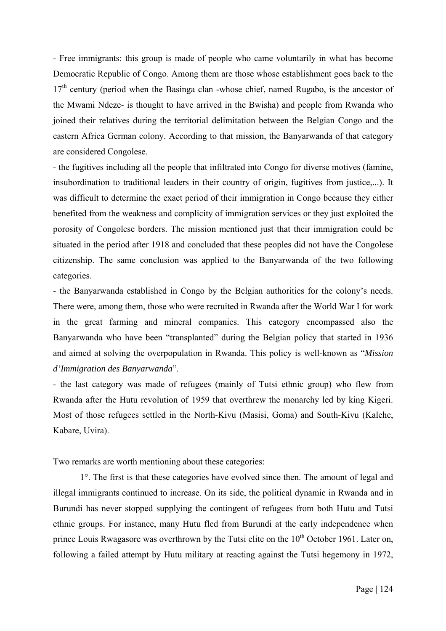- Free immigrants: this group is made of people who came voluntarily in what has become Democratic Republic of Congo. Among them are those whose establishment goes back to the  $17<sup>th</sup>$  century (period when the Basinga clan -whose chief, named Rugabo, is the ancestor of the Mwami Ndeze- is thought to have arrived in the Bwisha) and people from Rwanda who joined their relatives during the territorial delimitation between the Belgian Congo and the eastern Africa German colony. According to that mission, the Banyarwanda of that category are considered Congolese.

- the fugitives including all the people that infiltrated into Congo for diverse motives (famine, insubordination to traditional leaders in their country of origin, fugitives from justice,...). It was difficult to determine the exact period of their immigration in Congo because they either benefited from the weakness and complicity of immigration services or they just exploited the porosity of Congolese borders. The mission mentioned just that their immigration could be situated in the period after 1918 and concluded that these peoples did not have the Congolese citizenship. The same conclusion was applied to the Banyarwanda of the two following categories.

- the Banyarwanda established in Congo by the Belgian authorities for the colony's needs. There were, among them, those who were recruited in Rwanda after the World War I for work in the great farming and mineral companies. This category encompassed also the Banyarwanda who have been "transplanted" during the Belgian policy that started in 1936 and aimed at solving the overpopulation in Rwanda. This policy is well-known as "*Mission d'Immigration des Banyarwanda*".

- the last category was made of refugees (mainly of Tutsi ethnic group) who flew from Rwanda after the Hutu revolution of 1959 that overthrew the monarchy led by king Kigeri. Most of those refugees settled in the North-Kivu (Masisi, Goma) and South-Kivu (Kalehe, Kabare, Uvira).

Two remarks are worth mentioning about these categories:

1°. The first is that these categories have evolved since then. The amount of legal and illegal immigrants continued to increase. On its side, the political dynamic in Rwanda and in Burundi has never stopped supplying the contingent of refugees from both Hutu and Tutsi ethnic groups. For instance, many Hutu fled from Burundi at the early independence when prince Louis Rwagasore was overthrown by the Tutsi elite on the  $10<sup>th</sup>$  October 1961. Later on, following a failed attempt by Hutu military at reacting against the Tutsi hegemony in 1972,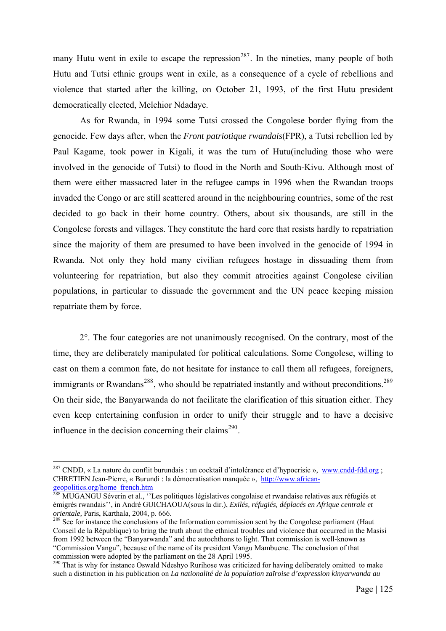many Hutu went in exile to escape the repression<sup>[287](#page-131-0)</sup>. In the nineties, many people of both Hutu and Tutsi ethnic groups went in exile, as a consequence of a cycle of rebellions and violence that started after the killing, on October 21, 1993, of the first Hutu president democratically elected, Melchior Ndadaye.

As for Rwanda, in 1994 some Tutsi crossed the Congolese border flying from the genocide. Few days after, when the *Front patriotique rwandais*(FPR), a Tutsi rebellion led by Paul Kagame, took power in Kigali, it was the turn of Hutu(including those who were involved in the genocide of Tutsi) to flood in the North and South-Kivu. Although most of them were either massacred later in the refugee camps in 1996 when the Rwandan troops invaded the Congo or are still scattered around in the neighbouring countries, some of the rest decided to go back in their home country. Others, about six thousands, are still in the Congolese forests and villages. They constitute the hard core that resists hardly to repatriation since the majority of them are presumed to have been involved in the genocide of 1994 in Rwanda. Not only they hold many civilian refugees hostage in dissuading them from volunteering for repatriation, but also they commit atrocities against Congolese civilian populations, in particular to dissuade the government and the UN peace keeping mission repatriate them by force.

 2°. The four categories are not unanimously recognised. On the contrary, most of the time, they are deliberately manipulated for political calculations. Some Congolese, willing to cast on them a common fate, do not hesitate for instance to call them all refugees, foreigners, immigrants or Rwandans<sup>[288](#page-131-1)</sup>, who should be repatriated instantly and without preconditions.<sup>[289](#page-131-2)</sup> On their side, the Banyarwanda do not facilitate the clarification of this situation either. They even keep entertaining confusion in order to unify their struggle and to have a decisive influence in the decision concerning their claims<sup> $290$ </sup>.

<span id="page-131-0"></span><sup>&</sup>lt;sup>287</sup> CNDD, « La nature du conflit burundais : un cocktail d'intolérance et d'hypocrisie », [www.cndd-fdd.org](http://www.cndd-fdd.org/) ; CHRETIEN Jean-Pierre, « Burundi : la démocratisation manquée », [http://www.african](http://www.african-geopolitics.org/home_french.htm)[geopolitics.org/home\\_french.htm](http://www.african-geopolitics.org/home_french.htm)

<span id="page-131-1"></span><sup>&</sup>lt;sup>288</sup> MUGANGU Séverin et al., ''Les politiques législatives congolaise et rwandaise relatives aux réfugiés et émigrés rwandais'', in André GUICHAOUA(sous la dir.), *Exilés, réfugiés, déplacés en Afrique centrale et orientale*, Paris, Karthala, 2004, p. 666.<br><sup>289</sup> See for instance the conclusions of the Information commission sent by the Congolese parliament (Haut

<span id="page-131-2"></span>Conseil de la République) to bring the truth about the ethnical troubles and violence that occurred in the Masisi from 1992 between the "Banyarwanda" and the autochthons to light. That commission is well-known as "Commission Vangu", because of the name of its president Vangu Mambuene. The conclusion of that commission were adopted by the parliament on the 28 April 1995.

<span id="page-131-3"></span><sup>&</sup>lt;sup>290</sup> That is why for instance Oswald Ndeshyo Rurihose was criticized for having deliberately omitted to make such a distinction in his publication on *La nationalité de la population zaïroise d'expression kinyarwanda au*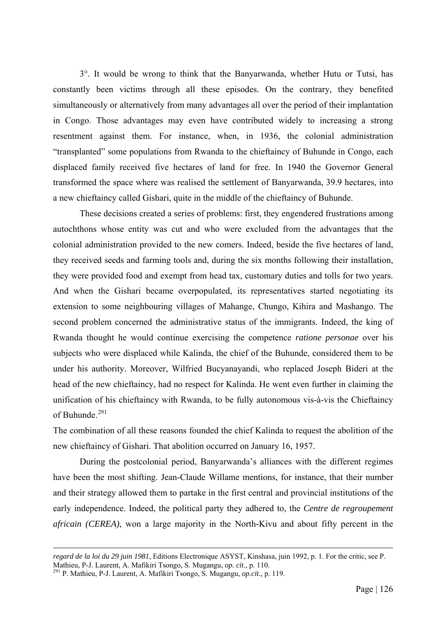3°. It would be wrong to think that the Banyarwanda, whether Hutu or Tutsi, has constantly been victims through all these episodes. On the contrary, they benefited simultaneously or alternatively from many advantages all over the period of their implantation in Congo. Those advantages may even have contributed widely to increasing a strong resentment against them. For instance, when, in 1936, the colonial administration "transplanted" some populations from Rwanda to the chieftaincy of Buhunde in Congo, each displaced family received five hectares of land for free. In 1940 the Governor General transformed the space where was realised the settlement of Banyarwanda, 39.9 hectares, into a new chieftaincy called Gishari, quite in the middle of the chieftaincy of Buhunde.

These decisions created a series of problems: first, they engendered frustrations among autochthons whose entity was cut and who were excluded from the advantages that the colonial administration provided to the new comers. Indeed, beside the five hectares of land, they received seeds and farming tools and, during the six months following their installation, they were provided food and exempt from head tax, customary duties and tolls for two years. And when the Gishari became overpopulated, its representatives started negotiating its extension to some neighbouring villages of Mahange, Chungo, Kihira and Mashango. The second problem concerned the administrative status of the immigrants. Indeed, the king of Rwanda thought he would continue exercising the competence *ratione personae* over his subjects who were displaced while Kalinda, the chief of the Buhunde, considered them to be under his authority. Moreover, Wilfried Bucyanayandi, who replaced Joseph Bideri at the head of the new chieftaincy, had no respect for Kalinda. He went even further in claiming the unification of his chieftaincy with Rwanda, to be fully autonomous vis-à-vis the Chieftaincy of Buhunde.<sup>[291](#page-132-0)</sup>

The combination of all these reasons founded the chief Kalinda to request the abolition of the new chieftaincy of Gishari. That abolition occurred on January 16, 1957.

During the postcolonial period, Banyarwanda's alliances with the different regimes have been the most shifting. Jean-Claude Willame mentions, for instance, that their number and their strategy allowed them to partake in the first central and provincial institutions of the early independence. Indeed, the political party they adhered to, the *Centre de regroupement africain (CEREA)*, won a large majority in the North-Kivu and about fifty percent in the

*regard de la loi du 29 juin 1981*, Editions Electronique ASYST, Kinshasa, juin 1992, p. 1. For the critic, see P.

<span id="page-132-0"></span>Mathieu, P-J. Laurent, A. Mafikiri Tsongo, S. Mugangu, *op. cit*., p. 110. 291 P. Mathieu, P-J. Laurent, A. Mafikiri Tsongo, S. Mugangu, *op.cit.,* p. 119.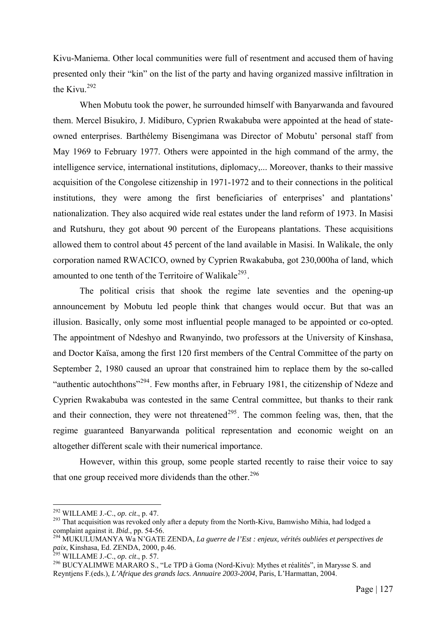Kivu-Maniema. Other local communities were full of resentment and accused them of having presented only their "kin" on the list of the party and having organized massive infiltration in the Kivu. $292$ 

When Mobutu took the power, he surrounded himself with Banyarwanda and favoured them. Mercel Bisukiro, J. Midiburo, Cyprien Rwakabuba were appointed at the head of stateowned enterprises. Barthélemy Bisengimana was Director of Mobutu' personal staff from May 1969 to February 1977. Others were appointed in the high command of the army, the intelligence service, international institutions, diplomacy,... Moreover, thanks to their massive acquisition of the Congolese citizenship in 1971-1972 and to their connections in the political institutions, they were among the first beneficiaries of enterprises' and plantations' nationalization. They also acquired wide real estates under the land reform of 1973. In Masisi and Rutshuru, they got about 90 percent of the Europeans plantations. These acquisitions allowed them to control about 45 percent of the land available in Masisi. In Walikale, the only corporation named RWACICO, owned by Cyprien Rwakabuba, got 230,000ha of land, which amounted to one tenth of the Territoire of Walikale<sup>[293](#page-133-1)</sup>.

The political crisis that shook the regime late seventies and the opening-up announcement by Mobutu led people think that changes would occur. But that was an illusion. Basically, only some most influential people managed to be appointed or co-opted. The appointment of Ndeshyo and Rwanyindo, two professors at the University of Kinshasa, and Doctor Kaïsa, among the first 120 first members of the Central Committee of the party on September 2, 1980 caused an uproar that constrained him to replace them by the so-called "authentic autochthons"<sup>[294](#page-133-2)</sup>. Few months after, in February 1981, the citizenship of Ndeze and Cyprien Rwakabuba was contested in the same Central committee, but thanks to their rank and their connection, they were not threatened<sup>[295](#page-133-3)</sup>. The common feeling was, then, that the regime guaranteed Banyarwanda political representation and economic weight on an altogether different scale with their numerical importance.

However, within this group, some people started recently to raise their voice to say that one group received more dividends than the other. $296$ 

<span id="page-133-0"></span><sup>&</sup>lt;sup>292</sup> WILLAME J.-C., op. cit., p. 47.

<span id="page-133-1"></span><sup>&</sup>lt;sup>293</sup> That acquisition was revoked only after a deputy from the North-Kivu, Bamwisho Mihia, had lodged a complaint against it. *Ibid.*, pp. 54-56.

<span id="page-133-2"></span><sup>&</sup>lt;sup>294</sup> MUKULUMANYA Wa N'GATE ZENDA, *La guerre de l'Est : enjeux, vérités oubliées et perspectives de paix*, Kinshasa, Ed. ZENDA, 2000, p.46.<br><sup>295</sup> WILLAME J.-C., *op. cit.*, p. 57.

<span id="page-133-4"></span><span id="page-133-3"></span><sup>&</sup>lt;sup>296</sup> BUCYALIMWE MARARO S., "Le TPD à Goma (Nord-Kivu): Mythes et réalités", in Marysse S. and Reyntjens F.(eds.), *L'Afrique des grands lacs. Annuaire 2003-2004*, Paris, L'Harmattan, 2004.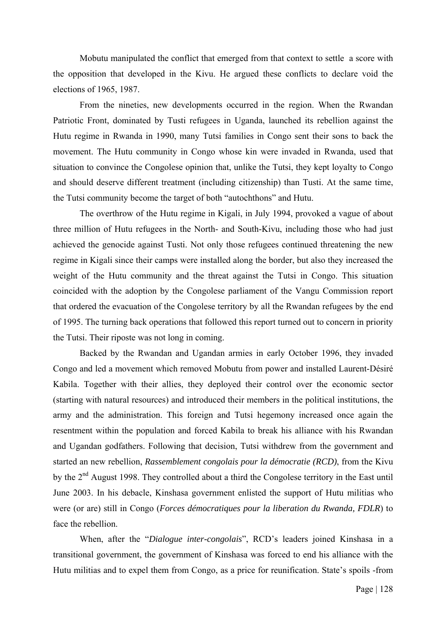Mobutu manipulated the conflict that emerged from that context to settle a score with the opposition that developed in the Kivu. He argued these conflicts to declare void the elections of 1965, 1987.

From the nineties, new developments occurred in the region. When the Rwandan Patriotic Front, dominated by Tusti refugees in Uganda, launched its rebellion against the Hutu regime in Rwanda in 1990, many Tutsi families in Congo sent their sons to back the movement. The Hutu community in Congo whose kin were invaded in Rwanda, used that situation to convince the Congolese opinion that, unlike the Tutsi, they kept loyalty to Congo and should deserve different treatment (including citizenship) than Tusti. At the same time, the Tutsi community become the target of both "autochthons" and Hutu.

The overthrow of the Hutu regime in Kigali, in July 1994, provoked a vague of about three million of Hutu refugees in the North- and South-Kivu, including those who had just achieved the genocide against Tusti. Not only those refugees continued threatening the new regime in Kigali since their camps were installed along the border, but also they increased the weight of the Hutu community and the threat against the Tutsi in Congo. This situation coincided with the adoption by the Congolese parliament of the Vangu Commission report that ordered the evacuation of the Congolese territory by all the Rwandan refugees by the end of 1995. The turning back operations that followed this report turned out to concern in priority the Tutsi. Their riposte was not long in coming.

Backed by the Rwandan and Ugandan armies in early October 1996, they invaded Congo and led a movement which removed Mobutu from power and installed Laurent-Désiré Kabila. Together with their allies, they deployed their control over the economic sector (starting with natural resources) and introduced their members in the political institutions, the army and the administration. This foreign and Tutsi hegemony increased once again the resentment within the population and forced Kabila to break his alliance with his Rwandan and Ugandan godfathers. Following that decision, Tutsi withdrew from the government and started an new rebellion, *Rassemblement congolais pour la démocratie (RCD)*, from the Kivu by the 2<sup>nd</sup> August 1998. They controlled about a third the Congolese territory in the East until June 2003. In his debacle, Kinshasa government enlisted the support of Hutu militias who were (or are) still in Congo (*Forces démocratiques pour la liberation du Rwanda, FDLR*) to face the rebellion.

When, after the "*Dialogue inter-congolais*", RCD's leaders joined Kinshasa in a transitional government, the government of Kinshasa was forced to end his alliance with the Hutu militias and to expel them from Congo, as a price for reunification. State's spoils -from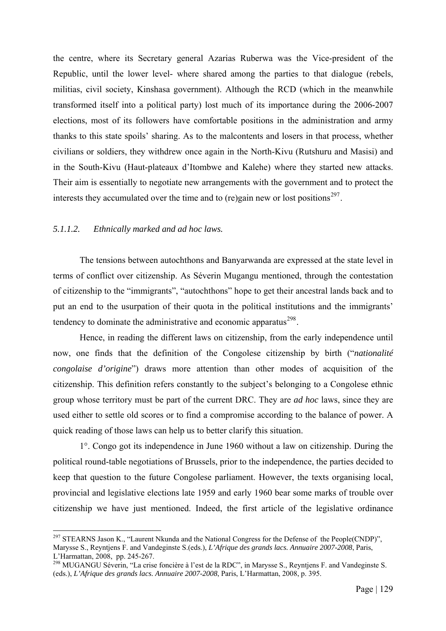the centre, where its Secretary general Azarias Ruberwa was the Vice-president of the Republic, until the lower level- where shared among the parties to that dialogue (rebels, militias, civil society, Kinshasa government). Although the RCD (which in the meanwhile transformed itself into a political party) lost much of its importance during the 2006-2007 elections, most of its followers have comfortable positions in the administration and army thanks to this state spoils' sharing. As to the malcontents and losers in that process, whether civilians or soldiers, they withdrew once again in the North-Kivu (Rutshuru and Masisi) and in the South-Kivu (Haut-plateaux d'Itombwe and Kalehe) where they started new attacks. Their aim is essentially to negotiate new arrangements with the government and to protect the interests they accumulated over the time and to (re)gain new or lost positions<sup>[297](#page-135-0)</sup>.

## *5.1.1.2. Ethnically marked and ad hoc laws.*

1

The tensions between autochthons and Banyarwanda are expressed at the state level in terms of conflict over citizenship. As Séverin Mugangu mentioned, through the contestation of citizenship to the "immigrants", "autochthons" hope to get their ancestral lands back and to put an end to the usurpation of their quota in the political institutions and the immigrants' tendency to dominate the administrative and economic apparatus $^{298}$  $^{298}$  $^{298}$ .

Hence, in reading the different laws on citizenship, from the early independence until now, one finds that the definition of the Congolese citizenship by birth ("*nationalité congolaise d'origine*") draws more attention than other modes of acquisition of the citizenship. This definition refers constantly to the subject's belonging to a Congolese ethnic group whose territory must be part of the current DRC. They are *ad hoc* laws, since they are used either to settle old scores or to find a compromise according to the balance of power. A quick reading of those laws can help us to better clarify this situation.

1°. Congo got its independence in June 1960 without a law on citizenship. During the political round-table negotiations of Brussels, prior to the independence, the parties decided to keep that question to the future Congolese parliament. However, the texts organising local, provincial and legislative elections late 1959 and early 1960 bear some marks of trouble over citizenship we have just mentioned. Indeed, the first article of the legislative ordinance

<span id="page-135-0"></span><sup>&</sup>lt;sup>297</sup> STEARNS Jason K., "Laurent Nkunda and the National Congress for the Defense of the People(CNDP)", Marysse S., Reyntjens F. and Vandeginste S.(eds.), *L'Afrique des grands lacs. Annuaire 2007-2008*, Paris, L'Harmattan, 2008, pp. 245-267.

<span id="page-135-1"></span><sup>298</sup> MUGANGU Séverin, "La crise foncière à l'est de la RDC", in Marysse S., Reyntjens F. and Vandeginste S. (eds.), *L'Afrique des grands lacs. Annuaire 2007-2008*, Paris, L'Harmattan, 2008, p. 395.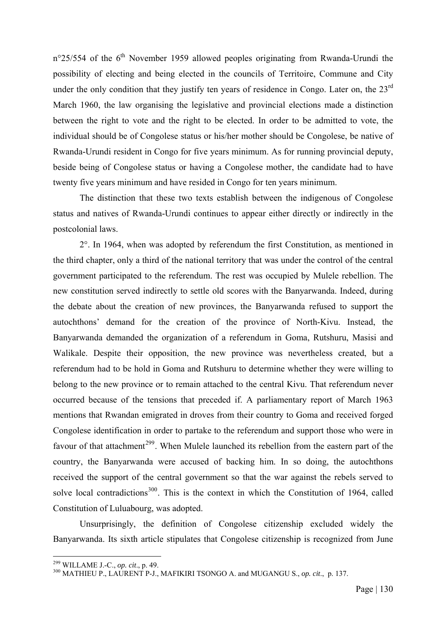$n^{\circ}25/554$  of the 6<sup>th</sup> November 1959 allowed peoples originating from Rwanda-Urundi the possibility of electing and being elected in the councils of Territoire, Commune and City under the only condition that they justify ten years of residence in Congo. Later on, the  $23<sup>rd</sup>$ March 1960, the law organising the legislative and provincial elections made a distinction between the right to vote and the right to be elected. In order to be admitted to vote, the individual should be of Congolese status or his/her mother should be Congolese, be native of Rwanda-Urundi resident in Congo for five years minimum. As for running provincial deputy, beside being of Congolese status or having a Congolese mother, the candidate had to have twenty five years minimum and have resided in Congo for ten years minimum.

The distinction that these two texts establish between the indigenous of Congolese status and natives of Rwanda-Urundi continues to appear either directly or indirectly in the postcolonial laws.

2°. In 1964, when was adopted by referendum the first Constitution, as mentioned in the third chapter, only a third of the national territory that was under the control of the central government participated to the referendum. The rest was occupied by Mulele rebellion. The new constitution served indirectly to settle old scores with the Banyarwanda. Indeed, during the debate about the creation of new provinces, the Banyarwanda refused to support the autochthons' demand for the creation of the province of North-Kivu. Instead, the Banyarwanda demanded the organization of a referendum in Goma, Rutshuru, Masisi and Walikale. Despite their opposition, the new province was nevertheless created, but a referendum had to be hold in Goma and Rutshuru to determine whether they were willing to belong to the new province or to remain attached to the central Kivu. That referendum never occurred because of the tensions that preceded if. A parliamentary report of March 1963 mentions that Rwandan emigrated in droves from their country to Goma and received forged Congolese identification in order to partake to the referendum and support those who were in favour of that attachment<sup>[299](#page-136-0)</sup>. When Mulele launched its rebellion from the eastern part of the country, the Banyarwanda were accused of backing him. In so doing, the autochthons received the support of the central government so that the war against the rebels served to solve local contradictions<sup>[300](#page-136-1)</sup>. This is the context in which the Constitution of 1964, called Constitution of Luluabourg, was adopted.

Unsurprisingly, the definition of Congolese citizenship excluded widely the Banyarwanda. Its sixth article stipulates that Congolese citizenship is recognized from June

<span id="page-136-1"></span><span id="page-136-0"></span>

<sup>&</sup>lt;sup>299</sup> WILLAME J.-C., *op. cit.*, p. 49.<br><sup>300</sup> MATHIEU P., LAURENT P-J., MAFIKIRI TSONGO A. and MUGANGU S., *op. cit.*, p. 137.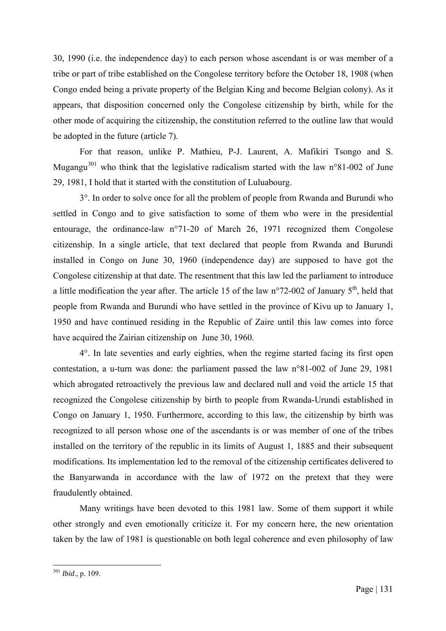30, 1990 (i.e. the independence day) to each person whose ascendant is or was member of a tribe or part of tribe established on the Congolese territory before the October 18, 1908 (when Congo ended being a private property of the Belgian King and become Belgian colony). As it appears, that disposition concerned only the Congolese citizenship by birth, while for the other mode of acquiring the citizenship, the constitution referred to the outline law that would be adopted in the future (article 7).

For that reason, unlike P. Mathieu, P-J. Laurent, A. Mafikiri Tsongo and S. Mugangu<sup>[301](#page-137-0)</sup> who think that the legislative radicalism started with the law  $n^{\circ}81-002$  of June 29, 1981, I hold that it started with the constitution of Luluabourg.

3°. In order to solve once for all the problem of people from Rwanda and Burundi who settled in Congo and to give satisfaction to some of them who were in the presidential entourage, the ordinance-law n°71-20 of March 26, 1971 recognized them Congolese citizenship. In a single article, that text declared that people from Rwanda and Burundi installed in Congo on June 30, 1960 (independence day) are supposed to have got the Congolese citizenship at that date. The resentment that this law led the parliament to introduce a little modification the year after. The article 15 of the law  $n^{\circ}$ 72-002 of January 5<sup>th</sup>, held that people from Rwanda and Burundi who have settled in the province of Kivu up to January 1, 1950 and have continued residing in the Republic of Zaire until this law comes into force have acquired the Zairian citizenship on June 30, 1960.

4°. In late seventies and early eighties, when the regime started facing its first open contestation, a u-turn was done: the parliament passed the law n°81-002 of June 29, 1981 which abrogated retroactively the previous law and declared null and void the article 15 that recognized the Congolese citizenship by birth to people from Rwanda-Urundi established in Congo on January 1, 1950. Furthermore, according to this law, the citizenship by birth was recognized to all person whose one of the ascendants is or was member of one of the tribes installed on the territory of the republic in its limits of August 1, 1885 and their subsequent modifications. Its implementation led to the removal of the citizenship certificates delivered to the Banyarwanda in accordance with the law of 1972 on the pretext that they were fraudulently obtained.

Many writings have been devoted to this 1981 law. Some of them support it while other strongly and even emotionally criticize it. For my concern here, the new orientation taken by the law of 1981 is questionable on both legal coherence and even philosophy of law

<span id="page-137-0"></span><sup>1</sup> <sup>301</sup> *Ibid*., p. 109.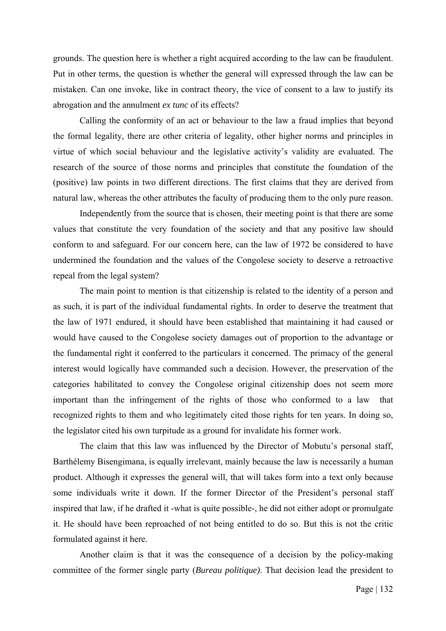grounds. The question here is whether a right acquired according to the law can be fraudulent. Put in other terms, the question is whether the general will expressed through the law can be mistaken. Can one invoke, like in contract theory, the vice of consent to a law to justify its abrogation and the annulment *ex tunc* of its effects?

Calling the conformity of an act or behaviour to the law a fraud implies that beyond the formal legality, there are other criteria of legality, other higher norms and principles in virtue of which social behaviour and the legislative activity's validity are evaluated. The research of the source of those norms and principles that constitute the foundation of the (positive) law points in two different directions. The first claims that they are derived from natural law, whereas the other attributes the faculty of producing them to the only pure reason.

Independently from the source that is chosen, their meeting point is that there are some values that constitute the very foundation of the society and that any positive law should conform to and safeguard. For our concern here, can the law of 1972 be considered to have undermined the foundation and the values of the Congolese society to deserve a retroactive repeal from the legal system?

The main point to mention is that citizenship is related to the identity of a person and as such, it is part of the individual fundamental rights. In order to deserve the treatment that the law of 1971 endured, it should have been established that maintaining it had caused or would have caused to the Congolese society damages out of proportion to the advantage or the fundamental right it conferred to the particulars it concerned. The primacy of the general interest would logically have commanded such a decision. However, the preservation of the categories habilitated to convey the Congolese original citizenship does not seem more important than the infringement of the rights of those who conformed to a law that recognized rights to them and who legitimately cited those rights for ten years. In doing so, the legislator cited his own turpitude as a ground for invalidate his former work.

The claim that this law was influenced by the Director of Mobutu's personal staff, Barthélemy Bisengimana, is equally irrelevant, mainly because the law is necessarily a human product. Although it expresses the general will, that will takes form into a text only because some individuals write it down. If the former Director of the President's personal staff inspired that law, if he drafted it -what is quite possible-, he did not either adopt or promulgate it. He should have been reproached of not being entitled to do so. But this is not the critic formulated against it here.

Another claim is that it was the consequence of a decision by the policy-making committee of the former single party (*Bureau politique)*. That decision lead the president to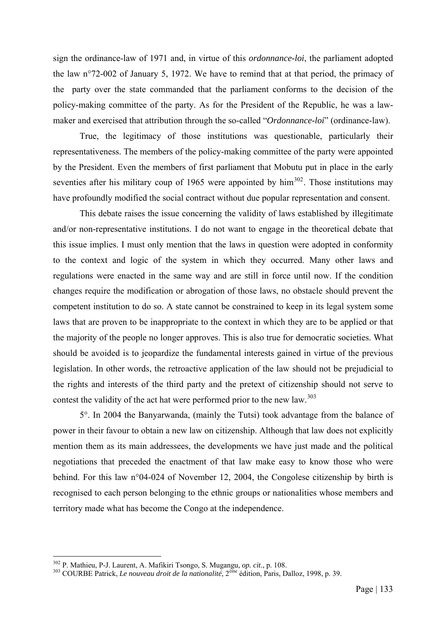sign the ordinance-law of 1971 and, in virtue of this *ordonnance-loi*, the parliament adopted the law n°72-002 of January 5, 1972. We have to remind that at that period, the primacy of the party over the state commanded that the parliament conforms to the decision of the policy-making committee of the party. As for the President of the Republic, he was a lawmaker and exercised that attribution through the so-called "*Ordonnance-loi*" (ordinance-law).

True, the legitimacy of those institutions was questionable, particularly their representativeness. The members of the policy-making committee of the party were appointed by the President. Even the members of first parliament that Mobutu put in place in the early seventies after his military coup of 1965 were appointed by  $\lim^{302}$  $\lim^{302}$  $\lim^{302}$ . Those institutions may have profoundly modified the social contract without due popular representation and consent.

This debate raises the issue concerning the validity of laws established by illegitimate and/or non-representative institutions. I do not want to engage in the theoretical debate that this issue implies. I must only mention that the laws in question were adopted in conformity to the context and logic of the system in which they occurred. Many other laws and regulations were enacted in the same way and are still in force until now. If the condition changes require the modification or abrogation of those laws, no obstacle should prevent the competent institution to do so. A state cannot be constrained to keep in its legal system some laws that are proven to be inappropriate to the context in which they are to be applied or that the majority of the people no longer approves. This is also true for democratic societies. What should be avoided is to jeopardize the fundamental interests gained in virtue of the previous legislation. In other words, the retroactive application of the law should not be prejudicial to the rights and interests of the third party and the pretext of citizenship should not serve to contest the validity of the act hat were performed prior to the new law.<sup>[303](#page-139-1)</sup>

5°. In 2004 the Banyarwanda, (mainly the Tutsi) took advantage from the balance of power in their favour to obtain a new law on citizenship. Although that law does not explicitly mention them as its main addressees, the developments we have just made and the political negotiations that preceded the enactment of that law make easy to know those who were behind. For this law n°04-024 of November 12, 2004, the Congolese citizenship by birth is recognised to each person belonging to the ethnic groups or nationalities whose members and territory made what has become the Congo at the independence.

<span id="page-139-0"></span><sup>&</sup>lt;sup>302</sup> P. Mathieu, P-J. Laurent, A. Mafikiri Tsongo, S. Mugangu, op. cit., p. 108.

<span id="page-139-1"></span><sup>&</sup>lt;sup>303</sup> COURBE Patrick, *Le nouveau droit de la nationalité*, 2<sup>ème</sup> édition, Paris, Dalloz, 1998, p. 39.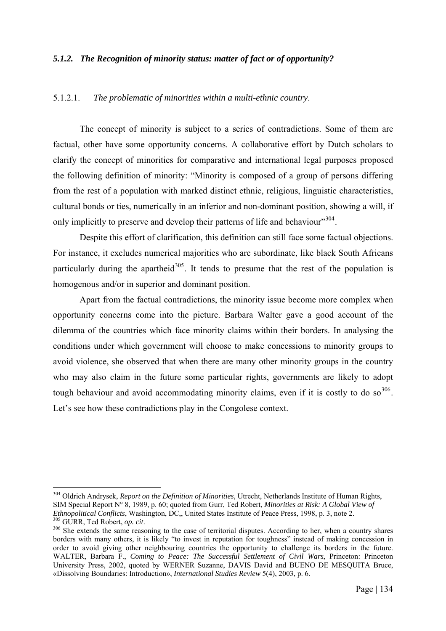#### *5.1.2. The Recognition of minority status: matter of fact or of opportunity?*

#### 5.1.2.1. *The problematic of minorities within a multi-ethnic country*.

The concept of minority is subject to a series of contradictions. Some of them are factual, other have some opportunity concerns. A collaborative effort by Dutch scholars to clarify the concept of minorities for comparative and international legal purposes proposed the following definition of minority: "Minority is composed of a group of persons differing from the rest of a population with marked distinct ethnic, religious, linguistic characteristics, cultural bonds or ties, numerically in an inferior and non-dominant position, showing a will, if only implicitly to preserve and develop their patterns of life and behaviour"<sup>[304](#page-140-0)</sup>.

Despite this effort of clarification, this definition can still face some factual objections. For instance, it excludes numerical majorities who are subordinate, like black South Africans particularly during the apartheid<sup>[305](#page-140-1)</sup>. It tends to presume that the rest of the population is homogenous and/or in superior and dominant position.

Apart from the factual contradictions, the minority issue become more complex when opportunity concerns come into the picture. Barbara Walter gave a good account of the dilemma of the countries which face minority claims within their borders. In analysing the conditions under which government will choose to make concessions to minority groups to avoid violence, she observed that when there are many other minority groups in the country who may also claim in the future some particular rights, governments are likely to adopt tough behaviour and avoid accommodating minority claims, even if it is costly to do so  $306$ . Let's see how these contradictions play in the Congolese context.

<span id="page-140-0"></span><sup>304</sup> Oldrich Andrysek, *Report on the Definition of Minorities*, Utrecht, Netherlands Institute of Human Rights, SIM Special Report N° 8, 1989, p. 60; quoted from Gurr, Ted Robert, *Minorities at Risk: A Global View of Ethnopolitical Conflicts*, Washington, DC., United States Institute of Peace Press, 1998, p. 3, note 2.  $\frac{305}{305}$  GURR, Ted Robert, *op. cit.*<br><sup>306</sup> She extends the same reasoning to the case of territorial disputes. According to her, when a country shares

<span id="page-140-2"></span><span id="page-140-1"></span>borders with many others, it is likely "to invest in reputation for toughness" instead of making concession in order to avoid giving other neighbouring countries the opportunity to challenge its borders in the future. WALTER, Barbara F., *Coming to Peace: The Successful Settlement of Civil Wars*, Princeton: Princeton University Press, 2002, quoted by WERNER Suzanne, DAVIS David and BUENO DE MESQUITA Bruce, «Dissolving Boundaries: Introduction», *International Studies Review* 5(4), 2003, p. 6.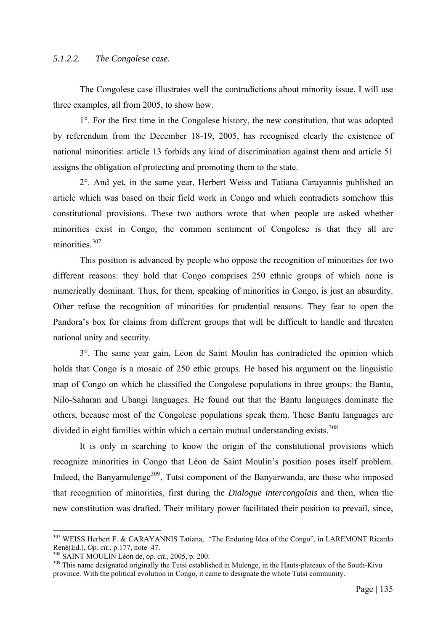# *5.1.2.2. The Congolese case.*

The Congolese case illustrates well the contradictions about minority issue. I will use three examples, all from 2005, to show how.

1°. For the first time in the Congolese history, the new constitution, that was adopted by referendum from the December 18-19, 2005, has recognised clearly the existence of national minorities: article 13 forbids any kind of discrimination against them and article 51 assigns the obligation of protecting and promoting them to the state.

2°. And yet, in the same year, Herbert Weiss and Tatiana Carayannis published an article which was based on their field work in Congo and which contradicts somehow this constitutional provisions. These two authors wrote that when people are asked whether minorities exist in Congo, the common sentiment of Congolese is that they all are minorities.<sup>[307](#page-141-0)</sup>

This position is advanced by people who oppose the recognition of minorities for two different reasons: they hold that Congo comprises 250 ethnic groups of which none is numerically dominant. Thus, for them, speaking of minorities in Congo, is just an absurdity. Other refuse the recognition of minorities for prudential reasons. They fear to open the Pandora's box for claims from different groups that will be difficult to handle and threaten national unity and security.

3°. The same year gain, Léon de Saint Moulin has contradicted the opinion which holds that Congo is a mosaic of 250 ethic groups. He based his argument on the linguistic map of Congo on which he classified the Congolese populations in three groups: the Bantu, Nilo-Saharan and Ubangi languages. He found out that the Bantu languages dominate the others, because most of the Congolese populations speak them. These Bantu languages are divided in eight families within which a certain mutual understanding exists.<sup>[308](#page-141-1)</sup>

It is only in searching to know the origin of the constitutional provisions which recognize minorities in Congo that Léon de Saint Moulin's position poses itself problem. Indeed, the Banyamulenge<sup>[309](#page-141-2)</sup>, Tutsi component of the Banyarwanda, are those who imposed that recognition of minorities, first during the *Dialogue intercongolais* and then, when the new constitution was drafted. Their military power facilitated their position to prevail, since,

<span id="page-141-0"></span><sup>&</sup>lt;sup>307</sup> WEISS Herbert F. & CARAYANNIS Tatiana, "The Enduring Idea of the Congo", in LAREMONT Ricardo René(Ed.), *Op. cit.*, p.177, note 47.<br><sup>308</sup> SAINT MOULIN Léon de, *op. cit.*, 2005, p. 200.<br><sup>309</sup> This name designated originally the Tutsi established in Mulenge, in the Hauts-plateaux of the South-Kivu

<span id="page-141-1"></span>

<span id="page-141-2"></span>province. With the political evolution in Congo, it came to designate the whole Tutsi community.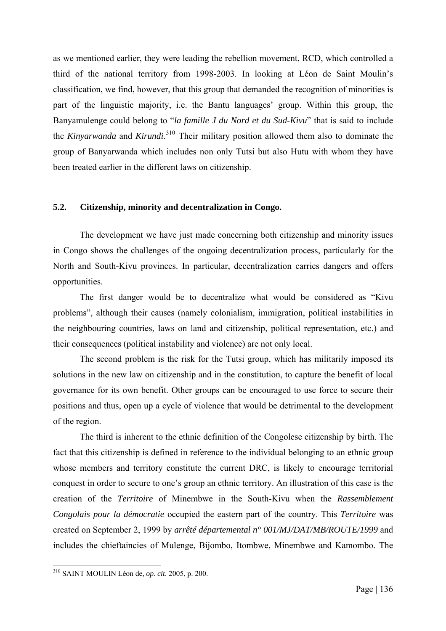as we mentioned earlier, they were leading the rebellion movement, RCD, which controlled a third of the national territory from 1998-2003. In looking at Léon de Saint Moulin's classification, we find, however, that this group that demanded the recognition of minorities is part of the linguistic majority, i.e. the Bantu languages' group. Within this group, the Banyamulenge could belong to "*la famille J du Nord et du Sud-Kivu*" that is said to include the *Kinyarwanda* and *Kirundi*. [310](#page-142-0) Their military position allowed them also to dominate the group of Banyarwanda which includes non only Tutsi but also Hutu with whom they have been treated earlier in the different laws on citizenship.

#### **5.2. Citizenship, minority and decentralization in Congo.**

The development we have just made concerning both citizenship and minority issues in Congo shows the challenges of the ongoing decentralization process, particularly for the North and South-Kivu provinces. In particular, decentralization carries dangers and offers opportunities.

The first danger would be to decentralize what would be considered as "Kivu problems", although their causes (namely colonialism, immigration, political instabilities in the neighbouring countries, laws on land and citizenship, political representation, etc.) and their consequences (political instability and violence) are not only local.

The second problem is the risk for the Tutsi group, which has militarily imposed its solutions in the new law on citizenship and in the constitution, to capture the benefit of local governance for its own benefit. Other groups can be encouraged to use force to secure their positions and thus, open up a cycle of violence that would be detrimental to the development of the region.

The third is inherent to the ethnic definition of the Congolese citizenship by birth. The fact that this citizenship is defined in reference to the individual belonging to an ethnic group whose members and territory constitute the current DRC, is likely to encourage territorial conquest in order to secure to one's group an ethnic territory. An illustration of this case is the creation of the *Territoire* of Minembwe in the South-Kivu when the *Rassemblement Congolais pour la démocratie* occupied the eastern part of the country. This *Territoire* was created on September 2, 1999 by *arrêté départemental n° 001/MJ/DAT/MB/ROUTE/1999* and includes the chieftaincies of Mulenge, Bijombo, Itombwe, Minembwe and Kamombo. The

<span id="page-142-0"></span><sup>310</sup> SAINT MOULIN Léon de, *op. cit*. 2005, p. 200.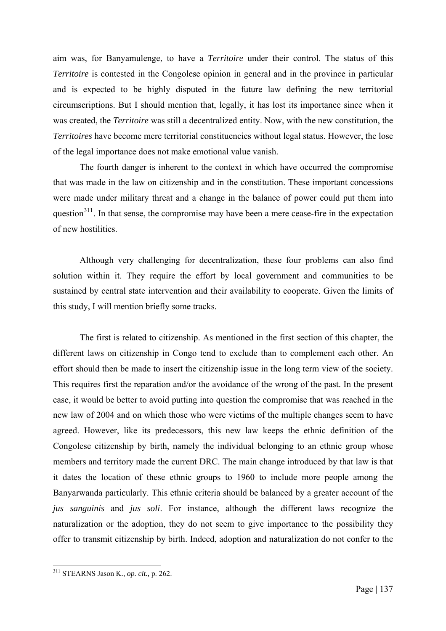aim was, for Banyamulenge, to have a *Territoire* under their control. The status of this *Territoire* is contested in the Congolese opinion in general and in the province in particular and is expected to be highly disputed in the future law defining the new territorial circumscriptions. But I should mention that, legally, it has lost its importance since when it was created, the *Territoire* was still a decentralized entity. Now, with the new constitution, the *Territoires* have become mere territorial constituencies without legal status. However, the lose of the legal importance does not make emotional value vanish.

The fourth danger is inherent to the context in which have occurred the compromise that was made in the law on citizenship and in the constitution. These important concessions were made under military threat and a change in the balance of power could put them into question<sup>[311](#page-143-0)</sup>. In that sense, the compromise may have been a mere cease-fire in the expectation of new hostilities.

Although very challenging for decentralization, these four problems can also find solution within it. They require the effort by local government and communities to be sustained by central state intervention and their availability to cooperate. Given the limits of this study, I will mention briefly some tracks.

The first is related to citizenship. As mentioned in the first section of this chapter, the different laws on citizenship in Congo tend to exclude than to complement each other. An effort should then be made to insert the citizenship issue in the long term view of the society. This requires first the reparation and/or the avoidance of the wrong of the past. In the present case, it would be better to avoid putting into question the compromise that was reached in the new law of 2004 and on which those who were victims of the multiple changes seem to have agreed. However, like its predecessors, this new law keeps the ethnic definition of the Congolese citizenship by birth, namely the individual belonging to an ethnic group whose members and territory made the current DRC. The main change introduced by that law is that it dates the location of these ethnic groups to 1960 to include more people among the Banyarwanda particularly. This ethnic criteria should be balanced by a greater account of the *jus sanguinis* and *jus soli*. For instance, although the different laws recognize the naturalization or the adoption, they do not seem to give importance to the possibility they offer to transmit citizenship by birth. Indeed, adoption and naturalization do not confer to the

<span id="page-143-0"></span><sup>311</sup> STEARNS Jason K., *op. cit.,* p. 262.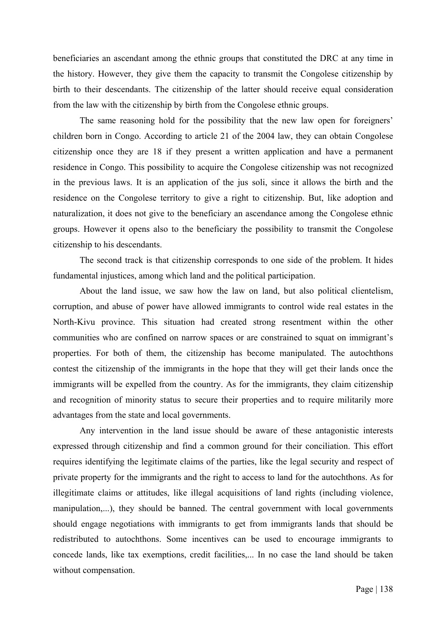beneficiaries an ascendant among the ethnic groups that constituted the DRC at any time in the history. However, they give them the capacity to transmit the Congolese citizenship by birth to their descendants. The citizenship of the latter should receive equal consideration from the law with the citizenship by birth from the Congolese ethnic groups.

The same reasoning hold for the possibility that the new law open for foreigners' children born in Congo. According to article 21 of the 2004 law, they can obtain Congolese citizenship once they are 18 if they present a written application and have a permanent residence in Congo. This possibility to acquire the Congolese citizenship was not recognized in the previous laws. It is an application of the jus soli, since it allows the birth and the residence on the Congolese territory to give a right to citizenship. But, like adoption and naturalization, it does not give to the beneficiary an ascendance among the Congolese ethnic groups. However it opens also to the beneficiary the possibility to transmit the Congolese citizenship to his descendants.

The second track is that citizenship corresponds to one side of the problem. It hides fundamental injustices, among which land and the political participation.

About the land issue, we saw how the law on land, but also political clientelism, corruption, and abuse of power have allowed immigrants to control wide real estates in the North-Kivu province. This situation had created strong resentment within the other communities who are confined on narrow spaces or are constrained to squat on immigrant's properties. For both of them, the citizenship has become manipulated. The autochthons contest the citizenship of the immigrants in the hope that they will get their lands once the immigrants will be expelled from the country. As for the immigrants, they claim citizenship and recognition of minority status to secure their properties and to require militarily more advantages from the state and local governments.

Any intervention in the land issue should be aware of these antagonistic interests expressed through citizenship and find a common ground for their conciliation. This effort requires identifying the legitimate claims of the parties, like the legal security and respect of private property for the immigrants and the right to access to land for the autochthons. As for illegitimate claims or attitudes, like illegal acquisitions of land rights (including violence, manipulation,...), they should be banned. The central government with local governments should engage negotiations with immigrants to get from immigrants lands that should be redistributed to autochthons. Some incentives can be used to encourage immigrants to concede lands, like tax exemptions, credit facilities,... In no case the land should be taken without compensation.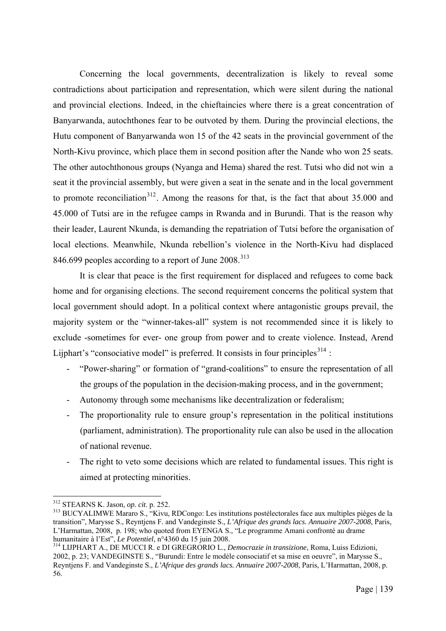Concerning the local governments, decentralization is likely to reveal some contradictions about participation and representation, which were silent during the national and provincial elections. Indeed, in the chieftaincies where there is a great concentration of Banyarwanda, autochthones fear to be outvoted by them. During the provincial elections, the Hutu component of Banyarwanda won 15 of the 42 seats in the provincial government of the North-Kivu province, which place them in second position after the Nande who won 25 seats. The other autochthonous groups (Nyanga and Hema) shared the rest. Tutsi who did not win a seat it the provincial assembly, but were given a seat in the senate and in the local government to promote reconciliation<sup>[312](#page-145-0)</sup>. Among the reasons for that, is the fact that about  $35.000$  and 45.000 of Tutsi are in the refugee camps in Rwanda and in Burundi. That is the reason why their leader, Laurent Nkunda, is demanding the repatriation of Tutsi before the organisation of local elections. Meanwhile, Nkunda rebellion's violence in the North-Kivu had displaced 846.699 peoples according to a report of June  $2008$ <sup>[313](#page-145-1)</sup>

 It is clear that peace is the first requirement for displaced and refugees to come back home and for organising elections. The second requirement concerns the political system that local government should adopt. In a political context where antagonistic groups prevail, the majority system or the "winner-takes-all" system is not recommended since it is likely to exclude -sometimes for ever- one group from power and to create violence. Instead, Arend Lijphart's "consociative model" is preferred. It consists in four principles $314$ :

- "Power-sharing" or formation of "grand-coalitions" to ensure the representation of all the groups of the population in the decision-making process, and in the government;
- Autonomy through some mechanisms like decentralization or federalism;
- The proportionality rule to ensure group's representation in the political institutions (parliament, administration). The proportionality rule can also be used in the allocation of national revenue.
- The right to veto some decisions which are related to fundamental issues. This right is aimed at protecting minorities.

<span id="page-145-0"></span><sup>&</sup>lt;sup>312</sup> STEARNS K. Jason, op. cit. p. 252.

<span id="page-145-1"></span><sup>&</sup>lt;sup>313</sup> BUCYALIMWE Mararo S., "Kivu, RDCongo: Les institutions postélectorales face aux multiples pièges de la transition", Marysse S., Reyntjens F. and Vandeginste S., *L'Afrique des grands lacs. Annuaire 2007-2008*, Paris, L'Harmattan, 2008, p. 198; who quoted from EYENGA S., "Le programme Amani confronté au drame humanitaire à l'Est", Le Potentiel, n°4360 du 15 juin 2008.

<span id="page-145-2"></span><sup>&</sup>lt;sup>314</sup> LIJPHART A., DE MUCCI R. e DI GREGRORIO L., *Democrazie in transizione*, Roma, Luiss Edizioni, 2002, p. 23; VANDEGINSTE S., "Burundi: Entre le modèle consociatif et sa mise en oeuvre", in Marysse S., Reyntjens F. and Vandeginste S., *L'Afrique des grands lacs. Annuaire 2007-2008*, Paris, L'Harmattan, 2008, p. 56.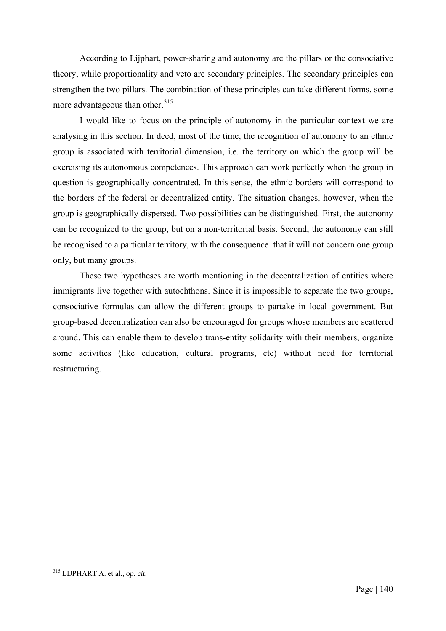According to Lijphart, power-sharing and autonomy are the pillars or the consociative theory, while proportionality and veto are secondary principles. The secondary principles can strengthen the two pillars. The combination of these principles can take different forms, some more advantageous than other.<sup>[315](#page-146-0)</sup>

I would like to focus on the principle of autonomy in the particular context we are analysing in this section. In deed, most of the time, the recognition of autonomy to an ethnic group is associated with territorial dimension, i.e. the territory on which the group will be exercising its autonomous competences. This approach can work perfectly when the group in question is geographically concentrated. In this sense, the ethnic borders will correspond to the borders of the federal or decentralized entity. The situation changes, however, when the group is geographically dispersed. Two possibilities can be distinguished. First, the autonomy can be recognized to the group, but on a non-territorial basis. Second, the autonomy can still be recognised to a particular territory, with the consequence that it will not concern one group only, but many groups.

These two hypotheses are worth mentioning in the decentralization of entities where immigrants live together with autochthons. Since it is impossible to separate the two groups, consociative formulas can allow the different groups to partake in local government. But group-based decentralization can also be encouraged for groups whose members are scattered around. This can enable them to develop trans-entity solidarity with their members, organize some activities (like education, cultural programs, etc) without need for territorial restructuring.

<span id="page-146-0"></span><sup>1</sup> 315 LIJPHART A. et al., *op. cit*.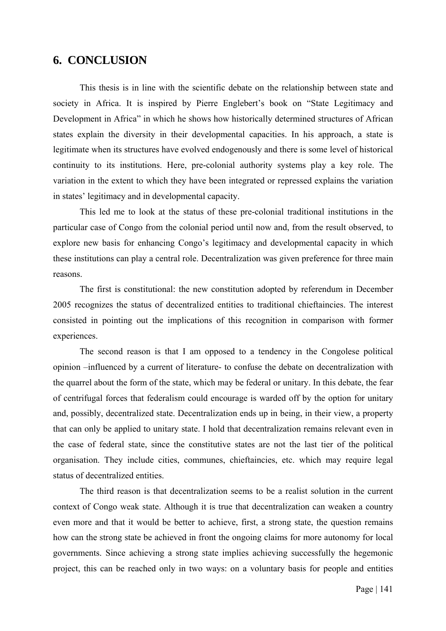## **6. CONCLUSION**

This thesis is in line with the scientific debate on the relationship between state and society in Africa. It is inspired by Pierre Englebert's book on "State Legitimacy and Development in Africa" in which he shows how historically determined structures of African states explain the diversity in their developmental capacities. In his approach, a state is legitimate when its structures have evolved endogenously and there is some level of historical continuity to its institutions. Here, pre-colonial authority systems play a key role. The variation in the extent to which they have been integrated or repressed explains the variation in states' legitimacy and in developmental capacity.

This led me to look at the status of these pre-colonial traditional institutions in the particular case of Congo from the colonial period until now and, from the result observed, to explore new basis for enhancing Congo's legitimacy and developmental capacity in which these institutions can play a central role. Decentralization was given preference for three main reasons.

The first is constitutional: the new constitution adopted by referendum in December 2005 recognizes the status of decentralized entities to traditional chieftaincies. The interest consisted in pointing out the implications of this recognition in comparison with former experiences.

The second reason is that I am opposed to a tendency in the Congolese political opinion –influenced by a current of literature- to confuse the debate on decentralization with the quarrel about the form of the state, which may be federal or unitary. In this debate, the fear of centrifugal forces that federalism could encourage is warded off by the option for unitary and, possibly, decentralized state. Decentralization ends up in being, in their view, a property that can only be applied to unitary state. I hold that decentralization remains relevant even in the case of federal state, since the constitutive states are not the last tier of the political organisation. They include cities, communes, chieftaincies, etc. which may require legal status of decentralized entities.

The third reason is that decentralization seems to be a realist solution in the current context of Congo weak state. Although it is true that decentralization can weaken a country even more and that it would be better to achieve, first, a strong state, the question remains how can the strong state be achieved in front the ongoing claims for more autonomy for local governments. Since achieving a strong state implies achieving successfully the hegemonic project, this can be reached only in two ways: on a voluntary basis for people and entities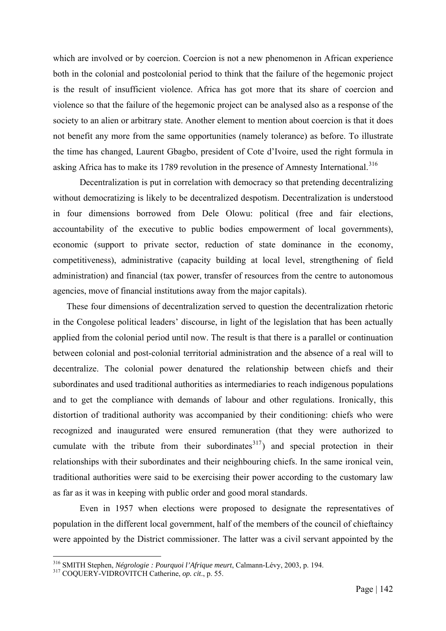which are involved or by coercion. Coercion is not a new phenomenon in African experience both in the colonial and postcolonial period to think that the failure of the hegemonic project is the result of insufficient violence. Africa has got more that its share of coercion and violence so that the failure of the hegemonic project can be analysed also as a response of the society to an alien or arbitrary state. Another element to mention about coercion is that it does not benefit any more from the same opportunities (namely tolerance) as before. To illustrate the time has changed, Laurent Gbagbo, president of Cote d'Ivoire, used the right formula in asking Africa has to make its 1789 revolution in the presence of Amnesty International.<sup>[316](#page-148-0)</sup>

Decentralization is put in correlation with democracy so that pretending decentralizing without democratizing is likely to be decentralized despotism. Decentralization is understood in four dimensions borrowed from Dele Olowu: political (free and fair elections, accountability of the executive to public bodies empowerment of local governments), economic (support to private sector, reduction of state dominance in the economy, competitiveness), administrative (capacity building at local level, strengthening of field administration) and financial (tax power, transfer of resources from the centre to autonomous agencies, move of financial institutions away from the major capitals).

These four dimensions of decentralization served to question the decentralization rhetoric in the Congolese political leaders' discourse, in light of the legislation that has been actually applied from the colonial period until now. The result is that there is a parallel or continuation between colonial and post-colonial territorial administration and the absence of a real will to decentralize. The colonial power denatured the relationship between chiefs and their subordinates and used traditional authorities as intermediaries to reach indigenous populations and to get the compliance with demands of labour and other regulations. Ironically, this distortion of traditional authority was accompanied by their conditioning: chiefs who were recognized and inaugurated were ensured remuneration (that they were authorized to cumulate with the tribute from their subordinates  $317$ ) and special protection in their relationships with their subordinates and their neighbouring chiefs. In the same ironical vein, traditional authorities were said to be exercising their power according to the customary law as far as it was in keeping with public order and good moral standards.

Even in 1957 when elections were proposed to designate the representatives of population in the different local government, half of the members of the council of chieftaincy were appointed by the District commissioner. The latter was a civil servant appointed by the

1

<span id="page-148-0"></span><sup>316</sup> SMITH Stephen, *Négrologie : Pourquoi l'Afrique meurt*, Calmann-Lévy, 2003, p. 194. 317 COQUERY-VIDROVITCH Catherine, *op. cit*., p. 55.

<span id="page-148-1"></span>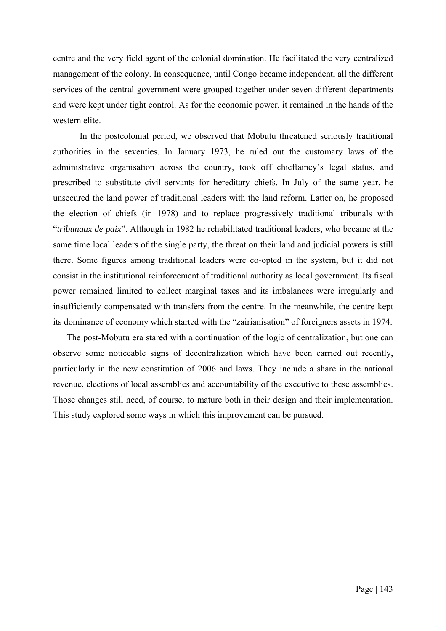centre and the very field agent of the colonial domination. He facilitated the very centralized management of the colony. In consequence, until Congo became independent, all the different services of the central government were grouped together under seven different departments and were kept under tight control. As for the economic power, it remained in the hands of the western elite.

In the postcolonial period, we observed that Mobutu threatened seriously traditional authorities in the seventies. In January 1973, he ruled out the customary laws of the administrative organisation across the country, took off chieftaincy's legal status, and prescribed to substitute civil servants for hereditary chiefs. In July of the same year, he unsecured the land power of traditional leaders with the land reform. Latter on, he proposed the election of chiefs (in 1978) and to replace progressively traditional tribunals with "*tribunaux de paix*". Although in 1982 he rehabilitated traditional leaders, who became at the same time local leaders of the single party, the threat on their land and judicial powers is still there. Some figures among traditional leaders were co-opted in the system, but it did not consist in the institutional reinforcement of traditional authority as local government. Its fiscal power remained limited to collect marginal taxes and its imbalances were irregularly and insufficiently compensated with transfers from the centre. In the meanwhile, the centre kept its dominance of economy which started with the "zairianisation" of foreigners assets in 1974.

The post-Mobutu era stared with a continuation of the logic of centralization, but one can observe some noticeable signs of decentralization which have been carried out recently, particularly in the new constitution of 2006 and laws. They include a share in the national revenue, elections of local assemblies and accountability of the executive to these assemblies. Those changes still need, of course, to mature both in their design and their implementation. This study explored some ways in which this improvement can be pursued.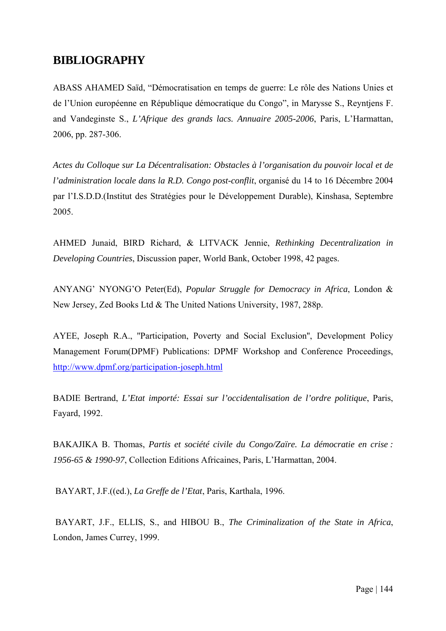## **BIBLIOGRAPHY**

ABASS AHAMED Saïd, "Démocratisation en temps de guerre: Le rôle des Nations Unies et de l'Union européenne en République démocratique du Congo", in Marysse S., Reyntjens F. and Vandeginste S., *L'Afrique des grands lacs. Annuaire 2005-2006*, Paris, L'Harmattan, 2006, pp. 287-306.

*Actes du Colloque sur La Décentralisation: Obstacles à l'organisation du pouvoir local et de l'administration locale dans la R.D. Congo post-conflit*, organisé du 14 to 16 Décembre 2004 par l'I.S.D.D.(Institut des Stratégies pour le Développement Durable), Kinshasa, Septembre 2005.

AHMED Junaid, BIRD Richard, & LITVACK Jennie, *Rethinking Decentralization in Developing Countries*, Discussion paper, World Bank, October 1998, 42 pages.

ANYANG' NYONG'O Peter(Ed), *Popular Struggle for Democracy in Africa*, London & New Jersey, Zed Books Ltd & The United Nations University, 1987, 288p.

AYEE, Joseph R.A., ''Participation, Poverty and Social Exclusion'', Development Policy Management Forum(DPMF) Publications: DPMF Workshop and Conference Proceedings, <http://www.dpmf.org/participation-joseph.html>

BADIE Bertrand, *L'Etat importé: Essai sur l'occidentalisation de l'ordre politique*, Paris, Fayard, 1992.

BAKAJIKA B. Thomas, *Partis et société civile du Congo/Zaïre. La démocratie en crise : 1956-65 & 1990-97*, Collection Editions Africaines, Paris, L'Harmattan, 2004.

BAYART, J.F.((ed.), *La Greffe de l'Etat*, Paris, Karthala, 1996.

 BAYART, J.F., ELLIS, S., and HIBOU B., *The Criminalization of the State in Africa*, London, James Currey, 1999.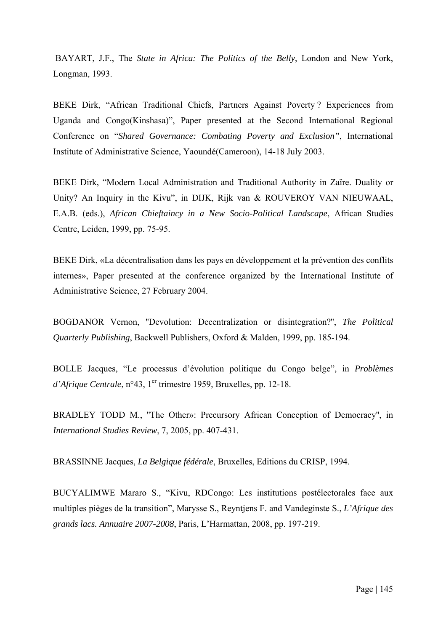BAYART, J.F., The *State in Africa: The Politics of the Belly*, London and New York, Longman, 1993.

BEKE Dirk, "African Traditional Chiefs, Partners Against Poverty ? Experiences from Uganda and Congo(Kinshasa)", Paper presented at the Second International Regional Conference on "*Shared Governance: Combating Poverty and Exclusion"*, International Institute of Administrative Science, Yaoundé(Cameroon), 14-18 July 2003.

BEKE Dirk, "Modern Local Administration and Traditional Authority in Zaïre. Duality or Unity? An Inquiry in the Kivu", in DIJK, Rijk van & ROUVEROY VAN NIEUWAAL, E.A.B. (eds.), *African Chieftaincy in a New Socio-Political Landscape*, African Studies Centre, Leiden, 1999, pp. 75-95.

BEKE Dirk, «La décentralisation dans les pays en développement et la prévention des conflits internes», Paper presented at the conference organized by the International Institute of Administrative Science, 27 February 2004.

BOGDANOR Vernon, ''Devolution: Decentralization or disintegration?'', *The Political Quarterly Publishing*, Backwell Publishers, Oxford & Malden, 1999, pp. 185-194.

BOLLE Jacques, "Le processus d'évolution politique du Congo belge", in *Problèmes d'Afrique Centrale*, n°43, 1<sup>er</sup> trimestre 1959, Bruxelles, pp. 12-18.

BRADLEY TODD M., ''The Other»: Precursory African Conception of Democracy'', in *International Studies Review*, 7, 2005, pp. 407-431.

BRASSINNE Jacques, *La Belgique fédérale*, Bruxelles, Editions du CRISP, 1994.

BUCYALIMWE Mararo S., "Kivu, RDCongo: Les institutions postélectorales face aux multiples pièges de la transition", Marysse S., Reyntjens F. and Vandeginste S., *L'Afrique des grands lacs. Annuaire 2007-2008*, Paris, L'Harmattan, 2008, pp. 197-219.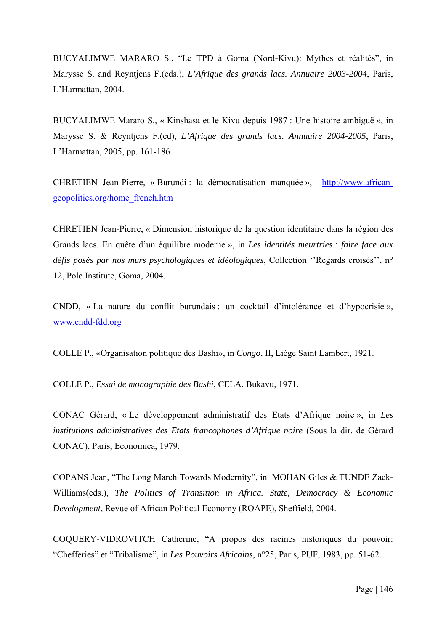BUCYALIMWE MARARO S., "Le TPD à Goma (Nord-Kivu): Mythes et réalités", in Marysse S. and Reyntjens F.(eds.), *L'Afrique des grands lacs. Annuaire 2003-2004*, Paris, L'Harmattan, 2004.

BUCYALIMWE Mararo S., « Kinshasa et le Kivu depuis 1987 : Une histoire ambiguë », in Marysse S. & Reyntjens F.(ed), *L'Afrique des grands lacs. Annuaire 2004-2005*, Paris, L'Harmattan, 2005, pp. 161-186.

CHRETIEN Jean-Pierre, « Burundi : la démocratisation manquée », [http://www.african](http://www.african-geopolitics.org/home_french.htm)[geopolitics.org/home\\_french.htm](http://www.african-geopolitics.org/home_french.htm)

CHRETIEN Jean-Pierre, « Dimension historique de la question identitaire dans la région des Grands lacs. En quête d'un équilibre moderne », in *Les identités meurtries : faire face aux défis posés par nos murs psychologiques et idéologiques*, Collection ''Regards croisés'', n° 12, Pole Institute, Goma, 2004.

CNDD, « La nature du conflit burundais : un cocktail d'intolérance et d'hypocrisie », [www.cndd-fdd.org](http://www.cndd-fdd.org/)

COLLE P., «Organisation politique des Bashi», in *Congo*, II, Liège Saint Lambert, 1921.

COLLE P., *Essai de monographie des Bashi*, CELA, Bukavu, 1971.

CONAC Gérard, « Le développement administratif des Etats d'Afrique noire », in *Les institutions administratives des Etats francophones d'Afrique noire* (Sous la dir. de Gérard CONAC), Paris, Economica, 1979.

COPANS Jean, "The Long March Towards Modernity", in MOHAN Giles & TUNDE Zack-Williams(eds.), *The Politics of Transition in Africa. State, Democracy & Economic Development*, Revue of African Political Economy (ROAPE), Sheffield, 2004.

COQUERY-VIDROVITCH Catherine, "A propos des racines historiques du pouvoir: "Chefferies" et "Tribalisme", in *Les Pouvoirs Africains*, n°25, Paris, PUF, 1983, pp. 51-62.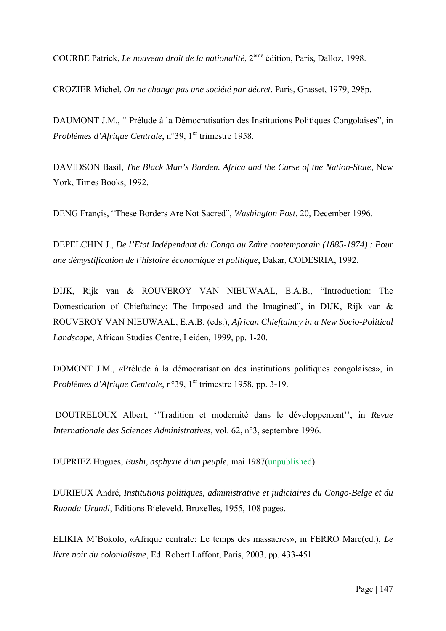COURBE Patrick, *Le nouveau droit de la nationalité*, 2ème édition, Paris, Dalloz, 1998.

CROZIER Michel, *On ne change pas une société par décret*, Paris, Grasset, 1979, 298p.

DAUMONT J.M., " Prélude à la Démocratisation des Institutions Politiques Congolaises", in *Problèmes d'Afrique Centrale*, n°39, 1<sup>er</sup> trimestre 1958.

DAVIDSON Basil, *The Black Man's Burden. Africa and the Curse of the Nation-State*, New York, Times Books, 1992.

DENG Françis, "These Borders Are Not Sacred", *Washington Post*, 20, December 1996.

DEPELCHIN J., *De l'Etat Indépendant du Congo au Zaïre contemporain (1885-1974) : Pour une démystification de l'histoire économique et politique*, Dakar, CODESRIA, 1992.

DIJK, Rijk van & ROUVEROY VAN NIEUWAAL, E.A.B., "Introduction: The Domestication of Chieftaincy: The Imposed and the Imagined", in DIJK, Rijk van & ROUVEROY VAN NIEUWAAL, E.A.B. (eds.), *African Chieftaincy in a New Socio-Political Landscape*, African Studies Centre, Leiden, 1999, pp. 1-20.

DOMONT J.M., «Prélude à la démocratisation des institutions politiques congolaises», in *Problèmes d'Afrique Centrale*, n°39, 1<sup>er</sup> trimestre 1958, pp. 3-19.

 DOUTRELOUX Albert, ''Tradition et modernité dans le développement'', in *Revue Internationale des Sciences Administratives*, vol. 62, n°3, septembre 1996.

DUPRIEZ Hugues, *Bushi, asphyxie d'un peuple*, mai 1987(unpublished).

DURIEUX André, *Institutions politiques, administrative et judiciaires du Congo-Belge et du Ruanda-Urundi*, Editions Bieleveld, Bruxelles, 1955, 108 pages.

ELIKIA M'Bokolo, «Afrique centrale: Le temps des massacres», in FERRO Marc(ed.), *Le livre noir du colonialisme*, Ed. Robert Laffont, Paris, 2003, pp. 433-451.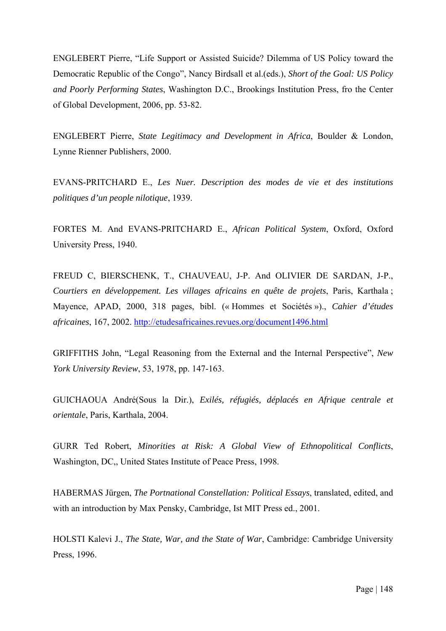ENGLEBERT Pierre, "Life Support or Assisted Suicide? Dilemma of US Policy toward the Democratic Republic of the Congo", Nancy Birdsall et al.(eds.), *Short of the Goal: US Policy and Poorly Performing States*, Washington D.C., Brookings Institution Press, fro the Center of Global Development, 2006, pp. 53-82.

ENGLEBERT Pierre, *State Legitimacy and Development in Africa*, Boulder & London, Lynne Rienner Publishers, 2000.

EVANS-PRITCHARD E., *Les Nuer. Description des modes de vie et des institutions politiques d'un people nilotique*, 1939.

FORTES M. And EVANS-PRITCHARD E., *African Political System*, Oxford, Oxford University Press, 1940.

FREUD C, BIERSCHENK, T., CHAUVEAU, J-P. And OLIVIER DE SARDAN, J-P., *Courtiers en développement. Les villages africains en quête de projets*, Paris, Karthala ; Mayence, APAD, 2000, 318 pages, bibl. (« Hommes et Sociétés »)., *Cahier d'études africaines*, 167, 2002. <http://etudesafricaines.revues.org/document1496.html>

GRIFFITHS John, "Legal Reasoning from the External and the Internal Perspective", *New York University Review*, 53, 1978, pp. 147-163.

GUICHAOUA André(Sous la Dir.), *Exilés, réfugiés, déplacés en Afrique centrale et orientale*, Paris, Karthala, 2004.

GURR Ted Robert, *Minorities at Risk: A Global View of Ethnopolitical Conflicts*, Washington, DC,, United States Institute of Peace Press, 1998.

HABERMAS Jürgen, *The Portnational Constellation: Political Essays*, translated, edited, and with an introduction by Max Pensky, Cambridge, Ist MIT Press ed., 2001.

HOLSTI Kalevi J., *The State, War, and the State of War*, Cambridge: Cambridge University Press, 1996.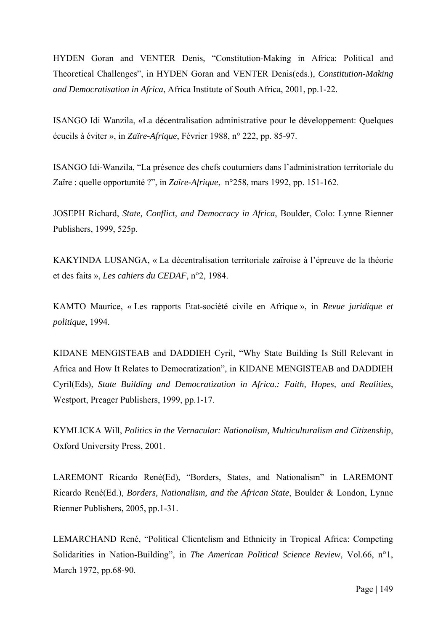HYDEN Goran and VENTER Denis, "Constitution-Making in Africa: Political and Theoretical Challenges", in HYDEN Goran and VENTER Denis(eds.), *Constitution-Making and Democratisation in Africa*, Africa Institute of South Africa, 2001, pp.1-22.

ISANGO Idi Wanzila, «La décentralisation administrative pour le développement: Quelques écueils à éviter », in *Zaïre-Afrique*, Février 1988, n° 222, pp. 85-97.

ISANGO Idi-Wanzila, "La présence des chefs coutumiers dans l'administration territoriale du Zaïre : quelle opportunité ?", in *Zaïre-Afrique*, n°258, mars 1992, pp. 151-162.

JOSEPH Richard, *State, Conflict, and Democracy in Africa*, Boulder, Colo: Lynne Rienner Publishers, 1999, 525p.

KAKYINDA LUSANGA, « La décentralisation territoriale zaïroise à l'épreuve de la théorie et des faits », *Les cahiers du CEDAF*, n°2, 1984.

KAMTO Maurice, « Les rapports Etat-société civile en Afrique », in *Revue juridique et politique*, 1994.

KIDANE MENGISTEAB and DADDIEH Cyril, "Why State Building Is Still Relevant in Africa and How It Relates to Democratization", in KIDANE MENGISTEAB and DADDIEH Cyril(Eds), *State Building and Democratization in Africa.: Faith, Hopes, and Realities*, Westport, Preager Publishers, 1999, pp.1-17.

KYMLICKA Will, *Politics in the Vernacular: Nationalism, Multiculturalism and Citizenship*, Oxford University Press, 2001.

LAREMONT Ricardo René(Ed), "Borders, States, and Nationalism" in LAREMONT Ricardo René(Ed.), *Borders, Nationalism, and the African State*, Boulder & London, Lynne Rienner Publishers, 2005, pp.1-31.

LEMARCHAND René, "Political Clientelism and Ethnicity in Tropical Africa: Competing Solidarities in Nation-Building", in *The American Political Science Review*, Vol.66, n°1, March 1972, pp.68-90.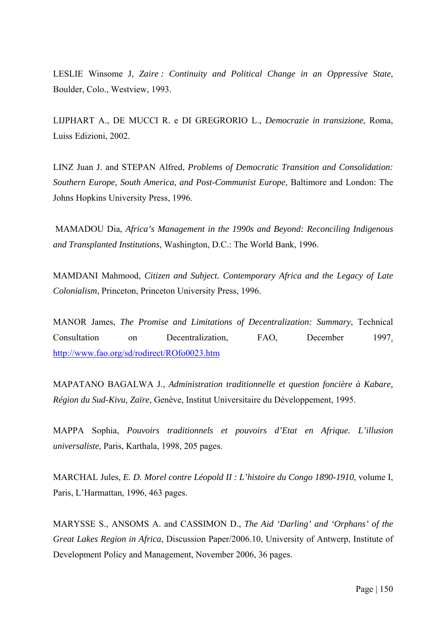LESLIE Winsome J, *Zaire : Continuity and Political Change in an Oppressive State*, Boulder, Colo., Westview, 1993.

LIJPHART A., DE MUCCI R. e DI GREGRORIO L., *Democrazie in transizione*, Roma, Luiss Edizioni, 2002.

LINZ Juan J. and STEPAN Alfred, *Problems of Democratic Transition and Consolidation: Southern Europe, South America, and Post-Communist Europe*, Baltimore and London: The Johns Hopkins University Press, 1996.

 MAMADOU Dia, *Africa's Management in the 1990s and Beyond: Reconciling Indigenous and Transplanted Institutions*, Washington, D.C.: The World Bank, 1996.

MAMDANI Mahmood, *Citizen and Subject. Contemporary Africa and the Legacy of Late Colonialism*, Princeton, Princeton University Press, 1996.

MANOR James, *The Promise and Limitations of Decentralization: Summary*, Technical Consultation on Decentralization, FAO, December 1997. <http://www.fao.org/sd/rodirect/ROfo0023.htm>

MAPATANO BAGALWA J., *Administration traditionnelle et question foncière à Kabare, Région du Sud-Kivu, Zaïre*, Genève, Institut Universitaire du Développement, 1995.

MAPPA Sophia, *Pouvoirs traditionnels et pouvoirs d'Etat en Afrique. L'illusion universaliste*, Paris, Karthala, 1998, 205 pages.

MARCHAL Jules, *E. D. Morel contre Léopold II : L'histoire du Congo 1890-1910*, volume I, Paris, L'Harmattan, 1996, 463 pages.

MARYSSE S., ANSOMS A. and CASSIMON D., *The Aid 'Darling' and 'Orphans' of the Great Lakes Region in Africa*, Discussion Paper/2006.10, University of Antwerp, Institute of Development Policy and Management, November 2006, 36 pages.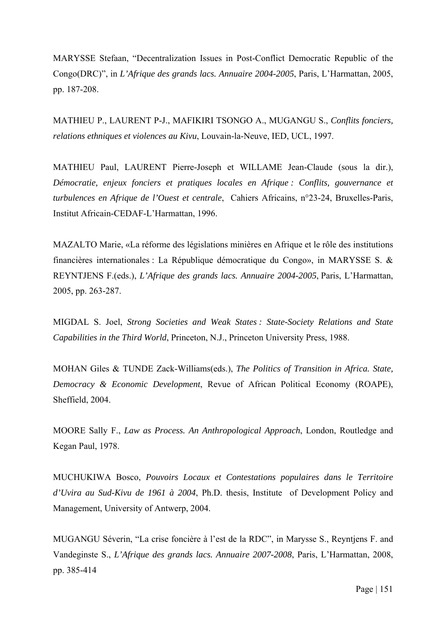MARYSSE Stefaan, "Decentralization Issues in Post-Conflict Democratic Republic of the Congo(DRC)", in *L'Afrique des grands lacs. Annuaire 2004-2005*, Paris, L'Harmattan, 2005, pp. 187-208.

MATHIEU P., LAURENT P-J., MAFIKIRI TSONGO A., MUGANGU S., *Conflits fonciers, relations ethniques et violences au Kivu*, Louvain-la-Neuve, IED, UCL, 1997.

MATHIEU Paul, LAURENT Pierre-Joseph et WILLAME Jean-Claude (sous la dir.), *Démocratie, enjeux fonciers et pratiques locales en Afrique : Conflits, gouvernance et turbulences en Afrique de l'Ouest et centrale*, Cahiers Africains, n°23-24, Bruxelles-Paris, Institut Africain-CEDAF-L'Harmattan, 1996.

MAZALTO Marie, «La réforme des législations minières en Afrique et le rôle des institutions financières internationales : La République démocratique du Congo», in MARYSSE S. & REYNTJENS F.(eds.), *L'Afrique des grands lacs. Annuaire 2004-2005*, Paris, L'Harmattan, 2005, pp. 263-287.

MIGDAL S. Joel, *Strong Societies and Weak States : State-Society Relations and State Capabilities in the Third World*, Princeton, N.J., Princeton University Press, 1988.

MOHAN Giles & TUNDE Zack-Williams(eds.), *The Politics of Transition in Africa. State, Democracy & Economic Development*, Revue of African Political Economy (ROAPE), Sheffield, 2004.

MOORE Sally F., *Law as Process. An Anthropological Approach*, London, Routledge and Kegan Paul, 1978.

MUCHUKIWA Bosco, *Pouvoirs Locaux et Contestations populaires dans le Territoire d'Uvira au Sud-Kivu de 1961 à 2004*, Ph.D. thesis, Institute of Development Policy and Management, University of Antwerp, 2004.

MUGANGU Séverin, "La crise foncière à l'est de la RDC", in Marysse S., Reyntjens F. and Vandeginste S., *L'Afrique des grands lacs. Annuaire 2007-2008*, Paris, L'Harmattan, 2008, pp. 385-414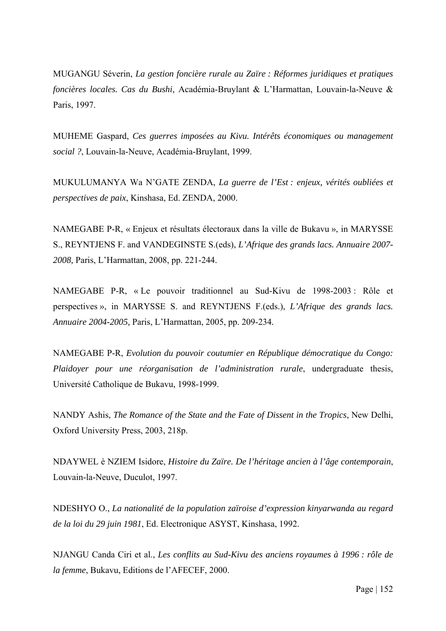MUGANGU Séverin, *La gestion foncière rurale au Zaïre : Réformes juridiques et pratiques foncières locales. Cas du Bushi*, Académia-Bruylant & L'Harmattan, Louvain-la-Neuve & Paris, 1997.

MUHEME Gaspard, *Ces guerres imposées au Kivu. Intérêts économiques ou management social ?*, Louvain-la-Neuve, Académia-Bruylant, 1999.

MUKULUMANYA Wa N'GATE ZENDA, *La guerre de l'Est : enjeux, vérités oubliées et perspectives de paix*, Kinshasa, Ed. ZENDA, 2000.

NAMEGABE P-R, « Enjeux et résultats électoraux dans la ville de Bukavu », in MARYSSE S., REYNTJENS F. and VANDEGINSTE S.(eds), *L'Afrique des grands lacs. Annuaire 2007- 2008,* Paris, L'Harmattan, 2008, pp. 221-244.

NAMEGABE P-R, « Le pouvoir traditionnel au Sud-Kivu de 1998-2003 : Rôle et perspectives », in MARYSSE S. and REYNTJENS F.(eds.), *L'Afrique des grands lacs. Annuaire 2004-2005,* Paris, L'Harmattan, 2005, pp. 209-234*.* 

NAMEGABE P-R, *Evolution du pouvoir coutumier en République démocratique du Congo: Plaidoyer pour une réorganisation de l'administration rurale*, undergraduate thesis, Université Catholique de Bukavu, 1998-1999.

NANDY Ashis, *The Romance of the State and the Fate of Dissent in the Tropics*, New Delhi, Oxford University Press, 2003, 218p.

NDAYWEL è NZIEM Isidore, *Histoire du Zaïre. De l'héritage ancien à l'âge contemporain*, Louvain-la-Neuve, Duculot, 1997.

NDESHYO O., *La nationalité de la population zaïroise d'expression kinyarwanda au regard de la loi du 29 juin 1981*, Ed. Electronique ASYST, Kinshasa, 1992.

NJANGU Canda Ciri et al., *Les conflits au Sud-Kivu des anciens royaumes à 1996 : rôle de la femme*, Bukavu, Editions de l'AFECEF, 2000.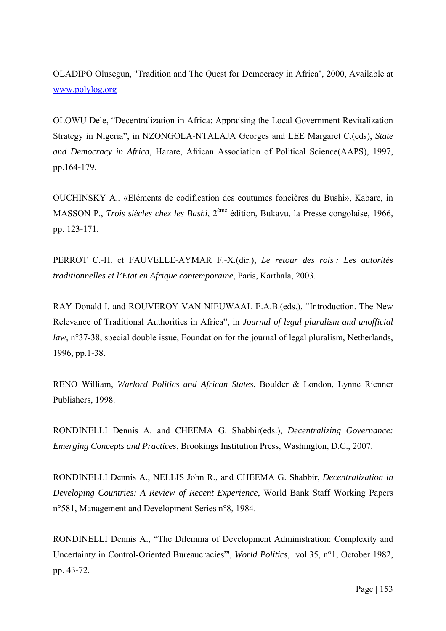OLADIPO Olusegun, ''Tradition and The Quest for Democracy in Africa'', 2000, Available at [www.polylog.org](http://www.polylog.org/)

OLOWU Dele, "Decentralization in Africa: Appraising the Local Government Revitalization Strategy in Nigeria", in NZONGOLA-NTALAJA Georges and LEE Margaret C.(eds), *State and Democracy in Africa*, Harare, African Association of Political Science(AAPS), 1997, pp.164-179.

OUCHINSKY A., «Eléments de codification des coutumes foncières du Bushi», Kabare, in MASSON P., *Trois siècles chez les Bashi*, 2ème édition, Bukavu, la Presse congolaise, 1966, pp. 123-171.

PERROT C.-H. et FAUVELLE-AYMAR F.-X.(dir.), *Le retour des rois : Les autorités traditionnelles et l'Etat en Afrique contemporaine*, Paris, Karthala, 2003.

RAY Donald I. and ROUVEROY VAN NIEUWAAL E.A.B.(eds.), "Introduction. The New Relevance of Traditional Authorities in Africa", in *Journal of legal pluralism and unofficial law*, n°37-38, special double issue, Foundation for the journal of legal pluralism, Netherlands, 1996, pp.1-38.

RENO William, *Warlord Politics and African States*, Boulder & London, Lynne Rienner Publishers, 1998.

RONDINELLI Dennis A. and CHEEMA G. Shabbir(eds.), *Decentralizing Governance: Emerging Concepts and Practices*, Brookings Institution Press, Washington, D.C., 2007.

RONDINELLI Dennis A., NELLIS John R., and CHEEMA G. Shabbir, *Decentralization in Developing Countries: A Review of Recent Experience*, World Bank Staff Working Papers n°581, Management and Development Series n°8, 1984.

RONDINELLI Dennis A., "The Dilemma of Development Administration: Complexity and Uncertainty in Control-Oriented Bureaucracies"', *World Politics*, vol.35, n°1, October 1982, pp. 43-72.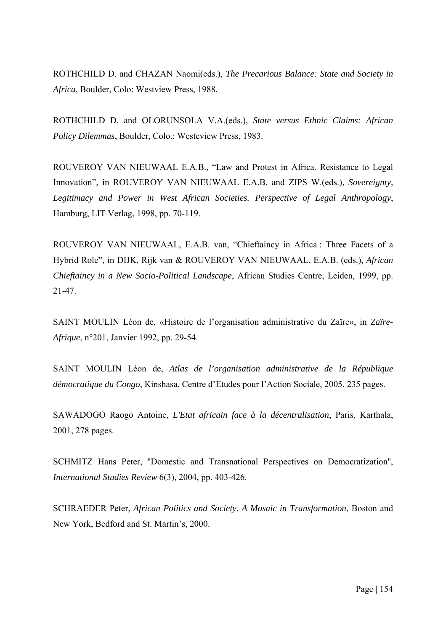ROTHCHILD D. and CHAZAN Naomi(eds.), *The Precarious Balance: State and Society in Africa*, Boulder, Colo: Westview Press, 1988.

ROTHCHILD D. and OLORUNSOLA V.A.(eds.), *State versus Ethnic Claims: African Policy Dilemmas*, Boulder, Colo.: Westeview Press, 1983.

ROUVEROY VAN NIEUWAAL E.A.B., "Law and Protest in Africa. Resistance to Legal Innovation", in ROUVEROY VAN NIEUWAAL E.A.B. and ZIPS W.(eds.), *Sovereignty, Legitimacy and Power in West African Societies. Perspective of Legal Anthropology*, Hamburg, LIT Verlag, 1998, pp. 70-119.

ROUVEROY VAN NIEUWAAL, E.A.B. van, "Chieftaincy in Africa : Three Facets of a Hybrid Role", in DIJK, Rijk van & ROUVEROY VAN NIEUWAAL, E.A.B. (eds.), *African Chieftaincy in a New Socio-Political Landscape*, African Studies Centre, Leiden, 1999, pp. 21-47.

SAINT MOULIN Léon de, «Histoire de l'organisation administrative du Zaïre», in *Zaïre-Afrique*, n°201, Janvier 1992, pp. 29-54.

SAINT MOULIN Léon de, *Atlas de l'organisation administrative de la République démocratique du Congo*, Kinshasa, Centre d'Etudes pour l'Action Sociale, 2005, 235 pages.

SAWADOGO Raogo Antoine, *L'Etat africain face à la décentralisation*, Paris, Karthala, 2001, 278 pages.

SCHMITZ Hans Peter, ''Domestic and Transnational Perspectives on Democratization'', *International Studies Review* 6(3), 2004, pp. 403-426.

SCHRAEDER Peter, *African Politics and Society. A Mosaic in Transformation*, Boston and New York, Bedford and St. Martin's, 2000.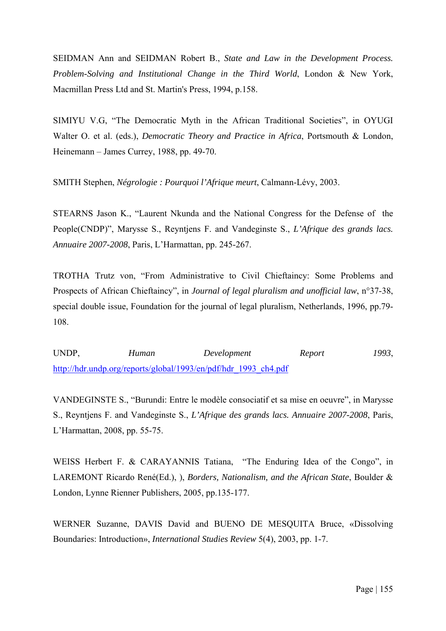SEIDMAN Ann and SEIDMAN Robert B., *State and Law in the Development Process. Problem-Solving and Institutional Change in the Third World*, London & New York, Macmillan Press Ltd and St. Martin's Press, 1994, p.158.

SIMIYU V.G, "The Democratic Myth in the African Traditional Societies", in OYUGI Walter O. et al. (eds.), *Democratic Theory and Practice in Africa*, Portsmouth & London, Heinemann – James Currey, 1988, pp. 49-70.

SMITH Stephen, *Négrologie : Pourquoi l'Afrique meurt*, Calmann-Lévy, 2003.

STEARNS Jason K., "Laurent Nkunda and the National Congress for the Defense of the People(CNDP)", Marysse S., Reyntjens F. and Vandeginste S., *L'Afrique des grands lacs. Annuaire 2007-2008*, Paris, L'Harmattan, pp. 245-267.

TROTHA Trutz von, "From Administrative to Civil Chieftaincy: Some Problems and Prospects of African Chieftaincy", in *Journal of legal pluralism and unofficial law*, n°37-38, special double issue, Foundation for the journal of legal pluralism, Netherlands, 1996, pp.79- 108.

UNDP, *Human Development Report 1993*, [http://hdr.undp.org/reports/global/1993/en/pdf/hdr\\_1993\\_ch4.pdf](http://hdr.undp.org/reports/global/1993/en/pdf/hdr_1993_ch4.pdf)

VANDEGINSTE S., "Burundi: Entre le modèle consociatif et sa mise en oeuvre", in Marysse S., Reyntjens F. and Vandeginste S., *L'Afrique des grands lacs. Annuaire 2007-2008*, Paris, L'Harmattan, 2008, pp. 55-75.

WEISS Herbert F. & CARAYANNIS Tatiana, "The Enduring Idea of the Congo", in LAREMONT Ricardo René(Ed.), ), *Borders, Nationalism, and the African State*, Boulder & London, Lynne Rienner Publishers, 2005, pp.135-177.

WERNER Suzanne, DAVIS David and BUENO DE MESQUITA Bruce, «Dissolving Boundaries: Introduction», *International Studies Review* 5(4), 2003, pp. 1-7.